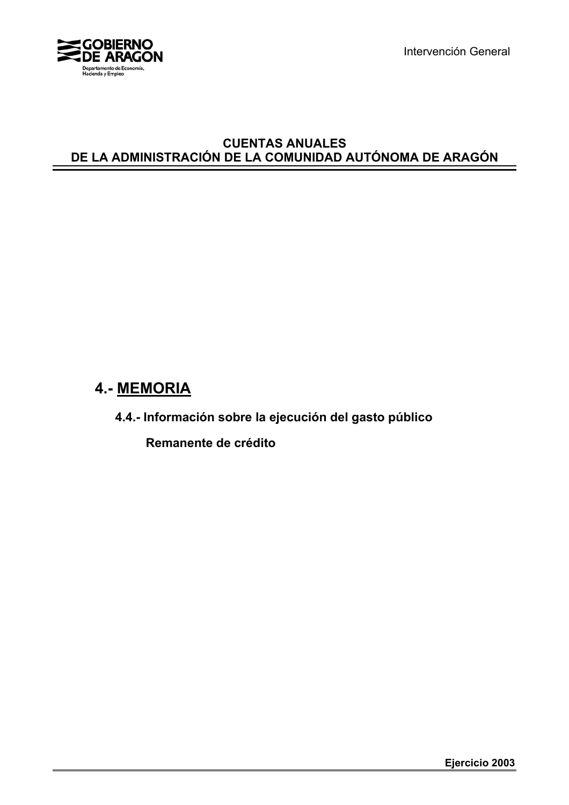

Intervención General

# **CUENTAS ANUALES DE LA ADMINISTRACIÓN DE LA COMUNIDAD AUTÓNOMA DE ARAGÓN**

# **4.- MEMORIA**

**4.4.- Información sobre la ejecución del gasto público**

 **Remanente de crédito**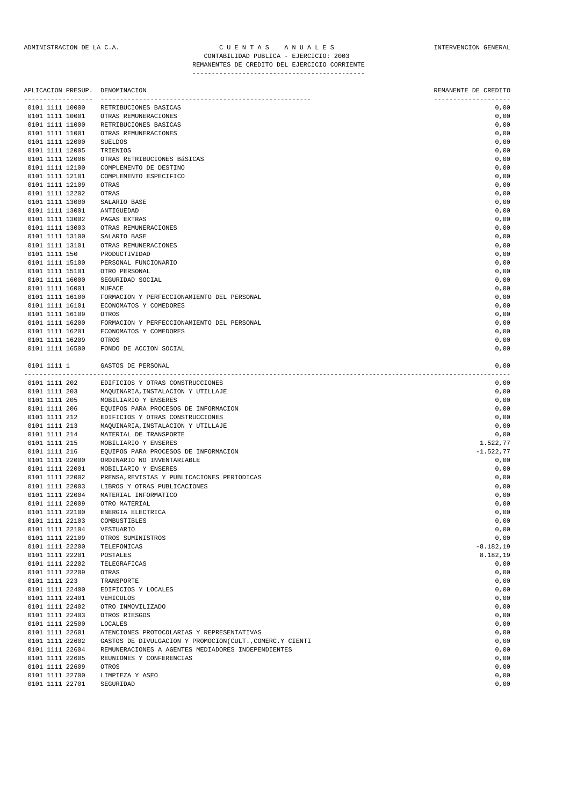| APLICACION PRESUP.<br>------------------ |                         | DENOMINACION                                             | REMANENTE DE CREDITO |
|------------------------------------------|-------------------------|----------------------------------------------------------|----------------------|
| 0101 1111 10000                          |                         | RETRIBUCIONES BASICAS                                    | 0,00                 |
| 0101 1111 10001                          |                         | OTRAS REMUNERACIONES                                     | 0,00                 |
| 0101 1111 11000                          |                         | RETRIBUCIONES BASICAS                                    | 0,00                 |
| 0101 1111 11001                          |                         | OTRAS REMUNERACIONES                                     | 0,00                 |
| 0101 1111 12000                          |                         | <b>SUELDOS</b>                                           | 0,00                 |
| 0101 1111 12005                          |                         | TRIENIOS                                                 | 0,00                 |
| 0101 1111 12006                          |                         | OTRAS RETRIBUCIONES BÁSICAS                              | 0,00                 |
| 0101 1111 12100                          |                         | COMPLEMENTO DE DESTINO                                   | 0,00                 |
| 0101 1111 12101                          |                         | COMPLEMENTO ESPECIFICO                                   | 0,00                 |
| 0101 1111 12109                          |                         | OTRAS                                                    | 0,00                 |
| 0101 1111 12202                          |                         | OTRAS                                                    | 0,00                 |
| 0101 1111 13000                          |                         | SALARIO BASE                                             | 0,00                 |
| 0101 1111 13001                          |                         | ANTIGUEDAD                                               | 0,00                 |
| 0101 1111 13002                          |                         | PAGAS EXTRAS                                             | 0,00                 |
| 0101 1111 13003                          |                         | OTRAS REMUNERACIONES                                     | 0,00                 |
| 0101 1111 13100                          |                         | SALARIO BASE                                             | 0,00                 |
| 0101 1111 13101                          |                         | OTRAS REMUNERACIONES                                     | 0,00                 |
| 0101 1111 150                            |                         | PRODUCTIVIDAD                                            | 0,00                 |
| 0101 1111 15100                          |                         | PERSONAL FUNCIONARIO                                     | 0,00                 |
| 0101 1111 15101                          |                         | OTRO PERSONAL                                            | 0,00                 |
| 0101 1111 16000                          |                         | SEGURIDAD SOCIAL                                         | 0,00                 |
| 0101 1111 16001                          |                         | MUFACE                                                   | 0,00                 |
| 0101 1111 16100                          |                         | FORMACION Y PERFECCIONAMIENTO DEL PERSONAL               | 0,00                 |
| 0101 1111 16101                          |                         | ECONOMATOS Y COMEDORES                                   | 0,00                 |
| 0101 1111 16109                          |                         | OTROS                                                    | 0,00                 |
| 0101 1111 16200                          |                         | FORMACION Y PERFECCIONAMIENTO DEL PERSONAL               | 0,00                 |
| 0101 1111 16201                          |                         | ECONOMATOS Y COMEDORES                                   | 0,00                 |
| 0101 1111 16209                          |                         | OTROS                                                    | 0,00                 |
| 0101 1111 16500                          |                         | FONDO DE ACCION SOCIAL                                   | 0,00                 |
| 0101 1111 1                              | ----------------------- | GASTOS DE PERSONAL                                       | 0,00                 |
| 0101 1111 202                            |                         | EDIFICIOS Y OTRAS CONSTRUCCIONES                         | 0,00                 |
| 0101 1111 203                            |                         | MAQUINARIA, INSTALACION Y UTILLAJE                       | 0,00                 |
| 0101 1111 205                            |                         | MOBILIARIO Y ENSERES                                     | 0,00                 |
| 0101 1111 206                            |                         | EQUIPOS PARA PROCESOS DE INFORMACION                     | 0,00                 |
| 0101 1111 212                            |                         | EDIFICIOS Y OTRAS CONSTRUCCIONES                         | 0,00                 |
| 0101 1111 213                            |                         | MAQUINARIA, INSTALACION Y UTILLAJE                       | 0,00                 |
| 0101 1111 214                            |                         | MATERIAL DE TRANSPORTE                                   | 0,00                 |
| 0101 1111 215                            |                         | MOBILIARIO Y ENSERES                                     | 1.522,77             |
| 0101 1111 216                            |                         | EQUIPOS PARA PROCESOS DE INFORMACION                     | $-1.522, 77$         |
| 0101 1111 22000                          |                         | ORDINARIO NO INVENTARIABLE                               | 0,00                 |
| 0101 1111 22001                          |                         | MOBILIARIO Y ENSERES                                     | 0,00                 |
| 0101 1111 22002                          |                         | PRENSA, REVISTAS Y PUBLICACIONES PERIODICAS              | 0,00                 |
| 0101 1111 22003                          |                         | LIBROS Y OTRAS PUBLICACIONES                             | 0,00                 |
| 0101 1111 22004                          |                         | MATERIAL INFORMATICO                                     | 0,00                 |
| 0101 1111 22009                          |                         | OTRO MATERIAL                                            | 0,00                 |
| 0101 1111 22100                          |                         | ENERGIA ELECTRICA                                        | 0,00                 |
| 0101 1111 22103                          |                         | COMBUSTIBLES                                             | 0,00                 |
| 0101 1111 22104                          |                         | VESTUARIO                                                | 0,00                 |
| 0101 1111 22109                          |                         | OTROS SUMINISTROS                                        | 0,00                 |
| 0101 1111 22200                          |                         | TELEFONICAS                                              | $-8.182, 19$         |
| 0101 1111 22201                          |                         | POSTALES                                                 | 8.182,19             |
| 0101 1111 22202                          |                         | TELEGRAFICAS                                             | 0,00                 |
| 0101 1111 22209                          |                         | OTRAS                                                    | 0,00                 |
| 0101 1111 223                            |                         | TRANSPORTE                                               | 0,00                 |
| 0101 1111 22400                          |                         | EDIFICIOS Y LOCALES                                      | 0,00                 |
| 0101 1111 22401                          |                         | VEHICULOS                                                | 0,00                 |
| 0101 1111 22402                          |                         | OTRO INMOVILIZADO                                        | 0,00                 |
| 0101 1111 22403                          |                         | OTROS RIESGOS                                            | 0,00                 |
| 0101 1111 22500                          |                         | LOCALES                                                  | 0,00                 |
| 0101 1111 22601                          |                         | ATENCIONES PROTOCOLARIAS Y REPRESENTATIVAS               | 0,00                 |
| 0101 1111 22602                          |                         | GASTOS DE DIVULGACION Y PROMOCION(CULT., COMERC.Y CIENTI | 0,00                 |
| 0101 1111 22604                          |                         | REMUNERACIONES A AGENTES MEDIADORES INDEPENDIENTES       | 0,00                 |
| 0101 1111 22605                          |                         | REUNIONES Y CONFERENCIAS                                 | 0,00                 |
| 0101 1111 22609                          |                         | $\cap$ TD $\cap$ C                                       | 0.00                 |

0101 1111 22609 OTROS 0,00 0101 1111 22700 LIMPIEZA Y ASEO 0,00 0101 1111 22701 SEGURIDAD 0,00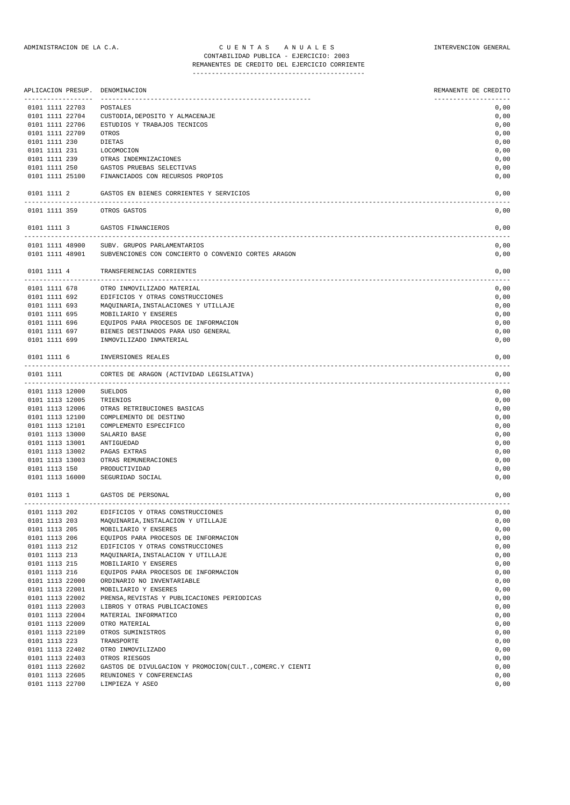## REMANENTES DE CREDITO DEL EJERCICIO CORRIENTE

|        |               | APLICACION PRESUP. | DENOMINACION                                             | REMANENTE DE CREDITO |
|--------|---------------|--------------------|----------------------------------------------------------|----------------------|
|        |               | 0101 1111 22703    | POSTALES                                                 | 0,00                 |
|        |               | 0101 1111 22704    | CUSTODIA, DEPOSITO Y ALMACENAJE                          | 0,00                 |
|        |               | 0101 1111 22706    | ESTUDIOS Y TRABAJOS TECNICOS                             | 0,00                 |
|        |               | 0101 1111 22709    | OTROS                                                    | 0,00                 |
|        | 0101 1111 230 |                    | DIETAS                                                   | 0,00                 |
|        | 0101 1111 231 |                    | LOCOMOCION                                               | 0,00                 |
|        | 0101 1111 239 |                    | OTRAS INDEMNIZACIONES                                    | 0,00                 |
|        | 0101 1111 250 |                    | GASTOS PRUEBAS SELECTIVAS                                | 0,00                 |
|        |               |                    |                                                          |                      |
|        |               | 0101 1111 25100    | FINANCIADOS CON RECURSOS PROPIOS                         | 0,00                 |
|        | 0101 1111 2   |                    | GASTOS EN BIENES CORRIENTES Y SERVICIOS                  | 0,00                 |
|        | 0101 1111 359 |                    | OTROS GASTOS                                             | 0,00                 |
|        | 0101 1111 3   |                    | GASTOS FINANCIEROS                                       | 0,00                 |
|        |               | 0101 1111 48900    | SUBV. GRUPOS PARLAMENTARIOS                              | 0,00                 |
|        |               | 0101 1111 48901    | SUBVENCIONES CON CONCIERTO O CONVENIO CORTES ARAGON      | 0,00                 |
|        |               |                    |                                                          |                      |
|        | 0101 1111 4   |                    | TRANSFERENCIAS CORRIENTES<br>-----------------------     | 0,00                 |
|        | 0101 1111 678 |                    | OTRO INMOVILIZADO MATERIAL                               | 0,00                 |
|        | 0101 1111 692 |                    | EDIFICIOS Y OTRAS CONSTRUCCIONES                         | 0,00                 |
|        | 0101 1111 693 |                    | MAQUINARIA, INSTALACIONES Y UTILLAJE                     | 0,00                 |
|        | 0101 1111 695 |                    | MOBILIARIO Y ENSERES                                     | 0,00                 |
|        | 0101 1111 696 |                    | EQUIPOS PARA PROCESOS DE INFORMACION                     | 0,00                 |
|        | 0101 1111 697 |                    | BIENES DESTINADOS PARA USO GENERAL                       | 0,00                 |
|        | 0101 1111 699 |                    | INMOVILIZADO INMATERIAL                                  | 0,00                 |
|        | 0101 1111 6   |                    | INVERSIONES REALES                                       | 0,00                 |
| ------ |               |                    | ------------------                                       |                      |
|        | 0101 1111     |                    | CORTES DE ARAGON (ACTIVIDAD LEGISLATIVA)                 | 0,00<br>$- - - -$    |
|        |               | 0101 1113 12000    | SUELDOS                                                  | 0,00                 |
|        |               | 0101 1113 12005    | TRIENIOS                                                 | 0,00                 |
|        |               | 0101 1113 12006    | OTRAS RETRIBUCIONES BASICAS                              | 0,00                 |
|        |               | 0101 1113 12100    | COMPLEMENTO DE DESTINO                                   | 0,00                 |
|        |               | 0101 1113 12101    | COMPLEMENTO ESPECIFICO                                   | 0,00                 |
|        |               | 0101 1113 13000    | SALARIO BASE                                             | 0,00                 |
|        |               | 0101 1113 13001    | ANTIGUEDAD                                               | 0,00                 |
|        |               | 0101 1113 13002    | PAGAS EXTRAS                                             | 0,00                 |
|        |               | 0101 1113 13003    | OTRAS REMUNERACIONES                                     | 0,00                 |
|        | 0101 1113 150 |                    | PRODUCTIVIDAD                                            | 0,00                 |
|        |               | 0101 1113 16000    | SEGURIDAD SOCIAL                                         | 0,00                 |
|        | 0101 1113 1   |                    | GASTOS DE PERSONAL                                       | 0,00                 |
|        | 0101 1113 202 |                    | EDIFICIOS Y OTRAS CONSTRUCCIONES                         | 0,00                 |
|        | 0101 1113 203 |                    | MAQUINARIA, INSTALACION Y UTILLAJE                       | 0,00                 |
|        | 0101 1113 205 |                    | MOBILIARIO Y ENSERES                                     | 0,00                 |
|        | 0101 1113 206 |                    | EQUIPOS PARA PROCESOS DE INFORMACION                     | 0,00                 |
|        | 0101 1113 212 |                    | EDIFICIOS Y OTRAS CONSTRUCCIONES                         | 0,00                 |
|        | 0101 1113 213 |                    | MAQUINARIA, INSTALACION Y UTILLAJE                       | 0,00                 |
|        | 0101 1113 215 |                    | MOBILIARIO Y ENSERES                                     | 0,00                 |
|        | 0101 1113 216 |                    | EQUIPOS PARA PROCESOS DE INFORMACION                     | 0,00                 |
|        |               | 0101 1113 22000    | ORDINARIO NO INVENTARIABLE                               | 0,00                 |
|        |               | 0101 1113 22001    | MOBILIARIO Y ENSERES                                     | 0,00                 |
|        |               | 0101 1113 22002    | PRENSA, REVISTAS Y PUBLICACIONES PERIODICAS              | 0,00                 |
|        |               | 0101 1113 22003    | LIBROS Y OTRAS PUBLICACIONES                             | 0,00                 |
|        |               |                    |                                                          |                      |
|        |               | 0101 1113 22004    | MATERIAL INFORMATICO                                     | 0,00                 |
|        |               | 0101 1113 22009    | OTRO MATERIAL                                            | 0,00                 |
|        |               | 0101 1113 22109    | OTROS SUMINISTROS                                        | 0,00                 |
|        | 0101 1113 223 |                    | TRANSPORTE                                               | 0,00                 |
|        |               | 0101 1113 22402    | OTRO INMOVILIZADO                                        | 0,00                 |
|        |               | 0101 1113 22403    | OTROS RIESGOS                                            | 0,00                 |
|        |               | 0101 1113 22602    | GASTOS DE DIVULGACION Y PROMOCION(CULT., COMERC.Y CIENTI | 0,00                 |
|        |               | 0101 1113 22605    | REUNIONES Y CONFERENCIAS                                 | 0,00                 |
|        |               | 0101 1113 22700    | LIMPIEZA Y ASEO                                          | 0,00                 |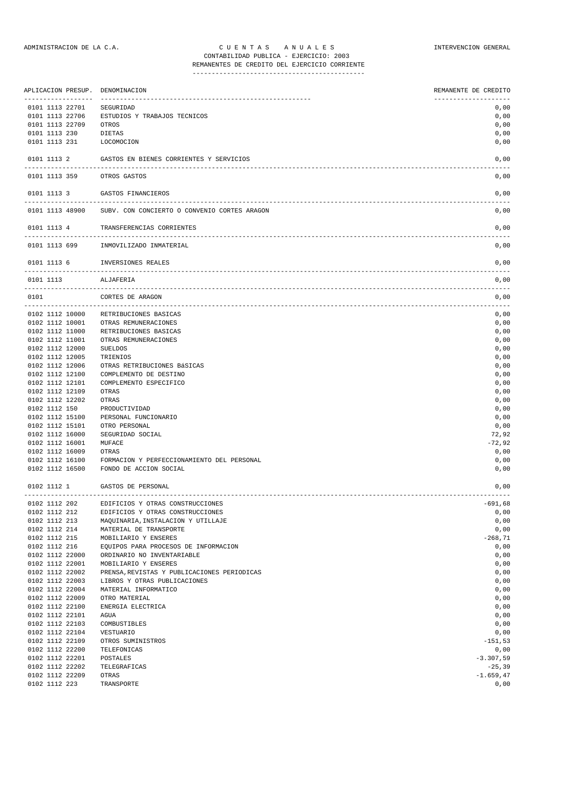|               | APLICACION PRESUP.<br>------------------ | DENOMINACION                                                       | REMANENTE DE CREDITO     |
|---------------|------------------------------------------|--------------------------------------------------------------------|--------------------------|
|               | 0101 1113 22701                          | SEGURIDAD                                                          | 0,00                     |
|               | 0101 1113 22706                          | ESTUDIOS Y TRABAJOS TECNICOS                                       | 0,00                     |
|               | 0101 1113 22709                          | OTROS                                                              | 0,00                     |
| 0101 1113 230 |                                          | DIETAS                                                             | 0,00                     |
| 0101 1113 231 |                                          | LOCOMOCION                                                         | 0,00                     |
| 0101 1113 2   |                                          | GASTOS EN BIENES CORRIENTES Y SERVICIOS                            | 0,00                     |
| 0101 1113 359 |                                          | OTROS GASTOS                                                       | 0,00                     |
| 0101 1113 3   |                                          | GASTOS FINANCIEROS                                                 | 0,00                     |
|               | 0101 1113 48900                          | SUBV. CON CONCIERTO O CONVENIO CORTES ARAGON                       | 0,00                     |
| 0101 1113 4   |                                          | TRANSFERENCIAS CORRIENTES<br>------------------                    | 0,00                     |
| 0101 1113 699 |                                          | INMOVILIZADO INMATERIAL                                            | 0,00                     |
| 0101 1113 6   |                                          | INVERSIONES REALES                                                 | 0,00                     |
| 0101 1113     |                                          | ALJAFERIA                                                          | 0,00                     |
| 0101          |                                          | CORTES DE ARAGON                                                   | 0,00                     |
|               | 0102 1112 10000                          | RETRIBUCIONES BASICAS                                              | 0,00                     |
|               | 0102 1112 10001                          | OTRAS REMUNERACIONES                                               | 0,00                     |
|               | 0102 1112 11000                          | RETRIBUCIONES BASICAS                                              | 0,00                     |
|               | 0102 1112 11001                          | OTRAS REMUNERACIONES                                               | 0,00                     |
|               | 0102 1112 12000                          | SUELDOS                                                            | 0,00                     |
|               | 0102 1112 12005                          | TRIENIOS                                                           | 0,00                     |
|               | 0102 1112 12006                          | OTRAS RETRIBUCIONES BÁSICAS                                        | 0,00                     |
|               | 0102 1112 12100                          | COMPLEMENTO DE DESTINO                                             | 0,00                     |
|               | 0102 1112 12101                          | COMPLEMENTO ESPECIFICO                                             | 0,00<br>0,00             |
|               | 0102 1112 12109<br>0102 1112 12202       | OTRAS<br>OTRAS                                                     | 0,00                     |
| 0102 1112 150 |                                          | PRODUCTIVIDAD                                                      | 0,00                     |
|               | 0102 1112 15100                          | PERSONAL FUNCIONARIO                                               | 0,00                     |
|               | 0102 1112 15101                          | OTRO PERSONAL                                                      | 0,00                     |
|               | 0102 1112 16000                          | SEGURIDAD SOCIAL                                                   | 72,92                    |
|               | 0102 1112 16001                          | MUFACE                                                             | $-72,92$                 |
|               | 0102 1112 16009                          | OTRAS                                                              | 0,00                     |
|               | 0102 1112 16100                          | FORMACION Y PERFECCIONAMIENTO DEL PERSONAL                         | 0,00                     |
|               | 0102 1112 16500                          | FONDO DE ACCION SOCIAL                                             | 0,00                     |
| 0102 1112 1   |                                          | GASTOS DE PERSONAL                                                 | 0,00                     |
| 0102 1112 202 |                                          | EDIFICIOS Y OTRAS CONSTRUCCIONES                                   | $-691,68$                |
| 0102 1112 212 |                                          | EDIFICIOS Y OTRAS CONSTRUCCIONES                                   | 0,00                     |
| 0102 1112 213 |                                          | MAQUINARIA, INSTALACION Y UTILLAJE                                 | 0,00                     |
| 0102 1112 214 |                                          | MATERIAL DE TRANSPORTE                                             | 0,00                     |
| 0102 1112 215 |                                          | MOBILIARIO Y ENSERES                                               | $-268,71$                |
| 0102 1112 216 | 0102 1112 22000                          | EQUIPOS PARA PROCESOS DE INFORMACION<br>ORDINARIO NO INVENTARIABLE | 0,00<br>0,00             |
|               | 0102 1112 22001                          | MOBILIARIO Y ENSERES                                               | 0,00                     |
|               | 0102 1112 22002                          | PRENSA, REVISTAS Y PUBLICACIONES PERIODICAS                        | 0,00                     |
|               | 0102 1112 22003                          | LIBROS Y OTRAS PUBLICACIONES                                       | 0,00                     |
|               | 0102 1112 22004                          | MATERIAL INFORMATICO                                               | 0,00                     |
|               | 0102 1112 22009                          | OTRO MATERIAL                                                      | 0,00                     |
|               | 0102 1112 22100                          | ENERGIA ELECTRICA                                                  | 0,00                     |
|               | 0102 1112 22101                          | AGUA                                                               | 0,00                     |
|               | 0102 1112 22103                          | COMBUSTIBLES                                                       | 0,00                     |
|               | 0102 1112 22104                          | VESTUARIO                                                          | 0,00                     |
|               | 0102 1112 22109                          | OTROS SUMINISTROS                                                  | $-151,53$                |
|               | 0102 1112 22200                          | TELEFONICAS                                                        | 0,00                     |
|               | 0102 1112 22201                          | POSTALES                                                           | $-3.307,59$              |
|               | 0102 1112 22202<br>0102 1112 22209       | TELEGRAFICAS<br>OTRAS                                              | $-25,39$<br>$-1.659, 47$ |
| 0102 1112 223 |                                          | TRANSPORTE                                                         | 0,00                     |
|               |                                          |                                                                    |                          |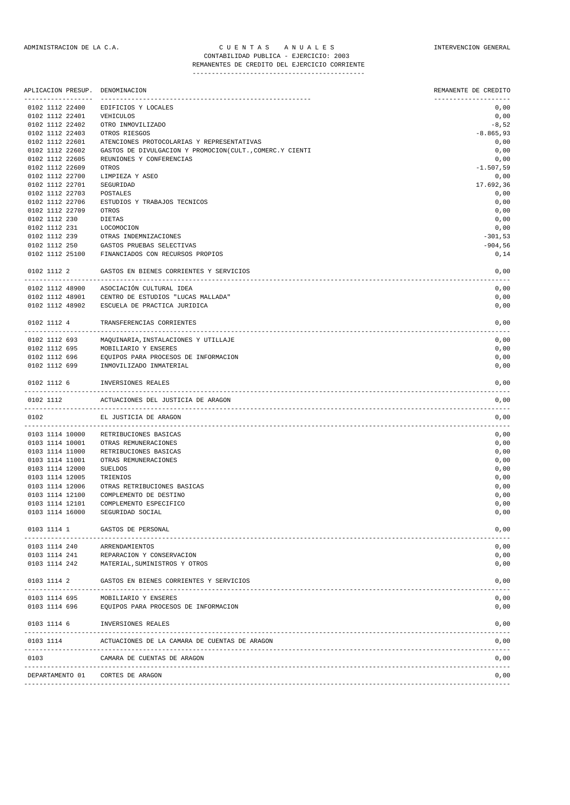| APLICACION PRESUP.                 | DENOMINACION                                              | REMANENTE DE CREDITO |
|------------------------------------|-----------------------------------------------------------|----------------------|
| 0102 1112 22400                    | EDIFICIOS Y LOCALES                                       | 0,00                 |
| 0102 1112 22401                    | VEHICULOS                                                 | 0,00                 |
| 0102 1112 22402                    | OTRO INMOVILIZADO                                         | $-8,52$              |
| 0102 1112 22403                    | OTROS RIESGOS                                             | $-8.865,93$          |
| 0102 1112 22601                    | ATENCIONES PROTOCOLARIAS Y REPRESENTATIVAS                | 0,00                 |
| 0102 1112 22602                    | GASTOS DE DIVULGACION Y PROMOCION (CULT., COMERC.Y CIENTI | 0,00                 |
| 0102 1112 22605                    | REUNIONES Y CONFERENCIAS                                  | 0,00                 |
| 0102 1112 22609                    | OTROS                                                     | $-1.507,59$          |
| 0102 1112 22700                    | LIMPIEZA Y ASEO                                           | 0,00                 |
| 0102 1112 22701                    | SEGURIDAD                                                 | 17.692,36            |
| 0102 1112 22703                    | POSTALES                                                  | 0,00                 |
| 0102 1112 22706                    | ESTUDIOS Y TRABAJOS TECNICOS                              | 0,00                 |
| 0102 1112 22709                    | OTROS                                                     | 0,00                 |
| 0102 1112 230                      | DIETAS                                                    | 0,00                 |
| 0102 1112 231                      | LOCOMOCION                                                | 0,00                 |
| 0102 1112 239                      | OTRAS INDEMNIZACIONES                                     | $-301,53$            |
| 0102 1112 250                      | GASTOS PRUEBAS SELECTIVAS                                 | $-904,56$            |
| 0102 1112 25100                    | FINANCIADOS CON RECURSOS PROPIOS                          | 0,14                 |
|                                    |                                                           |                      |
| 0102 1112 2                        | GASTOS EN BIENES CORRIENTES Y SERVICIOS                   | 0,00                 |
| 0102 1112 48900                    | ASOCIACIÓN CULTURAL IDEA                                  | 0,00                 |
| 0102 1112 48901                    | CENTRO DE ESTUDIOS "LUCAS MALLADA"                        | 0,00                 |
| 0102 1112 48902                    | ESCUELA DE PRACTICA JURIDICA                              | 0,00                 |
| 0102 1112 4                        | TRANSFERENCIAS CORRIENTES                                 | 0,00                 |
| 0102 1112 693                      | MAQUINARIA, INSTALACIONES Y UTILLAJE                      | 0,00                 |
| 0102 1112 695                      | MOBILIARIO Y ENSERES                                      | 0,00                 |
| 0102 1112 696                      | EQUIPOS PARA PROCESOS DE INFORMACION                      | 0,00                 |
| 0102 1112 699                      | INMOVILIZADO INMATERIAL                                   | 0,00                 |
| 0102 1112 6                        | INVERSIONES REALES                                        | 0,00                 |
| 0102 1112                          | ACTUACIONES DEL JUSTICIA DE ARAGON                        | 0,00                 |
| 0102                               | EL JUSTICIA DE ARAGON                                     | 0,00                 |
|                                    |                                                           | ----<br>0,00         |
| 0103 1114 10000                    | RETRIBUCIONES BASICAS                                     |                      |
| 0103 1114 10001                    | OTRAS REMUNERACIONES                                      | 0,00                 |
| 0103 1114 11000<br>0103 1114 11001 | RETRIBUCIONES BASICAS<br>OTRAS REMUNERACIONES             | 0,00<br>0,00         |
| 0103 1114 12000                    | <b>SUELDOS</b>                                            | 0,00                 |
| 0103 1114 12005                    | TRIENIOS                                                  |                      |
|                                    |                                                           | 0,00                 |
| 0103 1114 12006                    | OTRAS RETRIBUCIONES BASICAS                               | 0,00                 |
| 0103 1114 12100                    | COMPLEMENTO DE DESTINO<br>COMPLEMENTO ESPECIFICO          | 0,00                 |
| 0103 1114 12101<br>0103 1114 16000 | SEGURIDAD SOCIAL                                          | 0,00<br>0,00         |
|                                    |                                                           |                      |
| 0103 1114 1                        | GASTOS DE PERSONAL                                        | 0,00                 |
| 0103 1114 240                      | ARRENDAMIENTOS                                            | 0,00                 |
| 0103 1114 241                      | REPARACION Y CONSERVACION                                 | 0,00                 |
| 0103 1114 242                      | MATERIAL, SUMINISTROS Y OTROS                             | 0,00                 |
| 0103 1114 2                        | GASTOS EN BIENES CORRIENTES Y SERVICIOS                   | 0,00                 |
| 0103 1114 695                      | MOBILIARIO Y ENSERES                                      | 0,00                 |
| 0103 1114 696                      | EQUIPOS PARA PROCESOS DE INFORMACION                      | 0,00                 |
| 0103 1114 6                        | INVERSIONES REALES                                        | 0,00                 |
| 0103 1114                          | ACTUACIONES DE LA CAMARA DE CUENTAS DE ARAGON             | 0,00                 |
| 0103                               | CAMARA DE CUENTAS DE ARAGON                               | $- - - -$<br>0,00    |
|                                    | DEPARTAMENTO 01 CORTES DE ARAGON                          | 0,00                 |
|                                    |                                                           |                      |

-------------------------------------------------------------------------------------------------------------------------------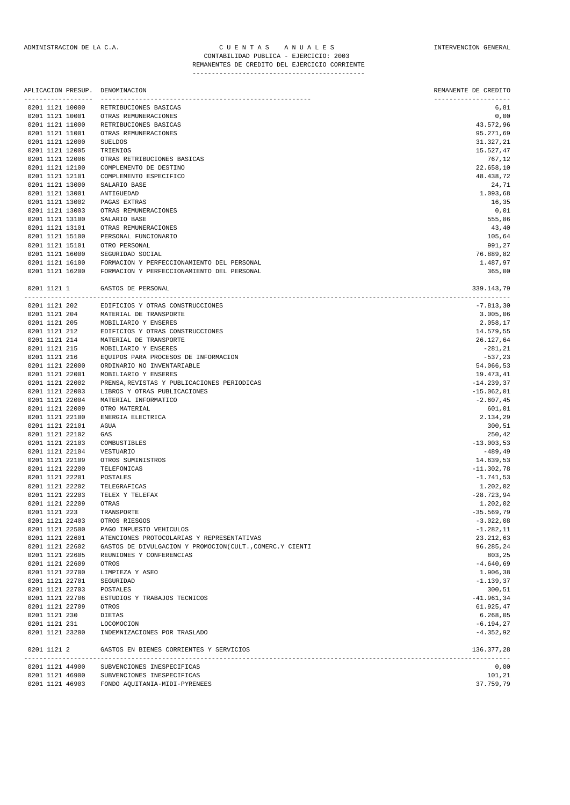| APLICACION PRESUP.<br>----------------- | DENOMINACION<br>----------------------------             | REMANENTE DE CREDITO        |
|-----------------------------------------|----------------------------------------------------------|-----------------------------|
| 0201 1121 10000                         | RETRIBUCIONES BASICAS                                    | -------------------<br>6,81 |
| 0201 1121 10001                         | OTRAS REMUNERACIONES                                     | 0,00                        |
| 0201 1121 11000                         | RETRIBUCIONES BASICAS                                    | 43.572,96                   |
| 0201 1121 11001                         | OTRAS REMUNERACIONES                                     | 95.271,69                   |
| 0201 1121 12000                         | <b>SUELDOS</b>                                           | 31.327,21                   |
| 0201 1121 12005                         | TRIENIOS                                                 | 15.527,47                   |
| 0201 1121 12006                         | OTRAS RETRIBUCIONES BASICAS                              | 767,12                      |
| 0201 1121 12100                         | COMPLEMENTO DE DESTINO                                   | 22.658,10                   |
| 0201 1121 12101                         | COMPLEMENTO ESPECIFICO                                   | 48.438,72                   |
| 0201 1121 13000                         | SALARIO BASE                                             | 24,71                       |
| 0201 1121 13001<br>0201 1121 13002      | ANTIGUEDAD                                               | 1.093,68                    |
| 0201 1121 13003                         | PAGAS EXTRAS                                             | 16,35                       |
| 0201 1121 13100                         | OTRAS REMUNERACIONES<br>SALARIO BASE                     | 0,01<br>555,86              |
| 0201 1121 13101                         | OTRAS REMUNERACIONES                                     | 43,40                       |
| 0201 1121 15100                         | PERSONAL FUNCIONARIO                                     | 105,64                      |
| 0201 1121 15101                         | OTRO PERSONAL                                            | 991,27                      |
| 0201 1121 16000                         | SEGURIDAD SOCIAL                                         | 76.889,82                   |
| 0201 1121 16100                         | FORMACION Y PERFECCIONAMIENTO DEL PERSONAL               | 1.487,97                    |
| 0201 1121 16200                         | FORMACION Y PERFECCIONAMIENTO DEL PERSONAL               | 365,00                      |
| 0201 1121 1                             | GASTOS DE PERSONAL                                       | 339.143,79                  |
| 0201 1121 202                           | EDIFICIOS Y OTRAS CONSTRUCCIONES                         | $-7.813,30$                 |
| 0201 1121 204                           | MATERIAL DE TRANSPORTE                                   | 3.005,06                    |
| 0201 1121 205                           | MOBILIARIO Y ENSERES                                     | 2.058,17                    |
| 0201 1121 212                           | EDIFICIOS Y OTRAS CONSTRUCCIONES                         | 14.579,55                   |
| 0201 1121 214                           | MATERIAL DE TRANSPORTE                                   | 26.127,64                   |
| 0201 1121 215                           | MOBILIARIO Y ENSERES                                     | $-281, 21$                  |
| 0201 1121 216                           | EQUIPOS PARA PROCESOS DE INFORMACION                     | $-537,23$                   |
| 0201 1121 22000                         | ORDINARIO NO INVENTARIABLE                               | 54.066,53                   |
| 0201 1121 22001                         | MOBILIARIO Y ENSERES                                     | 19.473,41                   |
| 0201 1121 22002                         | PRENSA, REVISTAS Y PUBLICACIONES PERIODICAS              | $-14.239,37$                |
| 0201 1121 22003                         | LIBROS Y OTRAS PUBLICACIONES                             | $-15.062,01$                |
| 0201 1121 22004                         | MATERIAL INFORMATICO                                     | $-2.607, 45$                |
| 0201 1121 22009                         | OTRO MATERIAL                                            | 601,01                      |
| 0201 1121 22100                         | ENERGIA ELECTRICA                                        | 2.134,29                    |
| 0201 1121 22101                         | AGUA                                                     | 300,51                      |
| 0201 1121 22102                         | GAS                                                      | 250,42                      |
| 0201 1121 22103                         | COMBUSTIBLES                                             | $-13.003,53$                |
| 0201 1121 22104<br>0201 1121 22109      | VESTUARIO                                                | $-489, 49$                  |
| 0201 1121 22200                         | OTROS SUMINISTROS<br>TELEFONICAS                         | 14.639,53<br>$-11.302,78$   |
| 0201 1121 22201                         | POSTALES                                                 | $-1.741,53$                 |
| 0201 1121 22202                         | TELEGRAFICAS                                             | 1.202,02                    |
| 0201 1121 22203                         | TELEX Y TELEFAX                                          | $-28.723,94$                |
| 0201 1121 22209                         | OTRAS                                                    | 1.202,02                    |
| 0201 1121 223                           | TRANSPORTE                                               | $-35.569,79$                |
| 0201 1121 22403                         | OTROS RIESGOS                                            | $-3.022,08$                 |
| 0201 1121 22500                         | PAGO IMPUESTO VEHICULOS                                  | $-1.282, 11$                |
| 0201 1121 22601                         | ATENCIONES PROTOCOLARIAS Y REPRESENTATIVAS               | 23.212,63                   |
| 0201 1121 22602                         | GASTOS DE DIVULGACION Y PROMOCION(CULT., COMERC.Y CIENTI | 96.285,24                   |
| 0201 1121 22605                         | REUNIONES Y CONFERENCIAS                                 | 803,25                      |
| 0201 1121 22609                         | OTROS                                                    | $-4.640,69$                 |
| 0201 1121 22700                         | LIMPIEZA Y ASEO                                          | 1.906,38                    |
| 0201 1121 22701                         | SEGURIDAD                                                | $-1.139,37$                 |
| 0201 1121 22703                         | POSTALES                                                 | 300,51                      |
| 0201 1121 22706                         | ESTUDIOS Y TRABAJOS TECNICOS                             | $-41.961, 34$               |
| 0201 1121 22709                         | OTROS                                                    | 61.925,47                   |
| 0201 1121 230                           | DIETAS                                                   | 6.268,05                    |
| 0201 1121 231                           | <b>LOCOMOCION</b>                                        | $-6.194, 27$                |
| 0201 1121 23200                         | INDEMNIZACIONES POR TRASLADO                             | $-4.352,92$                 |
| 0201 1121 2                             | GASTOS EN BIENES CORRIENTES Y SERVICIOS                  | 136.377,28                  |
|                                         | 0201 1121 44900 SUBVENCIONES INESPECIFICAS               | 0,00                        |

0201 1121 46900 SUBVENCIONES INESPECIFICAS 101, 21 and 101, 21 and 101, 21 and 101, 21 and 101, 21 0201 1121 46903 FONDO AQUITANIA-MIDI-PYRENEES 37.759,79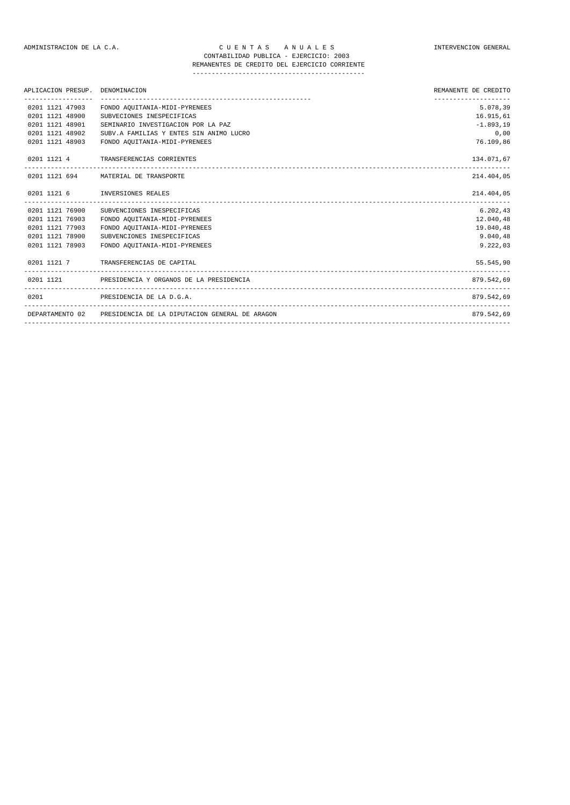| APLICACION PRESUP. | DENOMINACION                                                   | REMANENTE DE CREDITO             |
|--------------------|----------------------------------------------------------------|----------------------------------|
| 0201 1121 47903    | FONDO AQUITANIA-MIDI-PYRENEES                                  | --------------------<br>5.078,39 |
| 0201 1121 48900    | SUBVECIONES INESPECIFICAS                                      | 16.915,61                        |
| 0201 1121 48901    | SEMINARIO INVESTIGACION POR LA PAZ                             | $-1.893,19$                      |
| 0201 1121 48902    | SUBV.A FAMILIAS Y ENTES SIN ANIMO LUCRO                        | 0.00                             |
| 0201 1121 48903    | FONDO AQUITANIA-MIDI-PYRENEES                                  | 76.109,86                        |
|                    | 0201 1121 4 TRANSFERENCIAS CORRIENTES                          | 134.071,67                       |
|                    | 0201 1121 694 MATERIAL DE TRANSPORTE                           | 214.404,05                       |
|                    | 0201 1121 6 INVERSIONES REALES                                 | 214.404,05                       |
| 0201 1121 76900    | SUBVENCIONES INESPECIFICAS                                     | 6.202.43                         |
| 0201 1121 76903    | FONDO AQUITANIA-MIDI-PYRENEES                                  | 12.040,48                        |
| 0201 1121 77903    | FONDO AQUITANIA-MIDI-PYRENEES                                  | 19.040,48                        |
| 0201 1121 78900    | SUBVENCIONES INESPECIFICAS                                     | 9.040,48                         |
| 0201 1121 78903    | FONDO AQUITANIA-MIDI-PYRENEES                                  | 9.222,03                         |
|                    | 0201 1121 7 TRANSFERENCIAS DE CAPITAL                          | 55.545,90                        |
|                    | 0201 1121 PRESIDENCIA Y ORGANOS DE LA PRESIDENCIA              | 879.542,69                       |
| 0201               | PRESIDENCIA DE LA D.G.A.                                       | 879.542,69                       |
|                    | DEPARTAMENTO 02 PRESIDENCIA DE LA DIPUTACION GENERAL DE ARAGON | 879.542.69                       |
|                    |                                                                |                                  |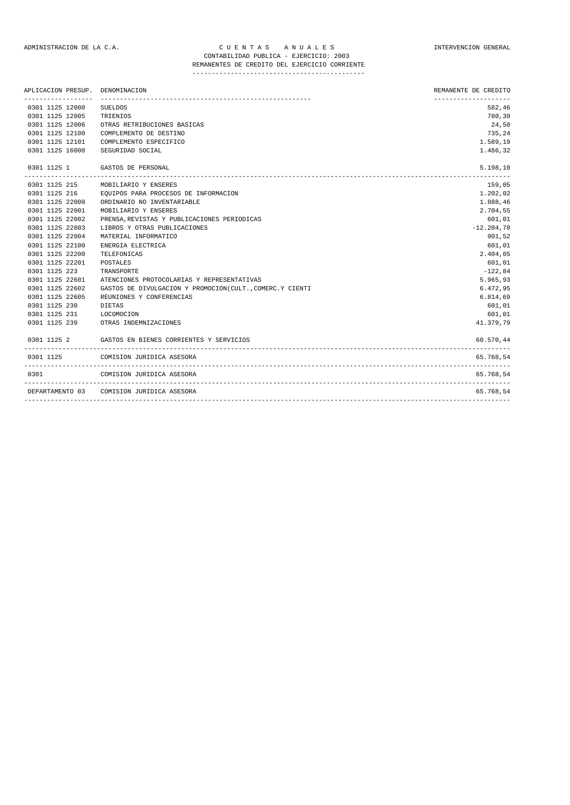## ADMINISTRACION DE LA C.A. CUENTAS ANUALES COMPUNISTRACION GENERAL CONTABILIDAD PUBLICA - EJERCICIO: 2003

## REMANENTES DE CREDITO DEL EJERCICIO CORRIENTE ---------------------------------------------

| APLICACION PRESUP.       | DENOMINACION                                              | REMANENTE DE CREDITO |
|--------------------------|-----------------------------------------------------------|----------------------|
| 0301 1125 12000          | <b>SUELDOS</b>                                            | 582,46               |
| 0301 1125 12005          | TRIENIOS                                                  | 780,39               |
| 0301 1125 12006          | OTRAS RETRIBUCIONES BASICAS                               | 24,50                |
| 0301 1125 12100          | COMPLEMENTO DE DESTINO                                    | 735,24               |
| 0301 1125 12101          | COMPLEMENTO ESPECIFICO                                    | 1.589,19             |
| 0301 1125 16000          | SEGURIDAD SOCIAL                                          | 1.486,32             |
| 0301 1125 1              | GASTOS DE PERSONAL<br>----------------------------------  | 5.198,10             |
| 0301 1125 215            | MOBILIARIO Y ENSERES                                      | 159,05               |
| 0301 1125 216            | EQUIPOS PARA PROCESOS DE INFORMACION                      | 1.202,02             |
| 0301 1125 22000          | ORDINARIO NO INVENTARIABLE                                | 1.888,46             |
| 0301 1125 22001          | MOBILIARIO Y ENSERES                                      | 2.704,55             |
| 0301 1125 22002          | PRENSA, REVISTAS Y PUBLICACIONES PERIODICAS               | 601,01               |
| 0301 1125 22003          | LIBROS Y OTRAS PUBLICACIONES                              | $-12.204,78$         |
| 0301 1125 22004          | MATERIAL INFORMATICO                                      | 901,52               |
| 0301 1125 22100          | ENERGIA ELECTRICA                                         | 601,01               |
| 0301 1125 22200          | TELEFONICAS                                               | 2.404,05             |
| 0301 1125 22201          | POSTALES                                                  | 601,01               |
| 0301 1125 223            | TRANSPORTE                                                | $-122,84$            |
| 0301 1125 22601          | ATENCIONES PROTOCOLARIAS Y REPRESENTATIVAS                | 5.965,93             |
| 0301 1125 22602          | GASTOS DE DIVULGACION Y PROMOCION (CULT., COMERC.Y CIENTI | 6.472,95             |
| 0301 1125 22605          | REUNIONES Y CONFERENCIAS                                  | 6.814,69             |
| 0301 1125 230            | DIETAS                                                    | 601,01               |
| 0301 1125 231 LOCOMOCION |                                                           | 601,01               |
| 0301 1125 239            | OTRAS INDEMNIZACIONES                                     | 41.379,79            |
|                          | 0301 1125 2 GASTOS EN BIENES CORRIENTES Y SERVICIOS       | 60.570,44            |
| 0301 1125                | COMISION JURIDICA ASESORA                                 | 65.768,54            |
| 0301                     | COMISION JURIDICA ASESORA                                 | 65.768,54            |
|                          | DEPARTAMENTO 03 COMISION JURIDICA ASESORA                 | 65.768,54            |
|                          |                                                           |                      |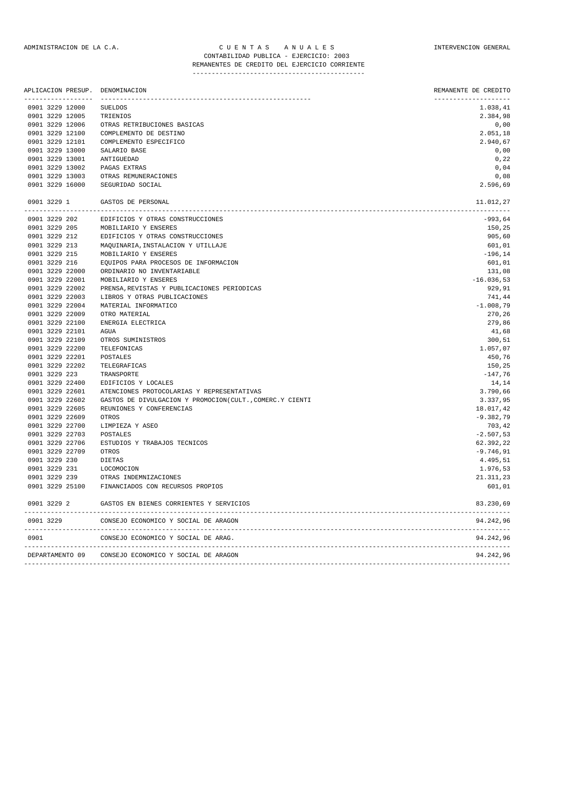## ADMINISTRACION DE LA C.A. CUENTAS ANUALES COMPUNISTRACION GENERAL CONTABILIDAD PUBLICA - EJERCICIO: 2003 REMANENTES DE CREDITO DEL EJERCICIO CORRIENTE

---------------------------------------------

|               | ------------------ | APLICACION PRESUP. DENOMINACION                          | REMANENTE DE CREDITO<br>--------------------- |
|---------------|--------------------|----------------------------------------------------------|-----------------------------------------------|
|               | 0901 3229 12000    | <b>SUELDOS</b>                                           | 1.038,41                                      |
|               | 0901 3229 12005    | TRIENIOS                                                 | 2.384,98                                      |
|               | 0901 3229 12006    | OTRAS RETRIBUCIONES BASICAS                              | 0,00                                          |
|               | 0901 3229 12100    | COMPLEMENTO DE DESTINO                                   | 2.051,18                                      |
|               | 0901 3229 12101    | COMPLEMENTO ESPECIFICO                                   | 2.940,67                                      |
|               | 0901 3229 13000    | SALARIO BASE                                             | 0,00                                          |
|               | 0901 3229 13001    | ANTIGUEDAD                                               | 0, 22                                         |
|               | 0901 3229 13002    | PAGAS EXTRAS                                             | 0,04                                          |
|               | 0901 3229 13003    | OTRAS REMUNERACIONES                                     | 0,08                                          |
|               | 0901 3229 16000    | SEGURIDAD SOCIAL                                         | 2.596,69                                      |
| 0901 3229 1   |                    | GASTOS DE PERSONAL                                       | 11.012,27                                     |
|               | 0901 3229 202      | EDIFICIOS Y OTRAS CONSTRUCCIONES                         | $-993,64$                                     |
|               | 0901 3229 205      | MOBILIARIO Y ENSERES                                     | 150,25                                        |
| 0901 3229 212 |                    | EDIFICIOS Y OTRAS CONSTRUCCIONES                         | 905,60                                        |
| 0901 3229 213 |                    | MAQUINARIA, INSTALACION Y UTILLAJE                       | 601,01                                        |
| 0901 3229 215 |                    | MOBILIARIO Y ENSERES                                     | $-196, 14$                                    |
| 0901 3229 216 |                    | EQUIPOS PARA PROCESOS DE INFORMACION                     | 601,01                                        |
|               | 0901 3229 22000    | ORDINARIO NO INVENTARIABLE                               | 131,08                                        |
|               | 0901 3229 22001    | MOBILIARIO Y ENSERES                                     | $-16.036,53$                                  |
|               | 0901 3229 22002    | PRENSA, REVISTAS Y PUBLICACIONES PERIODICAS              | 929,91                                        |
|               | 0901 3229 22003    | LIBROS Y OTRAS PUBLICACIONES                             | 741,44                                        |
|               | 0901 3229 22004    | MATERIAL INFORMATICO                                     | $-1.008,79$                                   |
|               | 0901 3229 22009    | OTRO MATERIAL                                            | 270,26                                        |
|               | 0901 3229 22100    | ENERGIA ELECTRICA                                        | 279,86                                        |
|               | 0901 3229 22101    | AGUA                                                     | 41,68                                         |
|               | 0901 3229 22109    | OTROS SUMINISTROS                                        | 300,51                                        |
|               | 0901 3229 22200    | TELEFONICAS                                              | 1.057,07                                      |
|               | 0901 3229 22201    | POSTALES                                                 | 450,76                                        |
|               | 0901 3229 22202    | TELEGRAFICAS                                             | 150,25                                        |
| 0901 3229 223 |                    | TRANSPORTE                                               | $-147,76$                                     |
|               | 0901 3229 22400    | EDIFICIOS Y LOCALES                                      | 14,14                                         |
|               | 0901 3229 22601    | ATENCIONES PROTOCOLARIAS Y REPRESENTATIVAS               | 3.790,66                                      |
|               | 0901 3229 22602    | GASTOS DE DIVULGACION Y PROMOCION(CULT., COMERC.Y CIENTI | 3.337,95                                      |
|               | 0901 3229 22605    | REUNIONES Y CONFERENCIAS                                 | 18.017,42                                     |
|               | 0901 3229 22609    | OTROS                                                    | $-9.382,79$                                   |
|               | 0901 3229 22700    | LIMPIEZA Y ASEO                                          | 703,42                                        |
|               | 0901 3229 22703    | POSTALES                                                 | $-2.507,53$                                   |
|               | 0901 3229 22706    | ESTUDIOS Y TRABAJOS TECNICOS                             | 62.392,22                                     |
|               | 0901 3229 22709    | OTROS                                                    | $-9.746, 91$                                  |
| 0901 3229 230 |                    | <b>DIETAS</b>                                            | 4.495,51                                      |
| 0901 3229 231 |                    | LOCOMOCION                                               | 1.976,53                                      |
| 0901 3229 239 |                    | OTRAS INDEMNIZACIONES                                    | 21.311,23                                     |
|               | 0901 3229 25100    | FINANCIADOS CON RECURSOS PROPIOS                         | 601,01                                        |
| 0901 3229 2   |                    | GASTOS EN BIENES CORRIENTES Y SERVICIOS                  | 83.230,69                                     |
| 0901 3229     |                    | CONSEJO ECONOMICO Y SOCIAL DE ARAGON                     | 94.242,96                                     |
| 0901          |                    | CONSEJO ECONOMICO Y SOCIAL DE ARAG.                      | 94.242,96                                     |
|               | DEPARTAMENTO 09    | CONSEJO ECONOMICO Y SOCIAL DE ARAGON                     | 94.242,96                                     |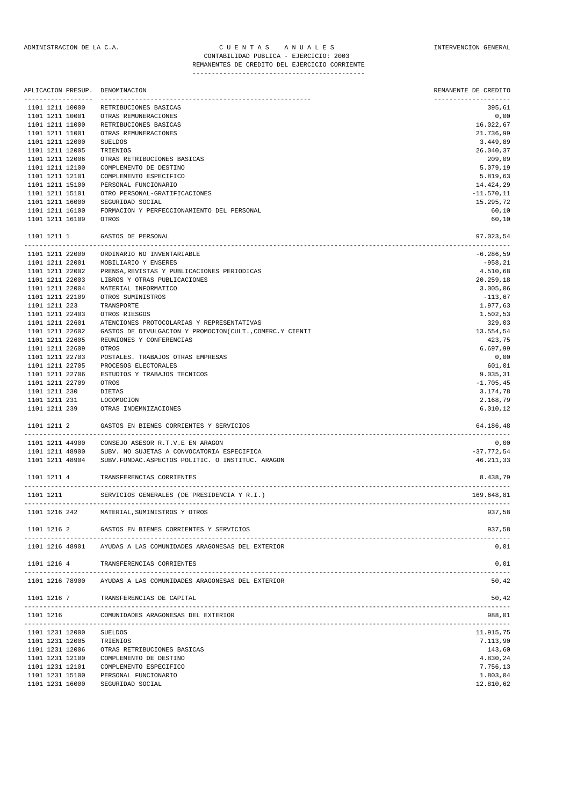|                 |                 | APLICACION PRESUP. DENOMINACION                                  | REMANENTE DE CREDITO<br>-------------------- |
|-----------------|-----------------|------------------------------------------------------------------|----------------------------------------------|
| 1101 1211 10000 |                 | ------------------------------<br>RETRIBUCIONES BASICAS          | 395,61                                       |
| 1101 1211 10001 |                 | OTRAS REMUNERACIONES                                             | 0,00                                         |
| 1101 1211 11000 |                 | RETRIBUCIONES BASICAS                                            | 16.022,67                                    |
| 1101 1211 11001 |                 | OTRAS REMUNERACIONES                                             | 21.736,99                                    |
| 1101 1211 12000 |                 | SUELDOS                                                          | 3.449,89                                     |
| 1101 1211 12005 |                 | TRIENIOS                                                         | 26.040,37                                    |
| 1101 1211 12006 |                 | OTRAS RETRIBUCIONES BASICAS                                      | 209,09                                       |
| 1101 1211 12100 |                 | COMPLEMENTO DE DESTINO                                           | 5.079,19                                     |
| 1101 1211 12101 |                 | COMPLEMENTO ESPECIFICO                                           | 5.819,63                                     |
| 1101 1211 15100 |                 | PERSONAL FUNCIONARIO                                             | 14.424,29                                    |
| 1101 1211 15101 |                 | OTRO PERSONAL-GRATIFICACIONES                                    | $-11.570, 11$                                |
| 1101 1211 16000 |                 | SEGURIDAD SOCIAL                                                 | 15.295,72                                    |
| 1101 1211 16100 |                 | FORMACION Y PERFECCIONAMIENTO DEL PERSONAL                       | 60,10                                        |
| 1101 1211 16109 |                 | OTROS                                                            | 60,10                                        |
| 1101 1211 1     |                 | GASTOS DE PERSONAL                                               | 97.023,54                                    |
|                 | 1101 1211 22000 | ORDINARIO NO INVENTARIABLE                                       | $-6.286,59$                                  |
| 1101 1211 22001 |                 | MOBILIARIO Y ENSERES                                             | $-958, 21$                                   |
| 1101 1211 22002 |                 | PRENSA, REVISTAS Y PUBLICACIONES PERIODICAS                      | 4.510,68                                     |
| 1101 1211 22003 |                 | LIBROS Y OTRAS PUBLICACIONES                                     | 20.259,18                                    |
| 1101 1211 22004 |                 | MATERIAL INFORMATICO                                             | 3.005,06                                     |
| 1101 1211 22109 |                 | OTROS SUMINISTROS                                                | $-113,67$                                    |
| 1101 1211 223   |                 | TRANSPORTE                                                       | 1.977,63                                     |
| 1101 1211 22403 |                 | OTROS RIESGOS                                                    | 1.502,53                                     |
| 1101 1211 22601 |                 | ATENCIONES PROTOCOLARIAS Y REPRESENTATIVAS                       | 329,03                                       |
| 1101 1211 22602 |                 | GASTOS DE DIVULGACION Y PROMOCION(CULT., COMERC.Y CIENTI         | 13.554,54                                    |
| 1101 1211 22605 |                 | REUNIONES Y CONFERENCIAS                                         | 423,75                                       |
| 1101 1211 22609 |                 | OTROS                                                            | 6.697,99                                     |
| 1101 1211 22703 |                 | POSTALES. TRABAJOS OTRAS EMPRESAS                                | 0,00                                         |
|                 |                 |                                                                  |                                              |
| 1101 1211 22705 |                 | PROCESOS ELECTORALES                                             | 601,01                                       |
| 1101 1211 22706 |                 | ESTUDIOS Y TRABAJOS TECNICOS                                     | 9.035, 31                                    |
| 1101 1211 22709 |                 | OTROS                                                            | $-1.705, 45$                                 |
| 1101 1211 230   |                 | DIETAS                                                           | 3.174,78                                     |
| 1101 1211 231   |                 | LOCOMOCION                                                       | 2.168,79                                     |
|                 | 1101 1211 239   | OTRAS INDEMNIZACIONES                                            | 6.010, 12                                    |
| 1101 1211 2     |                 | GASTOS EN BIENES CORRIENTES Y SERVICIOS                          | 64.186,48                                    |
|                 | 1101 1211 44900 | CONSEJO ASESOR R.T.V.E EN ARAGON                                 | 0,00                                         |
| 1101 1211 48900 |                 | SUBV. NO SUJETAS A CONVOCATORIA ESPECIFICA                       | $-37.772,54$                                 |
| 1101 1211 48904 |                 | SUBV. FUNDAC. ASPECTOS POLITIC. O INSTITUC. ARAGON               | 46.211,33                                    |
| 1101 1211 4     |                 | TRANSFERENCIAS CORRIENTES                                        | 8.438,79                                     |
| 1101 1211       |                 | SERVICIOS GENERALES (DE PRESIDENCIA Y R.I.)                      | 169.648,81                                   |
| 1101 1216 242   |                 | MATERIAL, SUMINISTROS Y OTROS                                    | 937,58                                       |
| 1101 1216 2     |                 | GASTOS EN BIENES CORRIENTES Y SERVICIOS                          | 937,58                                       |
|                 |                 | 1101 1216 48901 AYUDAS A LAS COMUNIDADES ARAGONESAS DEL EXTERIOR | 0,01                                         |
| 1101 1216 4     |                 | TRANSFERENCIAS CORRIENTES                                        | 0,01                                         |
|                 | 1101 1216 78900 | AYUDAS A LAS COMUNIDADES ARAGONESAS DEL EXTERIOR                 | 50,42                                        |
| 1101 1216 7     |                 | TRANSFERENCIAS DE CAPITAL                                        | 50,42                                        |
| 1101 1216       |                 | COMUNIDADES ARAGONESAS DEL EXTERIOR                              | 988,01                                       |
|                 | 1101 1231 12000 | SUELDOS                                                          | 11.915,75                                    |
|                 | 1101 1231 12005 | TRIENIOS                                                         | 7.113,90                                     |
|                 | 1101 1231 12006 | OTRAS RETRIBUCIONES BASICAS                                      | 143,60                                       |
| 1101 1231 12100 |                 | COMPLEMENTO DE DESTINO                                           | 4.830,24                                     |
|                 |                 |                                                                  |                                              |

1101 1231 12101 COMPLEMENTO ESPECIFICO 7.756,13 1101 1231 15100 PERSONAL FUNCIONARIO 1.803,04 1101 1231 16000 SEGURIDAD SOCIAL 12.810,62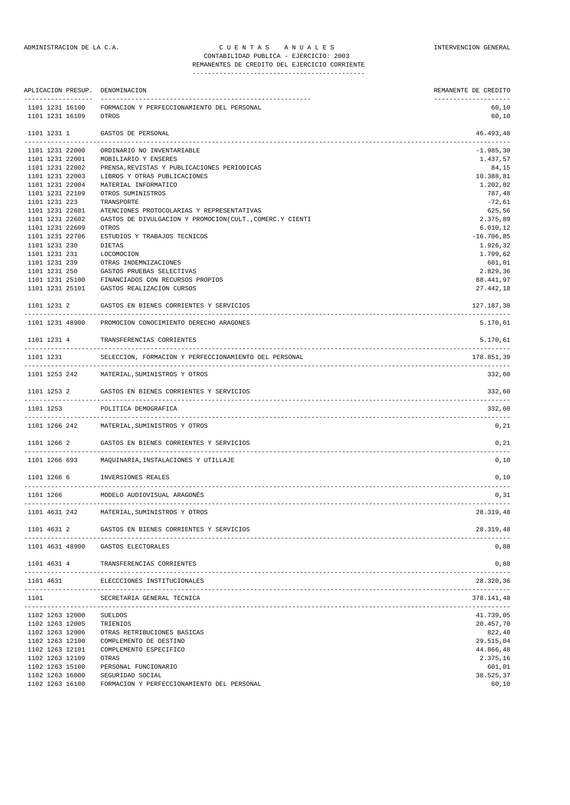REMANENTES DE CREDITO DEL EJERCICIO CORRIENTE ---------------------------------------------

|                                    | APLICACION PRESUP. DENOMINACION                                                              | REMANENTE DE CREDITO                   |
|------------------------------------|----------------------------------------------------------------------------------------------|----------------------------------------|
| 1101 1231 16100<br>1101 1231 16109 | FORMACION Y PERFECCIONAMIENTO DEL PERSONAL<br>OTROS                                          | --------------------<br>60,10<br>60,10 |
| 1101 1231 1                        | GASTOS DE PERSONAL                                                                           | 46.493,48<br>---------------           |
| 1101 1231 22000                    | ORDINARIO NO INVENTARIABLE                                                                   | $-1.985, 30$                           |
| 1101 1231 22001                    | MOBILIARIO Y ENSERES                                                                         | 1.437,57                               |
| 1101 1231 22002                    | PRENSA, REVISTAS Y PUBLICACIONES PERIODICAS                                                  | 84,15                                  |
| 1101 1231 22003                    | LIBROS Y OTRAS PUBLICACIONES                                                                 | 10.388,81                              |
| 1101 1231 22004                    | MATERIAL INFORMATICO                                                                         | 1.202,02                               |
| 1101 1231 22109                    | OTROS SUMINISTROS                                                                            | 787,48                                 |
| 1101 1231 223                      | TRANSPORTE<br>ATENCIONES PROTOCOLARIAS Y REPRESENTATIVAS                                     | $-72,61$<br>625,56                     |
| 1101 1231 22601<br>1101 1231 22602 | GASTOS DE DIVULGACION Y PROMOCION(CULT., COMERC.Y CIENTI                                     | 2.375,89                               |
| 1101 1231 22609                    | OTROS                                                                                        | 6.010, 12                              |
| 1101 1231 22706                    | ESTUDIOS Y TRABAJOS TECNICOS                                                                 | $-16.706,85$                           |
| 1101 1231 230                      | DIETAS                                                                                       | 1.926,32                               |
| 1101 1231 231                      | LOCOMOCION                                                                                   | 1.799,62                               |
| 1101 1231 239                      | OTRAS INDEMNIZACIONES                                                                        | 601,01                                 |
| 1101 1231 250                      | GASTOS PRUEBAS SELECTIVAS                                                                    | 2.829,36                               |
| 1101 1231 25100                    | FINANCIADOS CON RECURSOS PROPIOS                                                             | 88.441,97                              |
| 1101 1231 25101                    | GASTOS REALIZACION CURSOS                                                                    | 27.442,18                              |
| 1101 1231 2                        | GASTOS EN BIENES CORRIENTES Y SERVICIOS                                                      | 127.187,30                             |
|                                    | 1101 1231 48900 PROMOCION CONOCIMIENTO DERECHO ARAGONES                                      | 5.170,61                               |
| 1101 1231 4                        | TRANSFERENCIAS CORRIENTES                                                                    | 5.170,61                               |
|                                    | 1101 1231 SELECCION, FORMACION Y PERFECCIONAMIENTO DEL PERSONAL                              | 178.851,39                             |
|                                    | 1101 1253 242 MATERIAL, SUMINISTROS Y OTROS                                                  | 332,60                                 |
|                                    | 1101 1253 2 GASTOS EN BIENES CORRIENTES Y SERVICIOS                                          | 332,60                                 |
| 1101 1253                          | POLITICA DEMOGRAFICA                                                                         | 332,60                                 |
|                                    | 1101 1266 242 MATERIAL, SUMINISTROS Y OTROS                                                  | 0,21                                   |
|                                    | 1101 1266 2 GASTOS EN BIENES CORRIENTES Y SERVICIOS<br>------------------------------------- | 0,21                                   |
|                                    | 1101 1266 693 MAQUINARIA, INSTALACIONES Y UTILLAJE                                           | 0,10                                   |
|                                    | 1101 1266 6 INVERSIONES REALES<br>-------------------                                        | 0,10                                   |
| 1101 1266                          | MODELO AUDIOVISUAL ARAGONĖS                                                                  | 0, 31                                  |
| 1101 4631 242                      | MATERIAL, SUMINISTROS Y OTROS                                                                | 28.319,48                              |
| 1101 4631 2                        | GASTOS EN BIENES CORRIENTES Y SERVICIOS                                                      | 28.319,48                              |
|                                    | 1101 4631 48900 GASTOS ELECTORALES                                                           | 0,88                                   |
| 1101 4631 4                        | TRANSFERENCIAS CORRIENTES<br>ELECCCIONES INSTITUCIONALES                                     | 0,88<br>28.320,36                      |
| 1101 4631<br>1101                  | SECRETARIA GENERAL TECNICA                                                                   | 378.141,48                             |
| 1102 1263 12000                    | <b>SUELDOS</b>                                                                               | 41.739,05                              |
| 1102 1263 12005                    | TRIENIOS                                                                                     | 20.457,70                              |
| 1102 1263 12006                    | OTRAS RETRIBUCIONES BASICAS                                                                  | 822,48                                 |
| 1102 1263 12100                    | COMPLEMENTO DE DESTINO                                                                       | 29.515,04                              |
| 1102 1263 12101                    | COMPLEMENTO ESPECIFICO                                                                       | 44.866,48                              |
| 1102 1263 12109                    | OTRAS                                                                                        | 2.375,16                               |
| 1102 1263 15100                    | PERSONAL FUNCIONARIO                                                                         | 601,01                                 |
| 1102 1263 16000                    | SEGURIDAD SOCIAL                                                                             | 38.525,37<br>60, 10                    |
| 1102 1263 16100                    | FORMACION Y PERFECCIONAMIENTO DEL PERSONAL                                                   |                                        |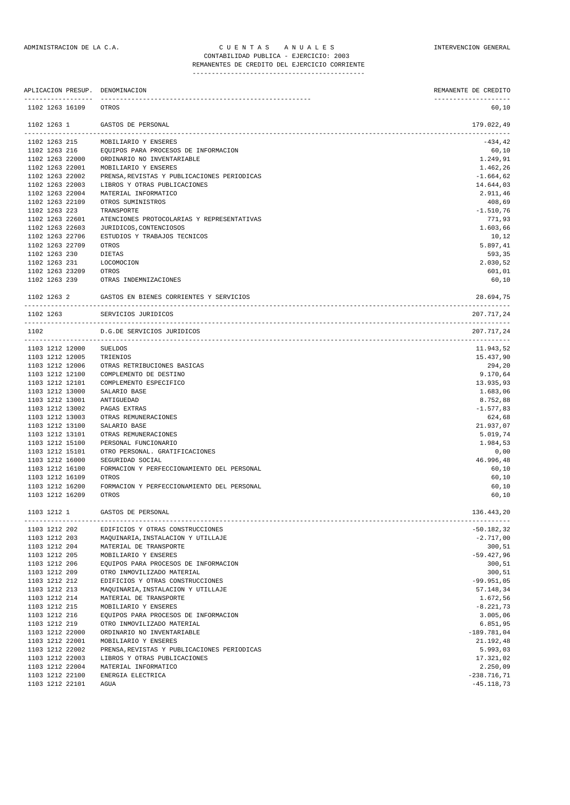# REMANENTES DE CREDITO DEL EJERCICIO CORRIENTE

---------------------------------------------

|                                    | APLICACION PRESUP. DENOMINACION             | REMANENTE DE CREDITO |
|------------------------------------|---------------------------------------------|----------------------|
| 1102 1263 16109                    | OTROS                                       | 60,10                |
| 1102 1263 1                        | GASTOS DE PERSONAL                          | 179.022,49           |
| 1102 1263 215                      | MOBILIARIO Y ENSERES                        | $-434, 42$           |
| 1102 1263 216                      | EQUIPOS PARA PROCESOS DE INFORMACION        | 60,10                |
| 1102 1263 22000                    | ORDINARIO NO INVENTARIABLE                  | 1.249,91             |
| 1102 1263 22001                    | MOBILIARIO Y ENSERES                        | 1.462,26             |
| 1102 1263 22002                    | PRENSA, REVISTAS Y PUBLICACIONES PERIODICAS | $-1.664, 62$         |
| 1102 1263 22003                    | LIBROS Y OTRAS PUBLICACIONES                | 14.644,03            |
| 1102 1263 22004                    | MATERIAL INFORMATICO                        | 2.911,46             |
| 1102 1263 22109                    | OTROS SUMINISTROS                           | 408,69               |
| 1102 1263 223                      | TRANSPORTE                                  | $-1.510,76$          |
| 1102 1263 22601                    | ATENCIONES PROTOCOLARIAS Y REPRESENTATIVAS  | 771,93               |
| 1102 1263 22603                    | JURIDICOS, CONTENCIOSOS                     | 1.603,66             |
| 1102 1263 22706                    | ESTUDIOS Y TRABAJOS TECNICOS                | 10,12                |
| 1102 1263 22709                    | OTROS                                       | 5.897,41             |
| 1102 1263 230                      | DIETAS                                      | 593,35               |
| 1102 1263 231                      | LOCOMOCION                                  | 2.030,52             |
| 1102 1263 23209<br>1102 1263 239   | OTROS<br>OTRAS INDEMNIZACIONES              | 601,01<br>60,10      |
| 1102 1263 2                        | GASTOS EN BIENES CORRIENTES Y SERVICIOS     | 28.694,75            |
| 1102 1263                          | SERVICIOS JURIDICOS                         | 207.717,24           |
| 1102                               | D.G.DE SERVICIOS JURIDICOS                  | 207.717,24           |
|                                    |                                             |                      |
| 1103 1212 12000                    | <b>SUELDOS</b>                              | 11.943,52            |
| 1103 1212 12005                    | TRIENIOS                                    | 15.437,90            |
| 1103 1212 12006                    | OTRAS RETRIBUCIONES BASICAS                 | 294,20               |
| 1103 1212 12100                    | COMPLEMENTO DE DESTINO                      | 9.170,64             |
| 1103 1212 12101<br>1103 1212 13000 | COMPLEMENTO ESPECIFICO                      | 13.935,93            |
| 1103 1212 13001                    | SALARIO BASE<br>ANTIGUEDAD                  | 1.683,06<br>8.752,88 |
| 1103 1212 13002                    | PAGAS EXTRAS                                | $-1.577,83$          |
| 1103 1212 13003                    | OTRAS REMUNERACIONES                        | 624,68               |
| 1103 1212 13100                    | SALARIO BASE                                | 21.937,07            |
| 1103 1212 13101                    | OTRAS REMUNERACIONES                        | 5.019,74             |
| 1103 1212 15100                    | PERSONAL FUNCIONARIO                        | 1.984,53             |
| 1103 1212 15101                    | OTRO PERSONAL. GRATIFICACIONES              | 0,00                 |
| 1103 1212 16000                    | SEGURIDAD SOCIAL                            | 46.996,48            |
| 1103 1212 16100                    | FORMACION Y PERFECCIONAMIENTO DEL PERSONAL  | 60,10                |
| 1103 1212 16109                    | OTROS                                       | 60,10                |
| 1103 1212 16200                    | FORMACION Y PERFECCIONAMIENTO DEL PERSONAL  | 60,10                |
| 1103 1212 16209                    | OTROS                                       | 60,10                |
| 1103 1212 1                        | GASTOS DE PERSONAL                          | 136.443,20           |
| 1103 1212 202                      | EDIFICIOS Y OTRAS CONSTRUCCIONES            | $-50.182, 32$        |
| 1103 1212 203                      | MAQUINARIA, INSTALACION Y UTILLAJE          | $-2.717,00$          |
| 1103 1212 204                      | MATERIAL DE TRANSPORTE                      | 300, 51              |
| 1103 1212 205                      | MOBILIARIO Y ENSERES                        | $-59.427,96$         |
| 1103 1212 206                      | EQUIPOS PARA PROCESOS DE INFORMACION        | 300, 51              |
| 1103 1212 209                      | OTRO INMOVILIZADO MATERIAL                  | 300, 51              |
| 1103 1212 212                      | EDIFICIOS Y OTRAS CONSTRUCCIONES            | $-99.951,05$         |
| 1103 1212 213                      | MAQUINARIA, INSTALACION Y UTILLAJE          | 57.148,34            |
| 1103 1212 214                      | MATERIAL DE TRANSPORTE                      | 1.672,56             |
| 1103 1212 215                      | MOBILIARIO Y ENSERES                        | $-8.221, 73$         |
| 1103 1212 216                      | EQUIPOS PARA PROCESOS DE INFORMACION        | 3.005,06             |
| 1103 1212 219                      | OTRO INMOVILIZADO MATERIAL                  | 6.851,95             |
| 1103 1212 22000                    | ORDINARIO NO INVENTARIABLE                  | $-189.781,04$        |
| 1103 1212 22001                    | MOBILIARIO Y ENSERES                        | 21.192,48            |
| 1103 1212 22002                    | PRENSA, REVISTAS Y PUBLICACIONES PERIODICAS | 5.993,03             |
| 1103 1212 22003                    | LIBROS Y OTRAS PUBLICACIONES                | 17.321,02            |
| 1103 1212 22004                    | MATERIAL INFORMATICO                        | 2.250,09             |
| 1103 1212 22100                    | ENERGIA ELECTRICA                           | $-238.716, 71$       |
| 1103 1212 22101                    | AGUA                                        | $-45.118,73$         |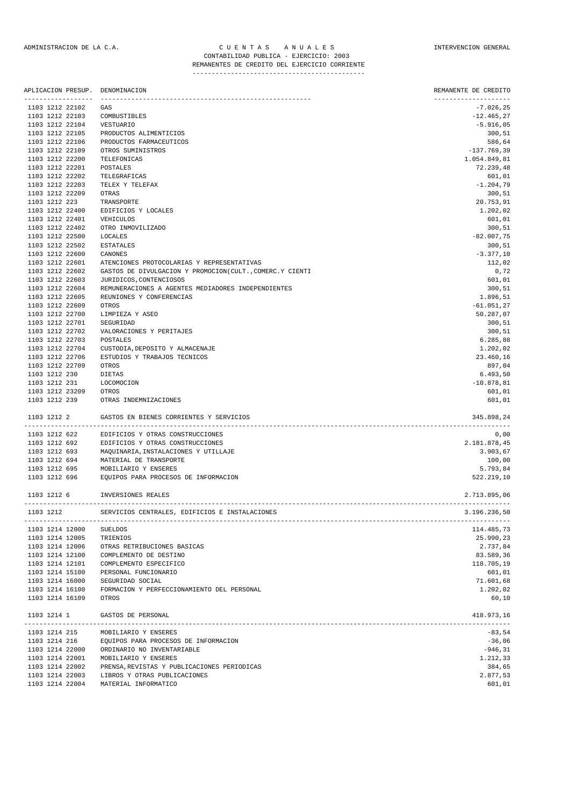# REMANENTES DE CREDITO DEL EJERCICIO CORRIENTE

---------------------------------------------

|                                    | ------------------ | APLICACION PRESUP. DENOMINACION                          | REMANENTE DE CREDITO<br>-------------------- |
|------------------------------------|--------------------|----------------------------------------------------------|----------------------------------------------|
| 1103 1212 22102                    |                    | GAS                                                      | $-7.026, 25$                                 |
| 1103 1212 22103                    |                    | COMBUSTIBLES                                             | $-12.465, 27$                                |
| 1103 1212 22104                    |                    | VESTUARIO                                                | $-5.916,05$                                  |
| 1103 1212 22105                    |                    | PRODUCTOS ALIMENTICIOS                                   | 300,51                                       |
| 1103 1212 22106                    |                    | PRODUCTOS FARMACEUTICOS                                  | 586,64                                       |
| 1103 1212 22109                    |                    | OTROS SUMINISTROS                                        | $-137.769,39$                                |
| 1103 1212 22200                    |                    | TELEFONICAS                                              | 1.054.849,81                                 |
| 1103 1212 22201                    |                    | POSTALES                                                 | 72.239,48                                    |
| 1103 1212 22202                    |                    | TELEGRAFICAS                                             | 601,01                                       |
| 1103 1212 22203                    |                    | TELEX Y TELEFAX                                          | $-1.204,79$                                  |
| 1103 1212 22209                    |                    | OTRAS                                                    | 300,51                                       |
| 1103 1212 223                      |                    | TRANSPORTE                                               | 20.753,91                                    |
| 1103 1212 22400<br>1103 1212 22401 |                    | EDIFICIOS Y LOCALES<br>VEHICULOS                         | 1.202,02                                     |
| 1103 1212 22402                    |                    | OTRO INMOVILIZADO                                        | 601,01<br>300,51                             |
| 1103 1212 22500                    |                    | LOCALES                                                  | $-82.007,75$                                 |
| 1103 1212 22502                    |                    | <b>ESTATALES</b>                                         | 300,51                                       |
| 1103 1212 22600                    |                    | CANONES                                                  | $-3.377,10$                                  |
| 1103 1212 22601                    |                    | ATENCIONES PROTOCOLARIAS Y REPRESENTATIVAS               | 112,02                                       |
| 1103 1212 22602                    |                    | GASTOS DE DIVULGACION Y PROMOCION(CULT., COMERC.Y CIENTI | 0,72                                         |
| 1103 1212 22603                    |                    | JURIDICOS, CONTENCIOSOS                                  | 601,01                                       |
| 1103 1212 22604                    |                    | REMUNERACIONES A AGENTES MEDIADORES INDEPENDIENTES       | 300,51                                       |
| 1103 1212 22605                    |                    | REUNIONES Y CONFERENCIAS                                 | 1.896,51                                     |
| 1103 1212 22609                    |                    | OTROS                                                    | $-61.051, 27$                                |
| 1103 1212 22700                    |                    | LIMPIEZA Y ASEO                                          | 50.287,07                                    |
| 1103 1212 22701                    |                    | SEGURIDAD                                                | 300,51                                       |
| 1103 1212 22702                    |                    | VALORACIONES Y PERITAJES                                 | 300,51                                       |
| 1103 1212 22703                    |                    | POSTALES                                                 | 6.285,88                                     |
| 1103 1212 22704                    |                    | CUSTODIA, DEPOSITO Y ALMACENAJE                          | 1.202,02                                     |
| 1103 1212 22706                    |                    | ESTUDIOS Y TRABAJOS TECNICOS                             | 23.460,16                                    |
| 1103 1212 22709                    |                    | OTROS                                                    | 897,04                                       |
| 1103 1212 230                      |                    | DIETAS                                                   | 6.493,50                                     |
| 1103 1212 231                      |                    | LOCOMOCION                                               | $-10.878, 81$                                |
| 1103 1212 23209                    |                    | OTROS                                                    | 601,01                                       |
| 1103 1212 239                      |                    | OTRAS INDEMNIZACIONES                                    | 601,01                                       |
| 1103 1212 2                        |                    | GASTOS EN BIENES CORRIENTES Y SERVICIOS                  | 345.898,24                                   |
|                                    | 1103 1212 622      | EDIFICIOS Y OTRAS CONSTRUCCIONES                         | 0,00                                         |
| 1103 1212 692                      |                    | EDIFICIOS Y OTRAS CONSTRUCCIONES                         | 2.181.878,45                                 |
| 1103 1212 693                      |                    | MAQUINARIA, INSTALACIONES Y UTILLAJE                     | 3.903,67                                     |
| 1103 1212 694                      |                    | MATERIAL DE TRANSPORTE                                   | 100,00                                       |
| 1103 1212 695                      |                    | MOBILIARIO Y ENSERES                                     | 5.793,84                                     |
| 1103 1212 696                      |                    | EQUIPOS PARA PROCESOS DE INFORMACION                     | 522.219,10                                   |
| 1103 1212 6                        |                    | INVERSIONES REALES                                       | 2.713.895,06                                 |
| 1103 1212                          |                    | SERVICIOS CENTRALES, EDIFICIOS E INSTALACIONES           | 3.196.236,50                                 |
| 1103 1214 12000                    |                    | SUELDOS                                                  | 114.485,73                                   |
| 1103 1214 12005                    |                    | TRIENIOS                                                 | 25.990,23                                    |
| 1103 1214 12006                    |                    | OTRAS RETRIBUCIONES BASICAS                              | 2.737,84                                     |
| 1103 1214 12100                    |                    | COMPLEMENTO DE DESTINO                                   | 83.589,36                                    |
| 1103 1214 12101                    |                    | COMPLEMENTO ESPECIFICO                                   | 118.705,19                                   |
| 1103 1214 15100                    |                    | PERSONAL FUNCIONARIO                                     | 601,01                                       |
| 1103 1214 16000                    |                    | SEGURIDAD SOCIAL                                         | 71.601,68                                    |
| 1103 1214 16100                    |                    | FORMACION Y PERFECCIONAMIENTO DEL PERSONAL               | 1.202,02                                     |
| 1103 1214 16109                    |                    | OTROS                                                    | 60,10                                        |
| 1103 1214 1                        |                    | GASTOS DE PERSONAL                                       | 418.973,16                                   |
| 1103 1214 215                      |                    | MOBILIARIO Y ENSERES                                     | $-83,54$                                     |
|                                    |                    | 1103 1214 216 EQUIPOS PARA PROCESOS DE INFORMACION       | $-36,06$                                     |
|                                    | 1103 1214 22000    | ORDINARIO NO INVENTARIABLE                               | $-946, 31$                                   |
| 1103 1214 22001                    |                    | MOBILIARIO Y ENSERES                                     | 1.212,33                                     |
| 1103 1214 22002                    |                    | PRENSA, REVISTAS Y PUBLICACIONES PERIODICAS              | 384,65                                       |
| 1103 1214 22003                    |                    | LIBROS Y OTRAS PUBLICACIONES                             | 2.877,53                                     |
|                                    |                    | 1103 1214 22004 MATERIAL INFORMATICO                     | 601,01                                       |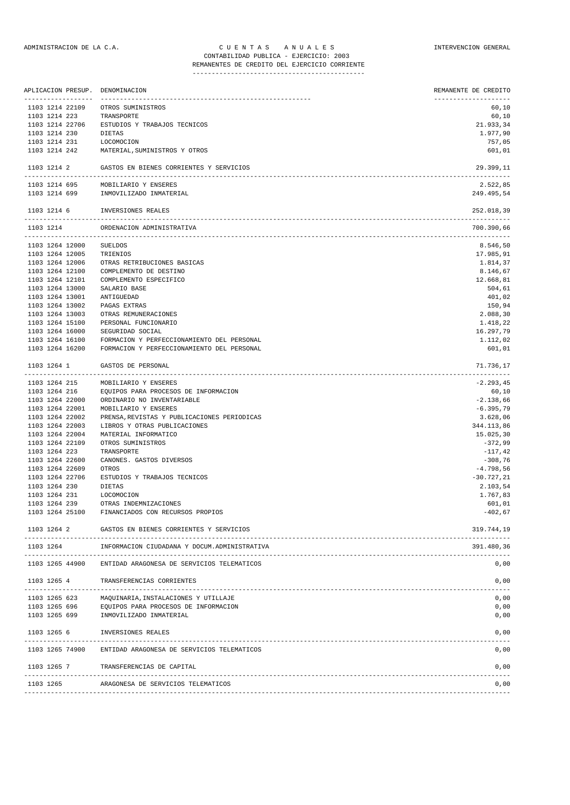|                                    |                    | APLICACION PRESUP. DENOMINACION                                                          | REMANENTE DE CREDITO           |
|------------------------------------|--------------------|------------------------------------------------------------------------------------------|--------------------------------|
| 1103 1214 22109                    | ------------------ | ------------<br>OTROS SUMINISTROS                                                        | --------------------<br>60,10  |
| 1103 1214 223                      |                    | TRANSPORTE                                                                               | 60,10                          |
| 1103 1214 22706                    |                    | ESTUDIOS Y TRABAJOS TECNICOS                                                             | 21.933,34                      |
| 1103 1214 230                      |                    | DIETAS                                                                                   | 1.977,90                       |
| 1103 1214 231                      |                    | LOCOMOCION                                                                               | 757,05                         |
|                                    | 1103 1214 242      | MATERIAL, SUMINISTROS Y OTROS                                                            | 601,01                         |
| 1103 1214 2                        |                    | GASTOS EN BIENES CORRIENTES Y SERVICIOS                                                  | 29.399,11                      |
| 1103 1214 695                      |                    | MOBILIARIO Y ENSERES                                                                     | 2.522,85                       |
|                                    | 1103 1214 699      | INMOVILIZADO INMATERIAL                                                                  | 249.495,54                     |
| 1103 1214 6                        |                    | INVERSIONES REALES                                                                       | 252.018,39                     |
| 1103 1214                          |                    | ORDENACION ADMINISTRATIVA                                                                | 700.390,66<br>---------------- |
| 1103 1264 12000                    |                    | SUELDOS                                                                                  | 8.546,50                       |
| 1103 1264 12005                    |                    | TRIENIOS                                                                                 | 17.985,91                      |
| 1103 1264 12006                    |                    | OTRAS RETRIBUCIONES BASICAS                                                              | 1.814,37                       |
| 1103 1264 12100                    |                    | COMPLEMENTO DE DESTINO                                                                   | 8.146,67                       |
| 1103 1264 12101                    |                    | COMPLEMENTO ESPECIFICO                                                                   | 12.668,81                      |
| 1103 1264 13000                    |                    | SALARIO BASE                                                                             | 504,61                         |
| 1103 1264 13001                    |                    | ANTIGUEDAD                                                                               | 401,02                         |
| 1103 1264 13002                    |                    | PAGAS EXTRAS                                                                             | 150,94                         |
| 1103 1264 13003                    |                    | OTRAS REMUNERACIONES                                                                     | 2.088,30                       |
| 1103 1264 15100                    |                    | PERSONAL FUNCIONARIO                                                                     | 1.418,22                       |
| 1103 1264 16000                    |                    | SEGURIDAD SOCIAL                                                                         | 16.297,79                      |
| 1103 1264 16100<br>1103 1264 16200 |                    | FORMACION Y PERFECCIONAMIENTO DEL PERSONAL<br>FORMACION Y PERFECCIONAMIENTO DEL PERSONAL | 1.112,02<br>601,01             |
| 1103 1264 1                        |                    | GASTOS DE PERSONAL                                                                       | 71.736,17<br>--------------    |
| 1103 1264 215                      |                    | MOBILIARIO Y ENSERES                                                                     | $-2.293, 45$                   |
| 1103 1264 216                      |                    | EQUIPOS PARA PROCESOS DE INFORMACION                                                     | 60,10                          |
| 1103 1264 22000                    |                    | ORDINARIO NO INVENTARIABLE                                                               | $-2.138,66$                    |
| 1103 1264 22001                    |                    | MOBILIARIO Y ENSERES                                                                     | $-6.395,79$                    |
| 1103 1264 22002                    |                    | PRENSA, REVISTAS Y PUBLICACIONES PERIODICAS                                              | 3.628,06                       |
| 1103 1264 22003                    |                    | LIBROS Y OTRAS PUBLICACIONES                                                             | 344.113,86                     |
| 1103 1264 22004                    |                    | MATERIAL INFORMATICO                                                                     | 15.025,30                      |
| 1103 1264 22109                    |                    | OTROS SUMINISTROS                                                                        | $-372,99$                      |
| 1103 1264 223                      |                    | TRANSPORTE                                                                               | $-117,42$                      |
| 1103 1264 22600                    |                    | CANONES. GASTOS DIVERSOS                                                                 | $-308,76$                      |
| 1103 1264 22609                    |                    | OTROS                                                                                    | $-4.798,56$                    |
| 1103 1264 22706                    |                    | ESTUDIOS Y TRABAJOS TECNICOS                                                             | $-30.727, 21$                  |
| 1103 1264 230                      |                    | DIETAS                                                                                   | 2.103,54                       |
| 1103 1264 231                      |                    | LOCOMOCION                                                                               | 1.767,83                       |
| 1103 1264 239                      |                    | OTRAS INDEMNIZACIONES                                                                    | 601,01                         |
| 1103 1264 25100                    |                    | FINANCIADOS CON RECURSOS PROPIOS                                                         | $-402,67$                      |
| 1103 1264 2                        |                    | GASTOS EN BIENES CORRIENTES Y SERVICIOS                                                  | 319.744,19                     |
| 1103 1264                          |                    | INFORMACION CIUDADANA Y DOCUM.ADMINISTRATIVA                                             | 391.480,36                     |
| 1103 1265 44900                    |                    | ENTIDAD ARAGONESA DE SERVICIOS TELEMATICOS                                               | 0,00                           |
| 1103 1265 4                        |                    | TRANSFERENCIAS CORRIENTES                                                                | 0,00                           |
| 1103 1265 623                      |                    | MAQUINARIA, INSTALACIONES Y UTILLAJE                                                     | 0,00                           |
| 1103 1265 696                      |                    | EQUIPOS PARA PROCESOS DE INFORMACION                                                     | 0,00                           |
| 1103 1265 699                      |                    | INMOVILIZADO INMATERIAL                                                                  | 0,00                           |
| 1103 1265 6                        |                    | INVERSIONES REALES                                                                       | 0,00                           |
| 1103 1265 74900                    |                    | ENTIDAD ARAGONESA DE SERVICIOS TELEMATICOS                                               | 0,00                           |
| 1103 1265 7                        |                    | TRANSFERENCIAS DE CAPITAL                                                                | 0,00                           |

-------------------------------------------------------------------------------------------------------------------------------

-------------------------------------------------------------------------------------------------------------------------------

1103 1265 ARAGONESA DE SERVICIOS TELEMATICOS 0,00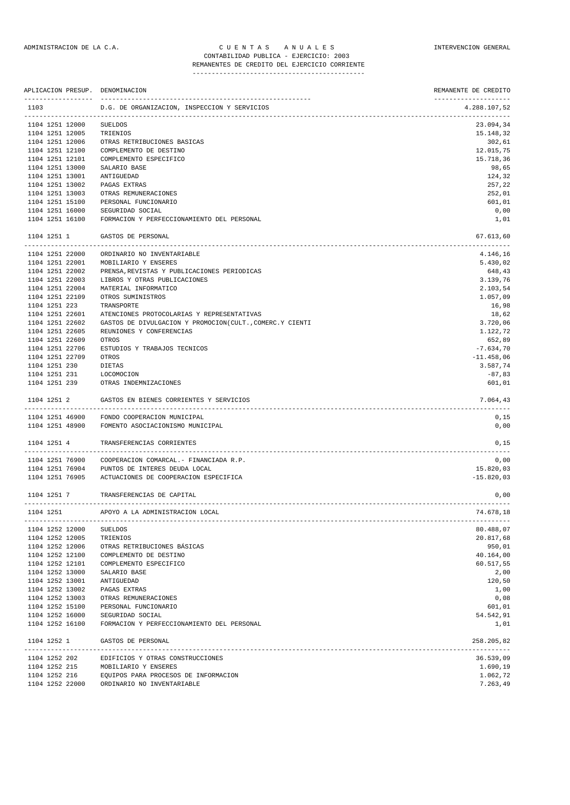REMANENTES DE CREDITO DEL EJERCICIO CORRIENTE ---------------------------------------------

|      |                                |                 | APLICACION PRESUP. DENOMINACION                           | REMANENTE DE CREDITO      |
|------|--------------------------------|-----------------|-----------------------------------------------------------|---------------------------|
| 1103 |                                |                 | D.G. DE ORGANIZACION, INSPECCION Y SERVICIOS              | 4.288.107,52              |
|      |                                | 1104 1251 12000 | <b>SUELDOS</b>                                            | 23.094,34                 |
|      |                                | 1104 1251 12005 | TRIENIOS                                                  | 15.148,32                 |
|      |                                | 1104 1251 12006 | OTRAS RETRIBUCIONES BASICAS                               | 302,61                    |
|      |                                | 1104 1251 12100 | COMPLEMENTO DE DESTINO                                    | 12.015,75                 |
|      |                                | 1104 1251 12101 | COMPLEMENTO ESPECIFICO                                    | 15.718,36                 |
|      |                                | 1104 1251 13000 | SALARIO BASE                                              | 98,65                     |
|      |                                | 1104 1251 13001 | ANTIGUEDAD                                                | 124,32                    |
|      |                                | 1104 1251 13002 | PAGAS EXTRAS                                              | 257,22                    |
|      |                                | 1104 1251 13003 | OTRAS REMUNERACIONES                                      | 252,01                    |
|      |                                | 1104 1251 15100 | PERSONAL FUNCIONARIO                                      | 601,01                    |
|      |                                | 1104 1251 16000 | SEGURIDAD SOCIAL                                          | 0,00                      |
|      |                                | 1104 1251 16100 | FORMACION Y PERFECCIONAMIENTO DEL PERSONAL                | 1,01                      |
|      | 1104 1251 1                    |                 | GASTOS DE PERSONAL                                        | 67.613,60                 |
|      |                                | 1104 1251 22000 | ORDINARIO NO INVENTARIABLE                                | -------------<br>4.146,16 |
|      |                                | 1104 1251 22001 | MOBILIARIO Y ENSERES                                      | 5.430,02                  |
|      |                                | 1104 1251 22002 | PRENSA, REVISTAS Y PUBLICACIONES PERIODICAS               | 648,43                    |
|      |                                | 1104 1251 22003 | LIBROS Y OTRAS PUBLICACIONES                              | 3.139,76                  |
|      |                                | 1104 1251 22004 | MATERIAL INFORMATICO                                      | 2.103,54                  |
|      |                                | 1104 1251 22109 | OTROS SUMINISTROS                                         | 1.057,09                  |
|      | 1104 1251 223                  |                 | TRANSPORTE                                                | 16,98                     |
|      |                                | 1104 1251 22601 | ATENCIONES PROTOCOLARIAS Y REPRESENTATIVAS                | 18,62                     |
|      |                                | 1104 1251 22602 | GASTOS DE DIVULGACION Y PROMOCION (CULT., COMERC.Y CIENTI | 3.720,06                  |
|      |                                | 1104 1251 22605 | REUNIONES Y CONFERENCIAS                                  | 1.122,72                  |
|      |                                | 1104 1251 22609 | OTROS                                                     | 652,89                    |
|      |                                | 1104 1251 22706 | ESTUDIOS Y TRABAJOS TECNICOS                              | $-7.634, 70$              |
|      |                                | 1104 1251 22709 |                                                           |                           |
|      |                                |                 | OTROS                                                     | $-11.458,06$              |
|      | 1104 1251 230                  |                 | DIETAS                                                    | 3.587,74                  |
|      | 1104 1251 231<br>1104 1251 239 |                 | LOCOMOCION<br>OTRAS INDEMNIZACIONES                       | $-87,83$<br>601,01        |
|      | 1104 1251 2                    |                 | GASTOS EN BIENES CORRIENTES Y SERVICIOS                   | 7.064,43                  |
|      |                                |                 |                                                           |                           |
|      |                                | 1104 1251 46900 | FONDO COOPERACION MUNICIPAL                               | 0,15                      |
|      |                                | 1104 1251 48900 | FOMENTO ASOCIACIONISMO MUNICIPAL                          | 0,00                      |
|      | 1104 1251 4                    |                 | TRANSFERENCIAS CORRIENTES                                 | 0,15                      |
|      |                                | 1104 1251 76900 | COOPERACION COMARCAL. - FINANCIADA R.P.                   | 0,00                      |
|      |                                | 1104 1251 76904 | PUNTOS DE INTERES DEUDA LOCAL                             | 15.820,03                 |
|      |                                | 1104 1251 76905 | ACTUACIONES DE COOPERACION ESPECIFICA                     | $-15.820,03$              |
|      | 1104 1251 7                    |                 | TRANSFERENCIAS DE CAPITAL                                 | 0,00                      |
|      | 1104 1251                      |                 | APOYO A LA ADMINISTRACION LOCAL                           | 74.678,18                 |
|      |                                | 1104 1252 12000 | <b>SUELDOS</b>                                            | 80.488,07                 |
|      |                                | 1104 1252 12005 | TRIENIOS                                                  | 20.817,68                 |
|      |                                | 1104 1252 12006 | OTRAS RETRIBUCIONES BÁSICAS                               | 950,01                    |
|      |                                | 1104 1252 12100 | COMPLEMENTO DE DESTINO                                    | 40.164,00                 |
|      |                                | 1104 1252 12101 | COMPLEMENTO ESPECIFICO                                    | 60.517,55                 |
|      |                                | 1104 1252 13000 | SALARIO BASE                                              | 2,00                      |
|      |                                | 1104 1252 13001 | ANTIGUEDAD                                                | 120,50                    |
|      |                                | 1104 1252 13002 | PAGAS EXTRAS                                              | 1,00                      |
|      |                                | 1104 1252 13003 | OTRAS REMUNERACIONES                                      | 0,08                      |
|      |                                | 1104 1252 15100 | PERSONAL FUNCIONARIO                                      | 601,01                    |
|      |                                | 1104 1252 16000 | SEGURIDAD SOCIAL                                          | 54.542,91                 |
|      |                                | 1104 1252 16100 | FORMACION Y PERFECCIONAMIENTO DEL PERSONAL                | 1,01                      |
|      | 1104 1252 1                    |                 | GASTOS DE PERSONAL                                        | 258.205,82                |
|      |                                | 1104 1252 202   | EDIFICIOS Y OTRAS CONSTRUCCIONES                          | 36.539,09                 |
|      |                                | 1104 1252 215   | MOBILIARIO Y ENSERES                                      | 1.690,19                  |
|      |                                | 1104 1252 216   | EQUIPOS PARA PROCESOS DE INFORMACION                      | 1.062,72                  |
|      |                                | 1104 1252 22000 | ORDINARIO NO INVENTARIABLE                                | 7.263,49                  |
|      |                                |                 |                                                           |                           |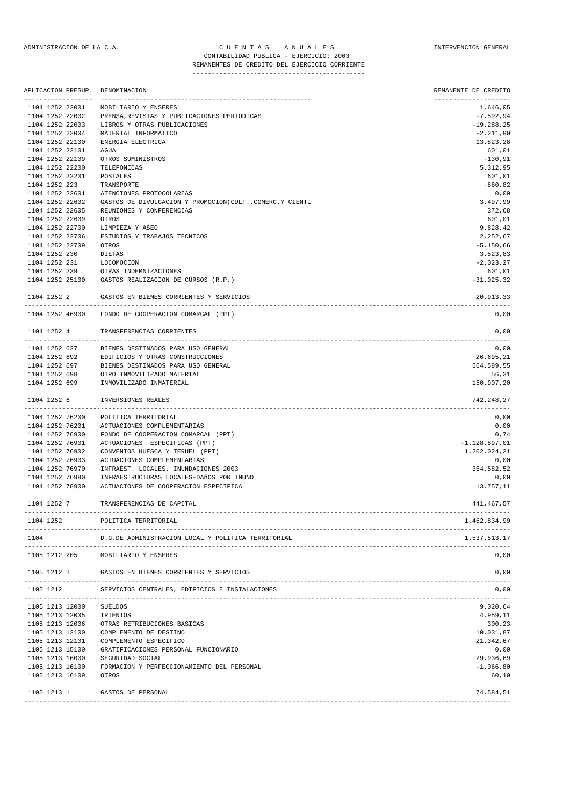## ADMINISTRACION DE LA C.A. CUENTAS ANUALES CONSTANTERVENCION GENERAL CONTABILIDAD PUBLICA - EJERCICIO: 2003 REMANENTES DE CREDITO DEL EJERCICIO CORRIENTE

---------------------------------------------

|               | APLICACION PRESUP. | DENOMINACION                                                                         | REMANENTE DE CREDITO |
|---------------|--------------------|--------------------------------------------------------------------------------------|----------------------|
|               | 1104 1252 22001    | MOBILIARIO Y ENSERES                                                                 | 1.646,05             |
|               | 1104 1252 22002    | PRENSA, REVISTAS Y PUBLICACIONES PERIODICAS                                          | $-7.592,94$          |
|               | 1104 1252 22003    | LIBROS Y OTRAS PUBLICACIONES                                                         | $-19.288,25$         |
|               | 1104 1252 22004    | MATERIAL INFORMATICO                                                                 | $-2.211,90$          |
|               | 1104 1252 22100    | ENERGIA ELECTRICA                                                                    | 13.823,28            |
|               | 1104 1252 22101    | AGUA                                                                                 | 601,01               |
|               | 1104 1252 22109    | OTROS SUMINISTROS                                                                    | $-130,91$            |
|               | 1104 1252 22200    | TELEFONICAS                                                                          | 5.312,95             |
|               | 1104 1252 22201    | POSTALES                                                                             | 601,01               |
| 1104 1252 223 | 1104 1252 22601    | TRANSPORTE                                                                           | $-880, 82$           |
|               | 1104 1252 22602    | ATENCIONES PROTOCOLARIAS<br>GASTOS DE DIVULGACION Y PROMOCION(CULT., COMERC.Y CIENTI | 0,00<br>3.497,99     |
|               | 1104 1252 22605    | REUNIONES Y CONFERENCIAS                                                             | 372,68               |
|               | 1104 1252 22609    | OTROS                                                                                | 601,01               |
|               | 1104 1252 22700    | LIMPIEZA Y ASEO                                                                      | 9.828,42             |
|               | 1104 1252 22706    | ESTUDIOS Y TRABAJOS TECNICOS                                                         | 2.252,67             |
|               | 1104 1252 22709    | OTROS                                                                                | $-5.150,66$          |
| 1104 1252 230 |                    | DIETAS                                                                               | 3.523,83             |
| 1104 1252 231 |                    | LOCOMOCION                                                                           | $-2.023, 27$         |
| 1104 1252 239 |                    | OTRAS INDEMNIZACIONES                                                                | 601,01               |
|               | 1104 1252 25100    | GASTOS REALIZACION DE CURSOS (R.P.)                                                  | $-31.025, 32$        |
|               |                    |                                                                                      |                      |
| 1104 1252 2   |                    | GASTOS EN BIENES CORRIENTES Y SERVICIOS                                              | 20.913,33            |
|               | 1104 1252 46900    | FONDO DE COOPERACION COMARCAL (PPT)                                                  | 0,00                 |
| 1104 1252 4   |                    | TRANSFERENCIAS CORRIENTES                                                            | 0,00                 |
|               | 1104 1252 627      | BIENES DESTINADOS PARA USO GENERAL                                                   | 0,00                 |
|               | 1104 1252 692      | EDIFICIOS Y OTRAS CONSTRUCCIONES                                                     | 26.695,21            |
| 1104 1252 697 |                    | BIENES DESTINADOS PARA USO GENERAL                                                   | 564.589,55           |
| 1104 1252 698 |                    | OTRO INMOVILIZADO MATERIAL                                                           | 56,31                |
| 1104 1252 699 |                    | INMOVILIZADO INMATERIAL                                                              | 150.907,20           |
| 1104 1252 6   |                    | INVERSIONES REALES                                                                   | 742.248,27           |
|               | 1104 1252 76200    | POLITICA TERRITORIAL                                                                 | 0,00                 |
|               | 1104 1252 76201    | ACTUACIONES COMPLEMENTARIAS                                                          | 0,00                 |
|               | 1104 1252 76900    | FONDO DE COOPERACION COMARCAL (PPT)                                                  | 0,74                 |
|               | 1104 1252 76901    | ACTUACIONES ESPECIFICAS (PPT)                                                        | $-1.128.897,01$      |
|               | 1104 1252 76902    | CONVENIOS HUESCA Y TERUEL (PPT)                                                      | 1.202.024,21         |
|               | 1104 1252 76903    | ACTUACIONES COMPLEMENTARIAS                                                          | 0,00                 |
|               | 1104 1252 76970    | INFRAEST. LOCALES. INUNDACIONES 2003                                                 | 354.582,52           |
|               | 1104 1252 76980    | INFRAESTRUCTURAS LOCALES-DAñOS POR INUND                                             | 0,00                 |
|               | 1104 1252 78900    | ACTUACIONES DE COOPERACION ESPECIFICA                                                | 13.757,11            |
| 1104 1252 7   |                    | TRANSFERENCIAS DE CAPITAL                                                            | 441.467,57           |
| 1104 1252     |                    | POLITICA TERRITORIAL                                                                 | 1.462.834,99         |
| 1104          |                    | D.G.DE ADMINISTRACION LOCAL Y POLITICA TERRITORIAL                                   | 1.537.513,17         |
|               | 1105 1212 205      | MOBILIARIO Y ENSERES                                                                 | 0,00                 |
| 1105 1212 2   |                    | GASTOS EN BIENES CORRIENTES Y SERVICIOS<br>---------------------------------         | 0,00                 |
| 1105 1212     |                    | SERVICIOS CENTRALES, EDIFICIOS E INSTALACIONES                                       | 0,00                 |
|               | 1105 1213 12000    | <b>SUELDOS</b>                                                                       | 9.020,64             |
|               | 1105 1213 12005    | TRIENIOS                                                                             | 4.959,11             |
|               | 1105 1213 12006    | OTRAS RETRIBUCIONES BASICAS                                                          | 300,23               |
|               | 1105 1213 12100    | COMPLEMENTO DE DESTINO                                                               | 10.031,87            |
|               | 1105 1213 12101    | COMPLEMENTO ESPECIFICO                                                               | 21.342,67            |
|               | 1105 1213 15100    | GRATIFICACIONES PERSONAL FUNCIONARIO                                                 | 0,00                 |
|               | 1105 1213 16000    | SEGURIDAD SOCIAL                                                                     | 29.936,69            |
|               | 1105 1213 16100    | FORMACION Y PERFECCIONAMIENTO DEL PERSONAL                                           | $-1.066, 80$         |
|               | 1105 1213 16109    | OTROS                                                                                | 60,10                |
| 1105 1213 1   |                    | GASTOS DE PERSONAL<br>-----------------------------------                            | 74.584,51            |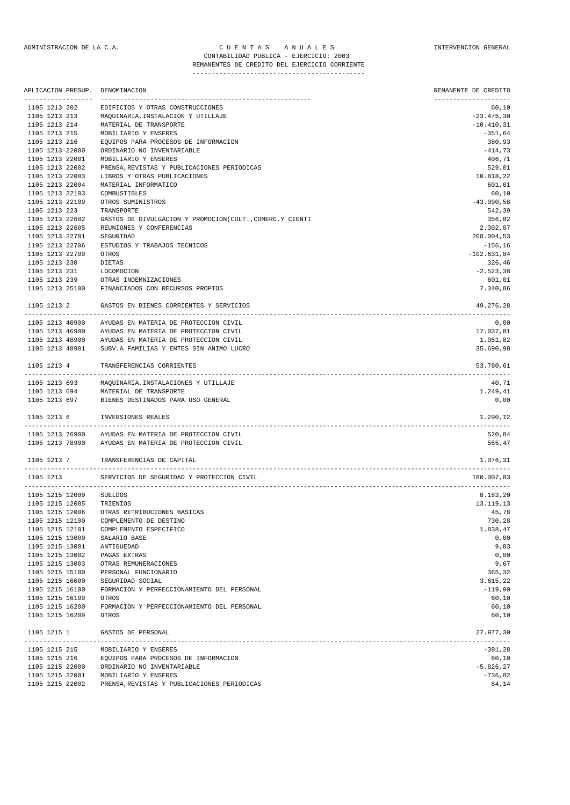|               | APLICACION PRESUP.                 | DENOMINACION                                             | REMANENTE DE CREDITO  |
|---------------|------------------------------------|----------------------------------------------------------|-----------------------|
| 1105 1213 202 |                                    | EDIFICIOS Y OTRAS CONSTRUCCIONES                         | 60,10                 |
| 1105 1213 213 |                                    | MAQUINARIA, INSTALACION Y UTILLAJE                       | $-23.475,30$          |
| 1105 1213 214 |                                    | MATERIAL DE TRANSPORTE                                   | $-10.410,31$          |
| 1105 1213 215 |                                    | MOBILIARIO Y ENSERES                                     | $-351,64$             |
| 1105 1213 216 |                                    | EQUIPOS PARA PROCESOS DE INFORMACION                     | 380,93                |
|               | 1105 1213 22000                    | ORDINARIO NO INVENTARIABLE                               | $-414,73$             |
|               | 1105 1213 22001                    | MOBILIARIO Y ENSERES                                     | 406,71                |
|               | 1105 1213 22002                    | PRENSA, REVISTAS Y PUBLICACIONES PERIODICAS              | 529,01                |
|               | 1105 1213 22003                    | LIBROS Y OTRAS PUBLICACIONES                             | 10.818,22             |
|               | 1105 1213 22004                    | MATERIAL INFORMATICO<br>COMBUSTIBLES                     | 601,01                |
|               | 1105 1213 22103<br>1105 1213 22109 | OTROS SUMINISTROS                                        | 60,10<br>$-43.090,58$ |
| 1105 1213 223 |                                    | TRANSPORTE                                               | 542,39                |
|               | 1105 1213 22602                    | GASTOS DE DIVULGACION Y PROMOCION(CULT., COMERC.Y CIENTI | 356,82                |
|               | 1105 1213 22605                    | REUNIONES Y CONFERENCIAS                                 | 2.302,07              |
|               | 1105 1213 22701                    | SEGURIDAD                                                | 208.004,53            |
|               | 1105 1213 22706                    | ESTUDIOS Y TRABAJOS TECNICOS                             | $-156, 16$            |
|               | 1105 1213 22709                    | OTROS                                                    | $-102.631,84$         |
| 1105 1213 230 |                                    | DIETAS                                                   | 326,46                |
| 1105 1213 231 |                                    | LOCOMOCION                                               | $-2.523,38$           |
| 1105 1213 239 |                                    | OTRAS INDEMNIZACIONES                                    | 601,01                |
|               | 1105 1213 25100                    | FINANCIADOS CON RECURSOS PROPIOS                         | 7.340,86              |
| 1105 1213 2   |                                    | GASTOS EN BIENES CORRIENTES Y SERVICIOS                  | 49.276,28             |
|               | 1105 1213 40900                    | AYUDAS EN MATERIA DE PROTECCION CIVIL                    | 0,00                  |
|               | 1105 1213 46900                    | AYUDAS EN MATERIA DE PROTECCION CIVIL                    | 17.037,81             |
|               | 1105 1213 48900                    | AYUDAS EN MATERIA DE PROTECCION CIVIL                    | 1.051,82              |
|               | 1105 1213 48901                    | SUBV.A FAMILIAS Y ENTES SIN ANIMO LUCRO                  | 35.690,98             |
| 1105 1213 4   |                                    | TRANSFERENCIAS CORRIENTES                                | 53.780,61             |
|               | 1105 1213 693                      | MAQUINARIA, INSTALACIONES Y UTILLAJE                     | 40,71                 |
|               | 1105 1213 694                      | MATERIAL DE TRANSPORTE                                   | 1.249,41              |
|               | 1105 1213 697                      | BIENES DESTINADOS PARA USO GENERAL                       | 0,00                  |
| 1105 1213 6   |                                    | INVERSIONES REALES                                       | 1.290,12              |
|               |                                    | 1105 1213 76900 AYUDAS EN MATERIA DE PROTECCION CIVIL    | 520,84                |
|               | 1105 1213 78900                    | AYUDAS EN MATERIA DE PROTECCION CIVIL                    | 555,47                |
| 1105 1213 7   |                                    | TRANSFERENCIAS DE CAPITAL                                | 1.076,31              |
| 1105 1213     |                                    | SERVICIOS DE SEGURIDAD Y PROTECCION CIVIL                | 180.007,83            |
|               | 1105 1215 12000                    | SUELDOS                                                  | 8.183,20              |
|               | 1105 1215 12005                    | TRIENIOS                                                 | 13.119,13             |
|               |                                    | 1105 1215 12006 OTRAS RETRIBUCIONES BASICAS              | 45,78                 |
|               | 1105 1215 12100                    | COMPLEMENTO DE DESTINO                                   | 730,28                |
|               | 1105 1215 12101                    | COMPLEMENTO ESPECIFICO                                   | 1.838,47              |
|               | 1105 1215 13000                    | SALARIO BASE                                             | 0,00                  |
|               | 1105 1215 13001                    | ANTIGUEDAD                                               | 9,83                  |
|               | 1105 1215 13002                    | PAGAS EXTRAS                                             | 0,00                  |
|               | 1105 1215 13003                    | OTRAS REMUNERACIONES                                     | 9,67                  |
|               | 1105 1215 15100                    | PERSONAL FUNCIONARIO                                     | 365,32                |
|               | 1105 1215 16000                    | SEGURIDAD SOCIAL                                         | 3.615,22              |
|               | 1105 1215 16100                    | FORMACION Y PERFECCIONAMIENTO DEL PERSONAL               | $-119,90$             |
|               | 1105 1215 16109                    | OTROS                                                    | 60,10                 |
|               | 1105 1215 16200<br>1105 1215 16209 | FORMACION Y PERFECCIONAMIENTO DEL PERSONAL<br>OTROS      | 60,10<br>60,10        |
| 1105 1215 1   |                                    | GASTOS DE PERSONAL                                       | 27.977,30             |
|               | 1105 1215 215                      | MOBILIARIO Y ENSERES                                     | -391,28               |
|               | 1105 1215 216                      | EQUIPOS PARA PROCESOS DE INFORMACION                     | 60,10                 |
|               | 1105 1215 22000                    | ORDINARIO NO INVENTARIABLE                               | $-5.826, 27$          |

1105 1215 22001 MOBILIARIO Y ENSERES -736,82 1105 1215 22002 PRENSA,REVISTAS Y PUBLICACIONES PERIODICAS 84,14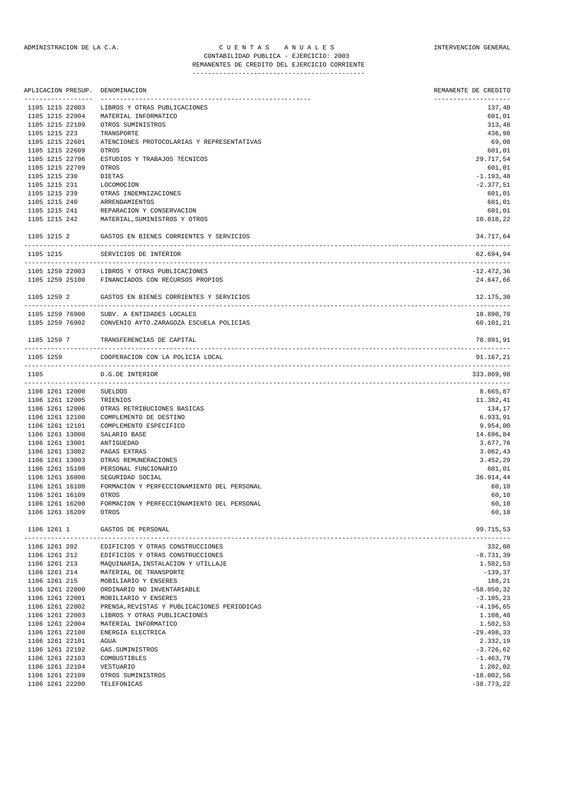| APLICACION PRESUP. DENOMINACION      |                                                     | REMANENTE DE CREDITO |
|--------------------------------------|-----------------------------------------------------|----------------------|
| -----------------<br>1105 1215 22003 | LIBROS Y OTRAS PUBLICACIONES                        | 137,40               |
| 1105 1215 22004                      | MATERIAL INFORMATICO                                | 601,01               |
| 1105 1215 22109                      | OTROS SUMINISTROS                                   | 313,48               |
| 1105 1215 223                        | TRANSPORTE                                          | 436,98               |
| 1105 1215 22601                      | ATENCIONES PROTOCOLARIAS Y REPRESENTATIVAS          | 69,08                |
| 1105 1215 22609                      | OTROS                                               | 601,01               |
| 1105 1215 22706                      | ESTUDIOS Y TRABAJOS TECNICOS                        | 29.717,54            |
| 1105 1215 22709                      | OTROS                                               | 601,01               |
| 1105 1215 230                        | DIETAS                                              | $-1.193,48$          |
| 1105 1215 231                        | LOCOMOCION                                          | $-2.377,51$          |
| 1105 1215 239                        | OTRAS INDEMNIZACIONES                               | 601,01               |
| 1105 1215 240 ARRENDAMIENTOS         |                                                     | 601,01               |
| 1105 1215 241                        | REPARACION Y CONSERVACION                           | 601,01               |
| 1105 1215 242                        | MATERIAL, SUMINISTROS Y OTROS                       | 10.818,22            |
| 1105 1215 2                          | GASTOS EN BIENES CORRIENTES Y SERVICIOS             | 34.717,64<br>.       |
| 1105 1215                            | SERVICIOS DE INTERIOR                               | 62.694,94            |
|                                      | 1105 1259 22003 LIBROS Y OTRAS PUBLICACIONES        | $-12.472,36$         |
| 1105 1259 25100                      | FINANCIADOS CON RECURSOS PROPIOS                    | 24.647,66            |
| 1105 1259 2                          | GASTOS EN BIENES CORRIENTES Y SERVICIOS             | 12.175,30            |
| 1105 1259 76900                      | SUBV. A ENTIDADES LOCALES                           | 18.890,70            |
| 1105 1259 76902                      | CONVENIO AYTO. ZARAGOZA ESCUELA POLICIAS            | 60.101,21            |
| 1105 1259 7                          | TRANSFERENCIAS DE CAPITAL                           | 78.991,91            |
| 1105 1259                            | COOPERACION CON LA POLICIA LOCAL                    | 91.167,21            |
| 1105                                 | D.G.DE INTERIOR                                     | 333.869,98           |
| 1106 1261 12000                      | SUELDOS                                             | 8.665,87             |
| 1106 1261 12005                      | TRIENIOS                                            | 11.382,41            |
| 1106 1261 12006                      | OTRAS RETRIBUCIONES BASICAS                         | 134,17               |
| 1106 1261 12100                      | COMPLEMENTO DE DESTINO                              | 6.933,91             |
| 1106 1261 12101                      | COMPLEMENTO ESPECIFICO                              | 9.954,00             |
| 1106 1261 13000                      | SALARIO BASE                                        | 14.696,84            |
| 1106 1261 13001                      | ANTIGUEDAD                                          | 3.677,76             |
| 1106 1261 13002                      | PAGAS EXTRAS                                        | 3.062,43             |
| 1106 1261 13003                      | OTRAS REMUNERACIONES                                | 3.452,29             |
| 1106 1261 15100                      | PERSONAL FUNCIONARIO                                | 601,01               |
| 1106 1261 16000                      | SEGURIDAD SOCIAL                                    | 36.914,44            |
| 1106 1261 16100                      | FORMACION Y PERFECCIONAMIENTO DEL PERSONAL          | 60,10                |
| 1106 1261 16109                      | OTROS                                               | 60,10                |
| 1106 1261 16200<br>1106 1261 16209   | FORMACION Y PERFECCIONAMIENTO DEL PERSONAL<br>OTROS | 60,10<br>60, 10      |
| 1106 1261 1                          | GASTOS DE PERSONAL                                  | 99.715,53            |
| 1106 1261 202                        | EDIFICIOS Y OTRAS CONSTRUCCIONES                    | .<br>332,08          |
| 1106 1261 212                        | EDIFICIOS Y OTRAS CONSTRUCCIONES                    | $-8.731, 39$         |
|                                      | 1106 1261 213 MAQUINARIA, INSTALACION Y UTILLAJE    | 1.502,53             |
| 1106 1261 214                        | MATERIAL DE TRANSPORTE                              | $-139,37$            |
| 1106 1261 215                        | MOBILIARIO Y ENSERES                                | 188,21               |
| 1106 1261 22000                      | ORDINARIO NO INVENTARIABLE                          | $-58.050, 32$        |
| 1106 1261 22001                      | MOBILIARIO Y ENSERES                                | $-3.105, 23$         |
| 1106 1261 22002                      | PRENSA, REVISTAS Y PUBLICACIONES PERIODICAS         | $-4.196,65$          |
| 1106 1261 22003                      | LIBROS Y OTRAS PUBLICACIONES                        | 1.108,48             |
| 1106 1261 22004                      | MATERIAL INFORMATICO                                | 1.502,53             |
| 1106 1261 22100                      | ENERGIA ELECTRICA                                   | $-29.498,33$         |
| 1106 1261 22101                      | AGUA                                                | 2.332,19             |
| 1106 1261 22102                      | GAS. SUMINISTROS                                    | $-3.726,62$          |

1106 1261 22103 COMBUSTIBLES -1.463,79 1106 1261 22104 VESTUARIO 1.202,02 1106 1261 22109 OTROS SUMINISTROS -18.002,50 1106 1261 22200 TELEFONICAS -38.773,22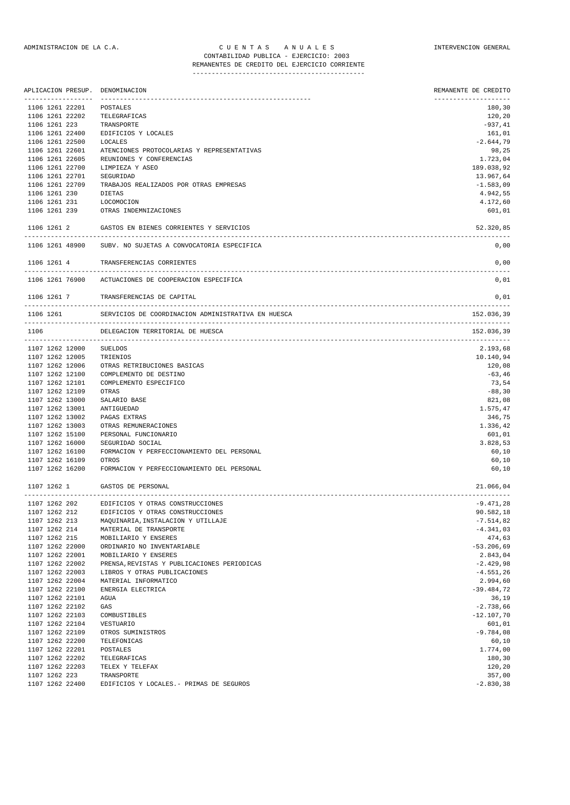## ADMINISTRACION DE LA C.A. CUENTAS ANUALES A CONSTRUENCION GENERAL CONTABILIDAD PUBLICA - EJERCICIO: 2003 REMANENTES DE CREDITO DEL EJERCICIO CORRIENTE

|                 | APLICACION PRESUP. DENOMINACION                    | REMANENTE DE CREDITO |
|-----------------|----------------------------------------------------|----------------------|
| 1106 1261 22201 | POSTALES                                           | 180,30               |
| 1106 1261 22202 | TELEGRAFICAS                                       | 120,20               |
| 1106 1261 223   | TRANSPORTE                                         | $-937,41$            |
| 1106 1261 22400 | EDIFICIOS Y LOCALES                                | 161,01               |
| 1106 1261 22500 | LOCALES                                            | $-2.644,79$          |
| 1106 1261 22601 | ATENCIONES PROTOCOLARIAS Y REPRESENTATIVAS         | 98,25                |
| 1106 1261 22605 | REUNIONES Y CONFERENCIAS                           | 1.723,04             |
| 1106 1261 22700 | LIMPIEZA Y ASEO                                    | 189.038,92           |
| 1106 1261 22701 | SEGURIDAD                                          | 13.967,64            |
| 1106 1261 22709 | TRABAJOS REALIZADOS POR OTRAS EMPRESAS             | $-1.583,09$          |
| 1106 1261 230   | <b>DIETAS</b>                                      | 4.942,55             |
| 1106 1261 231   | LOCOMOCION                                         | 4.172,60             |
| 1106 1261 239   | OTRAS INDEMNIZACIONES                              | 601,01               |
| 1106 1261 2     | GASTOS EN BIENES CORRIENTES Y SERVICIOS            | 52.320,85            |
| 1106 1261 48900 | SUBV. NO SUJETAS A CONVOCATORIA ESPECIFICA         | 0,00                 |
| 1106 1261 4     | TRANSFERENCIAS CORRIENTES                          | 0,00                 |
| 1106 1261 76900 | ACTUACIONES DE COOPERACION ESPECIFICA              | 0,01                 |
| 1106 1261 7     | TRANSFERENCIAS DE CAPITAL                          | 0,01                 |
| 1106 1261       | SERVICIOS DE COORDINACION ADMINISTRATIVA EN HUESCA | 152.036,39           |
| 1106            | DELEGACION TERRITORIAL DE HUESCA                   | 152.036,39           |
| 1107 1262 12000 | SUELDOS                                            | 2.193,68             |
| 1107 1262 12005 | TRIENIOS                                           | 10.140,94            |
| 1107 1262 12006 | OTRAS RETRIBUCIONES BASICAS                        | 120,08               |
| 1107 1262 12100 | COMPLEMENTO DE DESTINO                             | $-63,46$             |
| 1107 1262 12101 | COMPLEMENTO ESPECIFICO                             | 73,54                |
| 1107 1262 12109 | OTRAS                                              | $-88,30$             |
| 1107 1262 13000 | SALARIO BASE                                       | 821,08               |
| 1107 1262 13001 | ANTIGUEDAD                                         | 1.575,47             |
| 1107 1262 13002 | PAGAS EXTRAS                                       | 346,75               |
| 1107 1262 13003 | OTRAS REMUNERACIONES                               | 1.336,42             |
| 1107 1262 15100 | PERSONAL FUNCIONARIO                               | 601,01               |
| 1107 1262 16000 | SEGURIDAD SOCIAL                                   | 3.828,53             |
| 1107 1262 16100 | FORMACION Y PERFECCIONAMIENTO DEL PERSONAL         | 60,10                |
| 1107 1262 16109 | OTROS                                              | 60,10                |
| 1107 1262 16200 | FORMACION Y PERFECCIONAMIENTO DEL PERSONAL         | 60,10                |
|                 | 1107 1262 1 GASTOS DE PERSONAL                     | 21.066,04            |
| 1107 1262 202   | EDIFICIOS Y OTRAS CONSTRUCCIONES                   | $-9.471,28$          |
| 1107 1262 212   | EDIFICIOS Y OTRAS CONSTRUCCIONES                   | 90.582,18            |
| 1107 1262 213   | MAQUINARIA, INSTALACION Y UTILLAJE                 | $-7.514,82$          |
| 1107 1262 214   | MATERIAL DE TRANSPORTE                             | $-4.341,03$          |
| 1107 1262 215   | MOBILIARIO Y ENSERES                               | 474,63               |
| 1107 1262 22000 | ORDINARIO NO INVENTARIABLE                         | $-53.206,69$         |
| 1107 1262 22001 | MOBILIARIO Y ENSERES                               | 2.843,04             |
| 1107 1262 22002 | PRENSA, REVISTAS Y PUBLICACIONES PERIODICAS        | $-2.429,98$          |
| 1107 1262 22003 | LIBROS Y OTRAS PUBLICACIONES                       | $-4.551,26$          |
| 1107 1262 22004 | MATERIAL INFORMATICO                               | 2.994,60             |

1107 1262 22100 ENERGIA ELECTRICA -39.484,72 1107 1262 22101 AGUA 36,19<br>1107 1262 22102 GAS -2.738,66 1107 1262 22102 GAS -2.738,66 1107 1262 22103 COMBUSTIBLES -12.107,70 1107 1262 22104 VESTUARIO 601,01 1107 1262 22109 OTROS SUMINISTROS -9.784,08 1107 1262 22200 TELEFONICAS 60,10<br>1107 1262 22201 POSTALES 1.774,00 1107 1262 22201 POSTALES 1.774,00 1107 1262 22201 FOLIBERAFICAS 1007 1262 22202 TELEGRAFICAS 180,30<br>1107 1262 22202 TELEGRAFICAS 180,30<br>1107 1262 22203 TELEGRAFICAS 120.20 1107 1262 22203 TELEX Y TELEFAX 120,20<br>1107 1262 223 TRANSPORTE 1800 120,200 TRANSPORTE 1107 1262 223 TRANSPORTE 107 1262 223 TRANSPORTE 357,00<br>1107 1262 22400 EDIFICIOS Y LOCALES.- PRIMAS DE SEGUROS 1107 1262 22400 -2.830,38

1107 1262 22400 EDIFICIOS Y LOCALES.- PRIMAS DE SEGUROS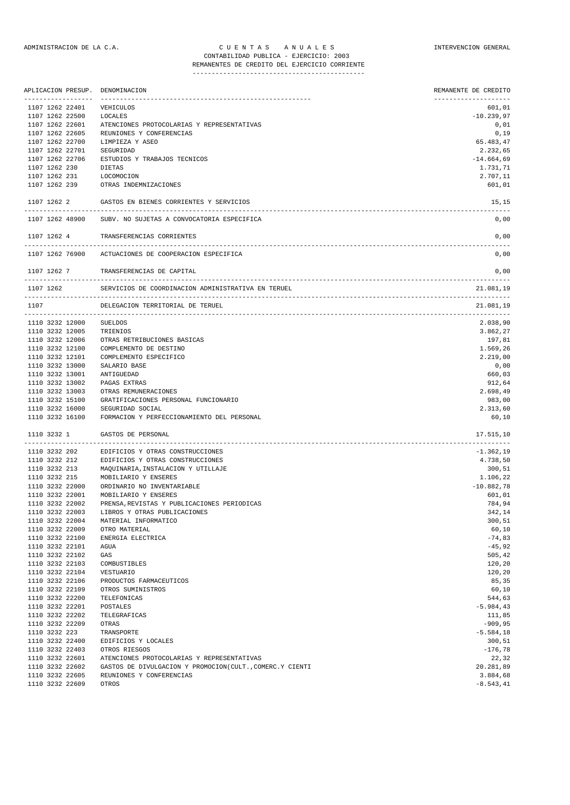## REMANENTES DE CREDITO DEL EJERCICIO CORRIENTE

|                                    | APLICACION PRESUP. | DENOMINACION                                                                         | REMANENTE DE CREDITO       |
|------------------------------------|--------------------|--------------------------------------------------------------------------------------|----------------------------|
| 1107 1262 22401                    |                    | VEHICULOS                                                                            | 601,01                     |
| 1107 1262 22500                    |                    | LOCALES                                                                              | $-10.239,97$               |
| 1107 1262 22601                    |                    | ATENCIONES PROTOCOLARIAS Y REPRESENTATIVAS                                           | 0,01                       |
| 1107 1262 22605                    |                    | REUNIONES Y CONFERENCIAS                                                             | 0,19                       |
| 1107 1262 22700                    |                    | LIMPIEZA Y ASEO                                                                      | 65.483,47                  |
| 1107 1262 22701                    |                    | SEGURIDAD                                                                            | 2.232,65                   |
| 1107 1262 22706                    |                    | ESTUDIOS Y TRABAJOS TECNICOS                                                         | $-14.664,69$               |
| 1107 1262 230                      |                    | DIETAS                                                                               | 1.731,71                   |
| 1107 1262 231                      |                    | LOCOMOCION                                                                           | 2.707,11                   |
|                                    | 1107 1262 239      | OTRAS INDEMNIZACIONES                                                                | 601,01                     |
| 1107 1262 2                        |                    | GASTOS EN BIENES CORRIENTES Y SERVICIOS                                              | 15,15                      |
| 1107 1262 48900                    |                    | SUBV. NO SUJETAS A CONVOCATORIA ESPECIFICA                                           | 0,00                       |
| 1107 1262 4                        |                    | TRANSFERENCIAS CORRIENTES                                                            | 0,00                       |
| 1107 1262 76900                    |                    | ACTUACIONES DE COOPERACION ESPECIFICA                                                | 0,00                       |
| 1107 1262 7                        |                    | TRANSFERENCIAS DE CAPITAL                                                            | 0,00                       |
| 1107 1262                          |                    | SERVICIOS DE COORDINACION ADMINISTRATIVA EN TERUEL                                   | 21.081,19                  |
| 1107                               |                    | DELEGACION TERRITORIAL DE TERUEL                                                     | 21.081,19                  |
| 1110 3232 12000                    |                    | SUELDOS                                                                              | --------------<br>2.038,90 |
| 1110 3232 12005                    |                    | TRIENIOS                                                                             | 3.862,27                   |
| 1110 3232 12006                    |                    | OTRAS RETRIBUCIONES BASICAS                                                          | 197,81                     |
| 1110 3232 12100                    |                    | COMPLEMENTO DE DESTINO                                                               | 1.569,26                   |
| 1110 3232 12101                    |                    | COMPLEMENTO ESPECIFICO                                                               | 2.219,00                   |
| 1110 3232 13000                    |                    | SALARIO BASE                                                                         | 0,00                       |
| 1110 3232 13001                    |                    | ANTIGUEDAD                                                                           | 660,03                     |
| 1110 3232 13002                    |                    | PAGAS EXTRAS                                                                         | 912,64                     |
| 1110 3232 13003                    |                    | OTRAS REMUNERACIONES                                                                 | 2.698,49                   |
| 1110 3232 15100                    |                    | GRATIFICACIONES PERSONAL FUNCIONARIO                                                 | 983,00                     |
| 1110 3232 16000                    |                    | SEGURIDAD SOCIAL                                                                     | 2.313,60                   |
| 1110 3232 16100                    |                    | FORMACION Y PERFECCIONAMIENTO DEL PERSONAL                                           | 60,10                      |
| 1110 3232 1                        |                    | GASTOS DE PERSONAL                                                                   | 17.515,10                  |
| 1110 3232 202                      |                    | EDIFICIOS Y OTRAS CONSTRUCCIONES                                                     | $-1.362, 19$               |
| 1110 3232 212                      |                    | EDIFICIOS Y OTRAS CONSTRUCCIONES                                                     | 4.738,50                   |
| 1110 3232 213                      |                    | MAQUINARIA, INSTALACION Y UTILLAJE                                                   | 300,51                     |
| 1110 3232 215                      |                    | MOBILIARIO Y ENSERES                                                                 | 1.106,22                   |
| 1110 3232 22000                    |                    | ORDINARIO NO INVENTARIABLE                                                           | $-10.882,78$               |
| 1110 3232 22001                    |                    | MOBILIARIO Y ENSERES                                                                 | 601,01                     |
| 1110 3232 22002                    |                    | PRENSA, REVISTAS Y PUBLICACIONES PERIODICAS                                          | 784,94                     |
| 1110 3232 22003<br>1110 3232 22004 |                    | LIBROS Y OTRAS PUBLICACIONES                                                         | 342,14<br>300,51           |
| 1110 3232 22009                    |                    | MATERIAL INFORMATICO<br>OTRO MATERIAL                                                | 60,10                      |
| 1110 3232 22100                    |                    | ENERGIA ELECTRICA                                                                    | $-74,83$                   |
| 1110 3232 22101                    |                    | AGUA                                                                                 | $-45,92$                   |
| 1110 3232 22102                    |                    | GAS                                                                                  | 505,42                     |
| 1110 3232 22103                    |                    | COMBUSTIBLES                                                                         | 120,20                     |
| 1110 3232 22104                    |                    | VESTUARIO                                                                            | 120,20                     |
| 1110 3232 22106                    |                    | PRODUCTOS FARMACEUTICOS                                                              | 85,35                      |
| 1110 3232 22109                    |                    | OTROS SUMINISTROS                                                                    | 60,10                      |
| 1110 3232 22200                    |                    | TELEFONICAS                                                                          | 544,63                     |
| 1110 3232 22201                    |                    | POSTALES                                                                             | $-5.984, 43$               |
| 1110 3232 22202                    |                    | TELEGRAFICAS                                                                         | 111,85                     |
| 1110 3232 22209                    |                    | OTRAS                                                                                | $-909, 95$                 |
| 1110 3232 223                      |                    | TRANSPORTE                                                                           | $-5.584, 18$               |
| 1110 3232 22400                    |                    | EDIFICIOS Y LOCALES                                                                  | 300,51                     |
| 1110 3232 22403                    |                    | OTROS RIESGOS                                                                        | $-176,78$                  |
| 1110 3232 22601                    |                    | ATENCIONES PROTOCOLARIAS Y REPRESENTATIVAS                                           | 22,32                      |
| 1110 3232 22602<br>1110 3232 22605 |                    | GASTOS DE DIVULGACION Y PROMOCION(CULT., COMERC.Y CIENTI<br>REUNIONES Y CONFERENCIAS | 20.281,89<br>3.884,68      |
| 1110 3232 22609                    |                    | OTROS                                                                                | $-8.543, 41$               |
|                                    |                    |                                                                                      |                            |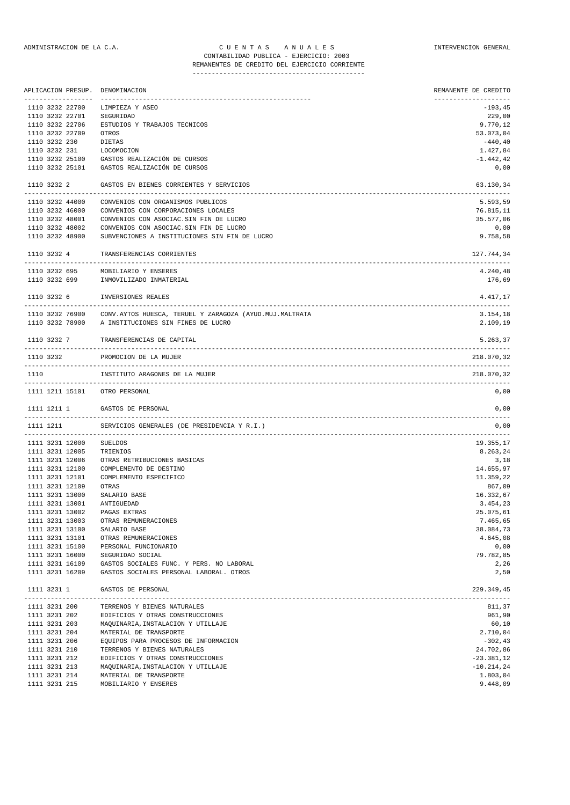## REMANENTES DE CREDITO DEL EJERCICIO CORRIENTE ---------------------------------------------

|               | ------------------                 | APLICACION PRESUP. DENOMINACION                                                     | REMANENTE DE CREDITO<br>-------------------- |
|---------------|------------------------------------|-------------------------------------------------------------------------------------|----------------------------------------------|
|               | 1110 3232 22700                    | LIMPIEZA Y ASEO                                                                     | $-193,45$                                    |
|               | 1110 3232 22701                    | SEGURIDAD                                                                           | 229,00                                       |
|               | 1110 3232 22706                    | ESTUDIOS Y TRABAJOS TECNICOS                                                        | 9.770,12                                     |
|               | 1110 3232 22709                    | OTROS                                                                               | 53.073,04                                    |
| 1110 3232 230 |                                    | DIETAS                                                                              | $-440, 40$                                   |
|               |                                    | 1110 3232 231 LOCOMOCION                                                            | 1.427,84                                     |
|               | 1110 3232 25100                    | GASTOS REALIZACIÓN DE CURSOS                                                        | $-1.442,42$                                  |
|               | 1110 3232 25101                    | GASTOS REALIZACIÓN DE CURSOS                                                        | 0,00                                         |
|               | 1110 3232 2                        | GASTOS EN BIENES CORRIENTES Y SERVICIOS                                             | 63.130,34                                    |
|               | 1110 3232 44000                    | CONVENIOS CON ORGANISMOS PUBLICOS                                                   | 5.593,59                                     |
|               | 1110 3232 46000                    | CONVENIOS CON CORPORACIONES LOCALES                                                 | 76.815,11                                    |
|               | 1110 3232 48001                    | CONVENIOS CON ASOCIAC. SIN FIN DE LUCRO                                             | 35.577,06                                    |
|               | 1110 3232 48002                    |                                                                                     |                                              |
|               |                                    | CONVENIOS CON ASOCIAC. SIN FIN DE LUCRO                                             | 0,00                                         |
|               | 1110 3232 48900                    | SUBVENCIONES A INSTITUCIONES SIN FIN DE LUCRO                                       | 9.758,58                                     |
|               | 1110 3232 4                        | TRANSFERENCIAS CORRIENTES                                                           | 127.744,34                                   |
|               |                                    | 1110 3232 695 MOBILIARIO Y ENSERES                                                  | 4.240,48                                     |
|               | 1110 3232 699                      | INMOVILIZADO INMATERIAL                                                             | 176,69                                       |
|               |                                    | 1110 3232 6 INVERSIONES REALES                                                      | 4.417,17                                     |
|               | 1110 3232 76900                    | CONV. AYTOS HUESCA, TERUEL Y ZARAGOZA (AYUD. MUJ. MALTRATA                          | 3.154,18                                     |
|               |                                    | 1110 3232 78900 A INSTITUCIONES SIN FINES DE LUCRO                                  | 2.109,19                                     |
|               |                                    |                                                                                     |                                              |
|               |                                    | 1110 3232 7 TRANSFERENCIAS DE CAPITAL                                               | 5.263,37                                     |
| 1110 3232     |                                    | PROMOCION DE LA MUJER                                                               | 218.070,32                                   |
| 1110          |                                    | INSTITUTO ARAGONES DE LA MUJER                                                      | 218.070,32                                   |
|               |                                    | 1111 1211 15101 OTRO PERSONAL                                                       | 0,00                                         |
|               |                                    | 1111 1211 1 GASTOS DE PERSONAL                                                      | 0,00                                         |
|               | 1111 1211                          | SERVICIOS GENERALES (DE PRESIDENCIA Y R.I.)                                         | 0,00                                         |
|               | 1111 3231 12000                    | SUELDOS                                                                             | 19.355,17                                    |
|               | 1111 3231 12005                    | TRIENIOS                                                                            | 8.263,24                                     |
|               | 1111 3231 12006                    | OTRAS RETRIBUCIONES BASICAS                                                         | 3,18                                         |
|               | 1111 3231 12100                    | COMPLEMENTO DE DESTINO                                                              | 14.655,97                                    |
|               | 1111 3231 12101                    | COMPLEMENTO ESPECIFICO                                                              | 11.359,22                                    |
|               | 1111 3231 12109                    | OTRAS                                                                               | 867,09                                       |
|               | 1111 3231 13000                    | SALARIO BASE                                                                        | 16.332,67                                    |
|               | 1111 3231 13001                    | ANTIGUEDAD                                                                          | 3.454,23                                     |
|               | 1111 3231 13002                    | PAGAS EXTRAS                                                                        | 25.075,61                                    |
|               | 1111 3231 13003                    | OTRAS REMUNERACIONES                                                                | 7.465,65                                     |
|               | 1111 3231 13100                    | SALARIO BASE                                                                        | 38.084,73                                    |
|               | 1111 3231 13101                    | OTRAS REMUNERACIONES                                                                | 4.645,08                                     |
|               | 1111 3231 15100                    | PERSONAL FUNCIONARIO                                                                | 0,00                                         |
|               |                                    |                                                                                     | 79.782,85                                    |
|               | 1111 3231 16000<br>1111 3231 16109 | SEGURIDAD SOCIAL                                                                    |                                              |
|               | 1111 3231 16209                    | GASTOS SOCIALES FUNC. Y PERS. NO LABORAL<br>GASTOS SOCIALES PERSONAL LABORAL. OTROS | 2,26<br>2,50                                 |
| 1111 3231 1   |                                    | GASTOS DE PERSONAL                                                                  | 229.349,45                                   |
|               |                                    |                                                                                     |                                              |
| 1111 3231 200 |                                    | TERRENOS Y BIENES NATURALES                                                         | 811,37                                       |
| 1111 3231 202 |                                    | EDIFICIOS Y OTRAS CONSTRUCCIONES                                                    | 961,90                                       |
| 1111 3231 203 |                                    | MAQUINARIA, INSTALACION Y UTILLAJE                                                  | 60,10                                        |
| 1111 3231 204 |                                    | MATERIAL DE TRANSPORTE                                                              | 2.710,04                                     |
| 1111 3231 206 |                                    | EQUIPOS PARA PROCESOS DE INFORMACION                                                | $-302, 43$                                   |
| 1111 3231 210 |                                    | TERRENOS Y BIENES NATURALES                                                         | 24.702,86                                    |
| 1111 3231 212 |                                    | EDIFICIOS Y OTRAS CONSTRUCCIONES                                                    | $-23.381,12$                                 |
| 1111 3231 213 |                                    | MAQUINARIA, INSTALACION Y UTILLAJE                                                  | $-10.214,24$                                 |
| 1111 3231 214 |                                    | MATERIAL DE TRANSPORTE                                                              | 1.803,04                                     |
| 1111 3231 215 |                                    | MOBILIARIO Y ENSERES                                                                | 9.448,09                                     |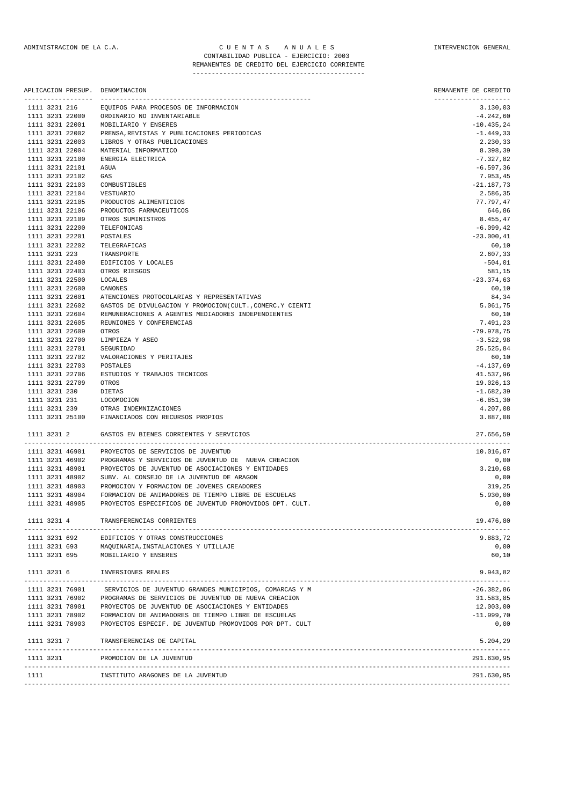## ADMINISTRACION DE LA C.A. CUENTAS ANUALES CONSTANTERVENCION GENERAL CONTABILIDAD PUBLICA - EJERCICIO: 2003 REMANENTES DE CREDITO DEL EJERCICIO CORRIENTE

### --------------------------------------------- APLICACION PRESUP. DENOMINACION REMANENTE DE CREDITO ------------------ ------------------------------------------------------- -------------------- 1111 3231 216 EQUIPOS PARA PROCESOS DE INFORMACION 3.130,03 1111 3231 22000 ORDINARIO NO INVENTARIABLE -4.242,60 1111 3231 22001 MOBILIARIO Y ENSERES -10.435,24 1111 3231 22002 PRENSA,REVISTAS Y PUBLICACIONES PERIODICAS -1.449,33 1111 3231 22003 LIBROS Y OTRAS PUBLICACIONES 2.230,33 MATERIAL INFORMATICO 1111 3231 22100 ENERGIA ELECTRICA -7.327,82<br>1111 3231 22101 AGUA -6.597.36 1111 3231 22101 AGUA -6.597,36 1111 3231 22102 GAS 7.953,45 1111 3231 22103 COMBUSTIBLES -21.187,73 1111 3231 22104 1111 3231 22105 PRODUCTOS ALIMENTICIOS 77.797,47 1111 3231 22106 PRODUCTOS FARMACEUTICOS 646,86 1111 3231 22109 OTROS SUMINISTROS 8.455,47 1111 3231 22200 TELEFONICAS -6.099,42<br>1111 3231 22201 POSTALES -6.099,42 1111 3231 22201 1111 3231 22202 TELEGRAFICAS 60,10 1111 3231 223 TRANSPORTE 2.607,33 1111 3231 22400 EDIFICIOS Y LOCALES -504,01 1111 3231 22403 OTROS RIESGOS 581,15 1111 3231 22500  $1111$  3231 22600 CANONES 60,10 1111 3231 22601 ATENCIONES PROTOCOLARIAS Y REPRESENTATIVAS 84,34 1111 3231 22602 GASTOS DE DIVULGACION Y PROMOCION(CULT.,COMERC.Y CIENTI 5.061,75 1111 3231 22604 REMUNERACIONES A AGENTES MEDIADORES INDEPENDIENTES 60,10 11, 23 REUNIONES Y CONFERENCIAS (7.491), 23<br>12.978.75 (1992), 238.75 (1992), 238.75 (1993), 238.75 (1993), 238.75 (1994), 238.75 (1994), 238.75 1111 3231 22609 - KEONIO.<br>1111 3231 22609 - OTROS 1111 3231 22700 LIMPIEZA Y ASEO -3.522,98 1111 3231 22701 SEGURIDAD 1111 3231 22702 VALORACIONES Y PERITAJES 60,10 1111 3231 22703 POSTALES -4.137,69 1111 3231 22706 ESTUDIOS Y TRABAJOS TECNICOS 41.537,96 1111 3231 22709 OTROS 19.026,13<br>1111 3231 230 DIETAS -- 1.682,39 DIETAS 1111 3231 230 DIETAS 1111 3231 230 DIETAS -1.682,39 1111 3231 231 LOCOMOCION -6.851,30 1111 3231 239 OTRAS INDEMNIZACIONES 4.207,08 1111 3231 25100 FINANCIADOS CON RECURSOS PROPIOS 3.887,08 1111 3231 2 GASTOS EN BIENES CORRIENTES Y SERVICIOS 27.656,59 ------------------------------------------------------------------------------------------------------------------------------- 1111 3231 46901 PROYECTOS DE SERVICIOS DE JUVENTUD 10.016,87 1111 3231 46902 PROGRAMAS Y SERVICIOS DE JUVENTUD DE NUEVA CREACION 0,00 1111 3231 48901 PROYECTOS DE JUVENTUD DE ASOCIACIONES Y ENTIDADES 3.210,68 111 SUBV. AL CONSEJO DE LA JUVENTUD DE ARAGON (OUTRES EN ARAGON) AUTRES EN LA JUVENTUD DE ARAGON (OUTRES EN LA<br>119, 25 DE ONDE LA JUVENTE CERADORES (OUTRES EN LA JUVENTIE EN 1995) (OUTRES EN LA JUVENTIE EN LA JUVENTIE EN 1111 3231 48903 PROMOCION Y FORMACION DE JOVENES CREADORES<br>1111 3231 48904 PORMACION DE ANIMADORES DE TIEMPO LIBRE DE<br>1111 3231 48905 PROYECTOS ESPECIFICOS DE JUVENTUD PROMOVID 1111 3231 48904 FORMACION DE ANIMADORES DE TIEMPO LIBRE DE ESCUELAS 5.930,00 1111 3231 48905 PROYECTOS ESPECIFICOS DE JUVENTUD PROMOVIDOS DPT. CULT. 0,00 1111 3231 4 TRANSFERENCIAS CORRIENTES 19.476,80 ------------------------------------------------------------------------------------------------------------------------------- 1111 3231 692 EDIFICIOS Y OTRAS CONSTRUCCIONES 9.883,72 1111 3231 693 MAQUINARIA,INSTALACIONES Y UTILLAJE 0,00 1111 3231 695 MOBILIARIO Y ENSERES 60,10 1111 3231 6 INVERSIONES REALES 9.943,82 ------------------------------------------------------------------------------------------------------------------------------- 1111 3231 76901 SERVICIOS DE JUVENTUD GRANDES MUNICIPIOS, COMARCAS Y M -26.382,86 1111 3231 76902 PROGRAMAS DE SERVICIOS DE JUVENTUD DE NUEVA CREACION 31.583,85 1111 3231 78901 PROYECTOS DE JUVENTUD DE ASOCIACIONES Y ENTIDADES 12.003,00 1111 3231 78902 FORMACION DE ANIMADORES DE TIEMPO LIBRE DE ESCUELAS -11.999,70 1111 3231 78903 PROYECTOS ESPECIF. DE JUVENTUD PROMOVIDOS POR DPT. CULT 0,00 1111 3231 7 TRANSFERENCIAS DE CAPITAL 6.204,29 ------------------------------------------------------------------------------------------------------------------------------- 1111 3231 PROMOCION DE LA JUVENTUD 291.630,95 ------------------------------------------------------------------------------------------------------------------------------- 1111 **INSTITUTO ARAGONES DE LA JUVENTUD**

 $-1.1$  ,  $-1.1$  ,  $-1.1$  ,  $-1.1$  ,  $-1.1$  ,  $-1.1$  ,  $-1.1$  ,  $-1.1$  ,  $-1.1$  ,  $-1.1$  ,  $-1.1$  ,  $-1.1$  ,  $-1.1$  ,  $-1.1$  ,  $-1.1$  ,  $-1.1$  ,  $-1.1$  ,  $-1.1$  ,  $-1.1$  ,  $-1.1$  ,  $-1.1$  ,  $-1.1$  ,  $-1.1$  ,  $-1.1$  ,  $-1.1$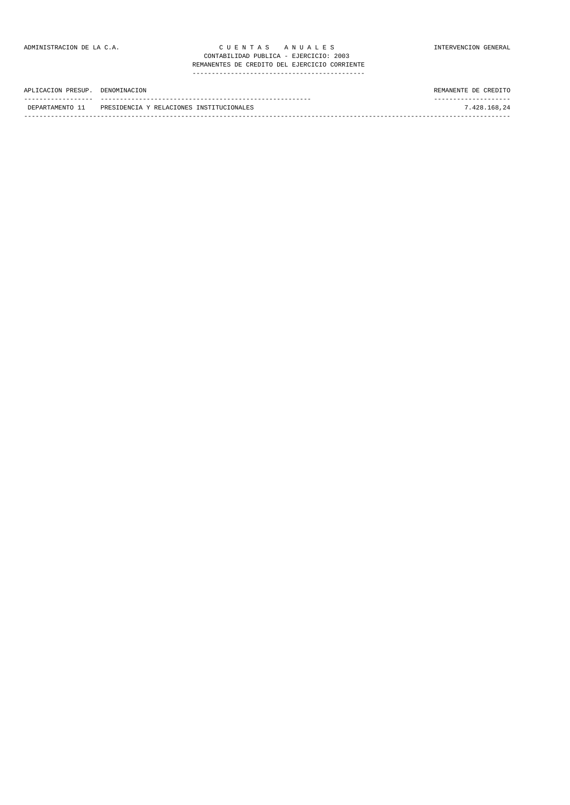| APLICACION PRESUP. DENOMINACION |                                                          | REMANENTE DE CREDITO |
|---------------------------------|----------------------------------------------------------|----------------------|
|                                 | DEPARTAMENTO 11 PRESIDENCIA Y RELACIONES INSTITUCIONALES | 7.428.168.24         |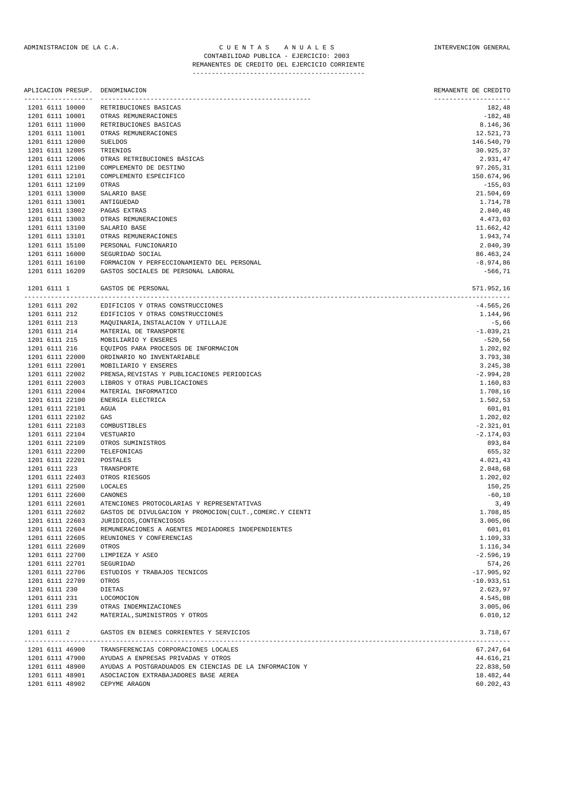| APLICACION PRESUP.<br>----------------- | DENOMINACION<br>---------------------------               | REMANENTE DE CREDITO<br>-------------------- |
|-----------------------------------------|-----------------------------------------------------------|----------------------------------------------|
| 1201 6111 10000                         | RETRIBUCIONES BASICAS                                     | 182,48                                       |
| 1201 6111 10001                         | OTRAS REMUNERACIONES                                      | $-182,48$                                    |
| 1201 6111 11000                         | RETRIBUCIONES BASICAS                                     | 8.146,36                                     |
| 1201 6111 11001                         | OTRAS REMUNERACIONES                                      | 12.521,73                                    |
| 1201 6111 12000                         | <b>SUELDOS</b>                                            | 146.540,79                                   |
| 1201 6111 12005                         | TRIENIOS                                                  | 30.925,37                                    |
| 1201 6111 12006                         | OTRAS RETRIBUCIONES BÁSICAS                               | 2.931,47                                     |
| 1201 6111 12100                         | COMPLEMENTO DE DESTINO                                    | 97.265,31                                    |
| 1201 6111 12101                         | COMPLEMENTO ESPECIFICO                                    | 150.674,96                                   |
| 1201 6111 12109                         | OTRAS                                                     | $-155,03$                                    |
| 1201 6111 13000                         | SALARIO BASE                                              | 21.504,69                                    |
| 1201 6111 13001                         | ANTIGUEDAD                                                | 1.714,78                                     |
| 1201 6111 13002                         | PAGAS EXTRAS                                              | 2.840,48                                     |
| 1201 6111 13003                         | OTRAS REMUNERACIONES                                      | 4.473,03                                     |
| 1201 6111 13100                         | SALARIO BASE                                              | 11.662,42                                    |
| 1201 6111 13101                         | OTRAS REMUNERACIONES                                      | 1.943,74                                     |
| 1201 6111 15100                         | PERSONAL FUNCIONARIO                                      | 2.040,39                                     |
| 1201 6111 16000                         | SEGURIDAD SOCIAL                                          | 86.463,24                                    |
| 1201 6111 16100                         | FORMACION Y PERFECCIONAMIENTO DEL PERSONAL                | $-8.974, 86$                                 |
| 1201 6111 16209                         | GASTOS SOCIALES DE PERSONAL LABORAL                       | $-566, 71$                                   |
| 1201 6111 1                             | GASTOS DE PERSONAL                                        | 571.952,16                                   |
| 1201 6111 202                           | EDIFICIOS Y OTRAS CONSTRUCCIONES                          | $-4.565, 26$                                 |
| 1201 6111 212                           | EDIFICIOS Y OTRAS CONSTRUCCIONES                          | 1.144,96                                     |
| 1201 6111 213                           | MAQUINARIA, INSTALACION Y UTILLAJE                        | $-5,66$                                      |
| 1201 6111 214                           | MATERIAL DE TRANSPORTE                                    | $-1.039, 21$                                 |
| 1201 6111 215                           | MOBILIARIO Y ENSERES                                      | $-520,56$                                    |
| 1201 6111 216                           | EQUIPOS PARA PROCESOS DE INFORMACION                      | 1.202,02                                     |
| 1201 6111 22000                         | ORDINARIO NO INVENTARIABLE                                | 3.793,38                                     |
| 1201 6111 22001                         | MOBILIARIO Y ENSERES                                      | 3.245,38                                     |
| 1201 6111 22002                         | PRENSA, REVISTAS Y PUBLICACIONES PERIODICAS               | $-2.994, 28$                                 |
| 1201 6111 22003                         | LIBROS Y OTRAS PUBLICACIONES                              | 1.160,83                                     |
| 1201 6111 22004                         | MATERIAL INFORMATICO                                      | 1.708,16                                     |
| 1201 6111 22100                         | ENERGIA ELECTRICA                                         | 1.502,53                                     |
| 1201 6111 22101                         | AGUA                                                      | 601,01                                       |
| 1201 6111 22102                         | GAS                                                       | 1.202,02                                     |
| 1201 6111 22103                         | COMBUSTIBLES                                              | $-2.321,01$                                  |
| 1201 6111 22104                         | VESTUARIO                                                 | $-2.174,03$                                  |
| 1201 6111 22109                         | OTROS SUMINISTROS                                         | 893,84                                       |
| 1201 6111 22200                         | TELEFONICAS                                               | 655,32                                       |
| 1201 6111 22201                         | POSTALES                                                  | 4.021,43                                     |
| 1201 6111 223                           | TRANSPORTE                                                | 2.048,68                                     |
| 1201 6111 22403                         | OTROS RIESGOS                                             | 1.202,02                                     |
| 1201 6111 22500                         | <b>LOCALES</b>                                            | 150,25                                       |
|                                         | CANONES                                                   |                                              |
| 1201 6111 22600<br>1201 6111 22601      | ATENCIONES PROTOCOLARIAS Y REPRESENTATIVAS                | $-60, 10$                                    |
| 1201 6111 22602                         |                                                           | 3,49                                         |
|                                         | GASTOS DE DIVULGACION Y PROMOCION (CULT., COMERC.Y CIENTI | 1.708,85                                     |
| 1201 6111 22603                         | JURIDICOS, CONTENCIOSOS                                   | 3.005,06                                     |
| 1201 6111 22604                         | REMUNERACIONES A AGENTES MEDIADORES INDEPENDIENTES        | 601,01                                       |
| 1201 6111 22605                         | REUNIONES Y CONFERENCIAS                                  | 1.109,33                                     |
| 1201 6111 22609                         | OTROS                                                     | 1.116,34                                     |
| 1201 6111 22700                         | LIMPIEZA Y ASEO                                           | $-2.596, 19$                                 |
| 1201 6111 22701                         | SEGURIDAD                                                 | 574,26                                       |
| 1201 6111 22706                         | ESTUDIOS Y TRABAJOS TECNICOS                              | $-17.905,92$                                 |
| 1201 6111 22709                         | OTROS                                                     | $-10.933,51$                                 |
| 1201 6111 230                           | DIETAS                                                    | 2.623,97                                     |
| 1201 6111 231                           | <b>LOCOMOCION</b>                                         | 4.545,08                                     |
| 1201 6111 239                           | OTRAS INDEMNIZACIONES                                     | 3.005,06                                     |
| 1201 6111 242                           | MATERIAL, SUMINISTROS Y OTROS                             | 6.010, 12                                    |
| 1201 6111 2                             | GASTOS EN BIENES CORRIENTES Y SERVICIOS                   | 3.718,67                                     |
| 1201 6111 46900                         | TRANSFERENCIAS CORPORACIONES LOCALES                      | 67.247,64                                    |
| 1201 6111 47900                         | AYUDAS A ENPRESAS PRIVADAS Y OTROS                        | 44.616,21                                    |
| 1201 6111 48900                         | AYUDAS A POSTGRADUADOS EN CIENCIAS DE LA INFORMACION Y    | 22.838,50                                    |
|                                         |                                                           |                                              |

1201 6111 48901 ASOCIACION EXTRABAJADORES BASE AEREA 18.482,44 1201 6111 48902 CEPYME ARAGON 60.202,43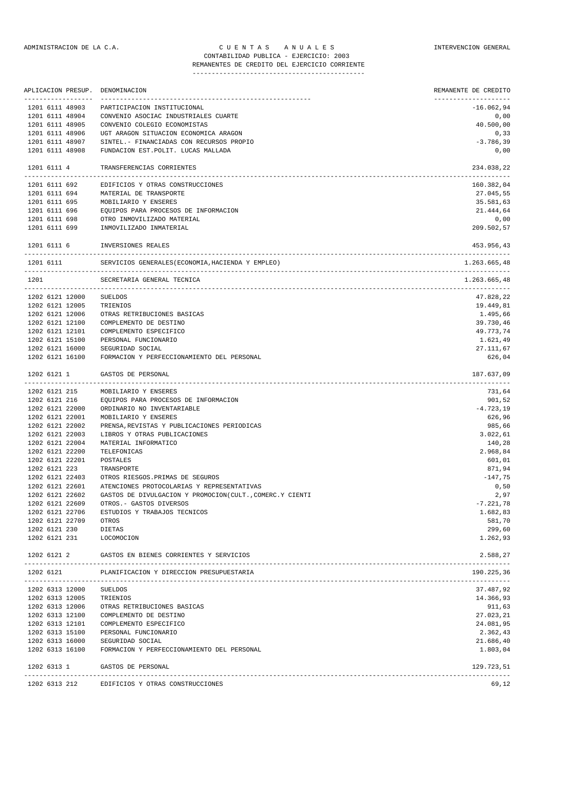|                                 | REMANENTES DE CREDITO DEL EJERCICIO CORRIENTE |                      |
|---------------------------------|-----------------------------------------------|----------------------|
|                                 |                                               |                      |
| APLICACION PRESUP. DENOMINACION |                                               | REMANENTE DE CREDITO |
| 1201 6111 48903                 | PARTICIPACION INSTITUCIONAL                   | $-16.062.94$         |
| 1201 6111 48904                 | CONVENIO ASOCIAC INDUSTRIALES CUARTE          | 0.00                 |
| 1201 6111 48905                 | CONVENIO COLEGIO ECONOMISTAS                  | 40.500,00            |
| $1001711110000$                 | $HOM$ anadox draws drow poolsolites anadox    | 0.22                 |

| 1201 6111 48906<br>1201 6111 48907 | UGT ARAGON SITUACION ECONOMICA ARAGON<br>SINTEL. - FINANCIADAS CON RECURSOS PROPIO | 0, 33<br>$-3.786, 39$ |
|------------------------------------|------------------------------------------------------------------------------------|-----------------------|
| 1201 6111 48908                    | FUNDACION EST. POLIT. LUCAS MALLADA                                                | 0,00                  |
| 1201 6111 4                        | TRANSFERENCIAS CORRIENTES                                                          | 234.038,22            |
| 1201 6111 692                      | EDIFICIOS Y OTRAS CONSTRUCCIONES                                                   | 160.382,04            |
| 1201 6111 694                      | MATERIAL DE TRANSPORTE                                                             | 27.045,55             |
| 1201 6111 695                      | MOBILIARIO Y ENSERES                                                               | 35.581,63             |
| 1201 6111 696                      | EQUIPOS PARA PROCESOS DE INFORMACION                                               | 21.444,64             |
| 1201 6111 698                      | OTRO INMOVILIZADO MATERIAL                                                         | 0,00                  |
| 1201 6111 699                      | INMOVILIZADO INMATERIAL                                                            | 209.502,57            |
| 1201 6111 6                        | INVERSIONES REALES                                                                 | 453.956,43            |
|                                    | 1201 6111 SERVICIOS GENERALES (ECONOMIA, HACIENDA Y EMPLEO)                        | 1.263.665,48          |
| 1201                               | SECRETARIA GENERAL TECNICA                                                         | 1.263.665,48          |
| 1202 6121 12000                    | SUELDOS                                                                            | 47.828,22             |
| 1202 6121 12005                    | TRIENIOS                                                                           | 19.449,81             |
| 1202 6121 12006                    | OTRAS RETRIBUCIONES BASICAS                                                        | 1.495,66              |
| 1202 6121 12100                    | COMPLEMENTO DE DESTINO                                                             | 39.730,46             |
| 1202 6121 12101                    | COMPLEMENTO ESPECIFICO                                                             | 49.773,74             |
| 1202 6121 15100                    | PERSONAL FUNCIONARIO                                                               | 1.621,49              |
| 1202 6121 16000                    | SEGURIDAD SOCIAL                                                                   | 27.111,67             |
| 1202 6121 16100                    | FORMACION Y PERFECCIONAMIENTO DEL PERSONAL                                         | 626,04                |
| 1202 6121 1                        | GASTOS DE PERSONAL                                                                 | 187.637,09            |
|                                    | 1202 6121 215 MOBILIARIO Y ENSERES                                                 | 731,64                |
|                                    | 1202 6121 216 EQUIPOS PARA PROCESOS DE INFORMACION                                 | 901,52                |
| 1202 6121 22000                    | ORDINARIO NO INVENTARIABLE                                                         | $-4.723,19$           |
| 1202 6121 22001                    | MOBILIARIO Y ENSERES                                                               | 626,96                |
| 1202 6121 22002                    | PRENSA, REVISTAS Y PUBLICACIONES PERIODICAS                                        | 985,66                |
| 1202 6121 22003                    | LIBROS Y OTRAS PUBLICACIONES                                                       | 3.022,61              |
| 1202 6121 22004                    | MATERIAL INFORMATICO                                                               | 140,28                |
| 1202 6121 22200                    | TELEFONICAS                                                                        | 2.968,84              |

| 1202 6121 22609          | OTROS.- GASTOS DIVERSOS                             | $-7.221,78$ |
|--------------------------|-----------------------------------------------------|-------------|
| 1202 6121 22706          | ESTUDIOS Y TRABAJOS TECNICOS                        | 1.682,83    |
| 1202 6121 22709          | OTROS                                               | 581,70      |
| 1202 6121 230            | DIETAS                                              | 299,60      |
| 1202 6121 231 LOCOMOCION |                                                     | 1.262,93    |
|                          | 1202 6121 2 GASTOS EN BIENES CORRIENTES Y SERVICIOS | 2.588,27    |
|                          | 1202 6121 PLANIFICACION Y DIRECCION PRESUPUESTARIA  | 190.225,36  |
| 1202 6313 12000          | SUELDOS                                             | 37.487,92   |
| 1202 6313 12005          | TRIENIOS                                            | 14.366,93   |
| 1202 6313 12006          | OTRAS RETRIBUCIONES BASICAS                         | 911,63      |
| 1202 6313 12100          | COMPLEMENTO DE DESTINO                              | 27.023,21   |
| 1202 6313 12101          | COMPLEMENTO ESPECIFICO                              | 24.081,95   |
| 1202 6313 15100          | PERSONAL FUNCIONARIO                                | 2.362,43    |
| 1202 6313 16000          | SEGURIDAD SOCIAL                                    | 21.686,40   |
| 1202 6313 16100          | FORMACION Y PERFECCIONAMIENTO DEL PERSONAL          | 1.803,04    |
|                          | 1202 6313 1 GASTOS DE PERSONAL                      | 129.723,51  |
|                          | 1202 6313 212 EDIFICIOS Y OTRAS CONSTRUCCIONES      | 69,12       |

1202 6121 22201 POSTALES 601,01 1202 6121 223 TRANSPORTE 871,94 1202 6121 22403 OTROS RIESGOS.PRIMAS DE SEGUROS -147,75 1202 6121 22601 ATENCIONES PROTOCOLARIAS Y REPRESENTATIVAS 0,50 1202 6121 22602 GASTOS DE DIVULGACION Y PROMOCION(CULT.,COMERC.Y CIENTI 2,97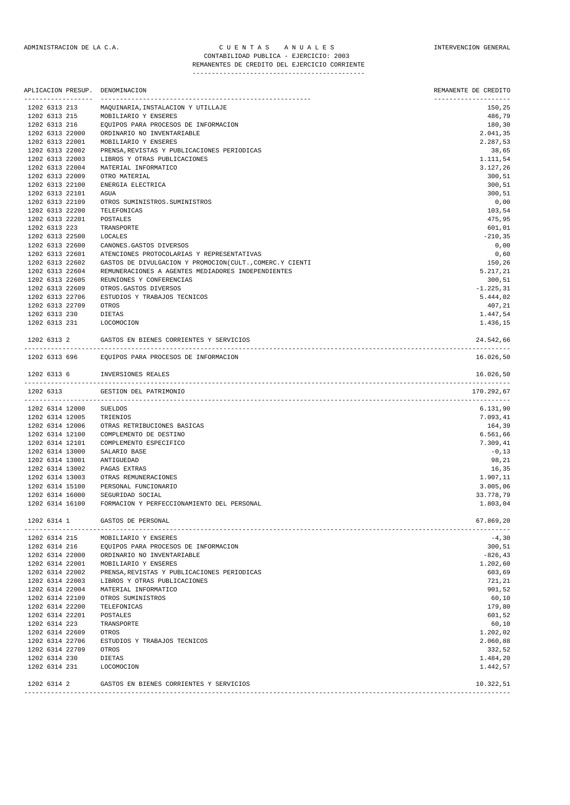### ADMINISTRACION DE LA C.A. C U E N T A S A N U A L E S INTERVENCION GENERAL CONTABILIDAD PUBLICA - EJERCICIO: 2003 REMANENTES DE CREDITO DEL EJERCICIO CORRIENTE

|                                     | APLICACION PRESUP. DENOMINACION                          | REMANENTE DE CREDITO           |
|-------------------------------------|----------------------------------------------------------|--------------------------------|
| ------------------<br>1202 6313 213 | MAQUINARIA, INSTALACION Y UTILLAJE                       | --------------------<br>150,25 |
| 1202 6313 215                       | MOBILIARIO Y ENSERES                                     | 486,79                         |
| 1202 6313 216                       | EQUIPOS PARA PROCESOS DE INFORMACION                     | 180,30                         |
| 1202 6313 22000                     | ORDINARIO NO INVENTARIABLE                               | 2.041,35                       |
| 1202 6313 22001                     | MOBILIARIO Y ENSERES                                     | 2.287,53                       |
| 1202 6313 22002                     | PRENSA, REVISTAS Y PUBLICACIONES PERIODICAS              | 38,65                          |
| 1202 6313 22003                     | LIBROS Y OTRAS PUBLICACIONES                             | 1.111,54                       |
| 1202 6313 22004                     | MATERIAL INFORMATICO                                     | 3.127,26                       |
| 1202 6313 22009                     | OTRO MATERIAL                                            | 300,51                         |
| 1202 6313 22100                     | ENERGIA ELECTRICA                                        | 300,51                         |
| 1202 6313 22101                     | AGUA                                                     | 300, 51                        |
| 1202 6313 22109                     | OTROS SUMINISTROS. SUMINISTROS                           | 0,00                           |
| 1202 6313 22200                     | TELEFONICAS                                              | 103,54                         |
| 1202 6313 22201                     | POSTALES                                                 | 475,95                         |
| 1202 6313 223                       | TRANSPORTE                                               | 601,01                         |
| 1202 6313 22500                     | LOCALES                                                  | $-210, 35$                     |
| 1202 6313 22600                     | CANONES. GASTOS DIVERSOS                                 | 0,00                           |
| 1202 6313 22601                     | ATENCIONES PROTOCOLARIAS Y REPRESENTATIVAS               | 0,60                           |
| 1202 6313 22602                     | GASTOS DE DIVULGACION Y PROMOCION(CULT., COMERC.Y CIENTI | 150,26                         |
| 1202 6313 22604                     | REMUNERACIONES A AGENTES MEDIADORES INDEPENDIENTES       | 5.217,21                       |
| 1202 6313 22605                     | REUNIONES Y CONFERENCIAS                                 | 300,51                         |
| 1202 6313 22609                     | OTROS.GASTOS DIVERSOS                                    | $-1.225, 31$                   |
| 1202 6313 22706                     | ESTUDIOS Y TRABAJOS TECNICOS                             | 5.444,02                       |
| 1202 6313 22709                     | OTROS                                                    | 407,21                         |
| 1202 6313 230                       | DIETAS                                                   | 1.447,54                       |
|                                     | 1202 6313 231 LOCOMOCION                                 | 1.436,15                       |
|                                     | 1202 6313 2 GASTOS EN BIENES CORRIENTES Y SERVICIOS      | 24.542,66                      |
|                                     | 1202 6313 696 EQUIPOS PARA PROCESOS DE INFORMACION       | 16.026,50                      |
| 1202 6313 6                         | INVERSIONES REALES                                       | 16.026,50                      |
| 1202 6313                           | GESTION DEL PATRIMONIO                                   | 170.292,67                     |
| 1202 6314 12000                     | SUELDOS                                                  | 6.131,90                       |
| 1202 6314 12005                     | TRIENIOS                                                 | 7.093,41                       |
| 1202 6314 12006                     | OTRAS RETRIBUCIONES BASICAS                              | 164,39                         |
| 1202 6314 12100                     | COMPLEMENTO DE DESTINO                                   | 6.561,66                       |
| 1202 6314 12101                     | COMPLEMENTO ESPECIFICO                                   | 7.309,41                       |
| 1202 6314 13000                     | SALARIO BASE                                             | $-0,13$                        |
| 1202 6314 13001                     | ANTIGUEDAD                                               | 98,21                          |
| 1202 6314 13002                     | PAGAS EXTRAS                                             | 16,35                          |
| 1202 6314 13003                     | OTRAS REMUNERACIONES                                     | 1.907,11                       |
| 1202 6314 15100                     | PERSONAL FUNCIONARIO                                     | 3.005,06                       |
| 1202 6314 16000                     | SEGURIDAD SOCIAL                                         | 33.778,79                      |
| 1202 6314 16100                     | FORMACION Y PERFECCIONAMIENTO DEL PERSONAL               | 1.803,04                       |
| 1202 6314 1                         | GASTOS DE PERSONAL                                       | 67.869,20                      |
| 1202 6314 215                       | MOBILIARIO Y ENSERES                                     | $-4,30$                        |
| 1202 6314 216                       | EQUIPOS PARA PROCESOS DE INFORMACION                     | 300, 51                        |
| 1202 6314 22000                     | ORDINARIO NO INVENTARIABLE                               | $-826, 43$                     |
| 1202 6314 22001                     | MOBILIARIO Y ENSERES                                     | 1.202,60                       |
| 1202 6314 22002                     | PRENSA, REVISTAS Y PUBLICACIONES PERIODICAS              | 603,69                         |
| 1202 6314 22003                     | LIBROS Y OTRAS PUBLICACIONES                             | 721,21                         |
| 1202 6314 22004                     | MATERIAL INFORMATICO                                     | 901,52                         |
| 1202 6314 22109                     | OTROS SUMINISTROS                                        | 60, 10                         |

| 1404 0314 415   | MORIPTUKIO I ENSEKES                        | -4,30      |
|-----------------|---------------------------------------------|------------|
| 1202 6314 216   | EQUIPOS PARA PROCESOS DE INFORMACION        | 300,51     |
| 1202 6314 22000 | ORDINARIO NO INVENTARIABLE                  | $-826, 43$ |
| 1202 6314 22001 | MOBILIARIO Y ENSERES                        | 1.202,60   |
| 1202 6314 22002 | PRENSA, REVISTAS Y PUBLICACIONES PERIODICAS | 603,69     |
| 1202 6314 22003 | LIBROS Y OTRAS PUBLICACIONES                | 721,21     |
| 1202 6314 22004 | MATERIAL INFORMATICO                        | 901,52     |
| 1202 6314 22109 | OTROS SUMINISTROS                           | 60,10      |
| 1202 6314 22200 | TELEFONICAS                                 | 179,80     |
| 1202 6314 22201 | POSTALES                                    | 601,52     |
| 1202 6314 223   | TRANSPORTE                                  | 60,10      |
| 1202 6314 22609 | OTROS                                       | 1.202,02   |
| 1202 6314 22706 | ESTUDIOS Y TRABAJOS TECNICOS                | 2.060,88   |
| 1202 6314 22709 | OTROS                                       | 332,52     |
| 1202 6314 230   | DIETAS                                      | 1.484,20   |
| 1202 6314 231   | LOCOMOCION                                  | 1.442,57   |
| 1202 6314 2     | GASTOS EN BIENES CORRIENTES Y SERVICIOS     | 10.322,51  |

-------------------------------------------------------------------------------------------------------------------------------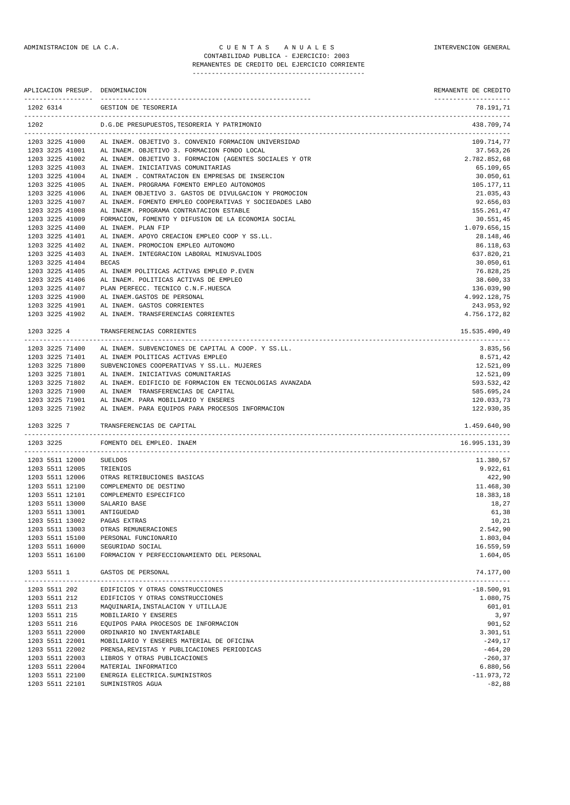### ADMINISTRACION DE LA C.A. CUENTAS ANUALES CONSTANTERVENCION GENERAL CONTABILIDAD PUBLICA - EJERCICIO: 2003 REMANENTES DE CREDITO DEL EJERCICIO CORRIENTE

--------------------------------------------- APLICACION PRESUP. DENOMINACION REMANENTE DE CREDITO ------------------ ------------------------------------------------------- -------------------- 1202 6314 GESTION DE TESORERIA 78.191,71 ------------------------------------------------------------------------------------------------------------------------------- 1202 D.G.DE PRESUPUESTOS,TESORERIA Y PATRIMONIO 438.709,74 ------------------------------------------------------------------------------------------------------------------------------- 1203 3225 41000 AL INAEM. OBJETIVO 3. CONVENIO FORMACION UNIVERSIDAD 109.714,77<br>1203 3225 41001 AL INAEM. OBJETIVO 3. FORMACION FONDO LOCAL AL INAEM. OBJETIVO 3. FORMACION FONDO LOCAL 1203 3225 41002 AL INAEM. OBJETIVO 3. FORMACION (AGENTES SOCIALES Y OTR 2.782.852,68 1203 3225 41003 AL INAEM. INICIATIVAS COMUNITARIAS 65.109,65 1203 3225 41004 AL INAEM . CONTRATACION EN EMPRESAS DE INSERCION 30.050,61 1203 3225 41005 AL INAEM. PROGRAMA FOMENTO EMPLEO AUTONOMOS<br>1203 3225 41006 AL INAEM OBJETIVO 3. GASTOS DE DIVILGACION Y PROMOCION 1000 1000 1000 1000 21.035.43 AL INAEM OBJETIVO 3. GASTOS DE DIVULGACION Y PROMOCION 1203 3225 41007 AL INAEM. FOMENTO EMPLEO COOPERATIVAS Y SOCIEDADES LABO 92.656,03 1203 3225 41008 AL INAEM. PROGRAMA CONTRATACION ESTABLE 155.261,47 1203 3225 41009 FORMACION, FOMENTO Y DIFUSION DE LA ECONOMIA SOCIAL 1203 3225 41400 AL INAEM. PLAN FIP 1.079.656,15 AL INAEM. APOYO CREACION EMPLEO COOP Y SS.LL. 1203 3225 11101 THE INNER, INCHO CREATION EMPLEO COOL 1 BB.EE.<br>1203 3225 41402 AL INAEM. PROMOCION EMPLEO AUTONOMO 86.118,63 1203 3225 41403 AL INAEM. INTEGRACION LABORAL MINUSVALIDOS 637.820,21 1203 3225 41404 BECAS 30.050,61 1203 3225 41405 AL INAEM POLITICAS ACTIVAS EMPLEO P.EVEN 76.828,25 1203 3225 41406 AL INAEM. POLITICAS ACTIVAS DE EMPLEO 38.600,33 1203 3225 41400 AD INAEM. PODITICAS ACTIVAS DE EMPLEO<br>1203 3225 41407 PLAN PERFECC. TECNICO C.N.F.HUESCA 136.039,90 1203 3225 41900 AL INAEM.GASTOS DE PERSONAL 4.992.128,75 1203 3225 41901 AL INAEM. GASTOS CORRIENTES 243.953,92 1203 3225 41902 AL INAEM. TRANSFERENCIAS CORRIENTES 4.756.172,82 1203 3225 4 TRANSFERENCIAS CORRIENTES 15.535.490,49 ------------------------------------------------------------------------------------------------------------------------------- 1203 3225 71400 AL INAEM. SUBVENCIONES DE CAPITAL A COOP. Y SS.LL. 3.835,56 1203 3225 71401 AL INAEM POLITICAS ACTIVAS EMPLEO 8.571,42 1203 3225 71800 SUBVENCIONES COOPERATIVAS Y SS.LL. MUJERES 12.521,09

1203 3225 71801 AL INAEM. INICIATIVAS COMUNITARIAS 12.521,09 1203 3225 71802 AL INAEM. EDIFICIO DE FORMACION EN TECNOLOGIAS AVANZADA 593.532,42 1203 3225 71900 AL INAEM TRANSFERENCIAS DE CAPITAL 585.695,24 1203 3225 71901 AL INAEM. PARA MOBILIARIO Y ENSERES 120.033,73 1203 3225 71902 AL INAEM. PARA EQUIPOS PARA PROCESOS INFORMACION 122.930,35 1203 3225 7 TRANSFERENCIAS DE CAPITAL 1.459.640,90 ------------------------------------------------------------------------------------------------------------------------------- 1203 3225 FOMENTO DEL EMPLEO. INAEM ------------------------------------------------------------------------------------------------------------------------------- 1203 5511 12000 SUELDOS 11.380,57<br>1203 5511 12005 TRIENIOS 11.380,57 بالمستخدمة المستخدمة المستخدمة المستخدمة المستخدمة المستخدمة المستخدمة المس 1203 5511 12005 TRIENIOS<br>1203 5511 12006 OTRAS RET 120,90 51 120,90 551 120,90 551 120,90 551 120,90 551 120,90 551 120,90 551 120,90 551 120,90 551 120,90 551 1<br>11 168 30 60 551 1300 551 1300 551 1300 551 1300 551 1300 551 1300 551 1300 551 1300 551 1300 551 1300 551 130 1203 5511 12100 COMPLEMENTO DE DESTINO 11.468,30 1203 5511 12101 COMPLEMENTO ESPECIFICO 18.383,18  $1203$  5511 13000 SALARIO BASE  $18,27$ 1203 5511 13001 ANTIGUEDAD 61,38 1203 5511 13002 PAGAS EXTRAS 10,21 1.000 PAGAS EXTRAS 10,21 1.000 PAGAS EXTRAS 10,21 1.000 PAGAS EXTRAS 10,21 1.000 PAGAS EXTRAS 10,21 1.000 PAGAS EXTRAS 10,21 1.000 PAGAS EXTRAS 10.01 1.000 PAGAS EXTRAS 10.01 1.000 PAGAS 1203 5511 13003 OTRAS REMUNERACIONES 1203 5511 15100 PERSONAL FUNCIONARIO 1.803,04 1203 5511 16000 SEGURIDAD SOCIAL 16.559,59 1203 5511 16100 FORMACION Y PERFECCIONAMIENTO DEL PERSONAL 1.604,05 1203 5511 1 GASTOS DE PERSONAL 74.177,00 ------------------------------------------------------------------------------------------------------------------------------- 1203 5511 202 EDIFICIOS Y OTRAS CONSTRUCCIONES -18.500,91 1203 5511 212 EDIFICIOS Y OTRAS CONSTRUCCIONES 1.080,75 1203 5511 213 MAQUINARIA,INSTALACION Y UTILLAJE 601,01 1203 5511 215 MOBILIARIO Y ENSERES 3,97 1203 5511 216 EQUIPOS PARA PROCESOS DE INFORMACION 901,52 1203 5511 22000 ORDINARIO NO INVENTARIABLE 3.301,51 1203 5511 22001 MOBILIARIO Y ENSERES MATERIAL DE OFICINA -249,17 1203 5511 22002 PRENSA,REVISTAS Y PUBLICACIONES PERIODICAS -464,20<br>1203 5511 22003 LIBROS Y OTRAS PUBLICACIONES 1203 5511 22003 LIBROS Y OTRAS PUBLICACIONES -260,37 1203 5511 22004 MATERIAL INFORMATICO 6.880,56 1203 5511 22100 ENERGIA ELECTRICA.SUMINISTROS -11.973,72

1203 5511 22101 SUMINISTROS AGUA -82,88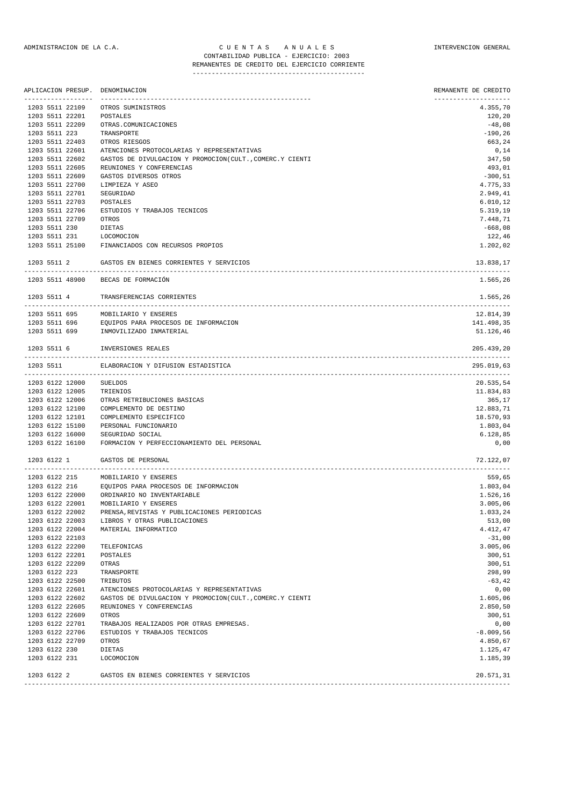|                                       | APLICACION PRESUP. DENOMINACION                                | REMANENTE DE CREDITO             |
|---------------------------------------|----------------------------------------------------------------|----------------------------------|
| ------------------<br>1203 5511 22109 | OTROS SUMINISTROS                                              | --------------------<br>4.355,70 |
| 1203 5511 22201                       | POSTALES                                                       | 120,20                           |
| 1203 5511 22209                       | OTRAS. COMUNICACIONES                                          | $-48,08$                         |
| 1203 5511 223                         | TRANSPORTE                                                     | $-190, 26$                       |
| 1203 5511 22403                       | OTROS RIESGOS                                                  | 663,24                           |
| 1203 5511 22601                       | ATENCIONES PROTOCOLARIAS Y REPRESENTATIVAS                     | 0,14                             |
| 1203 5511 22602                       | GASTOS DE DIVULGACION Y PROMOCION(CULT., COMERC.Y CIENTI       | 347,50                           |
|                                       |                                                                |                                  |
| 1203 5511 22605                       | REUNIONES Y CONFERENCIAS                                       | 493,01                           |
| 1203 5511 22609                       | GASTOS DIVERSOS OTROS                                          | $-300,51$                        |
| 1203 5511 22700                       | LIMPIEZA Y ASEO                                                | 4.775,33                         |
| 1203 5511 22701                       | SEGURIDAD                                                      | 2.949,41                         |
| 1203 5511 22703                       | POSTALES                                                       | 6.010, 12                        |
| 1203 5511 22706                       | ESTUDIOS Y TRABAJOS TECNICOS                                   | 5.319,19                         |
| 1203 5511 22709                       | OTROS                                                          | 7.448,71                         |
| 1203 5511 230                         | DIETAS                                                         | $-668,08$                        |
| 1203 5511 231                         | LOCOMOCION                                                     | 122,46                           |
| 1203 5511 25100                       | FINANCIADOS CON RECURSOS PROPIOS                               | 1.202,02                         |
| 1203 5511 2                           | GASTOS EN BIENES CORRIENTES Y SERVICIOS                        | 13.838,17                        |
|                                       | 1203 5511 48900 BECAS DE FORMACIÓN                             | 1.565,26                         |
| 1203 5511 4                           | TRANSFERENCIAS CORRIENTES                                      | 1.565,26                         |
|                                       |                                                                | -------------------------        |
|                                       | 1203 5511 695 MOBILIARIO Y ENSERES                             | 12.814,39                        |
|                                       |                                                                | 141.498,35                       |
|                                       |                                                                | 51.126,46                        |
| 1203 5511 6                           | INVERSIONES REALES                                             | 205.439,20                       |
| 1203 5511                             | ELABORACION Y DIFUSION ESTADISTICA                             | 295.019,63                       |
| 1203 6122 12000                       | SUELDOS                                                        | 20.535,54                        |
| 1203 6122 12005                       | TRIENIOS                                                       | 11.834,83                        |
| 1203 6122 12006                       | OTRAS RETRIBUCIONES BASICAS                                    | 365,17                           |
| 1203 6122 12100                       | COMPLEMENTO DE DESTINO                                         | 12.883,71                        |
| 1203 6122 12101                       | COMPLEMENTO ESPECIFICO                                         | 18.570,93                        |
| 1203 6122 15100                       | PERSONAL FUNCIONARIO                                           | 1.803,04                         |
|                                       |                                                                |                                  |
| 1203 6122 16000<br>1203 6122 16100    | SEGURIDAD SOCIAL<br>FORMACION Y PERFECCIONAMIENTO DEL PERSONAL | 6.128,85<br>0,00                 |
| 1203 6122 1                           | GASTOS DE PERSONAL                                             | 72.122,07                        |
|                                       |                                                                |                                  |
|                                       | 1203 6122 215 MOBILIARIO Y ENSERES                             | 559,65                           |
| 1203 6122 216                         | EQUIPOS PARA PROCESOS DE INFORMACION                           | 1.803,04                         |
| 1203 6122 22000                       | ORDINARIO NO INVENTARIABLE                                     | 1.526,16                         |
| 1203 6122 22001                       | MOBILIARIO Y ENSERES                                           | 3.005,06                         |
| 1203 6122 22002                       | PRENSA, REVISTAS Y PUBLICACIONES PERIODICAS                    | 1.033,24                         |
| 1203 6122 22003                       | LIBROS Y OTRAS PUBLICACIONES                                   | 513,00                           |
| 1203 6122 22004                       | MATERIAL INFORMATICO                                           | 4.412,47                         |
| 1203 6122 22103                       |                                                                | $-31,00$                         |
| 1203 6122 22200                       | TELEFONICAS                                                    | 3.005,06                         |
| 1203 6122 22201                       | POSTALES                                                       | 300,51                           |
| 1203 6122 22209                       | OTRAS                                                          | 300,51                           |
|                                       |                                                                |                                  |
| 1203 6122 223                         | TRANSPORTE                                                     | 298,99                           |
| 1203 6122 22500                       | TRIBUTOS                                                       | $-63, 42$                        |
| 1203 6122 22601                       | ATENCIONES PROTOCOLARIAS Y REPRESENTATIVAS                     | 0,00                             |
| 1203 6122 22602                       | GASTOS DE DIVULGACION Y PROMOCION(CULT., COMERC.Y CIENTI       | 1.605,06                         |
| 1203 6122 22605                       | REUNIONES Y CONFERENCIAS                                       | 2.850,50                         |
| 1203 6122 22609                       | OTROS                                                          | 300,51                           |
| 1203 6122 22701                       | TRABAJOS REALIZADOS POR OTRAS EMPRESAS.                        | 0,00                             |
| 1203 6122 22706                       | ESTUDIOS Y TRABAJOS TECNICOS                                   | $-8.009,56$                      |
| 1203 6122 22709                       | OTROS                                                          | 4.850,67                         |
| 1203 6122 230                         | DIETAS                                                         | 1.125,47                         |
| 1203 6122 231                         | LOCOMOCION                                                     | 1.185,39                         |
|                                       |                                                                |                                  |

1203 6122 2 GASTOS EN BIENES CORRIENTES Y SERVICIOS 20.571,31 -------------------------------------------------------------------------------------------------------------------------------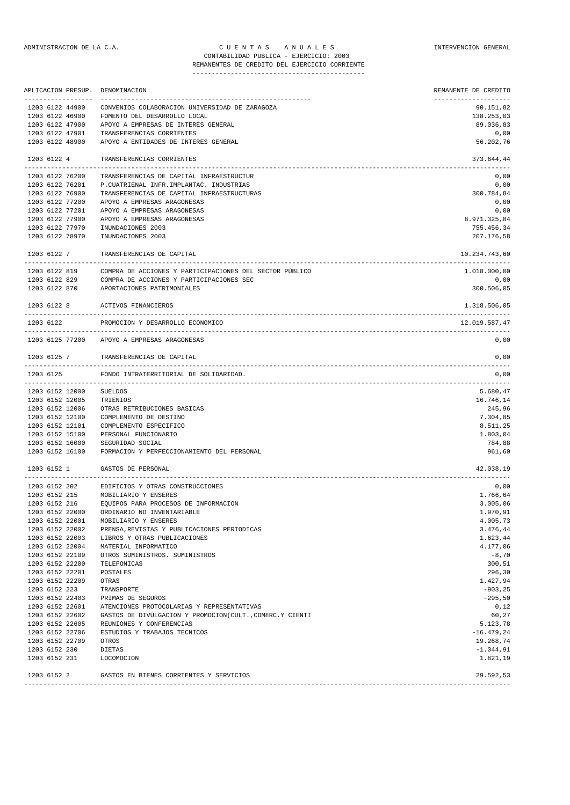REMANENTES DE CREDITO DEL EJERCICIO CORRIENTE --------------------------------------------- APLICACION PRESUP. DENOMINACION REMANENTE DE CREDITO ------------------ ------------------------------------------------------- -------------------- 1203 6122 44900 CONVENIOS COLABORACION UNIVERSIDAD DE ZARAGOZA

|               | 1203 6122 46900 | FOMENTO DEL DESARROLLO LOCAL                                          | 138.253,03    |
|---------------|-----------------|-----------------------------------------------------------------------|---------------|
|               | 1203 6122 47900 | APOYO A EMPRESAS DE INTERES GENERAL                                   | 89.036,83     |
|               | 1203 6122 47901 | TRANSFERENCIAS CORRIENTES                                             | 0,00          |
|               | 1203 6122 48900 | APOYO A ENTIDADES DE INTERES GENERAL                                  | 56.202,76     |
|               |                 |                                                                       |               |
| 1203 6122 4   |                 | TRANSFERENCIAS CORRIENTES                                             | 373.644,44    |
|               | 1203 6122 76200 | TRANSFERENCIAS DE CAPITAL INFRAESTRUCTUR                              | 0,00          |
|               | 1203 6122 76201 | P. CUATRIENAL INFR. IMPLANTAC. INDUSTRIAS                             | 0,00          |
|               | 1203 6122 76900 | TRANSFERENCIAS DE CAPITAL INFRAESTRUCTURAS                            | 300.784,84    |
|               | 1203 6122 77200 | APOYO A EMPRESAS ARAGONESAS                                           | 0,00          |
|               | 1203 6122 77201 | APOYO A EMPRESAS ARAGONESAS                                           | 0,00          |
|               | 1203 6122 77900 |                                                                       |               |
|               |                 | APOYO A EMPRESAS ARAGONESAS                                           | 8.971.325,84  |
|               | 1203 6122 77970 | INUNDACIONES 2003                                                     | 755.456,34    |
|               | 1203 6122 78970 | INUNDACIONES 2003                                                     | 207.176,58    |
|               | 1203 6122 7     | TRANSFERENCIAS DE CAPITAL                                             | 10.234.743,60 |
|               |                 | 1203 6122 819 COMPRA DE ACCIONES Y PARTICIPACIONES DEL SECTOR PÚBLICO | 1.018.000,00  |
|               | 1203 6122 829   | COMPRA DE ACCIONES Y PARTICIPACIONES SEC                              | 0,00          |
|               |                 | 1203 6122 870 APORTACIONES PATRIMONIALES                              | 300.506,05    |
|               |                 | 1203 6122 8 ACTIVOS FINANCIEROS                                       | 1.318.506,05  |
| 1203 6122     |                 | PROMOCION Y DESARROLLO ECONOMICO                                      | 12.019.587,47 |
|               |                 | 1203 6125 77200 APOYO A EMPRESAS ARAGONESAS                           | 0,00          |
|               |                 | 1203 6125 7 TRANSFERENCIAS DE CAPITAL                                 | 0,00          |
| 1203 6125     |                 | FONDO INTRATERRITORIAL DE SOLIDARIDAD.                                | 0,00          |
|               |                 |                                                                       |               |
|               | 1203 6152 12000 | SUELDOS                                                               | 5.680,47      |
|               | 1203 6152 12005 | TRIENIOS                                                              | 16.746,14     |
|               | 1203 6152 12006 | OTRAS RETRIBUCIONES BASICAS                                           | 245,96        |
|               | 1203 6152 12100 | COMPLEMENTO DE DESTINO                                                | 7.304,85      |
|               | 1203 6152 12101 | COMPLEMENTO ESPECIFICO                                                | 8.511,25      |
|               | 1203 6152 15100 | PERSONAL FUNCIONARIO                                                  | 1.803,04      |
|               | 1203 6152 16000 | SEGURIDAD SOCIAL                                                      | 784,88        |
|               | 1203 6152 16100 | FORMACION Y PERFECCIONAMIENTO DEL PERSONAL                            | 961,60        |
|               |                 |                                                                       |               |
| 1203 6152 1   |                 | GASTOS DE PERSONAL                                                    | 42.038,19     |
|               | 1203 6152 202   | EDIFICIOS Y OTRAS CONSTRUCCIONES                                      | 0,00          |
|               | 1203 6152 215   | MOBILIARIO Y ENSERES                                                  | 1.766,64      |
| 1203 6152 216 |                 | EQUIPOS PARA PROCESOS DE INFORMACION                                  | 3.005,06      |
|               | 1203 6152 22000 | ORDINARIO NO INVENTARIABLE                                            | 1.970,91      |
|               | 1203 6152 22001 | MOBILIARIO Y ENSERES                                                  | 4.005,73      |
|               | 1203 6152 22002 | PRENSA, REVISTAS Y PUBLICACIONES PERIODICAS                           | 3.476,44      |
|               | 1203 6152 22003 |                                                                       |               |
|               |                 | LIBROS Y OTRAS PUBLICACIONES                                          | 1.623,44      |
|               | 1203 6152 22004 | MATERIAL INFORMATICO                                                  | 4.177,06      |
|               | 1203 6152 22109 | OTROS SUMINISTROS. SUMINISTROS                                        | $-8,70$       |
|               | 1203 6152 22200 | TELEFONICAS                                                           | 300,51        |
|               | 1203 6152 22201 | POSTALES                                                              | 296,30        |
|               | 1203 6152 22209 | OTRAS                                                                 | 1.427,94      |
| 1203 6152 223 |                 | TRANSPORTE                                                            | $-903, 25$    |
|               | 1203 6152 22403 | PRIMAS DE SEGUROS                                                     | $-295,50$     |
|               | 1203 6152 22601 | ATENCIONES PROTOCOLARIAS Y REPRESENTATIVAS                            | 0,12          |
|               | 1203 6152 22602 | GASTOS DE DIVULGACION Y PROMOCION(CULT., COMERC.Y CIENTI              | 60,27         |
|               | 1203 6152 22605 | REUNIONES Y CONFERENCIAS                                              | 5.123,78      |
|               | 1203 6152 22706 | ESTUDIOS Y TRABAJOS TECNICOS                                          | $-16.479,24$  |
|               | 1203 6152 22709 | OTROS                                                                 | 19.268,74     |
| 1203 6152 230 |                 | DIETAS                                                                | $-1.044,91$   |
|               | 1203 6152 231   | LOCOMOCION                                                            | 1.821,19      |
| 1203 6152 2   |                 | GASTOS EN BIENES CORRIENTES Y SERVICIOS                               | 29.592,53     |
|               |                 |                                                                       |               |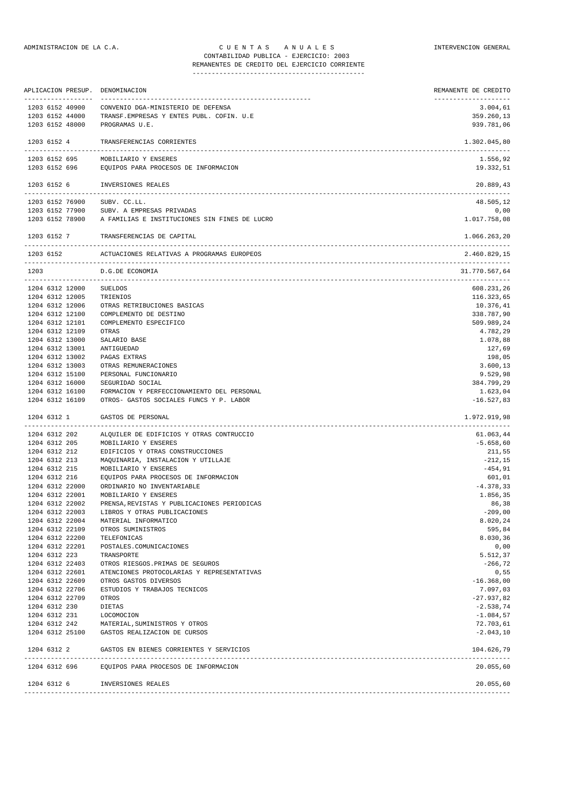## ADMINISTRACION DE LA C.A. CUENTAS ANUALES COMPUNISTRACION GENERAL CONTABILIDAD PUBLICA - EJERCICIO: 2003

REMANENTES DE CREDITO DEL EJERCICIO CORRIENTE ---------------------------------------------

| APLICACION PRESUP. DENOMINACION      |                                                                                       | REMANENTE DE CREDITO                 |
|--------------------------------------|---------------------------------------------------------------------------------------|--------------------------------------|
| -----------------<br>1203 6152 40900 | -------------<br>CONVENIO DGA-MINISTERIO DE DEFENSA                                   | -------------------<br>3.004,61      |
| 1203 6152 44000                      | TRANSF.EMPRESAS Y ENTES PUBL. COFIN. U.E                                              | 359.260,13                           |
| 1203 6152 48000                      | PROGRAMAS U.E.                                                                        | 939.781,06                           |
| 1203 6152 4                          | TRANSFERENCIAS CORRIENTES                                                             | 1.302.045,80                         |
| -----------<br>1203 6152 695         | MOBILIARIO Y ENSERES                                                                  | 1.556,92                             |
| 1203 6152 696                        | EQUIPOS PARA PROCESOS DE INFORMACION                                                  | 19.332,51                            |
|                                      | 1203 6152 6 INVERSIONES REALES                                                        | 20.889,43                            |
| 1203 6152 76900 SUBV. CC.LL.         |                                                                                       | 48.505,12                            |
| 1203 6152 77900                      | SUBV. A EMPRESAS PRIVADAS                                                             | 0,00                                 |
|                                      | 1203 6152 78900 A FAMILIAS E INSTITUCIONES SIN FINES DE LUCRO                         | 1.017.758,08                         |
| 1203 6152 7                          | TRANSFERENCIAS DE CAPITAL                                                             | 1.066.263,20                         |
| 1203 6152                            | ACTUACIONES RELATIVAS A PROGRAMAS EUROPEOS                                            | 2.460.829,15                         |
| 1203                                 | D.G.DE ECONOMIA<br>---------------------                                              | 31.770.567,64<br>------------------- |
| 1204 6312 12000                      | <b>SUELDOS</b>                                                                        | 608.231,26                           |
| 1204 6312 12005                      | TRIENIOS                                                                              | 116.323,65                           |
| 1204 6312 12006                      | OTRAS RETRIBUCIONES BASICAS                                                           | 10.376,41                            |
| 1204 6312 12100                      | COMPLEMENTO DE DESTINO                                                                | 338.787,90                           |
| 1204 6312 12101                      | COMPLEMENTO ESPECIFICO                                                                | 509.989,24                           |
| 1204 6312 12109                      | OTRAS                                                                                 | 4.782,29                             |
| 1204 6312 13000                      | SALARIO BASE                                                                          | 1.078,88                             |
| 1204 6312 13001                      | ANTIGUEDAD                                                                            | 127,69                               |
| 1204 6312 13002                      | PAGAS EXTRAS                                                                          | 198,05                               |
| 1204 6312 13003                      | OTRAS REMUNERACIONES                                                                  | 3.600, 13                            |
| 1204 6312 15100                      | PERSONAL FUNCIONARIO                                                                  | 9.529,98                             |
| 1204 6312 16000                      | SEGURIDAD SOCIAL                                                                      | 384.799,29                           |
| 1204 6312 16100<br>1204 6312 16109   | FORMACION Y PERFECCIONAMIENTO DEL PERSONAL<br>OTROS- GASTOS SOCIALES FUNCS Y P. LABOR | 1.623,04<br>$-16.527,83$             |
| 1204 6312 1                          | GASTOS DE PERSONAL                                                                    | 1.972.919,98                         |
|                                      |                                                                                       |                                      |
| 1204 6312 202<br>1204 6312 205       | ALQUILER DE EDIFICIOS Y OTRAS CONTRUCCIO<br>MOBILIARIO Y ENSERES                      | 61.063,44<br>$-5.658,60$             |
| 1204 6312 212                        | EDIFICIOS Y OTRAS CONSTRUCCIONES                                                      | 211,55                               |
| 1204 6312 213                        | MAQUINARIA, INSTALACION Y UTILLAJE                                                    | $-212,15$                            |
| 1204 6312 215                        | MOBILIARIO Y ENSERES                                                                  | -454,91                              |
| 1204 6312 216                        | EQUIPOS PARA PROCESOS DE INFORMACION                                                  | 601,01                               |
| 1204 6312 22000                      | ORDINARIO NO INVENTARIABLE                                                            | $-4.378,33$                          |
| 1204 6312 22001                      | MOBILIARIO Y ENSERES                                                                  | 1.856,35                             |
| 1204 6312 22002                      | PRENSA, REVISTAS Y PUBLICACIONES PERIODICAS                                           | 86,38                                |
| 1204 6312 22003                      | LIBROS Y OTRAS PUBLICACIONES                                                          | $-209,00$                            |
| 1204 6312 22004                      | MATERIAL INFORMATICO                                                                  | 8.020,24                             |
| 1204 6312 22109                      | OTROS SUMINISTROS                                                                     | 595,84                               |
| 1204 6312 22200                      | TELEFONICAS                                                                           | 8.030,36                             |
| 1204 6312 22201                      | POSTALES.COMUNICACIONES                                                               | 0,00                                 |
| 1204 6312 223                        | TRANSPORTE                                                                            | 5.512,37                             |
| 1204 6312 22403                      | OTROS RIESGOS. PRIMAS DE SEGUROS                                                      | $-266, 72$                           |
| 1204 6312 22601                      | ATENCIONES PROTOCOLARIAS Y REPRESENTATIVAS                                            | 0,55                                 |
| 1204 6312 22609                      | OTROS GASTOS DIVERSOS                                                                 | $-16.368,00$                         |
| 1204 6312 22706                      | ESTUDIOS Y TRABAJOS TECNICOS                                                          | 7.097,03                             |
| 1204 6312 22709                      | OTROS                                                                                 | $-27.937,82$                         |
| 1204 6312 230                        | DIETAS                                                                                | $-2.538,74$                          |
| 1204 6312 231                        | LOCOMOCION                                                                            | $-1.084,57$                          |
| 1204 6312 242                        | MATERIAL, SUMINISTROS Y OTROS                                                         | 72.703,61                            |
|                                      | 1204 6312 25100 GASTOS REALIZACION DE CURSOS                                          | $-2.043, 10$                         |
| 1204 6312 2                          | GASTOS EN BIENES CORRIENTES Y SERVICIOS                                               | 104.626,79                           |
|                                      | 1204 6312 696 EQUIPOS PARA PROCESOS DE INFORMACION                                    | 20.055,60                            |
| 1204 6312 6                          | INVERSIONES REALES                                                                    | 20.055,60                            |
|                                      |                                                                                       |                                      |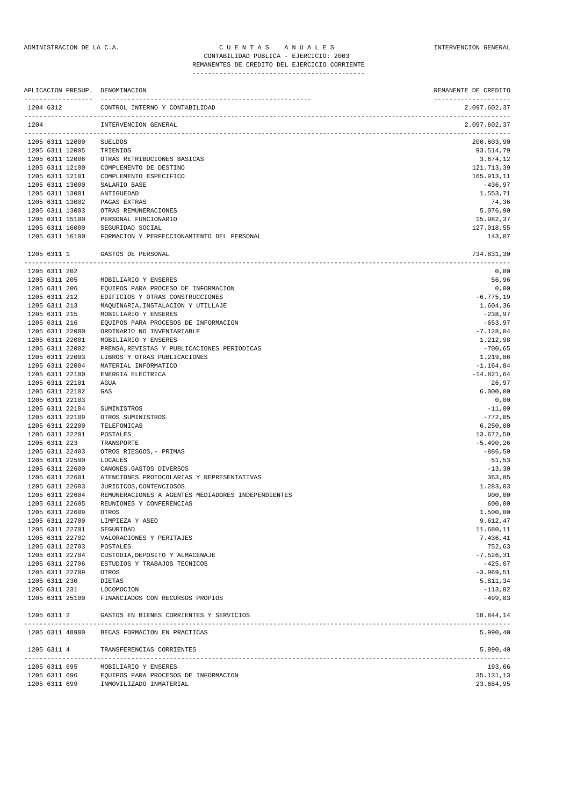REMANENTES DE CREDITO DEL EJERCICIO CORRIENTE ---------------------------------------------

| APLICACION PRESUP. DENOMINACION<br>------------------- |                                                                               | REMANENTE DE CREDITO<br>-------------------- |
|--------------------------------------------------------|-------------------------------------------------------------------------------|----------------------------------------------|
| 1204 6312                                              | CONTROL INTERNO Y CONTABILIDAD                                                | 2.097.602,37                                 |
| 1204                                                   | INTERVENCION GENERAL                                                          | 2.097.602,37                                 |
| 1205 6311 12000                                        | <b>SUELDOS</b>                                                                | 200.603,90                                   |
| 1205 6311 12005                                        | TRIENIOS                                                                      | 93.514,79                                    |
| 1205 6311 12006                                        | OTRAS RETRIBUCIONES BASICAS                                                   | 3.674,12                                     |
| 1205 6311 12100                                        | COMPLEMENTO DE DESTINO                                                        | 121.713,39                                   |
| 1205 6311 12101                                        | COMPLEMENTO ESPECIFICO                                                        | 165.913,11                                   |
| 1205 6311 13000                                        | SALARIO BASE                                                                  | $-436,97$                                    |
| 1205 6311 13001                                        | ANTIGUEDAD                                                                    | 1.553,71                                     |
| 1205 6311 13002<br>1205 6311 13003                     | PAGAS EXTRAS<br>OTRAS REMUNERACIONES                                          | 74,36<br>5.076,90                            |
| 1205 6311 15100                                        | PERSONAL FUNCIONARIO                                                          | 15.982,37                                    |
| 1205 6311 16000                                        | SEGURIDAD SOCIAL                                                              | 127.018,55                                   |
| 1205 6311 16100                                        | FORMACION Y PERFECCIONAMIENTO DEL PERSONAL                                    | 143,07                                       |
| 1205 6311 1                                            | GASTOS DE PERSONAL                                                            | 734.831,30                                   |
| 1205 6311 202                                          |                                                                               | 0,00                                         |
| 1205 6311 205                                          | MOBILIARIO Y ENSERES                                                          | 56,96                                        |
| 1205 6311 206                                          | EQUIPOS PARA PROCESO DE INFORMACION                                           | 0,00                                         |
| 1205 6311 212                                          | EDIFICIOS Y OTRAS CONSTRUCCIONES                                              | $-6.775,19$                                  |
| 1205 6311 213                                          | MAQUINARIA, INSTALACION Y UTILLAJE                                            | 1.604,36                                     |
| 1205 6311 215                                          | MOBILIARIO Y ENSERES                                                          | $-238,97$                                    |
| 1205 6311 216                                          | EQUIPOS PARA PROCESOS DE INFORMACION                                          | $-653,97$                                    |
| 1205 6311 22000<br>1205 6311 22001                     | ORDINARIO NO INVENTARIABLE<br>MOBILIARIO Y ENSERES                            | $-7.128,04$<br>1.212,98                      |
| 1205 6311 22002                                        | PRENSA, REVISTAS Y PUBLICACIONES PERIODICAS                                   | $-700,65$                                    |
| 1205 6311 22003                                        | LIBROS Y OTRAS PUBLICACIONES                                                  | 1.219,86                                     |
| 1205 6311 22004                                        | MATERIAL INFORMATICO                                                          | $-1.164,84$                                  |
| 1205 6311 22100                                        | ENERGIA ELECTRICA                                                             | $-14.821,64$                                 |
| 1205 6311 22101                                        | AGUA                                                                          | 26,97                                        |
| 1205 6311 22102                                        | GAS                                                                           | 6.000,00                                     |
| 1205 6311 22103                                        |                                                                               | 0,00                                         |
| 1205 6311 22104                                        | SUMINISTROS                                                                   | $-11,00$                                     |
| 1205 6311 22109                                        | OTROS SUMINISTROS                                                             | $-772,05$                                    |
| 1205 6311 22200                                        | TELEFONICAS                                                                   | 6.250,00                                     |
| 1205 6311 22201                                        | POSTALES                                                                      | 13.672,59                                    |
| 1205 6311 223                                          | TRANSPORTE                                                                    | $-5.490, 26$                                 |
| 1205 6311 22403                                        | OTROS RIESGOS, - PRIMAS                                                       | $-886,50$                                    |
| 1205 6311 22500                                        | LOCALES                                                                       | 51,53                                        |
| 1205 6311 22600                                        | CANONES. GASTOS DIVERSOS                                                      | $-13,30$                                     |
| 1205 6311 22601                                        | ATENCIONES PROTOCOLARIAS Y REPRESENTATIVAS                                    | 363,85                                       |
| 1205 6311 22603<br>1205 6311 22604                     | JURIDICOS, CONTENCIOSOS<br>REMUNERACIONES A AGENTES MEDIADORES INDEPENDIENTES | 1.283,03<br>900,00                           |
| 1205 6311 22605                                        | REUNIONES Y CONFERENCIAS                                                      | 600,00                                       |
| 1205 6311 22609                                        | OTROS                                                                         | 1,500,00                                     |
| 1205 6311 22700                                        | LIMPIEZA Y ASEO                                                               | 9.612,47                                     |
| 1205 6311 22701                                        | SEGURIDAD                                                                     | 11.680,11                                    |
| 1205 6311 22702                                        | VALORACIONES Y PERITAJES                                                      | 7.436,41                                     |
| 1205 6311 22703                                        | POSTALES                                                                      | 752,63                                       |
| 1205 6311 22704                                        | CUSTODIA, DEPOSITO Y ALMACENAJE                                               | $-7.526, 31$                                 |
| 1205 6311 22706                                        | ESTUDIOS Y TRABAJOS TECNICOS                                                  | $-425,07$                                    |
| 1205 6311 22709                                        | OTROS                                                                         | $-3.969, 51$                                 |
| 1205 6311 230                                          | DIETAS                                                                        | 5.811,34                                     |
| 1205 6311 231 LOCOMOCION                               |                                                                               | $-113,82$                                    |
|                                                        | 1205 6311 25100 FINANCIADOS CON RECURSOS PROPIOS                              | $-499,83$                                    |
|                                                        | 1205 6311 2 GASTOS EN BIENES CORRIENTES Y SERVICIOS                           | 18.844,14                                    |
|                                                        | 1205 6311 48900 BECAS FORMACION EN PRACTICAS                                  | 5.990, 40                                    |
|                                                        | 1205 6311 4 TRANSFERENCIAS CORRIENTES                                         | 5.990, 40                                    |
| 1205 6311 695                                          | MOBILIARIO Y ENSERES                                                          | 193,66                                       |
|                                                        | 1205 6311 696 EQUIPOS PARA PROCESOS DE INFORMACION                            | 35.131,13                                    |
| 1205 6311 699                                          | INMOVILIZADO INMATERIAL                                                       | 23.684,95                                    |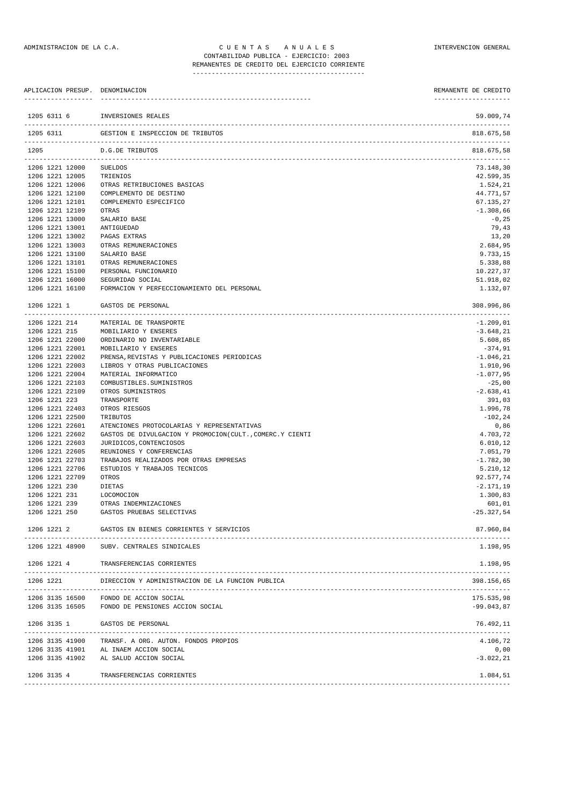## ADMINISTRACION DE LA C.A. CUENTAS ANUALES COMPUNISTRACION GENERAL CONTABILIDAD PUBLICA - EJERCICIO: 2003

# REMANENTES DE CREDITO DEL EJERCICIO CORRIENTE

---------------------------------------------

| APLICACION PRESUP. DENOMINACION    |                                                                             | REMANENTE DE CREDITO                 |
|------------------------------------|-----------------------------------------------------------------------------|--------------------------------------|
| 1205 6311 6                        | INVERSIONES REALES                                                          | 59.009,74                            |
| 1205 6311                          | GESTION E INSPECCION DE TRIBUTOS                                            | 818.675,58                           |
| 1205                               | D.G.DE TRIBUTOS                                                             | 818.675,58<br>______________________ |
| 1206 1221 12000                    | SUELDOS                                                                     | 73.148,30                            |
| 1206 1221 12005                    | TRIENIOS                                                                    | 42.599,35                            |
| 1206 1221 12006                    | OTRAS RETRIBUCIONES BASICAS                                                 | 1.524,21                             |
| 1206 1221 12100                    | COMPLEMENTO DE DESTINO                                                      | 44.771,57                            |
| 1206 1221 12101<br>1206 1221 12109 | COMPLEMENTO ESPECIFICO<br>OTRAS                                             | 67.135,27<br>$-1.308,66$             |
| 1206 1221 13000                    | SALARIO BASE                                                                | $-0, 25$                             |
| 1206 1221 13001                    | ANTIGUEDAD                                                                  | 79,43                                |
| 1206 1221 13002                    | PAGAS EXTRAS                                                                | 13,20                                |
| 1206 1221 13003                    | OTRAS REMUNERACIONES                                                        | 2.684,95                             |
| 1206 1221 13100                    | SALARIO BASE                                                                | 9.733,15                             |
| 1206 1221 13101                    | OTRAS REMUNERACIONES                                                        | 5.338,88                             |
| 1206 1221 15100                    | PERSONAL FUNCIONARIO                                                        | 10.227,37                            |
| 1206 1221 16000<br>1206 1221 16100 | SEGURIDAD SOCIAL<br>FORMACION Y PERFECCIONAMIENTO DEL PERSONAL              | 51.918,02                            |
|                                    |                                                                             | 1.132,07                             |
| 1206 1221 1                        | GASTOS DE PERSONAL                                                          | 308.996,86                           |
| 1206 1221 214                      | MATERIAL DE TRANSPORTE                                                      | $-1.209,01$                          |
| 1206 1221 215                      | MOBILIARIO Y ENSERES                                                        | $-3.648, 21$                         |
| 1206 1221 22000                    | ORDINARIO NO INVENTARIABLE                                                  | 5.608,85                             |
| 1206 1221 22001                    | MOBILIARIO Y ENSERES                                                        | $-374,91$                            |
| 1206 1221 22002<br>1206 1221 22003 | PRENSA, REVISTAS Y PUBLICACIONES PERIODICAS<br>LIBROS Y OTRAS PUBLICACIONES | $-1.046, 21$<br>1.910,96             |
| 1206 1221 22004                    | MATERIAL INFORMATICO                                                        | $-1.077,95$                          |
| 1206 1221 22103                    | COMBUSTIBLES. SUMINISTROS                                                   | $-25,00$                             |
| 1206 1221 22109                    | OTROS SUMINISTROS                                                           | $-2.638, 41$                         |
| 1206 1221 223                      | TRANSPORTE                                                                  | 391,03                               |
| 1206 1221 22403                    | OTROS RIESGOS                                                               | 1.996,78                             |
| 1206 1221 22500                    | TRIBUTOS                                                                    | $-102, 24$                           |
| 1206 1221 22601                    | ATENCIONES PROTOCOLARIAS Y REPRESENTATIVAS                                  | 0,86                                 |
| 1206 1221 22602                    | GASTOS DE DIVULGACION Y PROMOCION(CULT., COMERC.Y CIENTI                    | 4.703,72                             |
| 1206 1221 22603<br>1206 1221 22605 | JURIDICOS, CONTENCIOSOS<br>REUNIONES Y CONFERENCIAS                         | 6.010, 12<br>7.051,79                |
| 1206 1221 22703                    | TRABAJOS REALIZADOS POR OTRAS EMPRESAS                                      | $-1.782, 30$                         |
| 1206 1221 22706                    | ESTUDIOS Y TRABAJOS TECNICOS                                                | 5.210,12                             |
| 1206 1221 22709                    | OTROS                                                                       | 92.577,74                            |
| 1206 1221 230                      | DIETAS                                                                      | $-2.171, 19$                         |
| 1206 1221 231                      | LOCOMOCION                                                                  | 1.300,83                             |
| 1206 1221 239                      | OTRAS INDEMNIZACIONES                                                       | 601,01                               |
| 1206 1221 250                      | GASTOS PRUEBAS SELECTIVAS                                                   | $-25.327,54$                         |
| 1206 1221 2                        | GASTOS EN BIENES CORRIENTES Y SERVICIOS<br>----------------------------     | 87.960.84                            |
| 1206 1221 48900                    | SUBV. CENTRALES SINDICALES                                                  | 1.198,95                             |
| 1206 1221 4                        | TRANSFERENCIAS CORRIENTES                                                   | 1.198,95                             |
| 1206 1221                          | DIRECCION Y ADMINISTRACION DE LA FUNCION PUBLICA                            | 398.156,65                           |
|                                    |                                                                             |                                      |
| 1206 3135 16500                    | FONDO DE ACCION SOCIAL                                                      | 175.535.98                           |
| 1206 3135 16505                    | FONDO DE PENSIONES ACCION SOCIAL                                            | $-99.043,87$                         |
| 1206 3135 1                        | GASTOS DE PERSONAL                                                          | 76.492,11                            |
| 1206 3135 41900                    | TRANSF. A ORG. AUTON. FONDOS PROPIOS                                        | 4.106,72                             |
| 1206 3135 41901                    | AL INAEM ACCION SOCIAL                                                      | 0,00                                 |
| 1206 3135 41902                    | AL SALUD ACCION SOCIAL                                                      | $-3.022, 21$                         |
| 1206 3135 4                        | TRANSFERENCIAS CORRIENTES                                                   | 1.084,51                             |
|                                    |                                                                             |                                      |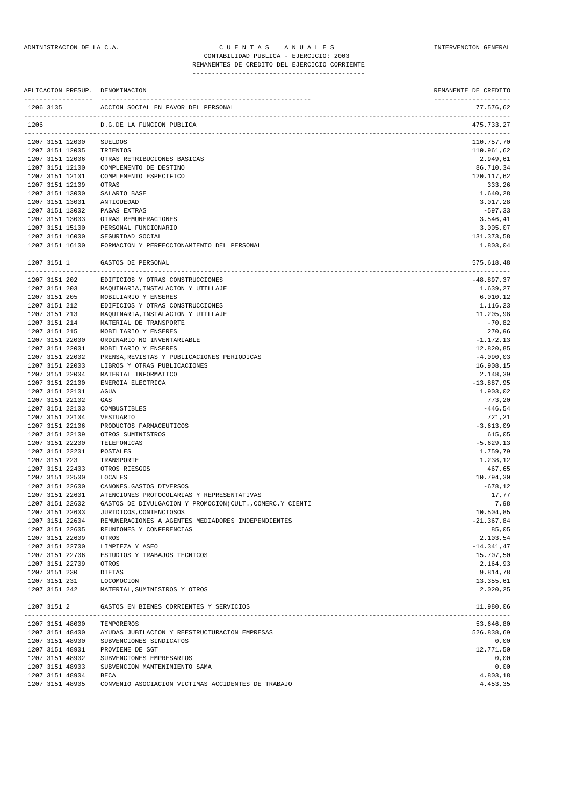REMANENTES DE CREDITO DEL EJERCICIO CORRIENTE ---------------------------------------------

| APLICACION PRESUP. DENOMINACION              |                                                          | REMANENTE DE CREDITO              |
|----------------------------------------------|----------------------------------------------------------|-----------------------------------|
| 1206 3135                                    | ACCION SOCIAL EN FAVOR DEL PERSONAL                      | --------------------<br>77.576,62 |
| 1206                                         | D.G.DE LA FUNCION PUBLICA                                | 475.733,27                        |
| 1207 3151 12000                              | <b>SUELDOS</b>                                           | 110.757,70                        |
| 1207 3151 12005                              | TRIENIOS                                                 | 110.961,62                        |
| 1207 3151 12006                              | OTRAS RETRIBUCIONES BASICAS                              | 2.949,61                          |
| 1207 3151 12100                              | COMPLEMENTO DE DESTINO                                   | 86.710,34                         |
| 1207 3151 12101                              | COMPLEMENTO ESPECIFICO                                   | 120.117,62                        |
| 1207 3151 12109                              | OTRAS                                                    | 333,26                            |
| 1207 3151 13000                              | SALARIO BASE                                             | 1.640,28                          |
| 1207 3151 13001                              | ANTIGUEDAD                                               | 3.017,28                          |
| 1207 3151 13002<br>1207 3151 13003           | PAGAS EXTRAS<br>OTRAS REMUNERACIONES                     | $-597,33$<br>3.546,41             |
| 1207 3151 15100                              | PERSONAL FUNCIONARIO                                     | 3.005,07                          |
| 1207 3151 16000                              | SEGURIDAD SOCIAL                                         | 131.373,58                        |
| 1207 3151 16100                              | FORMACION Y PERFECCIONAMIENTO DEL PERSONAL               | 1.803,04                          |
| 1207 3151 1                                  | GASTOS DE PERSONAL                                       | 575.618,48                        |
| 1207 3151 202                                | EDIFICIOS Y OTRAS CONSTRUCCIONES                         |                                   |
| 1207 3151 203                                | MAQUINARIA, INSTALACION Y UTILLAJE                       | $-48.897, 37$<br>1.639,27         |
| 1207 3151 205                                | MOBILIARIO Y ENSERES                                     | 6.010, 12                         |
| 1207 3151 212                                | EDIFICIOS Y OTRAS CONSTRUCCIONES                         | 1.116,23                          |
| 1207 3151 213                                | MAQUINARIA, INSTALACION Y UTILLAJE                       | 11.205,98                         |
| 1207 3151 214                                | MATERIAL DE TRANSPORTE                                   | $-70,82$                          |
| 1207 3151 215                                | MOBILIARIO Y ENSERES                                     | 270,96                            |
| 1207 3151 22000                              | ORDINARIO NO INVENTARIABLE                               | $-1.172, 13$                      |
| 1207 3151 22001                              | MOBILIARIO Y ENSERES                                     | 12.820,85                         |
| 1207 3151 22002                              | PRENSA, REVISTAS Y PUBLICACIONES PERIODICAS              | $-4.090,03$                       |
| 1207 3151 22003                              | LIBROS Y OTRAS PUBLICACIONES                             | 16.908,15                         |
| 1207 3151 22004                              | MATERIAL INFORMATICO                                     | 2.148,39                          |
| 1207 3151 22100                              | ENERGIA ELECTRICA                                        | $-13.887,95$                      |
| 1207 3151 22101                              | AGUA                                                     | 1.903,02                          |
| 1207 3151 22102                              | GAS                                                      | 773,20                            |
| 1207 3151 22103                              | COMBUSTIBLES                                             | $-446,54$                         |
| 1207 3151 22104                              | VESTUARIO                                                | 721,21                            |
| 1207 3151 22106                              | PRODUCTOS FARMACEUTICOS                                  | $-3.613,09$                       |
| 1207 3151 22109                              | OTROS SUMINISTROS                                        | 615,05                            |
| 1207 3151 22200<br>1207 3151 22201           | TELEFONICAS<br>POSTALES                                  | $-5.629, 13$<br>1.759,79          |
| 1207 3151 223                                | TRANSPORTE                                               | 1.238,12                          |
| 1207 3151 22403                              | OTROS RIESGOS                                            | 467,65                            |
| 1207 3151 22500                              | LOCALES                                                  | 10.794,30                         |
| 1207 3151 22600                              | CANONES. GASTOS DIVERSOS                                 | $-678,12$                         |
| 1207 3151 22601                              | ATENCIONES PROTOCOLARIAS Y REPRESENTATIVAS               | 17,77                             |
| 1207 3151 22602                              | GASTOS DE DIVULGACION Y PROMOCION(CULT., COMERC.Y CIENTI | 7,98                              |
| 1207 3151 22603                              | JURIDICOS, CONTENCIOSOS                                  | 10.504,85                         |
| 1207 3151 22604                              | REMUNERACIONES A AGENTES MEDIADORES INDEPENDIENTES       | $-21.367,84$                      |
| 1207 3151 22605                              | REUNIONES Y CONFERENCIAS                                 | 85,05                             |
| 1207 3151 22609                              | OTROS                                                    | 2.103,54                          |
| 1207 3151 22700                              | LIMPIEZA Y ASEO                                          | $-14.341, 47$                     |
| 1207 3151 22706                              | ESTUDIOS Y TRABAJOS TECNICOS                             | 15.707,50                         |
| 1207 3151 22709<br>1207 3151 230             | OTROS<br>DIETAS                                          | 2.164,93<br>9.814,78              |
| 1207 3151 231                                | LOCOMOCION                                               | 13.355,61                         |
| 1207 3151 242                                | MATERIAL, SUMINISTROS Y OTROS                            | 2.020,25                          |
|                                              |                                                          |                                   |
| 1207 3151 2<br>----------------------------- | GASTOS EN BIENES CORRIENTES Y SERVICIOS                  | 11.980,06                         |
| 1207 3151 48000                              | TEMPOREROS                                               | 53.646,80                         |
| 1207 3151 48400                              | AYUDAS JUBILACION Y REESTRUCTURACION EMPRESAS            | 526.838,69                        |
| 1207 3151 48900                              | SUBVENCIONES SINDICATOS                                  | 0,00                              |
| 1207 3151 48901                              | PROVIENE DE SGT                                          | 12.771,50                         |
| 1207 3151 48902                              | SUBVENCIONES EMPRESARIOS                                 | 0,00                              |
| 1207 3151 48903<br>1207 3151 48904           | SUBVENCION MANTENIMIENTO SAMA<br>BECA                    | 0,00                              |
| 1207 3151 48905                              | CONVENIO ASOCIACION VICTIMAS ACCIDENTES DE TRABAJO       | 4.803,18<br>4.453,35              |
|                                              |                                                          |                                   |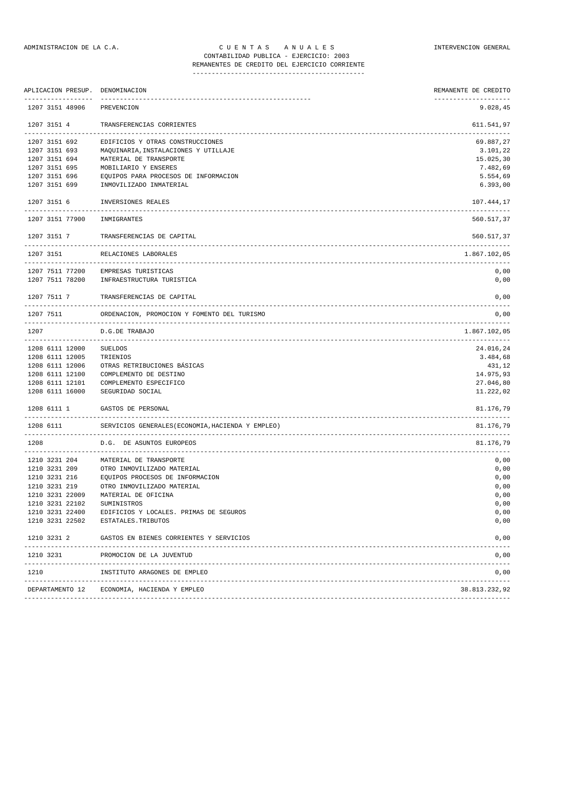# REMANENTES DE CREDITO DEL EJERCICIO CORRIENTE

---------------------------------------------

|                 | APLICACION PRESUP. DENOMINACION                     | REMANENTE DE CREDITO     |
|-----------------|-----------------------------------------------------|--------------------------|
| 1207 3151 48906 | PREVENCION                                          | 9.028,45                 |
| 1207 3151 4     | TRANSFERENCIAS CORRIENTES<br>---------------------- | 611.541,97               |
| 1207 3151 692   | EDIFICIOS Y OTRAS CONSTRUCCIONES                    | 69.887,27                |
| 1207 3151 693   | MAQUINARIA, INSTALACIONES Y UTILLAJE                | 3.101,22                 |
| 1207 3151 694   | MATERIAL DE TRANSPORTE                              | 15.025,30                |
| 1207 3151 695   | MOBILIARIO Y ENSERES                                | 7.482,69                 |
| 1207 3151 696   | EQUIPOS PARA PROCESOS DE INFORMACION                | 5.554,69                 |
| 1207 3151 699   | INMOVILIZADO INMATERIAL                             | 6.393,00                 |
| 1207 3151 6     | INVERSIONES REALES                                  | 107.444,17               |
| 1207 3151 77900 | INMIGRANTES                                         | 560.517,37               |
| 1207 3151 7     | TRANSFERENCIAS DE CAPITAL                           | 560.517,37               |
| 1207 3151       | RELACIONES LABORALES                                | 1.867.102,05             |
|                 | 1207 7511 77200 EMPRESAS TURISTICAS                 | 0,00                     |
| 1207 7511 78200 | INFRAESTRUCTURA TURISTICA                           | 0,00                     |
| 1207 7511 7     | TRANSFERENCIAS DE CAPITAL                           | 0,00                     |
| 1207 7511       | ORDENACION, PROMOCION Y FOMENTO DEL TURISMO         | 0,00                     |
| 1207            | D.G.DE TRABAJO<br>--------------------------------  | 1.867.102,05             |
| 1208 6111 12000 | <b>SUELDOS</b>                                      | 24.016,24                |
| 1208 6111 12005 | TRIENIOS                                            | 3.484,68                 |
| 1208 6111 12006 | OTRAS RETRIBUCIONES BÁSICAS                         | 431,12                   |
| 1208 6111 12100 | COMPLEMENTO DE DESTINO                              | 14.975,93                |
| 1208 6111 12101 | COMPLEMENTO ESPECIFICO                              | 27.046,80                |
| 1208 6111 16000 | SEGURIDAD SOCIAL                                    | 11.222,02                |
| 1208 6111 1     | GASTOS DE PERSONAL                                  | 81.176,79<br>----------- |
| 1208 6111       | SERVICIOS GENERALES (ECONOMIA, HACIENDA Y EMPLEO)   | 81.176,79                |
| 1208            | D.G. DE ASUNTOS EUROPEOS                            | 81.176,79                |
| 1210 3231 204   | MATERIAL DE TRANSPORTE                              | 0,00                     |
| 1210 3231 209   | OTRO INMOVILIZADO MATERIAL                          | 0,00                     |
| 1210 3231 216   | EQUIPOS PROCESOS DE INFORMACION                     | 0,00                     |
| 1210 3231 219   | OTRO INMOVILIZADO MATERIAL                          | 0,00                     |
| 1210 3231 22009 | MATERIAL DE OFICINA                                 | 0,00                     |
| 1210 3231 22102 | SUMINISTROS                                         | 0,00                     |
| 1210 3231 22400 | EDIFICIOS Y LOCALES. PRIMAS DE SEGUROS              | 0,00                     |
| 1210 3231 22502 | ESTATALES.TRIBUTOS                                  | 0,00                     |
| 1210 3231 2     | GASTOS EN BIENES CORRIENTES Y SERVICIOS             | 0,00                     |
| 1210 3231       | PROMOCION DE LA JUVENTUD                            | 0,00                     |
| 1210            | INSTITUTO ARAGONES DE EMPLEO                        | 0,00                     |
| DEPARTAMENTO 12 | ECONOMIA, HACIENDA Y EMPLEO                         | 38.813.232,92            |
|                 |                                                     |                          |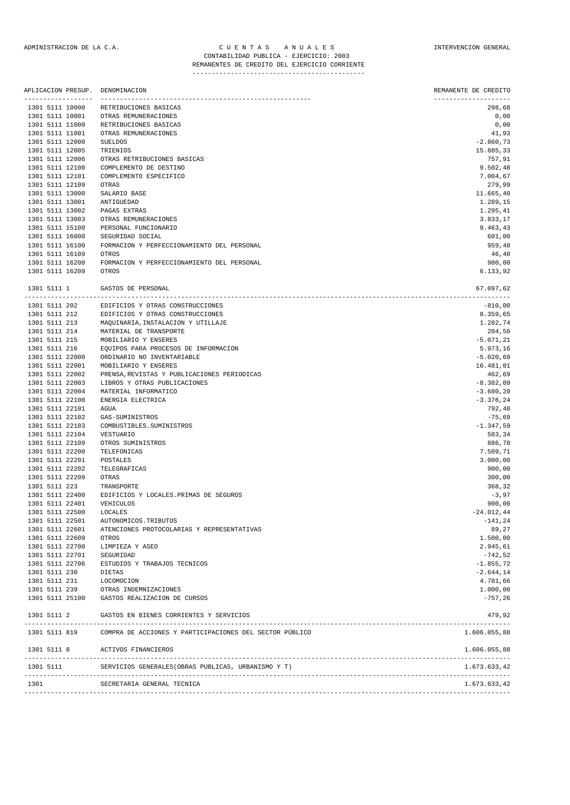| APLICACION PRESUP.<br>----------------- | DENOMINACION                                                        | REMANENTE DE CREDITO<br>-------------------- |
|-----------------------------------------|---------------------------------------------------------------------|----------------------------------------------|
| 1301 5111 10000                         | RETRIBUCIONES BASICAS                                               | 298,68                                       |
| 1301 5111 10001                         | OTRAS REMUNERACIONES                                                | 0,00                                         |
| 1301 5111 11000                         | RETRIBUCIONES BASICAS                                               | 0,00                                         |
| 1301 5111 11001                         | OTRAS REMUNERACIONES                                                | 41,93                                        |
| 1301 5111 12000                         | <b>SUELDOS</b>                                                      | $-2.860, 73$                                 |
| 1301 5111 12005                         | TRIENIOS                                                            | 15.885,33                                    |
| 1301 5111 12006                         | OTRAS RETRIBUCIONES BASICAS<br>COMPLEMENTO DE DESTINO               | 757,91                                       |
| 1301 5111 12100<br>1301 5111 12101      | COMPLEMENTO ESPECIFICO                                              | 9.502,48<br>7.004,67                         |
| 1301 5111 12109                         | OTRAS                                                               | 279,99                                       |
| 1301 5111 13000                         | SALARIO BASE                                                        | 11.665,40                                    |
| 1301 5111 13001                         | ANTIGUEDAD                                                          | 1.289,15                                     |
| 1301 5111 13002                         | PAGAS EXTRAS                                                        | 1.295,41                                     |
| 1301 5111 13003                         | OTRAS REMUNERACIONES                                                | 3.833,17                                     |
| 1301 5111 15100                         | PERSONAL FUNCIONARIO                                                | 9.463,43                                     |
| 1301 5111 16000                         | SEGURIDAD SOCIAL                                                    | 601,00                                       |
| 1301 5111 16100                         | FORMACION Y PERFECCIONAMIENTO DEL PERSONAL                          | 959,48                                       |
| 1301 5111 16109                         | OTROS                                                               | 46,40                                        |
| 1301 5111 16200                         | FORMACION Y PERFECCIONAMIENTO DEL PERSONAL                          | 900,00<br>6.133,92                           |
| 1301 5111 16209                         | OTROS                                                               |                                              |
| 1301 5111 1                             | GASTOS DE PERSONAL                                                  | 67.097,62                                    |
| 1301 5111 202                           | EDIFICIOS Y OTRAS CONSTRUCCIONES                                    | $-810,00$                                    |
| 1301 5111 212                           | EDIFICIOS Y OTRAS CONSTRUCCIONES                                    | 8.359,65                                     |
| 1301 5111 213                           | MAQUINARIA, INSTALACION Y UTILLAJE                                  | 1.282,74                                     |
| 1301 5111 214                           | MATERIAL DE TRANSPORTE                                              | 204,50                                       |
| 1301 5111 215                           | MOBILIARIO Y ENSERES                                                | $-5.071, 21$                                 |
| 1301 5111 216                           | EQUIPOS PARA PROCESOS DE INFORMACION                                | 5.973,16                                     |
| 1301 5111 22000<br>1301 5111 22001      | ORDINARIO NO INVENTARIABLE                                          | $-5.020,69$                                  |
| 1301 5111 22002                         | MOBILIARIO Y ENSERES<br>PRENSA, REVISTAS Y PUBLICACIONES PERIODICAS | 16.481,01<br>462,69                          |
| 1301 5111 22003                         | LIBROS Y OTRAS PUBLICACIONES                                        | $-8.302,09$                                  |
| 1301 5111 22004                         | MATERIAL INFORMATICO                                                | $-3.680, 20$                                 |
| 1301 5111 22100                         | ENERGIA ELECTRICA                                                   | $-3.376, 24$                                 |
| 1301 5111 22101                         | AGUA                                                                | 792,48                                       |
| 1301 5111 22102                         | GAS-SUMINISTROS                                                     | $-75,69$                                     |
| 1301 5111 22103                         | COMBUSTIBLES. SUMINISTROS                                           | $-1.347,59$                                  |
| 1301 5111 22104                         | VESTUARIO                                                           | 583,34                                       |
| 1301 5111 22109                         | OTROS SUMINISTROS                                                   | 886,78                                       |
| 1301 5111 22200                         | TELEFONICAS                                                         | 7.509,71                                     |
| 1301 5111 22201                         | POSTALES                                                            | 3.000,00                                     |
| 1301 5111 22202                         | TELEGRAFICAS                                                        | 900,00                                       |
| 1301 5111 22209<br>1301 5111 223        | OTRAS<br>TRANSPORTE                                                 | 300,00<br>368,32                             |
| 1301 5111 22400                         | EDIFICIOS Y LOCALES. PRIMAS DE SEGUROS                              | $-3,97$                                      |
| 1301 5111 22401                         | VEHICULOS                                                           | 900,00                                       |
| 1301 5111 22500                         | LOCALES                                                             | $-24.012,44$                                 |
| 1301 5111 22501                         | AUTONOMICOS.TRIBUTOS                                                | $-141,24$                                    |
| 1301 5111 22601                         | ATENCIONES PROTOCOLARIAS Y REPRESENTATIVAS                          | 89,27                                        |
| 1301 5111 22609                         | OTROS                                                               | 1.500,00                                     |
| 1301 5111 22700                         | LIMPIEZA Y ASEO                                                     | 2.945,61                                     |
| 1301 5111 22701                         | SEGURIDAD                                                           | -742,52                                      |
| 1301 5111 22706                         | ESTUDIOS Y TRABAJOS TECNICOS                                        | $-1.855, 72$                                 |
| 1301 5111 230                           | DIETAS                                                              | $-2.644, 14$                                 |
| 1301 5111 231<br>1301 5111 239          | LOCOMOCION<br>OTRAS INDEMNIZACIONES                                 | 4.781,66<br>1.000,00                         |
| 1301 5111 25100                         | GASTOS REALIZACION DE CURSOS                                        | $-757,26$                                    |
| 1301 5111 2                             | GASTOS EN BIENES CORRIENTES Y SERVICIOS                             | 479,92                                       |
|                                         |                                                                     |                                              |
| 1301 5111 819                           | COMPRA DE ACCIONES Y PARTICIPACIONES DEL SECTOR PÚBLICO             | 1.606.055,88                                 |
|                                         | 1301 5111 8 ACTIVOS FINANCIEROS                                     | 1.606.055,88                                 |
| 1301 5111                               | SERVICIOS GENERALES (OBRAS PUBLICAS, URBANISMO Y T)                 | 1.673.633,42                                 |

| 1301 | ECRETARIA GENERAL TECNICA | .673.633,42 |
|------|---------------------------|-------------|
|      |                           |             |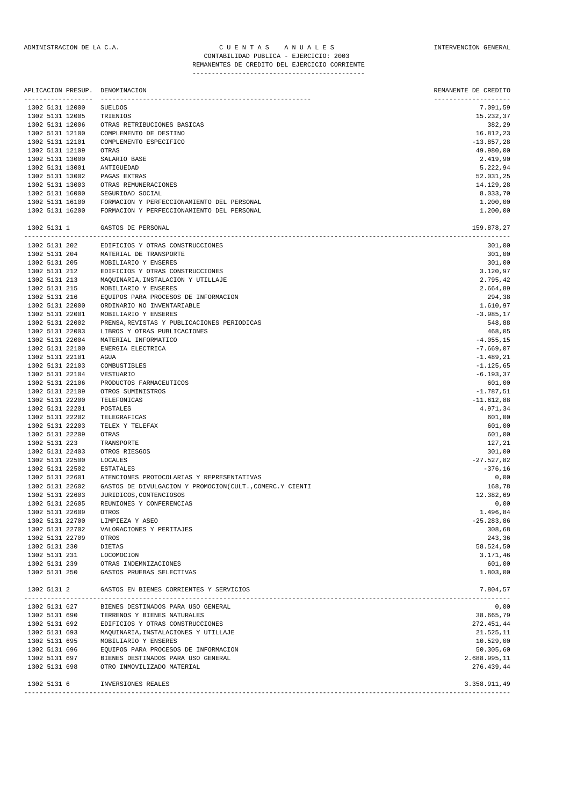#### ADMINISTRACION DE LA C.A. C U E N T A S A N U A L E S INTERVENCION GENERAL CONTABILIDAD PUBLICA - EJERCICIO: 2003 REMANENTES DE CREDITO DEL EJERCICIO CORRIENTE

---------------------------------------------

|               |               | APLICACION PRESUP.<br>--------------- | DENOMINACION                                             | REMANENTE DE CREDITO<br>-------------- |
|---------------|---------------|---------------------------------------|----------------------------------------------------------|----------------------------------------|
|               |               | 1302 5131 12000                       | <b>SUELDOS</b>                                           | 7.091,59                               |
|               |               | 1302 5131 12005                       | TRIENIOS                                                 | 15.232,37                              |
|               |               | 1302 5131 12006                       | OTRAS RETRIBUCIONES BASICAS                              | 382,29                                 |
|               |               | 1302 5131 12100                       | COMPLEMENTO DE DESTINO                                   | 16.812,23                              |
|               |               | 1302 5131 12101                       | COMPLEMENTO ESPECIFICO                                   | $-13.857,28$                           |
|               |               | 1302 5131 12109                       | <b>OTRAS</b>                                             | 49.980,00                              |
|               |               | 1302 5131 13000                       | SALARIO BASE                                             | 2.419,90                               |
|               |               | 1302 5131 13001                       | ANTIGUEDAD                                               | 5.222,94                               |
|               |               | 1302 5131 13002                       | PAGAS EXTRAS                                             | 52.031,25                              |
|               |               | 1302 5131 13003                       | OTRAS REMUNERACIONES                                     | 14.129,28                              |
|               |               | 1302 5131 16000                       | SEGURIDAD SOCIAL                                         | 8.033,70                               |
|               |               | 1302 5131 16100                       | FORMACION Y PERFECCIONAMIENTO DEL PERSONAL               | 1.200,00                               |
|               |               | 1302 5131 16200                       | FORMACION Y PERFECCIONAMIENTO DEL PERSONAL               | 1.200,00                               |
|               | 1302 5131 1   |                                       | GASTOS DE PERSONAL                                       | 159.878,27                             |
|               | 1302 5131 202 |                                       | EDIFICIOS Y OTRAS CONSTRUCCIONES                         | 301,00                                 |
|               | 1302 5131 204 |                                       | MATERIAL DE TRANSPORTE                                   | 301,00                                 |
| 1302 5131 205 |               |                                       | MOBILIARIO Y ENSERES                                     | 301,00                                 |
|               | 1302 5131 212 |                                       | EDIFICIOS Y OTRAS CONSTRUCCIONES                         | 3.120,97                               |
|               | 1302 5131 213 |                                       | MAQUINARIA, INSTALACION Y UTILLAJE                       | 2.795,42                               |
|               | 1302 5131 215 |                                       | MOBILIARIO Y ENSERES                                     | 2.664,89                               |
|               | 1302 5131 216 |                                       | EQUIPOS PARA PROCESOS DE INFORMACION                     | 294,38                                 |
|               |               | 1302 5131 22000                       | ORDINARIO NO INVENTARIABLE                               | 1.610,97                               |
|               |               | 1302 5131 22001                       | MOBILIARIO Y ENSERES                                     | $-3.985, 17$                           |
|               |               | 1302 5131 22002                       | PRENSA, REVISTAS Y PUBLICACIONES PERIODICAS              | 548,88                                 |
|               |               | 1302 5131 22003                       | LIBROS Y OTRAS PUBLICACIONES                             | 468,05                                 |
|               |               | 1302 5131 22004                       | MATERIAL INFORMATICO                                     | $-4.055, 15$                           |
|               |               | 1302 5131 22100                       | ENERGIA ELECTRICA                                        | $-7.669,07$                            |
|               |               | 1302 5131 22101                       | AGUA                                                     | $-1.489, 21$                           |
|               |               | 1302 5131 22103                       | COMBUSTIBLES                                             | $-1.125,65$                            |
|               |               | 1302 5131 22104                       | VESTUARIO                                                | $-6.193, 37$                           |
|               |               | 1302 5131 22106                       | PRODUCTOS FARMACEUTICOS                                  | 601,00                                 |
|               |               | 1302 5131 22109                       | OTROS SUMINISTROS                                        | $-1.787,51$                            |
|               |               | 1302 5131 22200                       | TELEFONICAS                                              | $-11.612,88$                           |
|               |               | 1302 5131 22201                       | POSTALES                                                 | 4.971,34                               |
|               |               | 1302 5131 22202                       | TELEGRAFICAS                                             | 601,00                                 |
|               |               | 1302 5131 22203                       | TELEX Y TELEFAX                                          | 601,00                                 |
|               |               | 1302 5131 22209                       | OTRAS                                                    | 601,00                                 |
|               | 1302 5131 223 | 1302 5131 22403                       | TRANSPORTE                                               | 127,21<br>301,00                       |
|               |               | 1302 5131 22500                       | OTROS RIESGOS<br>LOCALES                                 | $-27.527,82$                           |
|               |               | 1302 5131 22502                       | <b>ESTATALES</b>                                         | $-376,16$                              |
|               |               | 1302 5131 22601                       | ATENCIONES PROTOCOLARIAS Y REPRESENTATIVAS               | 0,00                                   |
|               |               | 1302 5131 22602                       | GASTOS DE DIVULGACION Y PROMOCION(CULT., COMERC.Y CIENTI | 168,78                                 |
|               |               | 1302 5131 22603                       | JURIDICOS, CONTENCIOSOS                                  | 12.382,69                              |
|               |               | 1302 5131 22605                       | REUNIONES Y CONFERENCIAS                                 | 0,00                                   |
|               |               | 1302 5131 22609                       | OTROS                                                    | 1.496.84                               |
|               |               | 1302 5131 22700                       | LIMPIEZA Y ASEO                                          | $-25.283, 86$                          |
|               |               | 1302 5131 22702                       | VALORACIONES Y PERITAJES                                 | 308,68                                 |
|               |               | 1302 5131 22709                       | OTROS                                                    | 243,36                                 |
|               | 1302 5131 230 |                                       | DIETAS                                                   | 58.524,50                              |
|               | 1302 5131 231 |                                       | LOCOMOCION                                               | 3.171,46                               |
|               |               | 1302 5131 239                         | OTRAS INDEMNIZACIONES                                    | 601,00                                 |
|               | 1302 5131 250 |                                       | GASTOS PRUEBAS SELECTIVAS                                | 1.803,00                               |
|               | 1302 5131 2   |                                       | GASTOS EN BIENES CORRIENTES Y SERVICIOS                  | 7.804,57                               |
|               | 1302 5131 627 |                                       | BIENES DESTINADOS PARA USO GENERAL                       | 0,00                                   |
|               | 1302 5131 690 |                                       | TERRENOS Y BIENES NATURALES                              | 38.665,79                              |
|               | 1302 5131 692 |                                       | EDIFICIOS Y OTRAS CONSTRUCCIONES                         | 272.451,44                             |
|               | 1302 5131 693 |                                       | MAQUINARIA, INSTALACIONES Y UTILLAJE                     | 21.525,11                              |
|               | 1302 5131 695 |                                       | MOBILIARIO Y ENSERES                                     | 10.529,00                              |
|               | 1302 5131 696 |                                       | EQUIPOS PARA PROCESOS DE INFORMACION                     | 50.305,60                              |
|               | 1302 5131 697 |                                       | BIENES DESTINADOS PARA USO GENERAL                       | 2.688.995,11                           |
|               | 1302 5131 698 |                                       | OTRO INMOVILIZADO MATERIAL                               | 276.439,44                             |
| 1302 5131 6   |               |                                       | INVERSIONES REALES                                       | 3.358.911,49                           |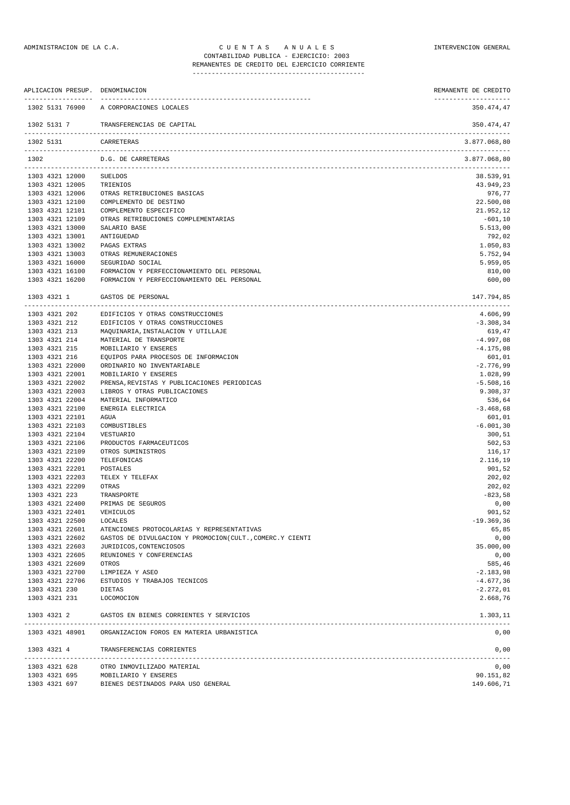| ------------------                 |                 | APLICACION PRESUP. DENOMINACION                              | REMANENTE DE CREDITO               |
|------------------------------------|-----------------|--------------------------------------------------------------|------------------------------------|
|                                    | 1302 5131 76900 | --------------------<br>A CORPORACIONES LOCALES              | --------------------<br>350.474,47 |
| 1302 5131 7                        |                 | TRANSFERENCIAS DE CAPITAL                                    | 350.474,47                         |
| 1302 5131                          |                 | CARRETERAS                                                   | 3.877.068,80                       |
| 1302                               |                 | D.G. DE CARRETERAS                                           | 3.877.068,80                       |
| 1303 4321 12000                    |                 | SUELDOS                                                      | 38.539,91                          |
| 1303 4321 12005                    |                 | TRIENIOS                                                     | 43.949,23                          |
| 1303 4321 12006                    |                 | OTRAS RETRIBUCIONES BASICAS                                  | 976,77                             |
| 1303 4321 12100                    |                 | COMPLEMENTO DE DESTINO                                       | 22.500,08                          |
| 1303 4321 12101                    |                 | COMPLEMENTO ESPECIFICO                                       | 21.952,12                          |
| 1303 4321 12109                    |                 | OTRAS RETRIBUCIONES COMPLEMENTARIAS                          | -601,10                            |
| 1303 4321 13000<br>1303 4321 13001 |                 | SALARIO BASE<br>ANTIGUEDAD                                   | 5.513,00<br>792,02                 |
| 1303 4321 13002                    |                 | PAGAS EXTRAS                                                 | 1.050,83                           |
| 1303 4321 13003                    |                 | OTRAS REMUNERACIONES                                         | 5.752,94                           |
| 1303 4321 16000                    |                 | SEGURIDAD SOCIAL                                             | 5.959,05                           |
| 1303 4321 16100                    |                 | FORMACION Y PERFECCIONAMIENTO DEL PERSONAL                   | 810,00                             |
| 1303 4321 16200                    |                 | FORMACION Y PERFECCIONAMIENTO DEL PERSONAL                   | 600,00                             |
| 1303 4321 1                        |                 | GASTOS DE PERSONAL                                           | 147.794,85<br>-------------------  |
| 1303 4321 202                      |                 | EDIFICIOS Y OTRAS CONSTRUCCIONES                             | 4.606,99                           |
| 1303 4321 212                      |                 | EDIFICIOS Y OTRAS CONSTRUCCIONES                             | $-3.308, 34$                       |
| 1303 4321 213                      |                 | MAQUINARIA, INSTALACION Y UTILLAJE                           | 619,47                             |
| 1303 4321 214                      |                 | MATERIAL DE TRANSPORTE                                       | $-4.997,08$                        |
| 1303 4321 215<br>1303 4321 216     |                 | MOBILIARIO Y ENSERES<br>EQUIPOS PARA PROCESOS DE INFORMACION | $-4.175,08$<br>601,01              |
| 1303 4321 22000                    |                 | ORDINARIO NO INVENTARIABLE                                   | $-2.776,99$                        |
| 1303 4321 22001                    |                 | MOBILIARIO Y ENSERES                                         | 1.028,99                           |
| 1303 4321 22002                    |                 | PRENSA, REVISTAS Y PUBLICACIONES PERIODICAS                  | $-5.508, 16$                       |
| 1303 4321 22003                    |                 | LIBROS Y OTRAS PUBLICACIONES                                 | 9.308,37                           |
| 1303 4321 22004                    |                 | MATERIAL INFORMATICO                                         | 536,64                             |
| 1303 4321 22100                    |                 | ENERGIA ELECTRICA                                            | $-3.468,68$                        |
| 1303 4321 22101                    |                 | AGUA                                                         | 601,01                             |
| 1303 4321 22103                    |                 | COMBUSTIBLES                                                 | $-6.001, 30$                       |
| 1303 4321 22104<br>1303 4321 22106 |                 | VESTUARIO<br>PRODUCTOS FARMACEUTICOS                         | 300,51<br>502,53                   |
| 1303 4321 22109                    |                 | OTROS SUMINISTROS                                            | 116,17                             |
| 1303 4321 22200                    |                 | TELEFONICAS                                                  | 2.116,19                           |
| 1303 4321 22201                    |                 | POSTALES                                                     | 901,52                             |
| 1303 4321 22203                    |                 | TELEX Y TELEFAX                                              | 202,02                             |
| 1303 4321 22209                    |                 | OTRAS                                                        | 202,02                             |
| 1303 4321 223                      |                 | TRANSPORTE                                                   | $-823,58$                          |
| 1303 4321 22400                    |                 | PRIMAS DE SEGUROS                                            | 0,00                               |
| 1303 4321 22401                    |                 | VEHICULOS                                                    | 901,52                             |
| 1303 4321 22500<br>1303 4321 22601 |                 | LOCALES<br>ATENCIONES PROTOCOLARIAS Y REPRESENTATIVAS        | $-19.369,36$<br>65,85              |
| 1303 4321 22602                    |                 | GASTOS DE DIVULGACION Y PROMOCION(CULT., COMERC.Y CIENTI     | 0,00                               |
| 1303 4321 22603                    |                 | JURIDICOS, CONTENCIOSOS                                      | 35.000,00                          |
| 1303 4321 22605                    |                 | REUNIONES Y CONFERENCIAS                                     | 0,00                               |
| 1303 4321 22609                    |                 | OTROS                                                        | 585,46                             |
| 1303 4321 22700                    |                 | LIMPIEZA Y ASEO                                              | $-2.183,98$                        |
| 1303 4321 22706                    |                 | ESTUDIOS Y TRABAJOS TECNICOS                                 | $-4.677, 36$                       |
| 1303 4321 230                      |                 | <b>DIETAS</b>                                                | $-2.272,01$                        |
| 1303 4321 231                      |                 | LOCOMOCION                                                   | 2.668,76                           |
|                                    | 1303 4321 2     | GASTOS EN BIENES CORRIENTES Y SERVICIOS                      | 1.303,11                           |
|                                    | 1303 4321 48901 | ORGANIZACION FOROS EN MATERIA URBANISTICA                    | 0,00                               |
| 1303 4321 4                        |                 | TRANSFERENCIAS CORRIENTES                                    | 0,00                               |
| 1303 4321 628                      |                 | OTRO INMOVILIZADO MATERIAL                                   | 0,00                               |
| 1303 4321 695                      |                 | MOBILIARIO Y ENSERES                                         | 90.151,82                          |
| 1303 4321 697                      |                 | BIENES DESTINADOS PARA USO GENERAL                           | 149.606,71                         |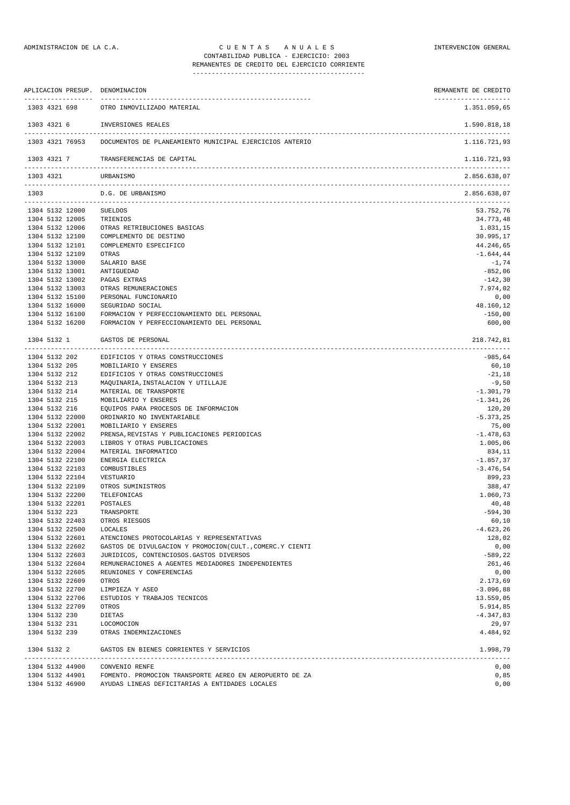| APLICACION PRESUP. DENOMINACION |                                                                         | REMANENTE DE CREDITO                 |
|---------------------------------|-------------------------------------------------------------------------|--------------------------------------|
| 1303 4321 698                   | OTRO INMOVILIZADO MATERIAL                                              | --------------------<br>1.351.059,65 |
| 1303 4321 6                     | INVERSIONES REALES                                                      | 1.590.818,18                         |
|                                 | 1303 4321 76953 DOCUMENTOS DE PLANEAMIENTO MUNICIPAL EJERCICIOS ANTERIO | 1.116.721,93                         |
| 1303 4321 7                     | TRANSFERENCIAS DE CAPITAL                                               | 1.116.721,93                         |
| 1303 4321                       | URBANISMO                                                               | 2.856.638,07                         |
| 1303                            | D.G. DE URBANISMO                                                       | 2.856.638,07                         |
| 1304 5132 12000                 | SUELDOS                                                                 | 53.752,76                            |
| 1304 5132 12005                 | TRIENIOS                                                                | 34.773,48                            |
| 1304 5132 12006                 | OTRAS RETRIBUCIONES BASICAS                                             | 1.031,15                             |
| 1304 5132 12100                 | COMPLEMENTO DE DESTINO                                                  | 30.995,17                            |
| 1304 5132 12101                 | COMPLEMENTO ESPECIFICO                                                  | 44.246,65                            |
| 1304 5132 12109                 | OTRAS                                                                   | $-1.644,44$                          |
| 1304 5132 13000                 | SALARIO BASE                                                            | $-1,74$                              |
| 1304 5132 13001                 | ANTIGUEDAD                                                              | $-852,06$                            |
| 1304 5132 13002                 | PAGAS EXTRAS                                                            | $-142,30$                            |
| 1304 5132 13003                 | OTRAS REMUNERACIONES                                                    | 7.974,02                             |
| 1304 5132 15100                 | PERSONAL FUNCIONARIO                                                    | 0,00                                 |
| 1304 5132 16000                 | SEGURIDAD SOCIAL                                                        | 48.160,12                            |
| 1304 5132 16100                 | FORMACION Y PERFECCIONAMIENTO DEL PERSONAL                              | $-150,00$                            |
| 1304 5132 16200                 | FORMACION Y PERFECCIONAMIENTO DEL PERSONAL                              | 600,00                               |
| 1304 5132 1                     | GASTOS DE PERSONAL                                                      | 218.742,81                           |
| 1304 5132 202                   | EDIFICIOS Y OTRAS CONSTRUCCIONES                                        | -985,64                              |
|                                 |                                                                         |                                      |
| 1304 5132 205                   | MOBILIARIO Y ENSERES                                                    | 60,10                                |
| 1304 5132 212                   | EDIFICIOS Y OTRAS CONSTRUCCIONES                                        | $-21,18$                             |
| 1304 5132 213                   | MAQUINARIA, INSTALACION Y UTILLAJE                                      | $-9,50$                              |
| 1304 5132 214                   | MATERIAL DE TRANSPORTE                                                  | $-1.301,79$                          |
| 1304 5132 215                   | MOBILIARIO Y ENSERES                                                    | $-1.341,26$                          |
| 1304 5132 216                   | EQUIPOS PARA PROCESOS DE INFORMACION                                    | 120,20                               |
| 1304 5132 22000                 | ORDINARIO NO INVENTARIABLE                                              | $-5.373, 25$                         |
| 1304 5132 22001                 | MOBILIARIO Y ENSERES                                                    | 75,00                                |
| 1304 5132 22002                 | PRENSA, REVISTAS Y PUBLICACIONES PERIODICAS                             | $-1.478,63$                          |
| 1304 5132 22003                 | LIBROS Y OTRAS PUBLICACIONES                                            | 1.005,06                             |
| 1304 5132 22004                 | MATERIAL INFORMATICO                                                    | 834,11                               |
| 1304 5132 22100                 | ENERGIA ELECTRICA                                                       | $-1.857, 37$                         |
| 1304 5132 22103                 | COMBUSTIBLES                                                            | $-3.476,54$                          |
| 1304 5132 22104                 | VESTUARIO                                                               | 899,23                               |
| 1304 5132 22109                 | OTROS SUMINISTROS                                                       | 388,47                               |
| 1304 5132 22200                 | TELEFONICAS                                                             | 1.060,73                             |
| 1304 5132 22201                 | POSTALES                                                                | 40,48                                |
| 1304 5132 223                   | TRANSPORTE                                                              | $-594,30$                            |
| 1304 5132 22403                 | OTROS RIESGOS                                                           | 60,10                                |
| 1304 5132 22500                 | LOCALES                                                                 | $-4.623, 26$                         |
| 1304 5132 22601                 | ATENCIONES PROTOCOLARIAS Y REPRESENTATIVAS                              | 128,02                               |
| 1304 5132 22602                 | GASTOS DE DIVULGACION Y PROMOCION(CULT., COMERC.Y CIENTI                | 0,00                                 |
| 1304 5132 22603                 | JURIDICOS, CONTENCIOSOS.GASTOS DIVERSOS                                 | -589,22                              |
| 1304 5132 22604                 | REMUNERACIONES A AGENTES MEDIADORES INDEPENDIENTES                      | 261,46                               |
| 1304 5132 22605                 | REUNIONES Y CONFERENCIAS                                                | 0,00                                 |

1304 5132 22700 LIMPIEZA Y ASEO -3.096,88 1304 5132 22706 ESTUDIOS Y TRABAJOS TECNICOS 13.559,05 1304 5132 22709 OTROS 5.914,85 1304 5132 230 DIETAS -4.347,83 1304 5132 231 LOCOMOCION 29,97 1304 5132 239 OTRAS INDEMNIZACIONES 4.484,92 1304 5132 2 GASTOS EN BIENES CORRIENTES Y SERVICIOS 1.998,79

1304 5132 44900 CONVENIO RENFE 0,00 1304 5132 44901 FOMENTO. PROMOCION TRANSPORTE AEREO EN AEROPUERTO DE ZA 0,85 1304 5132 46900 AYUDAS LINEAS DEFICITARIAS A ENTIDADES LOCALES 0,00

-------------------------------------------------------------------------------------------------------------------------------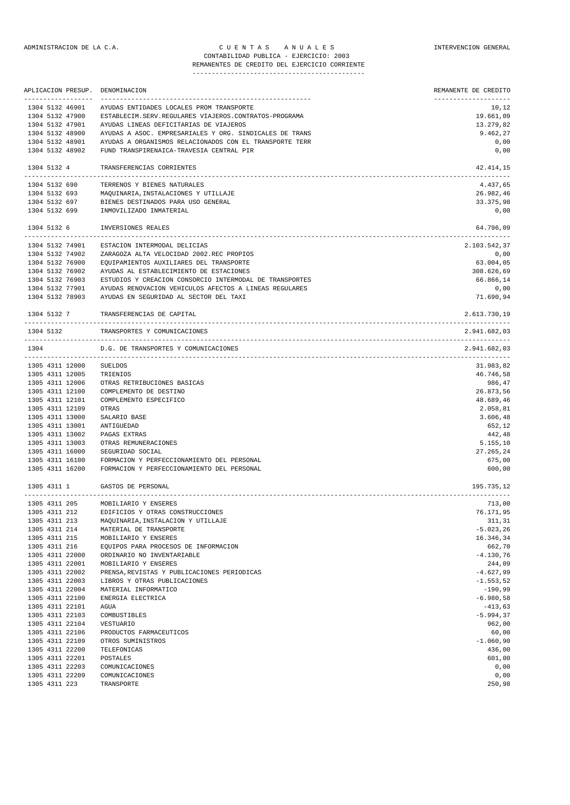# ADMINISTRACION DE LA C.A. C U E N T A S A N U A L E S INTERVENCION GENERAL CONTABILIDAD PUBLICA - EJERCICIO: 2003

REMANENTES DE CREDITO DEL EJERCICIO CORRIENTE

|      |               | APLICACION PRESUP. | DENOMINACION                                             | REMANENTE DE CREDITO                     |
|------|---------------|--------------------|----------------------------------------------------------|------------------------------------------|
|      |               | 1304 5132 46901    | AYUDAS ENTIDADES LOCALES PROM TRANSPORTE                 | 10,12                                    |
|      |               | 1304 5132 47900    | ESTABLECIM. SERV. REGULARES VIAJEROS. CONTRATOS-PROGRAMA | 19.661,09                                |
|      |               | 1304 5132 47901    | AYUDAS LINEAS DEFICITARIAS DE VIAJEROS                   | 13.279,82                                |
|      |               | 1304 5132 48900    | AYUDAS A ASOC. EMPRESARIALES Y ORG. SINDICALES DE TRANS  | 9.462,27                                 |
|      |               | 1304 5132 48901    | AYUDAS A ORGANISMOS RELACIONADOS CON EL TRANSPORTE TERR  | 0,00                                     |
|      |               | 1304 5132 48902    | FUND TRANSPIRENAICA-TRAVESIA CENTRAL PIR                 | 0,00                                     |
|      | 1304 5132 4   |                    | TRANSFERENCIAS CORRIENTES                                | 42.414,15                                |
|      | 1304 5132 690 |                    | TERRENOS Y BIENES NATURALES                              | 4.437,65                                 |
|      | 1304 5132 693 |                    | MAQUINARIA, INSTALACIONES Y UTILLAJE                     | 26.982,46                                |
|      | 1304 5132 697 |                    | BIENES DESTINADOS PARA USO GENERAL                       | 33.375,98                                |
|      | 1304 5132 699 |                    | INMOVILIZADO INMATERIAL                                  | 0,00                                     |
|      | 1304 5132 6   |                    | INVERSIONES REALES                                       | 64.796,09                                |
|      |               | 1304 5132 74901    | ESTACION INTERMODAL DELICIAS                             | 2.103.542,37                             |
|      |               | 1304 5132 74902    | ZARAGOZA ALTA VELOCIDAD 2002.REC PROPIOS                 | 0,00                                     |
|      |               | 1304 5132 76900    | EQUIPAMIENTOS AUXILIARES DEL TRANSPORTE                  | 63.004,05                                |
|      |               | 1304 5132 76902    | AYUDAS AL ESTABLECIMIENTO DE ESTACIONES                  | 308.626,69                               |
|      |               | 1304 5132 76903    | ESTUDIOS Y CREACION CONSORCIO INTERMODAL DE TRANSPORTES  | 66.866,14                                |
|      |               | 1304 5132 77901    | AYUDAS RENOVACION VEHICULOS AFECTOS A LINEAS REGULARES   | 0,00                                     |
|      |               | 1304 5132 78903    | AYUDAS EN SEGURIDAD AL SECTOR DEL TAXI                   | 71.690,94                                |
|      | 1304 5132 7   |                    | TRANSFERENCIAS DE CAPITAL                                | 2.613.730,19<br>------------------------ |
|      | 1304 5132     |                    | TRANSPORTES Y COMUNICACIONES                             | 2.941.682,03                             |
| 1304 |               |                    | D.G. DE TRANSPORTES Y COMUNICACIONES                     | 2.941.682.03                             |
|      |               | 1305 4311 12000    | <b>SUELDOS</b>                                           | 31.983,82                                |
|      |               | 1305 4311 12005    | TRIENIOS                                                 | 46.746,58                                |
|      |               | 1305 4311 12006    | OTRAS RETRIBUCIONES BASICAS                              | 986,47                                   |
|      |               | 1305 4311 12100    | COMPLEMENTO DE DESTINO                                   | 26.873,56                                |
|      |               | 1305 4311 12101    | COMPLEMENTO ESPECIFICO                                   | 48.689,46                                |
|      |               | 1305 4311 12109    | OTRAS                                                    | 2.058,81                                 |
|      |               | 1305 4311 13000    | SALARIO BASE                                             | 3.606,48                                 |
|      |               | 1305 4311 13001    | ANTIGUEDAD                                               | 652,12                                   |
|      |               | 1305 4311 13002    | PAGAS EXTRAS                                             | 442,48                                   |
|      |               | 1305 4311 13003    | OTRAS REMUNERACIONES                                     | 5.155,10                                 |
|      |               | 1305 4311 16000    | SEGURIDAD SOCIAL                                         | 27.265,24                                |
|      |               | 1305 4311 16100    | FORMACION Y PERFECCIONAMIENTO DEL PERSONAL               | 675,00                                   |
|      |               | 1305 4311 16200    | FORMACION Y PERFECCIONAMIENTO DEL PERSONAL               | 600,00                                   |
|      | 1305 4311 1   |                    | GASTOS DE PERSONAL                                       | 195.735,12                               |
|      | 1305 4311 205 |                    | MOBILIARIO Y ENSERES                                     | 713,00                                   |
|      | 1305 4311 212 |                    | EDIFICIOS Y OTRAS CONSTRUCCIONES                         | 76.171,95                                |
|      | 1305 4311 213 |                    | MAQUINARIA, INSTALACION Y UTILLAJE                       | 311,31                                   |
|      | 1305 4311 214 |                    | MATERIAL DE TRANSPORTE                                   | $-5.023, 26$                             |
|      | 1305 4311 215 |                    | MOBILIARIO Y ENSERES                                     | 16.346,34                                |
|      | 1305 4311 216 |                    | EQUIPOS PARA PROCESOS DE INFORMACION                     | 662,70                                   |
|      |               | 1305 4311 22000    | ORDINARIO NO INVENTARIABLE                               | $-4.130,76$                              |
|      |               | 1305 4311 22001    | MOBILIARIO Y ENSERES                                     | 244,09                                   |
|      |               | 1305 4311 22002    | PRENSA, REVISTAS Y PUBLICACIONES PERIODICAS              | $-4.627,99$                              |
|      |               | 1305 4311 22003    | LIBROS Y OTRAS PUBLICACIONES                             | $-1.553,52$                              |
|      |               | 1305 4311 22004    | MATERIAL INFORMATICO                                     | $-190,99$                                |
|      |               | 1305 4311 22100    | ENERGIA ELECTRICA                                        | $-6.980,58$                              |
|      |               | 1305 4311 22101    | AGUA                                                     | $-413,63$                                |
|      |               | 1305 4311 22103    | COMBUSTIBLES                                             | $-5.994, 37$                             |
|      |               | 1305 4311 22104    | VESTUARIO                                                | 962,00                                   |
|      |               | 1305 4311 22106    | PRODUCTOS FARMACEUTICOS                                  | 60,00                                    |
|      |               | 1305 4311 22109    | OTROS SUMINISTROS                                        | $-1.060,90$                              |
|      |               | 1305 4311 22200    | TELEFONICAS                                              | 436,00                                   |
|      |               | 1305 4311 22201    | POSTALES                                                 | 601,00                                   |
|      |               | 1305 4311 22203    | COMUNICACIONES                                           | 0,00                                     |
|      |               | 1305 4311 22209    | COMUNICACIONES                                           | 0,00                                     |
|      | 1305 4311 223 |                    | TRANSPORTE                                               | 250,98                                   |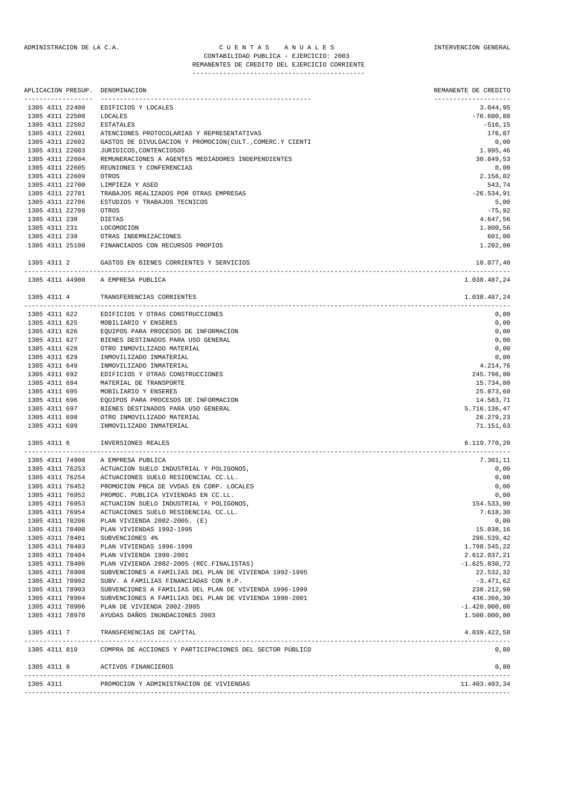| APLICACION PRESUP.<br>----------------- | DENOMINACION                                                         | REMANENTE DE CREDITO             |
|-----------------------------------------|----------------------------------------------------------------------|----------------------------------|
| 1305 4311 22400                         | EDIFICIOS Y LOCALES                                                  | --------------------<br>3.044,95 |
| 1305 4311 22500                         | LOCALES                                                              | $-76.600,88$                     |
| 1305 4311 22502                         | ESTATALES                                                            | $-516, 15$                       |
| 1305 4311 22601                         | ATENCIONES PROTOCOLARIAS Y REPRESENTATIVAS                           | 176,07                           |
| 1305 4311 22602                         | GASTOS DE DIVULGACION Y PROMOCION (CULT., COMERC.Y CIENTI            | 0,00                             |
| 1305 4311 22603                         | JURIDICOS, CONTENCIOSOS                                              | 1.995,46                         |
| 1305 4311 22604                         | REMUNERACIONES A AGENTES MEDIADORES INDEPENDIENTES                   | 30.849,53                        |
| 1305 4311 22605                         | REUNIONES Y CONFERENCIAS                                             | 0,00                             |
| 1305 4311 22609                         | OTROS                                                                | 2.156,02<br>543,74               |
| 1305 4311 22700<br>1305 4311 22701      | LIMPIEZA Y ASEO<br>TRABAJOS REALIZADOS POR OTRAS EMPRESAS            | $-26.534,91$                     |
| 1305 4311 22706                         | ESTUDIOS Y TRABAJOS TECNICOS                                         | 5,00                             |
| 1305 4311 22709                         | OTROS                                                                | $-75,92$                         |
| 1305 4311 230                           | DIETAS                                                               | 4.647,56                         |
| 1305 4311 231                           | LOCOMOCION                                                           | 1.800,56                         |
| 1305 4311 239                           | OTRAS INDEMNIZACIONES                                                | 601,00                           |
| 1305 4311 25100                         | FINANCIADOS CON RECURSOS PROPIOS                                     | 1.202,00                         |
| 1305 4311 2                             | GASTOS EN BIENES CORRIENTES Y SERVICIOS                              | 10.077,40                        |
|                                         | 1305 4311 44900 A EMPRESA PUBLICA                                    | 1.038.487,24                     |
| 1305 4311 4                             | TRANSFERENCIAS CORRIENTES                                            | 1.038.487,24                     |
| 1305 4311 622                           | EDIFICIOS Y OTRAS CONSTRUCCIONES                                     | 0,00                             |
| 1305 4311 625                           | MOBILIARIO Y ENSERES                                                 | 0,00                             |
| 1305 4311 626                           | EQUIPOS PARA PROCESOS DE INFORMACION                                 | 0,00                             |
| 1305 4311 627                           | BIENES DESTINADOS PARA USO GENERAL                                   | 0,00                             |
| 1305 4311 628                           | OTRO INMOVILIZADO MATERIAL                                           | 0,00                             |
| 1305 4311 629                           | INMOVILIZADO INMATERIAL                                              | 0,00                             |
| 1305 4311 649<br>1305 4311 692          | INMOVILIZADO INMATERIAL<br>EDIFICIOS Y OTRAS CONSTRUCCIONES          | 4.214,76<br>245.796,00           |
| 1305 4311 694                           | MATERIAL DE TRANSPORTE                                               | 15.734,80                        |
| 1305 4311 695                           | MOBILIARIO Y ENSERES                                                 | 25.873,60                        |
| 1305 4311 696                           | EQUIPOS PARA PROCESOS DE INFORMACION                                 | 14.583,71                        |
| 1305 4311 697                           | BIENES DESTINADOS PARA USO GENERAL                                   | 5.716.136,47                     |
| 1305 4311 698                           | OTRO INMOVILIZADO MATERIAL                                           | 26.279,23                        |
| 1305 4311 699                           | INMOVILIZADO INMATERIAL                                              | 71.151,63                        |
| 1305 4311 6                             | INVERSIONES REALES                                                   | 6.119.770,20<br>---------        |
| 1305 4311 74900                         | A EMPRESA PUBLICA                                                    | 7.301,11                         |
| 1305 4311 76253                         | ACTUACION SUELO INDUSTRIAL Y POLIGONOS,                              | 0,00                             |
| 1305 4311 76254                         | ACTUACIONES SUELO RESIDENCIAL CC.LL.                                 | 0,00                             |
| 1305 4311 76452                         | PROMOCION PBCA DE VVDAS EN CORP. LOCALES                             | 0,00                             |
| 1305 4311 76952                         | PROMOC. PUBLICA VIVIENDAS EN CC.LL.                                  | 0,00                             |
| 1305 4311 76953                         | ACTUACION SUELO INDUSTRIAL Y POLIGONOS,                              | 154.533,90                       |
| 1305 4311 76954<br>1305 4311 78206      | ACTUACIONES SUELO RESIDENCIAL CC.LL.<br>PLAN VIVIENDA 2002-2005. (E) | 7.618,30<br>0,00                 |
| 1305 4311 78400                         | PLAN VIVIENDAS 1992-1995                                             | 15.038,16                        |
| 1305 4311 78401                         | SUBVENCIONES 4%                                                      | 296.539,42                       |
| 1305 4311 78403                         | PLAN VIVIENDAS 1996-1999                                             | 1.798.545,22                     |
| 1305 4311 78404                         | PLAN VIVIENDA 1998-2001                                              | 2.612.037,21                     |
| 1305 4311 78406                         | PLAN VIVIENDA 2002-2005 (REC.FINALISTAS)                             | $-1.625.830,72$                  |
| 1305 4311 78900                         | SUBVENCIONES A FAMILIAS DEL PLAN DE VIVIENDA 1992-1995               | 22.532,32                        |
| 1305 4311 78902                         | SUBV. A FAMILIAS FINANCIADAS CON R.P.                                | $-3.471,62$                      |
| 1305 4311 78903                         | SUBVENCIONES A FAMILIAS DEL PLAN DE VIVIENDA 1996-1999               | 238.212,98                       |
| 1305 4311 78904                         | SUBVENCIONES A FAMILIAS DEL PLAN DE VIVIENDA 1998-2001               | 436.366,30                       |
| 1305 4311 78906                         | PLAN DE VIVIENDA 2002-2005                                           | $-1.420.000,00$                  |
| 1305 4311 78970                         | AYUDAS DAÑOS INUNDACIONES 2003                                       | 1.500.000,00                     |
| 1305 4311 7                             | TRANSFERENCIAS DE CAPITAL                                            | 4.039.422,58                     |
| 1305 4311 819                           | COMPRA DE ACCIONES Y PARTICIPACIONES DEL SECTOR PÚBLICO              | 0,80                             |
|                                         | 1205 4211 0 ACTIVOS EINAMOTEDOS                                      | 0.90                             |

| 1305 4311 8 | ACTIVOS FINANCIEROS                     | 0.80          |
|-------------|-----------------------------------------|---------------|
| 1305 4311   | PROMOCION Y ADMINISTRACION DE VIVIENDAS | 11.403.493,34 |
|             |                                         |               |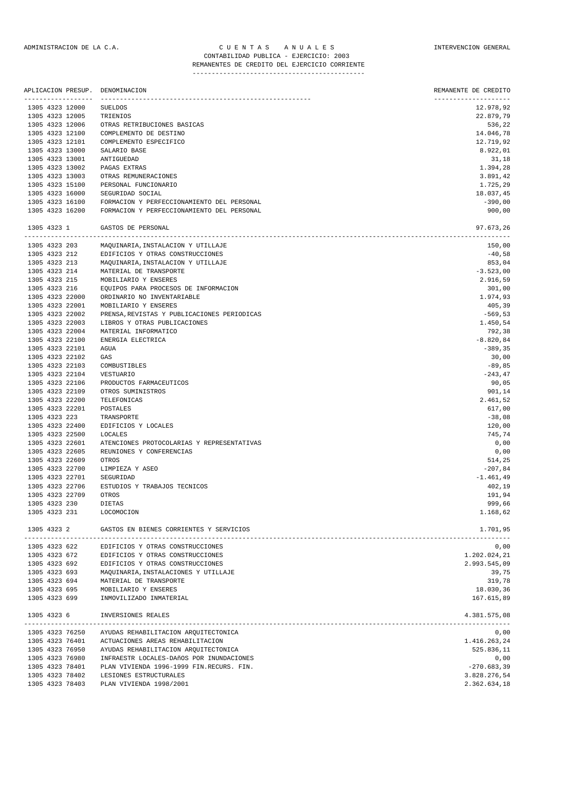# ADMINISTRACION DE LA C.A. CUENTAS ANUALES CONSTANTERVENCION GENERAL CONTABILIDAD PUBLICA - EJERCICIO: 2003

# REMANENTES DE CREDITO DEL EJERCICIO CORRIENTE

| 1305 4323 12005 | -----------------<br>1305 4323 12000 | <b>SUELDOS</b>                                                           | -------------------- |
|-----------------|--------------------------------------|--------------------------------------------------------------------------|----------------------|
|                 |                                      |                                                                          | 12.978,92            |
|                 |                                      | TRIENIOS                                                                 | 22.879,79            |
|                 | 1305 4323 12006                      | OTRAS RETRIBUCIONES BASICAS                                              | 536,22               |
|                 | 1305 4323 12100                      | COMPLEMENTO DE DESTINO                                                   | 14.046,78            |
|                 | 1305 4323 12101                      | COMPLEMENTO ESPECIFICO                                                   | 12.719,92            |
|                 | 1305 4323 13000                      | SALARIO BASE                                                             | 8.922,01             |
|                 | 1305 4323 13001                      | ANTIGUEDAD                                                               | 31,18                |
|                 | 1305 4323 13002                      | PAGAS EXTRAS                                                             | 1.394,28             |
|                 | 1305 4323 13003                      | OTRAS REMUNERACIONES                                                     | 3.891,42             |
|                 | 1305 4323 15100                      | PERSONAL FUNCIONARIO                                                     | 1.725,29             |
|                 | 1305 4323 16000                      | SEGURIDAD SOCIAL                                                         | 18.037,45            |
|                 | 1305 4323 16100                      | FORMACION Y PERFECCIONAMIENTO DEL PERSONAL                               | $-390,00$            |
|                 | 1305 4323 16200                      | FORMACION Y PERFECCIONAMIENTO DEL PERSONAL                               | 900,00               |
| 1305 4323 1     |                                      | GASTOS DE PERSONAL                                                       | 97.673,26            |
|                 | 1305 4323 203                        | MAQUINARIA, INSTALACION Y UTILLAJE                                       | 150,00               |
| 1305 4323 212   |                                      | EDIFICIOS Y OTRAS CONSTRUCCIONES                                         | $-40,58$             |
| 1305 4323 213   |                                      | MAQUINARIA, INSTALACION Y UTILLAJE                                       | 853,04               |
| 1305 4323 214   |                                      | MATERIAL DE TRANSPORTE                                                   | $-3.523,00$          |
| 1305 4323 215   |                                      | MOBILIARIO Y ENSERES                                                     | 2.916,59             |
| 1305 4323 216   |                                      | EQUIPOS PARA PROCESOS DE INFORMACION                                     | 301,00               |
|                 | 1305 4323 22000                      | ORDINARIO NO INVENTARIABLE                                               | 1.974,93             |
|                 | 1305 4323 22001                      | MOBILIARIO Y ENSERES                                                     | 405,39               |
|                 | 1305 4323 22002                      | PRENSA, REVISTAS Y PUBLICACIONES PERIODICAS                              | $-569,53$            |
|                 | 1305 4323 22003                      | LIBROS Y OTRAS PUBLICACIONES                                             | 1.450,54             |
|                 | 1305 4323 22004                      | MATERIAL INFORMATICO                                                     | 792,38               |
|                 | 1305 4323 22100                      | ENERGIA ELECTRICA                                                        | $-8.820, 84$         |
|                 | 1305 4323 22101<br>1305 4323 22102   | AGUA                                                                     | $-389, 35$           |
|                 | 1305 4323 22103                      | GAS<br>COMBUSTIBLES                                                      | 30,00<br>$-89, 85$   |
|                 | 1305 4323 22104                      | VESTUARIO                                                                | $-243, 47$           |
|                 | 1305 4323 22106                      | PRODUCTOS FARMACEUTICOS                                                  | 90,05                |
|                 | 1305 4323 22109                      | OTROS SUMINISTROS                                                        | 901,14               |
|                 | 1305 4323 22200                      | TELEFONICAS                                                              | 2.461,52             |
|                 | 1305 4323 22201                      | POSTALES                                                                 | 617,00               |
| 1305 4323 223   |                                      | TRANSPORTE                                                               | $-38,08$             |
|                 | 1305 4323 22400                      | EDIFICIOS Y LOCALES                                                      | 120,00               |
|                 | 1305 4323 22500                      | LOCALES                                                                  | 745,74               |
|                 | 1305 4323 22601                      | ATENCIONES PROTOCOLARIAS Y REPRESENTATIVAS                               | 0,00                 |
|                 | 1305 4323 22605                      | REUNIONES Y CONFERENCIAS                                                 | 0,00                 |
|                 | 1305 4323 22609                      | OTROS                                                                    | 514,25               |
|                 | 1305 4323 22700                      | LIMPIEZA Y ASEO                                                          | $-207,84$            |
|                 | 1305 4323 22701                      | SEGURIDAD                                                                | $-1.461,49$          |
|                 | 1305 4323 22706                      | ESTUDIOS Y TRABAJOS TECNICOS                                             | 402,19               |
|                 | 1305 4323 22709                      | OTROS                                                                    | 191,94               |
| 1305 4323 230   |                                      | DIETAS                                                                   | 999,66               |
| 1305 4323 231   |                                      | LOCOMOCION                                                               | 1.168,62             |
| 1305 4323 2     |                                      | GASTOS EN BIENES CORRIENTES Y SERVICIOS                                  | 1.701,95             |
| 1305 4323 622   |                                      | EDIFICIOS Y OTRAS CONSTRUCCIONES                                         | 0,00                 |
| 1305 4323 672   |                                      | EDIFICIOS Y OTRAS CONSTRUCCIONES                                         | 1.202.024,21         |
| 1305 4323 692   |                                      | EDIFICIOS Y OTRAS CONSTRUCCIONES                                         | 2.993.545,09         |
| 1305 4323 693   |                                      | MAQUINARIA, INSTALACIONES Y UTILLAJE                                     | 39,75                |
| 1305 4323 694   |                                      | MATERIAL DE TRANSPORTE                                                   | 319,78               |
| 1305 4323 695   |                                      | MOBILIARIO Y ENSERES                                                     | 18.030,36            |
| 1305 4323 699   |                                      | INMOVILIZADO INMATERIAL                                                  | 167.615,89           |
| 1305 4323 6     |                                      | INVERSIONES REALES                                                       | 4.381.575,08         |
|                 |                                      | -----------------                                                        |                      |
|                 | 1305 4323 76250<br>1305 4323 76401   | AYUDAS REHABILITACION ARQUITECTONICA<br>ACTUACIONES AREAS REHABILITACION | 0,00<br>1.416.263,24 |
|                 | 1305 4323 76950                      | AYUDAS REHABILITACION ARQUITECTONICA                                     | 525.836,11           |
|                 | 1305 4323 76980                      | INFRAESTR LOCALES-DAñOS POR INUNDACIONES                                 | 0,00                 |
|                 | 1305 4323 78401                      | PLAN VIVIENDA 1996-1999 FIN.RECURS. FIN.                                 | $-270.683,39$        |
|                 | 1305 4323 78402                      | LESIONES ESTRUCTURALES                                                   | 3.828.276,54         |
|                 | 1305 4323 78403                      | PLAN VIVIENDA 1998/2001                                                  | 2.362.634,18         |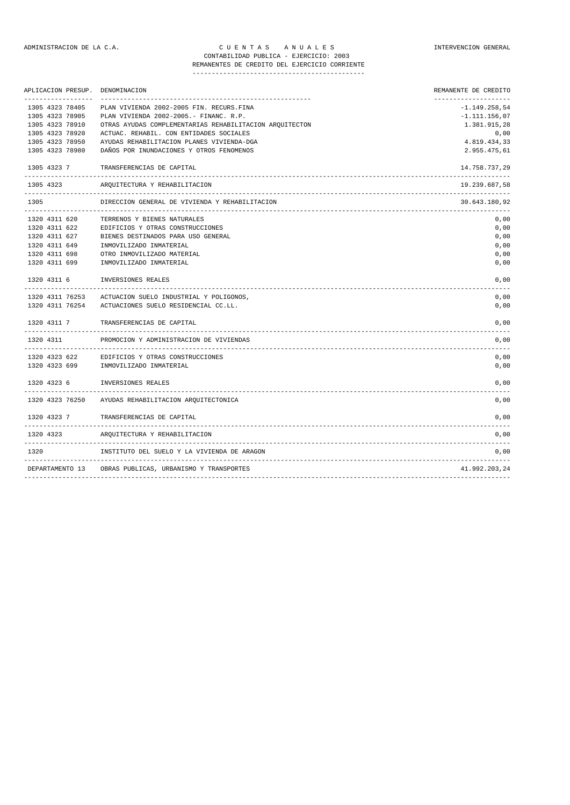1320 4323 ARQUITECTURA Y REHABILITACION 0,00

#### ADMINISTRACION DE LA C.A. CUENTAS ANUALES A CONSTRUENCION GENERAL CONTABILIDAD PUBLICA - EJERCICIO: 2003 REMANENTES DE CREDITO DEL EJERCICIO CORRIENTE

| APLICACION PRESUP. DENOMINACION |                                                                        | REMANENTE DE CREDITO               |
|---------------------------------|------------------------------------------------------------------------|------------------------------------|
| 1305 4323 78405                 | PLAN VIVIENDA 2002-2005 FIN. RECURS.FINA                               | ---------------<br>$-1.149.258,54$ |
| 1305 4323 78905                 | PLAN VIVIENDA 2002-2005.- FINANC. R.P.                                 | $-1.111.156,07$                    |
| 1305 4323 78910                 | OTRAS AYUDAS COMPLEMENTARIAS REHABILITACION AROUITECTON                | 1.381.915,28                       |
| 1305 4323 78920                 | ACTUAC. REHABIL. CON ENTIDADES SOCIALES                                | 0,00                               |
| 1305 4323 78950                 | AYUDAS REHABILITACION PLANES VIVIENDA-DGA                              | 4.819.434,33                       |
| 1305 4323 78980                 | DAÑOS POR INUNDACIONES Y OTROS FENOMENOS                               | 2.955.475,61                       |
|                                 | 1305 4323 7 TRANSFERENCIAS DE CAPITAL<br>----------------------------- | 14.758.737,29                      |
|                                 | 1305 4323 AROUITECTURA Y REHABILITACION                                | 19.239.687,58                      |
| 1305                            | DIRECCION GENERAL DE VIVIENDA Y REHABILITACION                         | 30.643.180,92                      |
|                                 | 1320 4311 620 TERRENOS Y BIENES NATURALES                              | 0,00                               |
|                                 | 1320 4311 622 EDIFICIOS Y OTRAS CONSTRUCCIONES                         | 0.00                               |
|                                 | 1320 4311 627 BIENES DESTINADOS PARA USO GENERAL                       | 0,00                               |
|                                 | 1320 4311 649 INMOVILIZADO INMATERIAL                                  | 0,00                               |
| 1320 4311 698                   | OTRO INMOVILIZADO MATERIAL                                             | 0,00                               |
| 1320 4311 699                   | INMOVILIZADO INMATERIAL                                                | 0,00                               |
| 1320 4311 6                     | INVERSIONES REALES                                                     | 0,00                               |
|                                 | 1320 4311 76253 ACTUACION SUELO INDUSTRIAL Y POLIGONOS,                | 0,00                               |
|                                 | 1320 4311 76254 ACTUACIONES SUELO RESIDENCIAL CC.LL.                   | 0,00                               |
|                                 | 1320 4311 7 TRANSFERENCIAS DE CAPITAL                                  | 0,00                               |
|                                 | 1320 4311 PROMOCION Y ADMINISTRACION DE VIVIENDAS                      | 0,00                               |
|                                 | 1320 4323 622 EDIFICIOS Y OTRAS CONSTRUCCIONES                         | 0.00                               |
|                                 | 1320 4323 699 INMOVILIZADO INMATERIAL                                  | 0,00                               |
|                                 | 1320 4323 6 INVERSIONES REALES                                         | 0,00                               |
|                                 |                                                                        |                                    |

1320 4323 76250 AYUDAS REHABILITACION ARQUITECTONICA 0,00 1320 4323 7 TRANSFERENCIAS DE CAPITAL 0,00 -------------------------------------------------------------------------------------------------------------------------------

1320 INSTITUTO DEL SUELO Y LA VIVIENDA DE ARAGON 0,00 ------------------------------------------------------------------------------------------------------------------------------- DEPARTAMENTO 13 OBRAS PUBLICAS, URBANISMO Y TRANSPORTES 41.992.203,24

-------------------------------------------------------------------------------------------------------------------------------

-------------------------------------------------------------------------------------------------------------------------------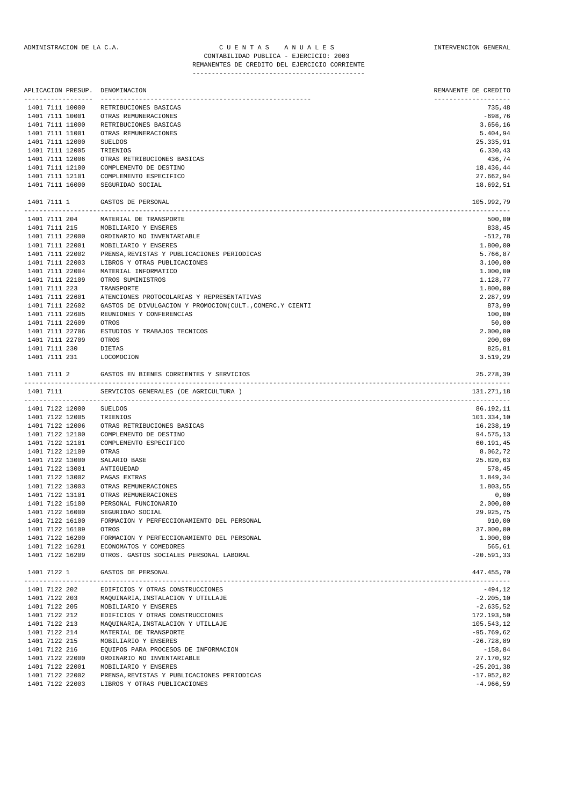### ADMINISTRACION DE LA C.A. CUENTAS ANUALES ANIDADES INTERVENCION GENERAL CONTABILIDAD PUBLICA - EJERCICIO: 2003 REMANENTES DE CREDITO DEL EJERCICIO CORRIENTE

|                                       | APLICACION PRESUP. DENOMINACION                                    | REMANENTE DE CREDITO           |
|---------------------------------------|--------------------------------------------------------------------|--------------------------------|
| ------------------<br>1401 7111 10000 | RETRIBUCIONES BASICAS                                              | --------------------<br>735,48 |
| 1401 7111 10001                       | OTRAS REMUNERACIONES                                               | -698,76                        |
| 1401 7111 11000                       | RETRIBUCIONES BASICAS                                              | 3.656,16                       |
| 1401 7111 11001                       | OTRAS REMUNERACIONES                                               | 5.404,94                       |
| 1401 7111 12000                       | <b>SUELDOS</b>                                                     | 25.335,91                      |
| 1401 7111 12005                       | TRIENIOS                                                           | 6.330, 43                      |
| 1401 7111 12006                       | OTRAS RETRIBUCIONES BASICAS                                        | 436,74                         |
| 1401 7111 12100                       | COMPLEMENTO DE DESTINO                                             | 18.436,44                      |
| 1401 7111 12101                       | COMPLEMENTO ESPECIFICO                                             | 27.662,94                      |
| 1401 7111 16000                       | SEGURIDAD SOCIAL                                                   | 18.692,51                      |
| 1401 7111 1                           | GASTOS DE PERSONAL                                                 | 105.992,79                     |
| 1401 7111 204                         | MATERIAL DE TRANSPORTE                                             | 500,00                         |
| 1401 7111 215                         | MOBILIARIO Y ENSERES                                               | 838,45                         |
| 1401 7111 22000                       | ORDINARIO NO INVENTARIABLE                                         | $-512,78$                      |
| 1401 7111 22001                       | MOBILIARIO Y ENSERES                                               | 1.800,00                       |
| 1401 7111 22002                       | PRENSA, REVISTAS Y PUBLICACIONES PERIODICAS                        | 5.766,87                       |
| 1401 7111 22003                       | LIBROS Y OTRAS PUBLICACIONES                                       | 3.100,00                       |
| 1401 7111 22004                       | MATERIAL INFORMATICO                                               | 1.000,00                       |
| 1401 7111 22109                       | OTROS SUMINISTROS                                                  | 1.128,77                       |
| 1401 7111 223                         | TRANSPORTE                                                         | 1,800,00                       |
| 1401 7111 22601                       | ATENCIONES PROTOCOLARIAS Y REPRESENTATIVAS                         | 2.287,99                       |
| 1401 7111 22602                       | GASTOS DE DIVULGACION Y PROMOCION(CULT., COMERC.Y CIENTI           | 873,99                         |
| 1401 7111 22605<br>1401 7111 22609    | REUNIONES Y CONFERENCIAS                                           | 100,00                         |
| 1401 7111 22706                       | OTROS<br>ESTUDIOS Y TRABAJOS TECNICOS                              | 50,00<br>2.000,00              |
| 1401 7111 22709                       | OTROS                                                              | 200,00                         |
| 1401 7111 230                         | DIETAS                                                             | 825,81                         |
| 1401 7111 231                         | LOCOMOCION                                                         | 3.519,29                       |
| 1401 7111 2                           | GASTOS EN BIENES CORRIENTES Y SERVICIOS                            | 25.278,39                      |
| 1401 7111                             | SERVICIOS GENERALES (DE AGRICULTURA )                              | 131.271,18                     |
| 1401 7122 12000                       | <b>SUELDOS</b>                                                     | 86.192,11                      |
| 1401 7122 12005                       | TRIENIOS                                                           | 101.334,10                     |
| 1401 7122 12006                       | OTRAS RETRIBUCIONES BASICAS                                        | 16.238,19                      |
| 1401 7122 12100                       | COMPLEMENTO DE DESTINO                                             | 94.575,13                      |
| 1401 7122 12101                       | COMPLEMENTO ESPECIFICO                                             | 60.191,45                      |
| 1401 7122 12109                       | OTRAS                                                              | 8.062,72                       |
| 1401 7122 13000                       | SALARIO BASE                                                       | 25.820,63                      |
| 1401 7122 13001                       | ANTIGUEDAD                                                         | 578,45                         |
| 1401 7122 13002                       | PAGAS EXTRAS                                                       | 1.849,34                       |
| 1401 7122 13003                       | OTRAS REMUNERACIONES                                               | 1.803,55                       |
| 1401 7122 13101                       | OTRAS REMUNERACIONES                                               | 0,00                           |
| 1401 7122 15100                       | PERSONAL FUNCIONARIO                                               | 2.000,00                       |
| 1401 7122 16000                       | SEGURIDAD SOCIAL                                                   | 29.925,75                      |
| 1401 7122 16100                       | FORMACION Y PERFECCIONAMIENTO DEL PERSONAL                         | 910,00                         |
| 1401 7122 16109                       | OTROS                                                              | 37.000,00                      |
| 1401 7122 16200                       | FORMACION Y PERFECCIONAMIENTO DEL PERSONAL                         | 1.000,00                       |
| 1401 7122 16201<br>1401 7122 16209    | ECONOMATOS Y COMEDORES<br>OTROS. GASTOS SOCIALES PERSONAL LABORAL  | 565,61<br>$-20.591, 33$        |
| 1401 7122 1                           | GASTOS DE PERSONAL                                                 | 447.455,70                     |
| 1401 7122 202                         | ______________________________<br>EDIFICIOS Y OTRAS CONSTRUCCIONES | $-494,12$                      |
| 1401 7122 203                         | MAQUINARIA, INSTALACION Y UTILLAJE                                 | $-2.205,10$                    |
| 1401 7122 205                         | MOBILIARIO Y ENSERES                                               | $-2.635,52$                    |
| 1401 7122 212                         | EDIFICIOS Y OTRAS CONSTRUCCIONES                                   | 172.193,50                     |
| 1401 7122 213                         | MAQUINARIA, INSTALACION Y UTILLAJE                                 | 105.543,12                     |

1401 7122 214 MATERIAL DE TRANSPORTE -95.769,62

1401 7122 22002 PRENSA,REVISTAS Y PUBLICACIONES PERIODICAS -17.952,82 1401 7122 22002 FRENSA, REVISIÃO I FOBLICACIONES FERIODICAS -<br>1401 7122 22003 LIBROS Y OTRAS PUBLICACIONES -4.966,59

1401 7122 215 MOBILIARIO Y ENSERES -26.728,89 1401 7122 216 EQUIPOS PARA PROCESOS DE INFORMACION -158,84 1401 7122 22000 ORDINARIO NO INVENTARIABLE 27.170,92 1401 7122 22001 MOBILIARIO Y ENSERES -25.201,38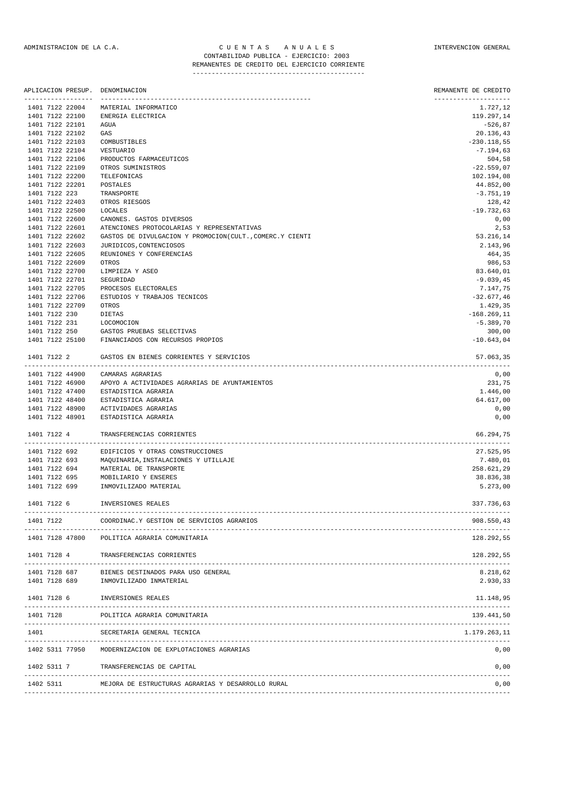|                 | APLICACION PRESUP. | DENOMINACION                                                             | REMANENTE DE CREDITO                     |
|-----------------|--------------------|--------------------------------------------------------------------------|------------------------------------------|
|                 | 1401 7122 22004    | MATERIAL INFORMATICO                                                     | 1.727,12                                 |
|                 | 1401 7122 22100    | ENERGIA ELECTRICA                                                        | 119.297,14                               |
| 1401 7122 22101 |                    | AGUA                                                                     | $-526,87$                                |
|                 | 1401 7122 22102    | GAS                                                                      | 20.136,43                                |
|                 | 1401 7122 22103    | COMBUSTIBLES                                                             | $-230.118,55$                            |
|                 | 1401 7122 22104    | <b>VESTUARIO</b>                                                         | $-7.194,63$                              |
|                 | 1401 7122 22106    | PRODUCTOS FARMACEUTICOS                                                  | 504,58                                   |
|                 | 1401 7122 22109    | OTROS SUMINISTROS                                                        | $-22.559,07$                             |
|                 | 1401 7122 22200    | TELEFONICAS                                                              | 102.194,08                               |
|                 | 1401 7122 22201    | POSTALES                                                                 | 44.852,00                                |
| 1401 7122 223   |                    | TRANSPORTE                                                               | $-3.751,19$                              |
|                 | 1401 7122 22403    | OTROS RIESGOS                                                            | 128,42                                   |
|                 | 1401 7122 22500    | LOCALES                                                                  | $-19.732,63$                             |
|                 |                    | CANONES. GASTOS DIVERSOS                                                 |                                          |
|                 | 1401 7122 22600    |                                                                          | 0,00                                     |
|                 | 1401 7122 22601    | ATENCIONES PROTOCOLARIAS Y REPRESENTATIVAS                               | 2,53                                     |
|                 | 1401 7122 22602    | GASTOS DE DIVULGACION Y PROMOCION(CULT., COMERC.Y CIENTI                 | 53.216,14                                |
|                 | 1401 7122 22603    | JURIDICOS, CONTENCIOSOS                                                  | 2.143,96                                 |
|                 | 1401 7122 22605    | REUNIONES Y CONFERENCIAS                                                 | 464,35                                   |
|                 | 1401 7122 22609    | OTROS                                                                    | 986,53                                   |
|                 | 1401 7122 22700    | LIMPIEZA Y ASEO                                                          | 83.640,01                                |
|                 | 1401 7122 22701    | SEGURIDAD                                                                | $-9.039,45$                              |
|                 | 1401 7122 22705    | PROCESOS ELECTORALES                                                     | 7.147,75                                 |
|                 | 1401 7122 22706    | ESTUDIOS Y TRABAJOS TECNICOS                                             | $-32.677,46$                             |
|                 | 1401 7122 22709    | OTROS                                                                    | 1.429,35                                 |
| 1401 7122 230   |                    | <b>DIETAS</b>                                                            | $-168.269,11$                            |
| 1401 7122 231   |                    | LOCOMOCION                                                               | $-5.389,70$                              |
| 1401 7122 250   |                    | GASTOS PRUEBAS SELECTIVAS                                                | 300,00                                   |
|                 | 1401 7122 25100    | FINANCIADOS CON RECURSOS PROPIOS                                         | $-10.643,04$                             |
| 1401 7122 2     |                    | GASTOS EN BIENES CORRIENTES Y SERVICIOS                                  | 57.063,35                                |
|                 | 1401 7122 44900    | CAMARAS AGRARIAS                                                         | --------------------------------<br>0,00 |
|                 | 1401 7122 46900    | APOYO A ACTIVIDADES AGRARIAS DE AYUNTAMIENTOS                            | 231,75                                   |
|                 | 1401 7122 47400    | ESTADISTICA AGRARIA                                                      | 1.446,00                                 |
|                 | 1401 7122 48400    | ESTADISTICA AGRARIA                                                      | 64.617,00                                |
|                 | 1401 7122 48900    | ACTIVIDADES AGRARIAS                                                     | 0,00                                     |
|                 | 1401 7122 48901    | ESTADISTICA AGRARIA                                                      | 0,00                                     |
| 1401 7122 4     |                    | TRANSFERENCIAS CORRIENTES                                                | 66.294,75                                |
| 1401 7122 692   |                    | EDIFICIOS Y OTRAS CONSTRUCCIONES                                         | 27.525,95                                |
| 1401 7122 693   |                    | MAQUINARIA, INSTALACIONES Y UTILLAJE                                     | 7.480,01                                 |
| 1401 7122 694   |                    | MATERIAL DE TRANSPORTE                                                   | 258.621,29                               |
| 1401 7122 695   |                    | MOBILIARIO Y ENSERES                                                     | 38.836,38                                |
| 1401 7122 699   |                    | INMOVILIZADO MATERIAL                                                    | 5.273,00                                 |
|                 |                    |                                                                          |                                          |
| 1401 7122 6     |                    | INVERSIONES REALES                                                       | 337.736,63                               |
| 1401 7122       |                    | COORDINAC.Y GESTION DE SERVICIOS AGRARIOS<br>--------------------------- | 908.550,43                               |
|                 |                    | 1401 7128 47800 POLITICA AGRARIA COMUNITARIA                             | 128.292,55                               |
|                 |                    | 1401 7128 4 TRANSFERENCIAS CORRIENTES                                    | 128.292,55                               |
|                 |                    |                                                                          |                                          |
|                 |                    | 1401 7128 687 BIENES DESTINADOS PARA USO GENERAL                         | 8.218,62                                 |
|                 | 1401 7128 689      | INMOVILIZADO INMATERIAL                                                  | 2.930,33                                 |
| 1401 7128 6     |                    | INVERSIONES REALES                                                       | 11.148,95                                |
| 1401 7128       |                    | POLITICA AGRARIA COMUNITARIA                                             | 139.441,50                               |
| 1401            |                    | SECRETARIA GENERAL TECNICA                                               | 1.179.263,11                             |
|                 | 1402 5311 77950    | MODERNIZACION DE EXPLOTACIONES AGRARIAS                                  | 0,00                                     |
| 1402 5311 7     |                    | TRANSFERENCIAS DE CAPITAL                                                | 0,00                                     |
|                 |                    |                                                                          |                                          |

1402 5311 MEJORA DE ESTRUCTURAS AGRARIAS Y DESARROLLO RURAL 0,00 -------------------------------------------------------------------------------------------------------------------------------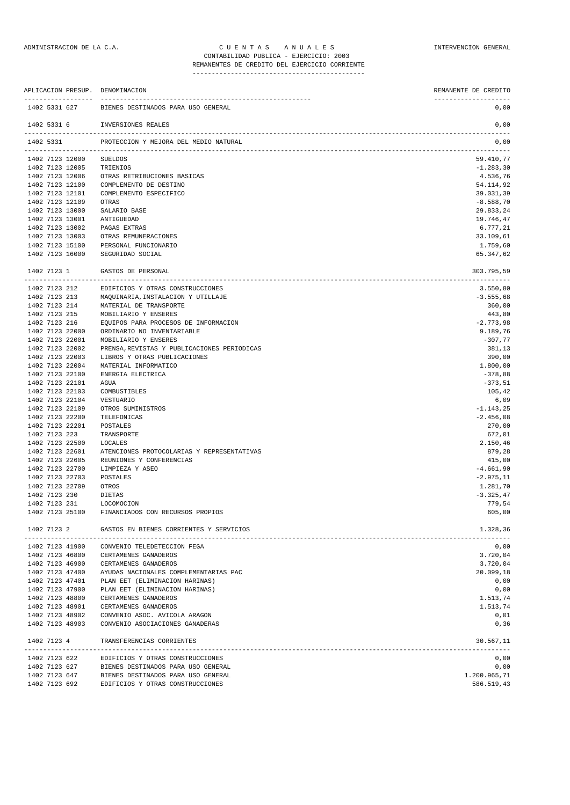#### ADMINISTRACION DE LA C.A. CHE N T A S A N U A L E S INTERVENCION GENERAL CONTABILIDAD PUBLICA - EJERCICIO: 2003 REMANENTES DE CREDITO DEL EJERCICIO CORRIENTE

--------------------------------------------- APLICACION PRESUP. DENOMINACION REMANENTE DE CREDITO ------------------ ------------------------------------------------------- -------------------- 1402 5331 627 BIENES DESTINADOS PARA USO GENERAL 0,00 1402 5331 6 INVERSIONES REALES 0,00 ------------------------------------------------------------------------------------------------------------------------------- 1402 5331 PROTECCION Y MEJORA DEL MEDIO NATURAL 0,00 ------------------------------------------------------------------------------------------------------------------------------- 1402 7123 12000 SUELDOS 59.410,77<br>1402 7123 12005 TRIENIOS --1.283.30 1402 7123 12005 TRIENIOS -1.283,30 1402 7123 12006 OTRAS RETRIBUCIONES BASICAS 4.536,76 1402 7123 12100 COMPLEMENTO DE DESTINO 54.114,92 COMPLEMENTO ESPECIFICO<br>OTRAS 1402 7123 12109 OTRAS -8.588,70 1402 7123 13000 SALARIO BASE 29.833,24 1402 7123 13001 ANTIGUEDAD 19.746,47 1402 7123 13002 PAGAS EXTRAS 6.777,21 1402 7123 13002 PAGAS EXTRAS 6.777,21 1402 7123 13003 OTRAS REMUNERACIONES OTRAS REMUNERACIONES 1102 7123 15100 PERSONAL FUNCIONARIO 1.759,60<br>1402 7123 15100 PERSONAL FUNCIONARIO 1.759,60 1402 7123 16000 SEGURIDAD SOCIAL 65.347,62 1402 7123 1 GASTOS DE PERSONAL 303.795,59 ------------------------------------------------------------------------------------------------------------------------------- 1402 7123 212 EDIFICIOS Y OTRAS CONSTRUCCIONES 3.550,80 1402 7123 213 MAQUINARIA,INSTALACION Y UTILLAJE -3.555,68 1402 7123 214 MATERIAL DE TRANSPORTE 360,00 1402 7123 215 MOBILIARIO Y ENSERES 443,80 1402 7123 216 EQUIPOS PARA PROCESOS DE INFORMACION -2.773,98 1402 7123 22000 ORDINARIO NO INVENTARIABLE 9.189,76 1402 7123 22001 MOBILIARIO Y ENSERES -307,77 1402 7123 22002 PRENSA,REVISTAS Y PUBLICACIONES PERIODICAS 381,13 1402 7123 22003 LIBROS Y OTRAS PUBLICACIONES 390,00 1402 7123 22004 MATERIAL INFORMATICO 1.800,00 1102 7123 22100 ENERGIA ELECTRICA -378,88<br>1402 7123 22100 ENERGIA ELECTRICA -378,88<br>1402 7123 22101 AGUA -373.51 1402 7123 22101 AGUA -373,51 1402 7123 22103 COMBUSTIBLES 105,42 1402 7123 22104 VESTUARIO 6,09 1402 7123 22109 OTROS SUMINISTROS -1.143,25 1402 7123 22200 TELEFONICAS -2.456,08<br>1402 7123 22200 TELEFONICAS -2.456,08 1402 7123 22201 POSTALES 270,00 1402 7123 223 TRANSPORTE 672,01 1402 7123 22500 LOCALES 2.150,46 1402 7123 22601 ATENCIONES PROTOCOLARIAS Y REPRESENTATIVAS 879,28 1402 7123 22605 REUNIONES Y CONFERENCIAS 415,00 1402 7123 22700 LIMPIEZA Y ASEO -4.661,90<br>1402 7123 22703 POSTALES -4.661,90 1402 7123 22703 POSTALES -2.975,11<br>1402 7123 22709 - OTROS -2.975,11 1402 7123 22709 OTROS 1402 7123 230 DIETAS -3.325,47 1402 7123 231 LOCOMOCION 779,54 1402 7123 25100 FINANCIADOS CON RECURSOS PROPIOS 605,00 1402 7123 2 GASTOS EN BIENES CORRIENTES Y SERVICIOS 1.328,36 ------------------------------------------------------------------------------------------------------------------------------- 1402 7123 41900 CONVENIO TELEDETECCION FEGA 0,00 1402 7123 46800 CERTAMENES GANADEROS 3.720,04 1402 7123 46900 CERTAMENES GANADEROS (1999), 18 3.720,04 3.720,04 3.720,04 3.720,04 3.720,04 3.720,04 3.720,04<br>1402 7123 47400 AYUDAS NACIONALES COMPLEMENTARIAS PAC 1402 7123 47400 AYUDAS NACIONALES COMPLEMENTARIAS PAC 1402 7123 47401 PLAN EET (ELIMINACION HARINAS) 0,00

1402 7123 47900 PLAN EET (ELIMINACION HARINAS) 0,00 1402 7123 48800 CERTAMENES GANADEROS 1.513,74<br>1402 7123 48901 CERTAMENES GANADEROS 1.513.74

1402 7123 48902 CONVENIO ASOC. AVICOLA ARAGON 0,01 1402 7123 48903 CONVENIO ASOCIACIONES GANADERAS 0,36 1402 7123 4 TRANSFERENCIAS CORRIENTES 30.567,11

1402 7123 627 BIENES DESTINADOS PARA USO GENERAL 0,00 1402 7123 647 BIENES DESTINADOS PARA USO GENERAL 1.200.965,71 1402 7123 692 EDIFICIOS Y OTRAS CONSTRUCCIONES 586.519,43

1402 7123 622 EDIFICIOS Y OTRAS CONSTRUCCIONES

1402 7123 48901 CERTAMENES GANADEROS 1.513,74

-------------------------------------------------------------------------------------------------------------------------------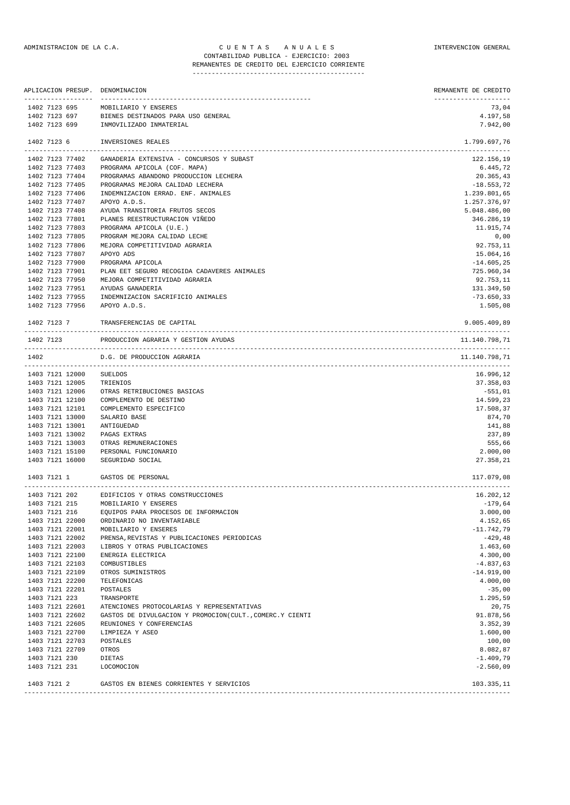|               |                                |                                    | APLICACION PRESUP. DENOMINACION                          | REMANENTE DE CREDITO<br>----------- |
|---------------|--------------------------------|------------------------------------|----------------------------------------------------------|-------------------------------------|
|               | 1402 7123 695                  |                                    | MOBILIARIO Y ENSERES                                     | 73,04                               |
| 1402 7123 697 |                                |                                    | BIENES DESTINADOS PARA USO GENERAL                       | 4.197,58                            |
| 1402 7123 699 |                                |                                    | INMOVILIZADO INMATERIAL                                  | 7.942,00                            |
|               | 1402 7123 6                    |                                    | INVERSIONES REALES                                       | 1.799.697,76                        |
|               |                                | 1402 7123 77402                    | GANADERIA EXTENSIVA - CONCURSOS Y SUBAST                 | 122.156,19                          |
|               |                                | 1402 7123 77403                    | PROGRAMA APICOLA (COF. MAPA)                             | 6.445,72                            |
|               |                                | 1402 7123 77404                    | PROGRAMAS ABANDONO PRODUCCION LECHERA                    | 20.365,43                           |
|               |                                | 1402 7123 77405                    | PROGRAMAS MEJORA CALIDAD LECHERA                         | $-18.553,72$                        |
|               |                                | 1402 7123 77406                    | INDEMNIZACION ERRAD. ENF. ANIMALES                       | 1.239.801,65                        |
|               |                                | 1402 7123 77407                    | APOYO A.D.S.                                             | 1.257.376,97                        |
|               |                                | 1402 7123 77408                    | AYUDA TRANSITORIA FRUTOS SECOS                           | 5.048.486,00                        |
|               |                                | 1402 7123 77801                    | PLANES REESTRUCTURACION VIÑEDO                           | 346.286,19                          |
|               |                                | 1402 7123 77803<br>1402 7123 77805 | PROGRAMA APICOLA (U.E.)<br>PROGRAM MEJORA CALIDAD LECHE  | 11.915,74<br>0,00                   |
|               |                                | 1402 7123 77806                    | MEJORA COMPETITIVIDAD AGRARIA                            | 92.753,11                           |
|               |                                | 1402 7123 77807                    | APOYO ADS                                                | 15.064,16                           |
|               |                                | 1402 7123 77900                    | PROGRAMA APICOLA                                         | $-14.605, 25$                       |
|               |                                | 1402 7123 77901                    | PLAN EET SEGURO RECOGIDA CADAVERES ANIMALES              | 725.960,34                          |
|               |                                | 1402 7123 77950                    | MEJORA COMPETITIVIDAD AGRARIA                            | 92.753,11                           |
|               |                                | 1402 7123 77951                    | AYUDAS GANADERIA                                         | 131.349,50                          |
|               |                                | 1402 7123 77955                    | INDEMNIZACION SACRIFICIO ANIMALES                        | $-73.650,33$                        |
|               |                                | 1402 7123 77956                    | APOYO A.D.S.                                             | 1.505,08                            |
|               | 1402 7123 7                    |                                    | TRANSFERENCIAS DE CAPITAL                                | 9.005.409,89                        |
| --------      | 1402 7123                      |                                    | PRODUCCION AGRARIA Y GESTION AYUDAS                      | 11.140.798,71                       |
| 1402          |                                |                                    | D.G. DE PRODUCCION AGRARIA                               | 11.140.798,71                       |
|               |                                | 1403 7121 12000                    | <b>SUELDOS</b>                                           | 16.996,12                           |
|               |                                | 1403 7121 12005                    | TRIENIOS                                                 | 37.358,03                           |
|               |                                | 1403 7121 12006                    | OTRAS RETRIBUCIONES BASICAS                              | $-551,01$                           |
|               |                                | 1403 7121 12100                    | COMPLEMENTO DE DESTINO                                   | 14.599,23                           |
|               |                                | 1403 7121 12101                    | COMPLEMENTO ESPECIFICO                                   | 17.508,37                           |
|               |                                | 1403 7121 13000                    | SALARIO BASE                                             | 874,70                              |
|               |                                | 1403 7121 13001                    | ANTIGUEDAD                                               | 141,88                              |
|               |                                | 1403 7121 13002                    | PAGAS EXTRAS                                             | 237,89                              |
|               |                                | 1403 7121 13003                    | OTRAS REMUNERACIONES                                     | 555,66                              |
|               |                                | 1403 7121 15100<br>1403 7121 16000 | PERSONAL FUNCIONARIO<br>SEGURIDAD SOCIAL                 | 2.000,00<br>27.358,21               |
|               |                                |                                    |                                                          |                                     |
|               | 1403 7121 1                    |                                    | GASTOS DE PERSONAL                                       | 117.079,08<br>-----------------     |
|               | 1403 7121 202                  |                                    | EDIFICIOS Y OTRAS CONSTRUCCIONES                         | 16.202,12                           |
|               | 1403 7121 215                  |                                    | MOBILIARIO Y ENSERES                                     | $-179,64$                           |
| 1403 7121 216 |                                |                                    | EQUIPOS PARA PROCESOS DE INFORMACION                     | 3.000,00                            |
|               |                                | 1403 7121 22000                    | ORDINARIO NO INVENTARIABLE                               | 4.152,65                            |
|               |                                | 1403 7121 22001                    | MOBILIARIO Y ENSERES                                     | $-11.742,79$                        |
|               |                                | 1403 7121 22002                    | PRENSA, REVISTAS Y PUBLICACIONES PERIODICAS              | $-429, 48$                          |
|               |                                | 1403 7121 22003<br>1403 7121 22100 | LIBROS Y OTRAS PUBLICACIONES<br>ENERGIA ELECTRICA        | 1.463,60<br>4.300,00                |
|               |                                | 1403 7121 22103                    | COMBUSTIBLES                                             | $-4.837,63$                         |
|               |                                | 1403 7121 22109                    | OTROS SUMINISTROS                                        | $-14.919,00$                        |
|               |                                | 1403 7121 22200                    | TELEFONICAS                                              | 4.000,00                            |
|               |                                | 1403 7121 22201                    | POSTALES                                                 | $-35,00$                            |
|               | 1403 7121 223                  |                                    | TRANSPORTE                                               | 1.295,59                            |
|               |                                | 1403 7121 22601                    | ATENCIONES PROTOCOLARIAS Y REPRESENTATIVAS               | 20,75                               |
|               |                                | 1403 7121 22602                    | GASTOS DE DIVULGACION Y PROMOCION(CULT., COMERC.Y CIENTI | 91.878,56                           |
|               |                                | 1403 7121 22605                    | REUNIONES Y CONFERENCIAS                                 | 3.352,39                            |
|               |                                | 1403 7121 22700                    | LIMPIEZA Y ASEO                                          | 1.600,00                            |
|               |                                | 1403 7121 22703                    | POSTALES                                                 | 100,00                              |
|               |                                | 1403 7121 22709                    | OTROS                                                    | 8.082,87                            |
|               | 1403 7121 230<br>1403 7121 231 |                                    | DIETAS<br>LOCOMOCION                                     | $-1.409,79$<br>$-2.560,09$          |
| 1403 7121 2   |                                |                                    | GASTOS EN BIENES CORRIENTES Y SERVICIOS                  | 103.335,11                          |
|               |                                |                                    |                                                          |                                     |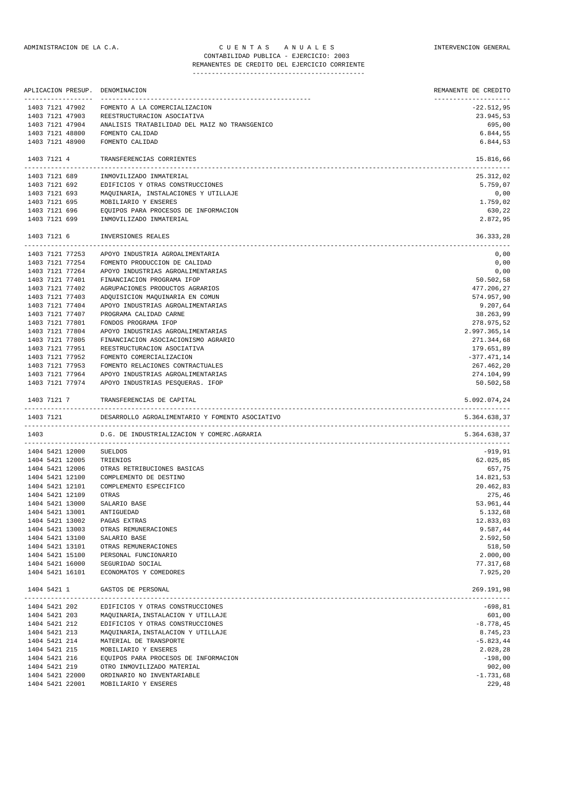#### ADMINISTRACION DE LA C.A. CUENTAS ANUALES CONSTANTERVENCION GENERAL CONTABILIDAD PUBLICA - EJERCICIO: 2003 REMANENTES DE CREDITO DEL EJERCICIO CORRIENTE

| ------------------ | APLICACION PRESUP. DENOMINACION<br>----------------------------------- | REMANENTE DE CREDITO<br>--------------------- |
|--------------------|------------------------------------------------------------------------|-----------------------------------------------|
| 1403 7121 47902    | FOMENTO A LA COMERCIALIZACION                                          | $-22.512,95$                                  |
| 1403 7121 47903    | REESTRUCTURACION ASOCIATIVA                                            | 23.945,53                                     |
| 1403 7121 47904    | ANALISIS TRATABILIDAD DEL MAIZ NO TRANSGENICO                          | 695,00                                        |
| 1403 7121 48800    | FOMENTO CALIDAD                                                        | 6.844,55                                      |
| 1403 7121 48900    | FOMENTO CALIDAD                                                        | 6.844,53                                      |
| 1403 7121 4        | TRANSFERENCIAS CORRIENTES                                              | 15.816,66                                     |
| 1403 7121 689      | INMOVILIZADO INMATERIAL                                                | 25.312,02                                     |
| 1403 7121 692      | EDIFICIOS Y OTRAS CONSTRUCCIONES                                       | 5.759,07                                      |
| 1403 7121 693      | MAQUINARIA, INSTALACIONES Y UTILLAJE                                   | 0,00                                          |
| 1403 7121 695      | MOBILIARIO Y ENSERES                                                   | 1.759,02                                      |
| 1403 7121 696      | EQUIPOS PARA PROCESOS DE INFORMACION                                   | 630,22                                        |
| 1403 7121 699      | INMOVILIZADO INMATERIAL                                                | 2.872,95                                      |
| 1403 7121 6        | INVERSIONES REALES                                                     | 36.333,28                                     |
| 1403 7121 77253    | APOYO INDUSTRIA AGROALIMENTARIA                                        | 0,00                                          |
| 1403 7121 77254    | FOMENTO PRODUCCION DE CALIDAD                                          | 0,00                                          |
| 1403 7121 77264    | APOYO INDUSTRIAS AGROALIMENTARIAS                                      | 0,00                                          |
| 1403 7121 77401    | FINANCIACION PROGRAMA IFOP                                             | 50.502,58                                     |
| 1403 7121 77402    | AGRUPACIONES PRODUCTOS AGRARIOS                                        | 477.206,27                                    |
| 1403 7121 77403    | ADOUISICION MAQUINARIA EN COMUN                                        | 574.957,90                                    |
| 1403 7121 77404    | APOYO INDUSTRIAS AGROALIMENTARIAS                                      | 9.207,64                                      |
| 1403 7121 77407    | PROGRAMA CALIDAD CARNE                                                 | 38.263,99                                     |
| 1403 7121 77801    | FONDOS PROGRAMA IFOP                                                   | 278.975,52                                    |
| 1403 7121 77804    | APOYO INDUSTRIAS AGROALIMENTARIAS                                      | 2.997.365,14                                  |
| 1403 7121 77805    | FINANCIACION ASOCIACIONISMO AGRARIO                                    | 271.344,68                                    |
| 1403 7121 77951    | REESTRUCTURACION ASOCIATIVA                                            | 179.651,89                                    |
| 1403 7121 77952    | FOMENTO COMERCIALIZACION                                               | $-377.471,14$                                 |
| 1403 7121 77953    | FOMENTO RELACIONES CONTRACTUALES                                       | 267.462,20                                    |
| 1403 7121 77964    | APOYO INDUSTRIAS AGROALIMENTARIAS                                      | 274.104,99                                    |
|                    | 1403 7121 77974 APOYO INDUSTRIAS PESQUERAS. IFOP                       | 50.502,58                                     |
| 1403 7121 7        | TRANSFERENCIAS DE CAPITAL                                              | 5.092.074,24                                  |
| 1403 7121          | DESARROLLO AGROALIMENTARIO Y FOMENTO ASOCIATIVO                        | 5.364.638,37                                  |
| 1403               | D.G. DE INDUSTRIALIZACION Y COMERC.AGRARIA                             | 5.364.638,37                                  |
| 1404 5421 12000    | SUELDOS                                                                | -919,91                                       |
| 1404 5421 12005    | TRIENIOS                                                               | 62.025,85                                     |
| 1404 5421 12006    | OTRAS RETRIBUCIONES BASICAS                                            | 657,75                                        |
| 1404 5421 12100    | COMPLEMENTO DE DESTINO                                                 | 14.821,53                                     |
| 1404 5421 12101    | COMPLEMENTO ESPECIFICO                                                 | 20.462,83                                     |
| 1404 5421 12109    | OTRAS                                                                  | 275,46                                        |
| 1404 5421 13000    | SALARIO BASE                                                           | 53.961,44                                     |
| 1404 5421 13001    | ANTIGUEDAD                                                             | 5.132,68                                      |
| 1404 5421 13002    | PAGAS EXTRAS                                                           | 12.833,03                                     |
| 1404 5421 13003    | OTRAS REMUNERACIONES                                                   | 9.587,44                                      |
| 1404 5421 13100    | SALARIO BASE                                                           | 2.592,50                                      |
| 1404 5421 13101    | OTRAS REMUNERACIONES                                                   | 518,50                                        |
| 1404 5421 15100    | PERSONAL FUNCIONARIO                                                   | 2.000,00                                      |
| 1404 5421 16000    | SEGURIDAD SOCIAL                                                       | 77.317,68                                     |
| 1404 5421 16101    | ECONOMATOS Y COMEDORES                                                 | 7.925,20                                      |
| 1404 5421 1        | GASTOS DE PERSONAL                                                     | 269.191,98                                    |
|                    |                                                                        |                                               |

| 1404 5421 202 |                 | EDIFICIOS Y OTRAS CONSTRUCCIONES     | $-698, 81$   |
|---------------|-----------------|--------------------------------------|--------------|
| 1404 5421 203 |                 | MAQUINARIA, INSTALACION Y UTILLAJE   | 601,00       |
| 1404 5421 212 |                 | EDIFICIOS Y OTRAS CONSTRUCCIONES     | $-8.778, 45$ |
| 1404 5421 213 |                 | MAQUINARIA, INSTALACION Y UTILLAJE   | 8.745,23     |
| 1404 5421 214 |                 | MATERIAL DE TRANSPORTE               | $-5.823, 44$ |
| 1404 5421 215 |                 | MOBILIARIO Y ENSERES                 | 2.028,28     |
| 1404 5421 216 |                 | EQUIPOS PARA PROCESOS DE INFORMACION | $-198,00$    |
| 1404 5421 219 |                 | OTRO INMOVILIZADO MATERIAL           | 902,00       |
|               | 1404 5421 22000 | ORDINARIO NO INVENTARIABLE           | $-1.731,68$  |
|               | 1404 5421 22001 | MOBILIARIO Y ENSERES                 | 229,48       |
|               |                 |                                      |              |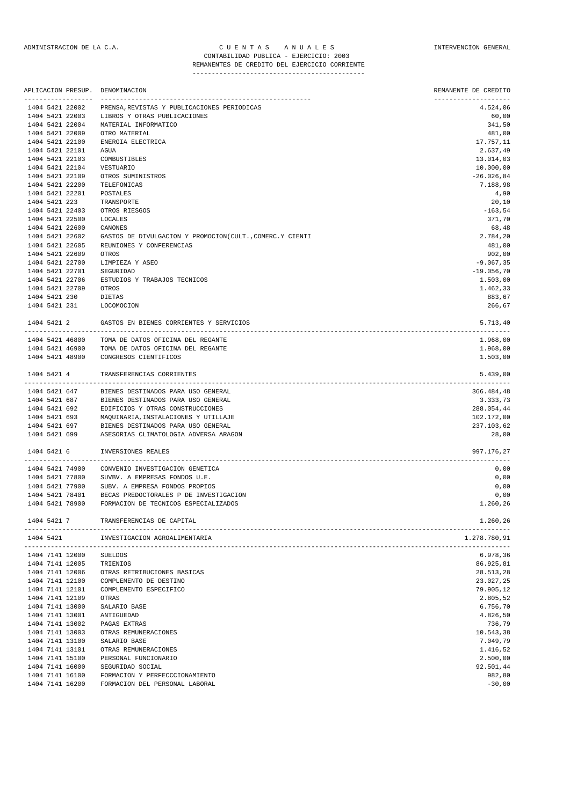### ADMINISTRACION DE LA C.A. C U E N T A S A N U A L E S INTERVENCION GENERAL CONTABILIDAD PUBLICA - EJERCICIO: 2003 ---------------------------------------------

# REMANENTES DE CREDITO DEL EJERCICIO CORRIENTE

|                 | APLICACION PRESUP. | DENOMINACION                                             | REMANENTE DE CREDITO             |
|-----------------|--------------------|----------------------------------------------------------|----------------------------------|
| 1404 5421 22002 |                    | PRENSA, REVISTAS Y PUBLICACIONES PERIODICAS              | --------------------<br>4.524,06 |
| 1404 5421 22003 |                    | LIBROS Y OTRAS PUBLICACIONES                             | 60,00                            |
| 1404 5421 22004 |                    | MATERIAL INFORMATICO                                     | 341,50                           |
| 1404 5421 22009 |                    | OTRO MATERIAL                                            | 481,00                           |
| 1404 5421 22100 |                    | ENERGIA ELECTRICA                                        | 17.757,11                        |
| 1404 5421 22101 |                    | AGUA                                                     | 2.637,49                         |
| 1404 5421 22103 |                    | COMBUSTIBLES                                             | 13.014,03                        |
| 1404 5421 22104 |                    | VESTUARIO                                                | 10.000,00                        |
| 1404 5421 22109 |                    | OTROS SUMINISTROS                                        | $-26.026,84$                     |
| 1404 5421 22200 |                    | TELEFONICAS                                              | 7.188,98                         |
| 1404 5421 22201 |                    | POSTALES                                                 | 4,90                             |
| 1404 5421 223   |                    | TRANSPORTE                                               | 20,10                            |
| 1404 5421 22403 |                    | OTROS RIESGOS                                            | $-163,54$                        |
| 1404 5421 22500 |                    | LOCALES                                                  | 371,70                           |
| 1404 5421 22600 |                    | CANONES                                                  | 68,48                            |
| 1404 5421 22602 |                    | GASTOS DE DIVULGACION Y PROMOCION(CULT., COMERC.Y CIENTI | 2.784,20                         |
| 1404 5421 22605 |                    | REUNIONES Y CONFERENCIAS                                 | 481,00                           |
| 1404 5421 22609 |                    | OTROS                                                    | 902,00                           |
| 1404 5421 22700 |                    | LIMPIEZA Y ASEO                                          | $-9.067, 35$                     |
| 1404 5421 22701 |                    | SEGURIDAD                                                | $-19.056,70$                     |
| 1404 5421 22706 |                    | ESTUDIOS Y TRABAJOS TECNICOS                             | 1.503,00                         |
| 1404 5421 22709 |                    | OTROS                                                    | 1.462,33                         |
| 1404 5421 230   |                    | DIETAS                                                   | 883,67                           |
| 1404 5421 231   |                    | LOCOMOCION                                               | 266,67                           |
| 1404 5421 2     |                    | GASTOS EN BIENES CORRIENTES Y SERVICIOS                  | 5.713,40<br>---------            |
|                 | 1404 5421 46800    | TOMA DE DATOS OFICINA DEL REGANTE                        | 1.968,00                         |
|                 | 1404 5421 46900    | TOMA DE DATOS OFICINA DEL REGANTE                        | 1.968,00                         |
| 1404 5421 48900 |                    | CONGRESOS CIENTIFICOS                                    | 1.503,00                         |
| 1404 5421 4     |                    | TRANSFERENCIAS CORRIENTES                                | 5.439,00                         |
|                 | 1404 5421 647      | BIENES DESTINADOS PARA USO GENERAL                       | 366.484,48                       |
|                 |                    | 1404 5421 687 BIENES DESTINADOS PARA USO GENERAL         | 3.333,73                         |
|                 | 1404 5421 692      | EDIFICIOS Y OTRAS CONSTRUCCIONES                         | 288.054,44                       |
| 1404 5421 693   |                    | MAQUINARIA, INSTALACIONES Y UTILLAJE                     | 102.172,00                       |
| 1404 5421 697   |                    | BIENES DESTINADOS PARA USO GENERAL                       | 237.103,62                       |
| 1404 5421 699   |                    | ASESORIAS CLIMATOLOGIA ADVERSA ARAGON                    | 28,00                            |
| 1404 5421 6     |                    | INVERSIONES REALES                                       | 997.176,27                       |
| 1404 5421 74900 |                    | CONVENIO INVESTIGACION GENETICA                          | 0,00                             |
| 1404 5421 77800 |                    | SUVBV. A EMPRESAS FONDOS U.E.                            | 0,00                             |
| 1404 5421 77900 |                    | SUBV. A EMPRESA FONDOS PROPIOS                           | 0,00                             |
| 1404 5421 78401 |                    | BECAS PREDOCTORALES P DE INVESTIGACION                   | 0,00                             |
| 1404 5421 78900 |                    | FORMACION DE TECNICOS ESPECIALIZADOS                     | 1.260,26                         |
| 1404 5421 7     |                    | TRANSFERENCIAS DE CAPITAL                                | 1.260,26                         |
| 1404 5421       |                    | INVESTIGACION AGROALIMENTARIA                            | 1.278.780,91                     |
| 1404 7141 12000 |                    | <b>SUELDOS</b>                                           | 6.978,36                         |
| 1404 7141 12005 |                    | TRIENIOS                                                 | 86.925,81                        |
| 1404 7141 12006 |                    | OTRAS RETRIBUCIONES BASICAS                              | 28.513,28                        |
| 1404 7141 12100 |                    | COMPLEMENTO DE DESTINO                                   | 23.027,25                        |
| 1404 7141 12101 |                    | COMPLEMENTO ESPECIFICO                                   | 79.905,12                        |
| 1404 7141 12109 |                    | OTRAS                                                    | 2.805,52                         |
| 1404 7141 13000 |                    | SALARIO BASE                                             | 6.756,70                         |
| 1404 7141 13001 |                    | ANTIGUEDAD                                               | 4.826,50                         |
| 1404 7141 13002 |                    | PAGAS EXTRAS                                             | 736,79                           |
| 1404 7141 13003 |                    | OTRAS REMUNERACIONES                                     | 10.543,38                        |
| 1404 7141 13100 |                    | SALARIO BASE                                             | 7.049,79                         |
| 1404 7141 13101 |                    | OTRAS REMUNERACIONES                                     | 1.416,52                         |
| 1404 7141 15100 |                    | PERSONAL FUNCIONARIO                                     | 2.500,00                         |
| 1404 7141 16000 |                    | SEGURIDAD SOCIAL                                         | 92.501,44                        |
| 1404 7141 16100 |                    | FORMACION Y PERFECCCIONAMIENTO                           | 982,80                           |
| 1404 7141 16200 |                    | FORMACION DEL PERSONAL LABORAL                           | $-30,00$                         |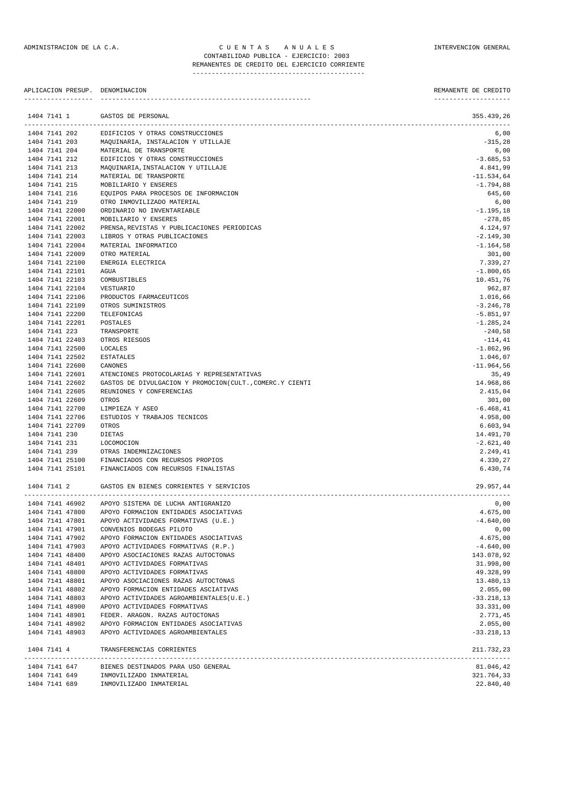APLICACION PRESUP. DENOMINACION REMANENTE DE CREDITO

| 1404 7141 1                        | GASTOS DE PERSONAL                                       | 355.439,26               |
|------------------------------------|----------------------------------------------------------|--------------------------|
|                                    | 1404 7141 202 EDIFICIOS Y OTRAS CONSTRUCCIONES           | 6,00                     |
|                                    | 1404 7141 203 MAQUINARIA, INSTALACION Y UTILLAJE         | $-315,28$                |
|                                    | 1404 7141 204 MATERIAL DE TRANSPORTE                     | 6,00                     |
| 1404 7141 212                      | EDIFICIOS Y OTRAS CONSTRUCCIONES                         | $-3.685,53$              |
| 1404 7141 213                      | MAQUINARIA, INSTALACION Y UTILLAJE                       | 4.841,99                 |
| 1404 7141 214                      | MATERIAL DE TRANSPORTE                                   | $-11.534,64$             |
| 1404 7141 215                      | MOBILIARIO Y ENSERES                                     | $-1.794,88$              |
| 1404 7141 216                      | EQUIPOS PARA PROCESOS DE INFORMACION                     | 645,60                   |
| 1404 7141 219                      | OTRO INMOVILIZADO MATERIAL                               | 6,00                     |
| 1404 7141 22000                    | ORDINARIO NO INVENTARIABLE                               | $-1.195,18$              |
| 1404 7141 22001                    | MOBILIARIO Y ENSERES                                     | $-278,85$                |
| 1404 7141 22002                    | PRENSA, REVISTAS Y PUBLICACIONES PERIODICAS              | 4.124,97                 |
| 1404 7141 22003                    | LIBROS Y OTRAS PUBLICACIONES                             | $-2.149, 30$             |
| 1404 7141 22004                    | MATERIAL INFORMATICO                                     | $-1.164,58$              |
| 1404 7141 22009                    | OTRO MATERIAL                                            | 301,00<br>7.339,27       |
| 1404 7141 22100<br>1404 7141 22101 | ENERGIA ELECTRICA<br>AGUA                                |                          |
| 1404 7141 22103                    | COMBUSTIBLES                                             | $-1.800,65$<br>10.451,76 |
| 1404 7141 22104                    | VESTUARIO                                                | 962,87                   |
| 1404 7141 22106                    | PRODUCTOS FARMACEUTICOS                                  | 1.016,66                 |
| 1404 7141 22109                    | OTROS SUMINISTROS                                        | $-3.246,78$              |
| 1404 7141 22200                    | TELEFONICAS                                              | $-5.851,97$              |
| 1404 7141 22201                    | POSTALES                                                 | $-1.285, 24$             |
| 1404 7141 223                      | TRANSPORTE                                               | $-240,58$                |
| 1404 7141 22403                    | OTROS RIESGOS                                            | $-114, 41$               |
| 1404 7141 22500                    | LOCALES                                                  | $-1.862,96$              |
| 1404 7141 22502                    | ESTATALES                                                | 1.046,07                 |
| 1404 7141 22600                    | CANONES                                                  | $-11.964,56$             |
| 1404 7141 22601                    | ATENCIONES PROTOCOLARIAS Y REPRESENTATIVAS               | 35,49                    |
| 1404 7141 22602                    | GASTOS DE DIVULGACION Y PROMOCION(CULT., COMERC.Y CIENTI | 14.968,86                |
| 1404 7141 22605                    | REUNIONES Y CONFERENCIAS                                 | 2.415,04                 |
| 1404 7141 22609                    | OTROS                                                    | 301,00                   |
| 1404 7141 22700                    | LIMPIEZA Y ASEO                                          | $-6.468, 41$             |
| 1404 7141 22706                    | ESTUDIOS Y TRABAJOS TECNICOS                             | 4.958,00                 |
| 1404 7141 22709                    | OTROS                                                    | 6.603,94                 |
| 1404 7141 230                      | DIETAS                                                   | 14.491,70                |
| 1404 7141 231                      | LOCOMOCION                                               | $-2.621, 40$             |
| 1404 7141 239                      | OTRAS INDEMNIZACIONES                                    | 2.249,41                 |
| 1404 7141 25100                    | FINANCIADOS CON RECURSOS PROPIOS                         | 4.330,27                 |
| 1404 7141 25101                    | FINANCIADOS CON RECURSOS FINALISTAS                      | 6.430,74                 |
| 1404 7141 2                        | GASTOS EN BIENES CORRIENTES Y SERVICIOS                  | 29.957,44                |
| 1404 7141 46902                    | APOYO SISTEMA DE LUCHA ANTIGRANIZO                       | 0,00                     |
|                                    | 1404 7141 47800 APOYO FORMACION ENTIDADES ASOCIATIVAS    | 4.675,00                 |
|                                    | 1404 7141 47801 APOYO ACTIVIDADES FORMATIVAS (U.E.)      | $-4.640,00$              |
| 1404 7141 47901                    | CONVENIOS BODEGAS PILOTO                                 | 0,00                     |
| 1404 7141 47902                    | APOYO FORMACION ENTIDADES ASOCIATIVAS                    | 4.675,00                 |
| 1404 7141 47903                    | APOYO ACTIVIDADES FORMATIVAS (R.P.)                      | $-4.640,00$              |
| 1404 7141 48400                    | APOYO ASOCIACIONES RAZAS AUTOCTONAS                      | 143.078,92               |
| 1404 7141 48401                    | APOYO ACTIVIDADES FORMATIVAS                             | 31.998,00                |
| 1404 7141 48800                    | APOYO ACTIVIDADES FORMATIVAS                             | 49.328,99                |
| 1404 7141 48801                    | APOYO ASOCIACIONES RAZAS AUTOCTONAS                      | 13.480,13                |
| 1404 7141 48802                    | APOYO FORMACION ENTIDADES ASCIATIVAS                     | 2.055,00                 |
| 1404 7141 48803                    | APOYO ACTIVIDADES AGROAMBIENTALES(U.E.)                  | $-33.218,13$             |
| 1404 7141 48900                    | APOYO ACTIVIDADES FORMATIVAS                             | 33.331,00                |
| 1404 7141 48901                    | FEDER. ARAGON. RAZAS AUTOCTONAS                          | 2.771,45                 |
| 1404 7141 48902                    | APOYO FORMACION ENTIDADES ASOCIATIVAS                    | 2.055,00                 |
| 1404 7141 48903                    | APOYO ACTIVIDADES AGROAMBIENTALES                        | $-33.218,13$             |
| 1404 7141 4                        | TRANSFERENCIAS CORRIENTES                                | 211.732,23               |
| 1404 7141 647                      | BIENES DESTINADOS PARA USO GENERAL                       | 81.046,42<br>221.764.22  |
| 1101711760                         | TMMOUTTITGADO TMMATIOIRI                                 |                          |

1404 7141 649 INMOVILIZADO INMATERIAL 321.764,33 1404 7141 689 INMOVILIZADO INMATERIAL 22.840,40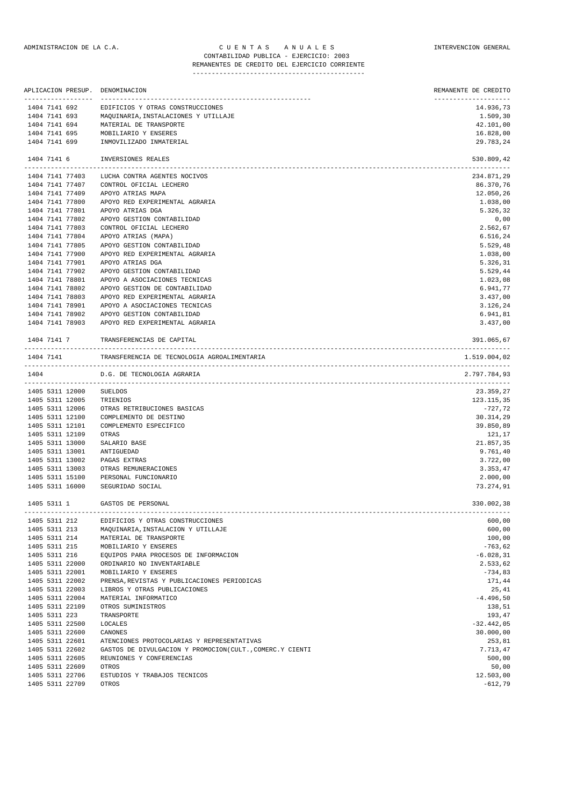|                                    |                                     | APLICACION PRESUP. DENOMINACION                          | REMANENTE DE CREDITO              |
|------------------------------------|-------------------------------------|----------------------------------------------------------|-----------------------------------|
|                                    | ------------------<br>1404 7141 692 | EDIFICIOS Y OTRAS CONSTRUCCIONES                         | --------------------<br>14.936,73 |
|                                    | 1404 7141 693                       | MAQUINARIA, INSTALACIONES Y UTILLAJE                     | 1.509,30                          |
|                                    | 1404 7141 694                       | MATERIAL DE TRANSPORTE                                   | 42.101,00                         |
| 1404 7141 695                      |                                     | MOBILIARIO Y ENSERES                                     | 16.828,00                         |
| 1404 7141 699                      |                                     | INMOVILIZADO INMATERIAL                                  | 29.783,24                         |
| 1404 7141 6                        |                                     | INVERSIONES REALES                                       | 530.809,42<br>-------             |
|                                    | 1404 7141 77403                     | LUCHA CONTRA AGENTES NOCIVOS                             | 234.871,29                        |
|                                    | 1404 7141 77407                     | CONTROL OFICIAL LECHERO                                  | 86.370,76                         |
| 1404 7141 77409                    |                                     | APOYO ATRIAS MAPA                                        | 12.050,26                         |
| 1404 7141 77800                    |                                     | APOYO RED EXPERIMENTAL AGRARIA                           | 1.038,00                          |
| 1404 7141 77801                    |                                     | APOYO ATRIAS DGA                                         | 5.326,32                          |
| 1404 7141 77802<br>1404 7141 77803 |                                     | APOYO GESTION CONTABILIDAD<br>CONTROL OFICIAL LECHERO    | 0,00<br>2.562,67                  |
| 1404 7141 77804                    |                                     | APOYO ATRIAS (MAPA)                                      | 6.516,24                          |
| 1404 7141 77805                    |                                     | APOYO GESTION CONTABILIDAD                               | 5.529,48                          |
| 1404 7141 77900                    |                                     | APOYO RED EXPERIMENTAL AGRARIA                           | 1.038,00                          |
| 1404 7141 77901                    |                                     | APOYO ATRIAS DGA                                         | 5.326,31                          |
| 1404 7141 77902                    |                                     | APOYO GESTION CONTABILIDAD                               | 5.529,44                          |
| 1404 7141 78801                    |                                     | APOYO A ASOCIACIONES TECNICAS                            | 1.023,08                          |
| 1404 7141 78802                    |                                     | APOYO GESTION DE CONTABILIDAD                            | 6.941,77                          |
| 1404 7141 78803                    |                                     | APOYO RED EXPERIMENTAL AGRARIA                           | 3.437,00                          |
| 1404 7141 78901                    |                                     | APOYO A ASOCIACIONES TECNICAS                            | 3.126,24                          |
| 1404 7141 78902                    |                                     | APOYO GESTION CONTABILIDAD                               | 6.941,81                          |
|                                    | 1404 7141 78903                     | APOYO RED EXPERIMENTAL AGRARIA                           | 3.437,00                          |
| 1404 7141 7                        |                                     | TRANSFERENCIAS DE CAPITAL                                | 391.065,67                        |
| 1404 7141                          |                                     | TRANSFERENCIA DE TECNOLOGIA AGROALIMENTARIA              | 1.519.004,02                      |
| 1404                               |                                     | D.G. DE TECNOLOGIA AGRARIA                               | 2.797.784,93                      |
|                                    | 1405 5311 12000                     | SUELDOS                                                  | 23.359,27                         |
| 1405 5311 12005                    |                                     | TRIENIOS                                                 | 123.115,35                        |
| 1405 5311 12006                    |                                     | OTRAS RETRIBUCIONES BASICAS                              | $-727,72$                         |
| 1405 5311 12100                    |                                     | COMPLEMENTO DE DESTINO                                   | 30.314,29                         |
| 1405 5311 12101                    |                                     | COMPLEMENTO ESPECIFICO                                   | 39.850,89                         |
| 1405 5311 12109                    |                                     | OTRAS                                                    | 121,17                            |
| 1405 5311 13000                    |                                     | SALARIO BASE                                             | 21.857,35                         |
| 1405 5311 13001<br>1405 5311 13002 |                                     | ANTIGUEDAD                                               | 9.761,40                          |
| 1405 5311 13003                    |                                     | PAGAS EXTRAS<br>OTRAS REMUNERACIONES                     | 3.722,00<br>3.353,47              |
| 1405 5311 15100                    |                                     | PERSONAL FUNCIONARIO                                     | 2.000,00                          |
| 1405 5311 16000                    |                                     | SEGURIDAD SOCIAL                                         | 73.274,91                         |
| 1405 5311 1                        |                                     | GASTOS DE PERSONAL                                       | 330.002,38                        |
|                                    |                                     | 1405 5311 212 EDIFICIOS Y OTRAS CONSTRUCCIONES           | 600,00                            |
| 1405 5311 213                      |                                     | MAQUINARIA, INSTALACION Y UTILLAJE                       | 600,00                            |
| 1405 5311 214                      |                                     | MATERIAL DE TRANSPORTE                                   | 100,00                            |
| 1405 5311 215                      |                                     | MOBILIARIO Y ENSERES                                     | $-763,62$                         |
| 1405 5311 216                      |                                     | EQUIPOS PARA PROCESOS DE INFORMACION                     | $-6.028, 31$                      |
| 1405 5311 22000                    |                                     | ORDINARIO NO INVENTARIABLE                               | 2.533,62                          |
| 1405 5311 22001                    |                                     | MOBILIARIO Y ENSERES                                     | $-734,83$                         |
| 1405 5311 22002                    |                                     | PRENSA, REVISTAS Y PUBLICACIONES PERIODICAS              | 171,44                            |
| 1405 5311 22003                    |                                     | LIBROS Y OTRAS PUBLICACIONES                             | 25,41                             |
| 1405 5311 22004                    |                                     | MATERIAL INFORMATICO                                     | $-4.496,50$                       |
| 1405 5311 22109<br>1405 5311 223   |                                     | OTROS SUMINISTROS                                        | 138,51<br>193,47                  |
| 1405 5311 22500                    |                                     | TRANSPORTE<br>LOCALES                                    | $-32.442,05$                      |
| 1405 5311 22600                    |                                     | CANONES                                                  | 30.000,00                         |
| 1405 5311 22601                    |                                     | ATENCIONES PROTOCOLARIAS Y REPRESENTATIVAS               | 253,81                            |
| 1405 5311 22602                    |                                     | GASTOS DE DIVULGACION Y PROMOCION(CULT., COMERC.Y CIENTI | 7.713,47                          |
| 1405 5311 22605                    |                                     | REUNIONES Y CONFERENCIAS                                 | 500,00                            |
| 1405 5311 22609                    |                                     | OTROS                                                    | 50,00                             |
|                                    |                                     |                                                          |                                   |

1405 5311 22706 ESTUDIOS Y TRABAJOS TECNICOS 12.503,00 1405 5311 22709 OTROS -612,79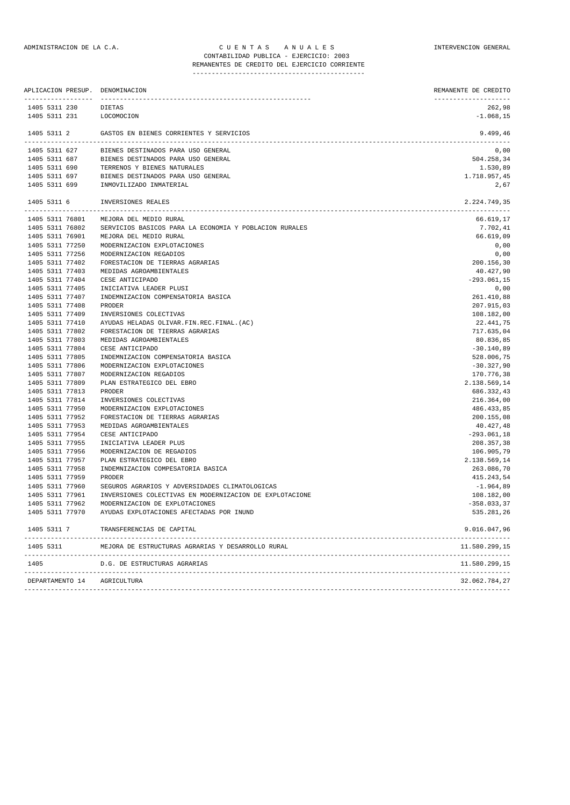## ADMINISTRACION DE LA C.A. C U E N T A S A N U A L E S INTERVENCION GENERAL CONTABILIDAD PUBLICA - EJERCICIO: 2003

# REMANENTES DE CREDITO DEL EJERCICIO CORRIENTE

| -------------------                | APLICACION PRESUP. DENOMINACION                         | REMANENTE DE CREDITO<br>--------------------     |
|------------------------------------|---------------------------------------------------------|--------------------------------------------------|
| 1405 5311 230                      | DIETAS                                                  | 262,98                                           |
| 1405 5311 231                      | LOCOMOCION                                              | $-1.068, 15$                                     |
| 1405 5311 2                        | GASTOS EN BIENES CORRIENTES Y SERVICIOS                 | 9.499,46                                         |
| 1405 5311 627                      | BIENES DESTINADOS PARA USO GENERAL                      | 0,00                                             |
|                                    | 1405 5311 687 BIENES DESTINADOS PARA USO GENERAL        | 504.258,34                                       |
| 1405 5311 690                      | TERRENOS Y BIENES NATURALES                             | 1.530,89                                         |
|                                    | 1405 5311 697 BIENES DESTINADOS PARA USO GENERAL        | 1.718.957,45                                     |
| 1405 5311 699                      | INMOVILIZADO INMATERIAL                                 | 2,67                                             |
| 1405 5311 6                        | INVERSIONES REALES                                      | 2.224.749,35<br>________________________________ |
| 1405 5311 76801                    | MEJORA DEL MEDIO RURAL                                  | 66.619,17                                        |
| 1405 5311 76802                    | SERVICIOS BASICOS PARA LA ECONOMIA Y POBLACION RURALES  | 7.702,41                                         |
| 1405 5311 76901                    | MEJORA DEL MEDIO RURAL                                  | 66.619,09                                        |
| 1405 5311 77250                    | MODERNIZACION EXPLOTACIONES                             | 0,00                                             |
| 1405 5311 77256                    | MODERNIZACION REGADIOS                                  | 0,00                                             |
| 1405 5311 77402                    | FORESTACION DE TIERRAS AGRARIAS                         | 200.156,30                                       |
| 1405 5311 77403                    | MEDIDAS AGROAMBIENTALES                                 | 40.427,90                                        |
| 1405 5311 77404                    | CESE ANTICIPADO                                         | $-293.061,15$                                    |
| 1405 5311 77405                    | INICIATIVA LEADER PLUSI                                 | 0,00                                             |
| 1405 5311 77407                    | INDEMNIZACION COMPENSATORIA BASICA                      | 261.410,88                                       |
| 1405 5311 77408                    | PRODER                                                  | 207.915,03                                       |
| 1405 5311 77409                    | INVERSIONES COLECTIVAS                                  | 108.182,00                                       |
| 1405 5311 77410                    | AYUDAS HELADAS OLIVAR.FIN.REC.FINAL.(AC)                | 22.441,75                                        |
| 1405 5311 77802                    | FORESTACION DE TIERRAS AGRARIAS                         | 717.635,04                                       |
| 1405 5311 77803                    | MEDIDAS AGROAMBIENTALES<br>CESE ANTICIPADO              | 80.836,85                                        |
| 1405 5311 77804<br>1405 5311 77805 | INDEMNIZACION COMPENSATORIA BASICA                      | $-30.140,89$<br>528.006,75                       |
| 1405 5311 77806                    | MODERNIZACION EXPLOTACIONES                             | $-30.327,90$                                     |
| 1405 5311 77807                    | MODERNIZACION REGADIOS                                  | 170.776,38                                       |
| 1405 5311 77809                    | PLAN ESTRATEGICO DEL EBRO                               | 2.138.569,14                                     |
| 1405 5311 77813                    | PRODER                                                  | 686.332,43                                       |
| 1405 5311 77814                    | INVERSIONES COLECTIVAS                                  | 216.364,00                                       |
| 1405 5311 77950                    | MODERNIZACION EXPLOTACIONES                             | 486.433,85                                       |
| 1405 5311 77952                    | FORESTACION DE TIERRAS AGRARIAS                         | 200.155,08                                       |
| 1405 5311 77953                    | MEDIDAS AGROAMBIENTALES                                 | 40.427,48                                        |
| 1405 5311 77954                    | CESE ANTICIPADO                                         | $-293.061,18$                                    |
| 1405 5311 77955                    | INICIATIVA LEADER PLUS                                  | 208.357,38                                       |
| 1405 5311 77956                    | MODERNIZACION DE REGADIOS                               | 106.905,79                                       |
| 1405 5311 77957                    | PLAN ESTRATEGICO DEL EBRO                               | 2.138.569,14                                     |
| 1405 5311 77958                    | INDEMNIZACION COMPESATORIA BASICA                       | 263.086,70                                       |
| 1405 5311 77959                    | PRODER                                                  | 415.243,54                                       |
| 1405 5311 77960                    | SEGUROS AGRARIOS Y ADVERSIDADES CLIMATOLOGICAS          | -1.964,89                                        |
| 1405 5311 77961                    | INVERSIONES COLECTIVAS EN MODERNIZACION DE EXPLOTACIONE | 108.182,00                                       |
| 1405 5311 77962                    | MODERNIZACION DE EXPLOTACIONES                          | $-358.033, 37$                                   |
| 1405 5311 77970                    | AYUDAS EXPLOTACIONES AFECTADAS POR INUND                | 535.281,26                                       |
| 1405 5311 7                        | TRANSFERENCIAS DE CAPITAL                               | 9.016.047,96                                     |
| 1405 5311                          | MEJORA DE ESTRUCTURAS AGRARIAS Y DESARROLLO RURAL       | 11.580.299,15                                    |
| 1405                               | D.G. DE ESTRUCTURAS AGRARIAS                            | 11.580.299,15                                    |
| DEPARTAMENTO 14                    | AGRICULTURA                                             | 32.062.784,27                                    |
|                                    |                                                         |                                                  |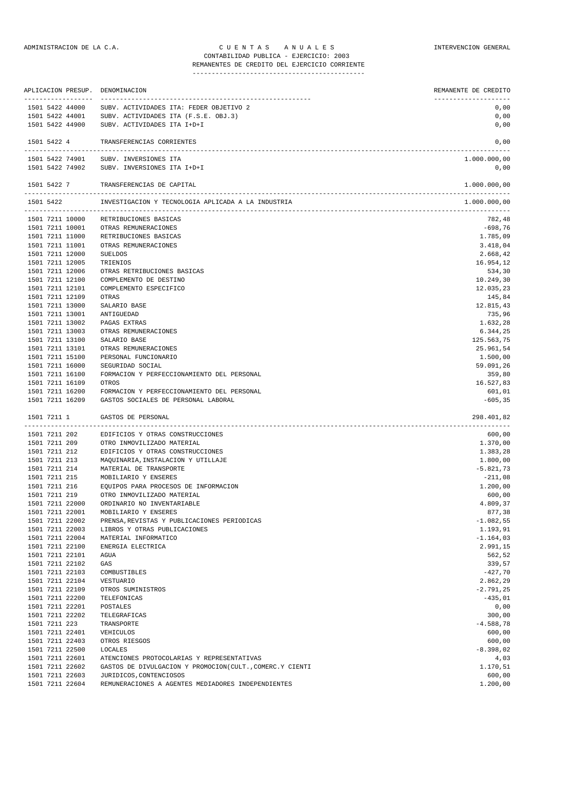|                                |               |                                    | APLICACION PRESUP. DENOMINACION                                                   | REMANENTE DE CREDITO     |
|--------------------------------|---------------|------------------------------------|-----------------------------------------------------------------------------------|--------------------------|
|                                |               | -------------------                |                                                                                   | --------------------     |
|                                |               | 1501 5422 44000<br>1501 5422 44001 | SUBV. ACTIVIDADES ITA: FEDER OBJETIVO 2<br>SUBV. ACTIVIDADES ITA (F.S.E. OBJ.3)   | 0,00<br>0,00             |
|                                |               | 1501 5422 44900                    | SUBV. ACTIVIDADES ITA I+D+I                                                       | 0,00                     |
|                                |               |                                    |                                                                                   |                          |
|                                | 1501 5422 4   |                                    | TRANSFERENCIAS CORRIENTES                                                         | 0,00                     |
|                                |               | 1501 5422 74901                    | SUBV. INVERSIONES ITA                                                             | 1.000.000,00             |
|                                |               | 1501 5422 74902                    | SUBV. INVERSIONES ITA I+D+I                                                       | 0,00                     |
|                                | 1501 5422 7   |                                    | TRANSFERENCIAS DE CAPITAL                                                         | 1.000.000,00             |
|                                | 1501 5422     |                                    | INVESTIGACION Y TECNOLOGIA APLICADA A LA INDUSTRIA                                | .<br>1.000.000,00        |
|                                |               | 1501 7211 10000                    | RETRIBUCIONES BASICAS                                                             | 782,48                   |
|                                |               | 1501 7211 10001                    | OTRAS REMUNERACIONES                                                              | $-698,76$                |
|                                |               | 1501 7211 11000                    | RETRIBUCIONES BASICAS                                                             | 1.785,09                 |
|                                |               | 1501 7211 11001                    | OTRAS REMUNERACIONES                                                              | 3.418,04                 |
|                                |               | 1501 7211 12000                    | <b>SUELDOS</b>                                                                    | 2.668,42                 |
|                                |               | 1501 7211 12005                    | TRIENIOS                                                                          | 16.954,12                |
|                                |               | 1501 7211 12006                    | OTRAS RETRIBUCIONES BASICAS                                                       | 534,30                   |
|                                |               | 1501 7211 12100<br>1501 7211 12101 | COMPLEMENTO DE DESTINO<br>COMPLEMENTO ESPECIFICO                                  | 10.249,30<br>12.035,23   |
|                                |               | 1501 7211 12109                    | OTRAS                                                                             | 145,84                   |
|                                |               | 1501 7211 13000                    | SALARIO BASE                                                                      | 12.815,43                |
|                                |               | 1501 7211 13001                    | ANTIGUEDAD                                                                        | 735,96                   |
|                                |               | 1501 7211 13002                    | PAGAS EXTRAS                                                                      | 1.632,28                 |
|                                |               | 1501 7211 13003                    | OTRAS REMUNERACIONES                                                              | 6.344,25                 |
|                                |               | 1501 7211 13100                    | SALARIO BASE                                                                      | 125.563,75               |
|                                |               | 1501 7211 13101                    | OTRAS REMUNERACIONES                                                              | 25.961,54                |
|                                |               | 1501 7211 15100                    | PERSONAL FUNCIONARIO                                                              | 1.500,00                 |
|                                |               | 1501 7211 16000                    | SEGURIDAD SOCIAL                                                                  | 59.091,26                |
|                                |               | 1501 7211 16100                    | FORMACION Y PERFECCIONAMIENTO DEL PERSONAL                                        | 359,80                   |
|                                |               | 1501 7211 16109                    | OTROS                                                                             | 16.527,83                |
|                                |               | 1501 7211 16200<br>1501 7211 16209 | FORMACION Y PERFECCIONAMIENTO DEL PERSONAL<br>GASTOS SOCIALES DE PERSONAL LABORAL | 601,01<br>$-605, 35$     |
|                                | 1501 7211 1   |                                    | GASTOS DE PERSONAL                                                                | 298.401,82               |
|                                |               |                                    |                                                                                   |                          |
|                                |               | 1501 7211 202                      | EDIFICIOS Y OTRAS CONSTRUCCIONES                                                  | 600,00                   |
|                                | 1501 7211 209 |                                    | OTRO INMOVILIZADO MATERIAL                                                        | 1.370,00                 |
| 1501 7211 212<br>1501 7211 213 |               |                                    | EDIFICIOS Y OTRAS CONSTRUCCIONES<br>MAQUINARIA, INSTALACION Y UTILLAJE            | 1.383,28<br>1.800,00     |
|                                | 1501 7211 214 |                                    | MATERIAL DE TRANSPORTE                                                            | $-5.821,73$              |
| 1501 7211 215                  |               |                                    | MOBILIARIO Y ENSERES                                                              | $-211,08$                |
| 1501 7211 216                  |               |                                    | EQUIPOS PARA PROCESOS DE INFORMACION                                              | 1.200,00                 |
|                                | 1501 7211 219 |                                    | OTRO INMOVILIZADO MATERIAL                                                        | 600,00                   |
|                                |               | 1501 7211 22000                    | ORDINARIO NO INVENTARIABLE                                                        | 4.809,37                 |
|                                |               | 1501 7211 22001                    | MOBILIARIO Y ENSERES                                                              | 877,38                   |
|                                |               | 1501 7211 22002                    | PRENSA, REVISTAS Y PUBLICACIONES PERIODICAS                                       | $-1.082,55$              |
|                                |               | 1501 7211 22003                    | LIBROS Y OTRAS PUBLICACIONES                                                      | 1.193,91                 |
|                                |               | 1501 7211 22004                    | MATERIAL INFORMATICO                                                              | $-1.164,03$              |
|                                |               | 1501 7211 22100                    | ENERGIA ELECTRICA                                                                 | 2.991,15                 |
|                                |               | 1501 7211 22101                    | AGUA                                                                              | 562,52                   |
|                                |               | 1501 7211 22102                    | GAS                                                                               | 339,57                   |
|                                |               | 1501 7211 22103                    | COMBUSTIBLES                                                                      | $-427,70$                |
|                                |               | 1501 7211 22104<br>1501 7211 22109 | VESTUARIO<br>OTROS SUMINISTROS                                                    | 2.862,29<br>$-2.791, 25$ |
|                                |               | 1501 7211 22200                    | TELEFONICAS                                                                       | $-435,01$                |
|                                |               | 1501 7211 22201                    | POSTALES                                                                          | 0,00                     |
|                                |               | 1501 7211 22202                    | TELEGRAFICAS                                                                      | 300,00                   |
|                                | 1501 7211 223 |                                    | TRANSPORTE                                                                        | $-4.588,78$              |
|                                |               | 1501 7211 22401                    | VEHICULOS                                                                         | 600,00                   |
|                                |               | 1501 7211 22403                    | OTROS RIESGOS                                                                     | 600,00                   |
|                                |               | 1501 7211 22500                    | LOCALES                                                                           | $-8.398,02$              |
| 1501 7211 22601                |               |                                    | ATENCIONES PROTOCOLARIAS Y REPRESENTATIVAS                                        | 4,03                     |

1501 7211 22602 GASTOS DE DIVULGACION Y PROMOCION(CULT.,COMERC.Y CIENTI 1.170,51 1501 7211 22603 JURIDICOS,CONTENCIOSOS 600,00 1501 7211 22604 REMUNERACIONES A AGENTES MEDIADORES INDEPENDIENTES 1.200,00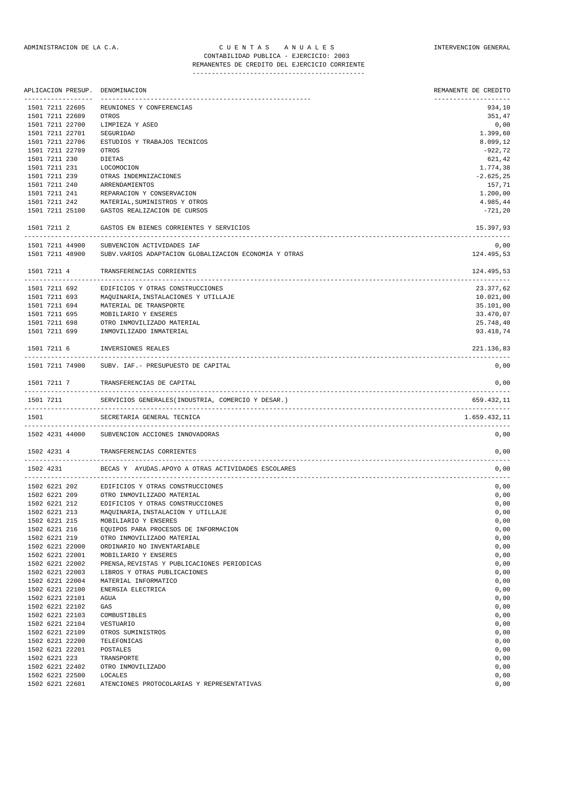|                                    | APLICACION PRESUP. DENOMINACION                                     | REMANENTE DE CREDITO          |
|------------------------------------|---------------------------------------------------------------------|-------------------------------|
| 1501 7211 22605                    | REUNIONES Y CONFERENCIAS                                            | -------------------<br>934,10 |
| 1501 7211 22609                    | OTROS                                                               | 351,47                        |
| 1501 7211 22700                    | LIMPIEZA Y ASEO                                                     | 0,00                          |
| 1501 7211 22701                    | SEGURIDAD                                                           | 1.399,60                      |
| 1501 7211 22706                    | ESTUDIOS Y TRABAJOS TECNICOS                                        | 8.099,12                      |
| 1501 7211 22709                    | OTROS                                                               | -922,72                       |
| 1501 7211 230                      | DIETAS                                                              | 621,42                        |
| 1501 7211 231                      | LOCOMOCION                                                          | 1.774,38                      |
| 1501 7211 239                      | OTRAS INDEMNIZACIONES                                               | $-2.625, 25$                  |
|                                    | 1501 7211 240 ARRENDAMIENTOS                                        | 157,71                        |
| 1501 7211 241                      | REPARACION Y CONSERVACION                                           | 1.200,00                      |
|                                    | 1501 7211 242 MATERIAL, SUMINISTROS Y OTROS                         | 4.985,44                      |
| 1501 7211 25100                    | GASTOS REALIZACION DE CURSOS                                        | $-721,20$                     |
| 1501 7211 2                        | GASTOS EN BIENES CORRIENTES Y SERVICIOS                             | 15.397,93                     |
| 1501 7211 44900                    | SUBVENCION ACTIVIDADES IAF                                          | 0,00                          |
| 1501 7211 48900                    | SUBV.VARIOS ADAPTACION GLOBALIZACION ECONOMIA Y OTRAS               | 124.495,53                    |
| 1501 7211 4                        | TRANSFERENCIAS CORRIENTES                                           | 124.495,53                    |
| 1501 7211 692                      | EDIFICIOS Y OTRAS CONSTRUCCIONES                                    | 23.377,62                     |
| 1501 7211 693                      | MAQUINARIA, INSTALACIONES Y UTILLAJE                                | 10.021,00                     |
|                                    | 1501 7211 694 MATERIAL DE TRANSPORTE                                | 35.101,00                     |
| 1501 7211 695                      | MOBILIARIO Y ENSERES                                                | 33.470,07                     |
|                                    | 1501 7211 698 OTRO INMOVILIZADO MATERIAL                            | 25.748,40                     |
| 1501 7211 699                      | INMOVILIZADO INMATERIAL                                             | 93.418,74                     |
| 1501 7211 6                        | INVERSIONES REALES                                                  | 221.136,83                    |
| 1501 7211 74900                    | SUBV. IAF. - PRESUPUESTO DE CAPITAL                                 | 0,00                          |
| 1501 7211 7                        | TRANSFERENCIAS DE CAPITAL                                           | 0,00                          |
| 1501 7211                          | SERVICIOS GENERALES (INDUSTRIA, COMERCIO Y DESAR.)                  | 659.432,11                    |
| 1501                               | SECRETARIA GENERAL TECNICA                                          | 1.659.432,11                  |
|                                    | 1502 4231 44000 SUBVENCION ACCIONES INNOVADORAS                     | 0,00                          |
| 1502 4231 4                        | TRANSFERENCIAS CORRIENTES                                           | 0,00                          |
| 1502 4231                          | BECAS Y AYUDAS.APOYO A OTRAS ACTIVIDADES ESCOLARES                  | 0,00                          |
|                                    | 1502 6221 202 EDIFICIOS Y OTRAS CONSTRUCCIONES                      | 0,00                          |
|                                    | 1502 6221 209 OTRO INMOVILIZADO MATERIAL                            | 0,00                          |
|                                    | 1502 6221 212 EDIFICIOS Y OTRAS CONSTRUCCIONES                      | 0,00                          |
| 1502 6221 213                      | MAQUINARIA, INSTALACION Y UTILLAJE                                  | 0,00                          |
| 1502 6221 215                      | MOBILIARIO Y ENSERES                                                | 0,00                          |
| 1502 6221 216                      | EQUIPOS PARA PROCESOS DE INFORMACION                                | 0,00                          |
| 1502 6221 219                      | OTRO INMOVILIZADO MATERIAL                                          | 0,00                          |
| 1502 6221 22000                    | ORDINARIO NO INVENTARIABLE                                          | 0,00                          |
| 1502 6221 22001<br>1502 6221 22002 | MOBILIARIO Y ENSERES<br>PRENSA, REVISTAS Y PUBLICACIONES PERIODICAS | 0,00<br>0,00                  |
| 1502 6221 22003                    | LIBROS Y OTRAS PUBLICACIONES                                        | 0,00                          |
| 1502 6221 22004                    | MATERIAL INFORMATICO                                                | 0,00                          |
| 1502 6221 22100                    | ENERGIA ELECTRICA                                                   | 0,00                          |
| 1502 6221 22101                    | AGUA                                                                | 0,00                          |
| 1502 6221 22102                    | GAS                                                                 | 0,00                          |
| 1502 6221 22103                    | COMBUSTIBLES                                                        | 0,00                          |
| 1502 6221 22104                    | VESTUARIO                                                           | 0,00                          |
| 1502 6221 22109                    | OTROS SUMINISTROS                                                   | 0,00                          |
| 1502 6221 22200                    | TELEFONICAS                                                         | 0,00                          |
| 1502 6221 22201                    | POSTALES                                                            | 0,00                          |
| 1502 6221 223                      | TRANSPORTE                                                          | 0,00                          |
| 1502 6221 22402                    | OTRO INMOVILIZADO                                                   | 0,00                          |
| 1502 6221 22500                    | LOCALES                                                             | 0,00                          |

1502 6221 22601 ATENCIONES PROTOCOLARIAS Y REPRESENTATIVAS 0,00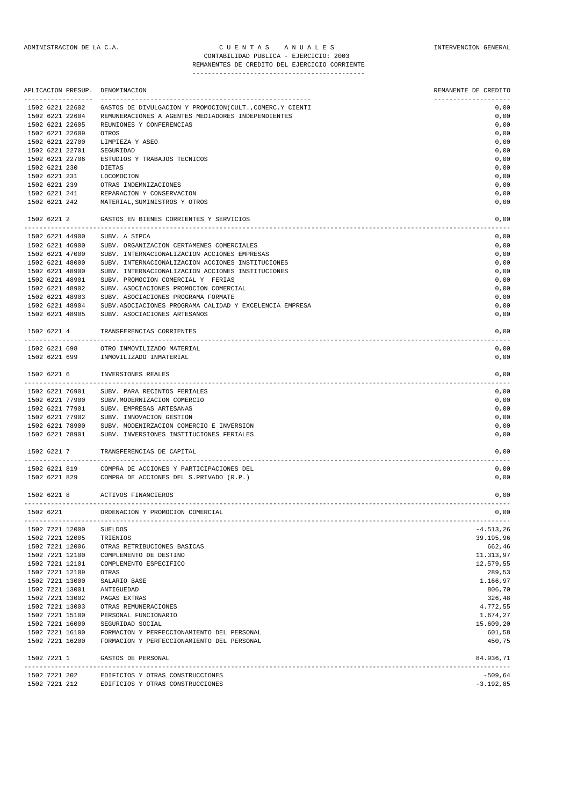# ADMINISTRACION DE LA C.A. CUENTAS ANUALES CONSTANTERVENCION GENERAL CONTABILIDAD PUBLICA - EJERCICIO: 2003

# REMANENTES DE CREDITO DEL EJERCICIO CORRIENTE

|               | APLICACION PRESUP.                              | DENOMINACION                                                                    | REMANENTE DE CREDITO |
|---------------|-------------------------------------------------|---------------------------------------------------------------------------------|----------------------|
|               | 1502 6221 22602                                 | GASTOS DE DIVULGACION Y PROMOCION(CULT., COMERC.Y CIENTI                        | 0,00                 |
|               | 1502 6221 22604                                 | REMUNERACIONES A AGENTES MEDIADORES INDEPENDIENTES                              | 0,00                 |
|               | 1502 6221 22605                                 | REUNIONES Y CONFERENCIAS                                                        | 0,00                 |
|               | 1502 6221 22609                                 | OTROS                                                                           | 0,00                 |
|               | 1502 6221 22700                                 | LIMPIEZA Y ASEO                                                                 | 0,00                 |
|               | 1502 6221 22701                                 | SEGURIDAD                                                                       | 0,00                 |
|               | 1502 6221 22706                                 | ESTUDIOS Y TRABAJOS TECNICOS                                                    | 0,00                 |
| 1502 6221 230 |                                                 | DIETAS                                                                          | 0,00                 |
|               | 1502 6221 231                                   | LOCOMOCION                                                                      | 0,00                 |
|               | 1502 6221 239                                   | OTRAS INDEMNIZACIONES                                                           | 0,00                 |
|               | 1502 6221 241                                   | REPARACION Y CONSERVACION                                                       | 0,00                 |
| 1502 6221 242 |                                                 | MATERIAL, SUMINISTROS Y OTROS                                                   | 0,00                 |
| 1502 6221 2   |                                                 | GASTOS EN BIENES CORRIENTES Y SERVICIOS                                         | 0,00                 |
|               | 1502 6221 44900                                 | ________________________________<br>--------------------------<br>SUBV. A SIPCA | 0,00                 |
|               | 1502 6221 46900                                 | SUBV. ORGANIZACION CERTAMENES COMERCIALES                                       | 0,00                 |
|               | 1502 6221 47000                                 | SUBV. INTERNACIONALIZACION ACCIONES EMPRESAS                                    | 0,00                 |
|               | 1502 6221 48000                                 | SUBV. INTERNACIONALIZACION ACCIONES INSTITUCIONES                               | 0,00                 |
|               | 1502 6221 48900                                 | SUBV. INTERNACIONALIZACION ACCIONES INSTITUCIONES                               | 0,00                 |
|               | 1502 6221 48901                                 | SUBV. PROMOCION COMERCIAL Y FERIAS                                              | 0,00                 |
|               | 1502 6221 48902                                 | SUBV. ASOCIACIONES PROMOCION COMERCIAL                                          | 0,00                 |
|               | 1502 6221 48903                                 | SUBV. ASOCIACIONES PROGRAMA FORMATE                                             | 0,00                 |
|               | 1502 6221 48904                                 | SUBV.ASOCIACIONES PROGRAMA CALIDAD Y EXCELENCIA EMPRESA                         | 0,00                 |
|               | 1502 6221 48905                                 | SUBV. ASOCIACIONES ARTESANOS                                                    | 0,00                 |
| 1502 6221 4   |                                                 | TRANSFERENCIAS CORRIENTES                                                       | 0,00                 |
|               | 1502 6221 698                                   | OTRO INMOVILIZADO MATERIAL                                                      | 0,00                 |
|               | 1502 6221 699                                   | INMOVILIZADO INMATERIAL                                                         | 0,00                 |
| 1502 6221 6   |                                                 | INVERSIONES REALES                                                              | 0,00                 |
|               |                                                 |                                                                                 |                      |
|               | 1502 6221 76901                                 | SUBV. PARA RECINTOS FERIALES                                                    | 0,00                 |
|               | 1502 6221 77900                                 | SUBV.MODERNIZACION COMERCIO                                                     | 0,00                 |
|               | 1502 6221 77901                                 | SUBV. EMPRESAS ARTESANAS                                                        | 0,00                 |
|               | 1502 6221 77902                                 | SUBV. INNOVACION GESTION                                                        | 0,00                 |
|               | 1502 6221 78900                                 | SUBV. MODENIRZACION COMERCIO E INVERSION                                        | 0,00                 |
|               | 1502 6221 78901                                 | SUBV. INVERSIONES INSTITUCIONES FERIALES                                        | 0,00                 |
| 1502 6221 7   |                                                 | TRANSFERENCIAS DE CAPITAL                                                       | 0,00                 |
| 1502 6221 819 |                                                 | COMPRA DE ACCIONES Y PARTICIPACIONES DEL                                        | 0,00                 |
|               | 1502 6221 829                                   | COMPRA DE ACCIONES DEL S.PRIVADO (R.P.)                                         | 0,00                 |
| 1502 6221 8   |                                                 | ACTIVOS FINANCIEROS                                                             | 0,00                 |
| 1502 6221     |                                                 | ORDENACION Y PROMOCION COMERCIAL                                                | 0,00                 |
|               | ----------------------------<br>1502 7221 12000 | <b>SUELDOS</b>                                                                  | $-4.513, 26$         |
|               | 1502 7221 12005                                 | TRIENIOS                                                                        | 39.195,96            |
|               | 1502 7221 12006                                 | OTRAS RETRIBUCIONES BASICAS                                                     | 662,46               |
|               | 1502 7221 12100                                 | COMPLEMENTO DE DESTINO                                                          | 11.313,97            |
|               | 1502 7221 12101                                 | COMPLEMENTO ESPECIFICO                                                          | 12.579,55            |
|               | 1502 7221 12109                                 | OTRAS                                                                           | 289,53               |
|               | 1502 7221 13000                                 | SALARIO BASE                                                                    | 1.166,97             |
|               | 1502 7221 13001                                 | ANTIGUEDAD                                                                      | 806,70               |
|               | 1502 7221 13002                                 | PAGAS EXTRAS                                                                    | 326,48               |
|               | 1502 7221 13003                                 | OTRAS REMUNERACIONES                                                            | 4.772,55             |
|               | 1502 7221 15100                                 | PERSONAL FUNCIONARIO                                                            | 1.674,27             |
|               | 1502 7221 16000                                 | SEGURIDAD SOCIAL                                                                | 15.609,20            |
|               | 1502 7221 16100                                 | FORMACION Y PERFECCIONAMIENTO DEL PERSONAL                                      | 601,58               |
|               | 1502 7221 16200                                 | FORMACION Y PERFECCIONAMIENTO DEL PERSONAL                                      | 450,75               |
| 1502 7221 1   |                                                 | GASTOS DE PERSONAL                                                              | 84.936,71            |
|               | 1502 7221 202                                   | EDIFICIOS Y OTRAS CONSTRUCCIONES                                                | $-509,64$            |
|               | 1502 7221 212                                   | EDIFICIOS Y OTRAS CONSTRUCCIONES                                                | $-3.192, 85$         |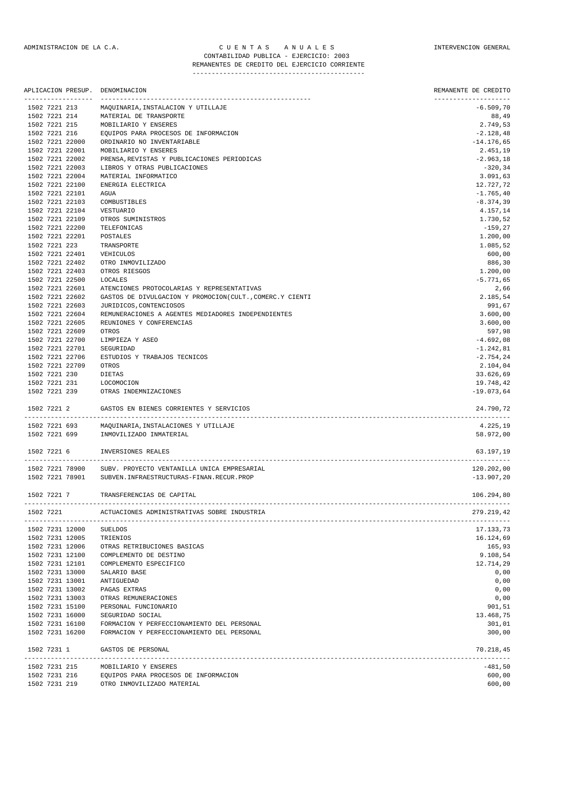|                                      | APLICACION PRESUP. DENOMINACION                                                          | REMANENTE DE CREDITO                |
|--------------------------------------|------------------------------------------------------------------------------------------|-------------------------------------|
| -------------------<br>1502 7221 213 | MAQUINARIA, INSTALACION Y UTILLAJE                                                       | --------------------<br>$-6.509,70$ |
| 1502 7221 214                        | MATERIAL DE TRANSPORTE                                                                   | 88,49                               |
| 1502 7221 215                        | MOBILIARIO Y ENSERES                                                                     | 2.749,53                            |
| 1502 7221 216                        | EQUIPOS PARA PROCESOS DE INFORMACION                                                     | $-2.128,48$                         |
| 1502 7221 22000                      | ORDINARIO NO INVENTARIABLE                                                               | $-14.176,65$                        |
| 1502 7221 22001                      | MOBILIARIO Y ENSERES                                                                     | 2.451,19                            |
| 1502 7221 22002                      | PRENSA, REVISTAS Y PUBLICACIONES PERIODICAS                                              | $-2.963,18$                         |
| 1502 7221 22003                      | LIBROS Y OTRAS PUBLICACIONES                                                             | $-320, 34$                          |
| 1502 7221 22004                      | MATERIAL INFORMATICO                                                                     | 3.091,63                            |
| 1502 7221 22100                      | ENERGIA ELECTRICA                                                                        | 12.727,72                           |
| 1502 7221 22101                      | AGUA                                                                                     | $-1.765, 40$                        |
| 1502 7221 22103<br>1502 7221 22104   | COMBUSTIBLES                                                                             | $-8.374, 39$<br>4.157,14            |
| 1502 7221 22109                      | VESTUARIO<br>OTROS SUMINISTROS                                                           | 1.730,52                            |
| 1502 7221 22200                      | TELEFONICAS                                                                              | -159,27                             |
| 1502 7221 22201                      | POSTALES                                                                                 | 1.200,00                            |
| 1502 7221 223                        | TRANSPORTE                                                                               | 1.085,52                            |
| 1502 7221 22401                      | VEHICULOS                                                                                | 600,00                              |
| 1502 7221 22402                      | OTRO INMOVILIZADO                                                                        | 886,30                              |
| 1502 7221 22403                      | OTROS RIESGOS                                                                            | 1.200,00                            |
| 1502 7221 22500                      | LOCALES                                                                                  | $-5.771,65$                         |
| 1502 7221 22601                      | ATENCIONES PROTOCOLARIAS Y REPRESENTATIVAS                                               | 2,66                                |
| 1502 7221 22602                      | GASTOS DE DIVULGACION Y PROMOCION(CULT., COMERC.Y CIENTI                                 | 2.185,54                            |
| 1502 7221 22603                      | JURIDICOS, CONTENCIOSOS                                                                  | 991,67                              |
| 1502 7221 22604                      | REMUNERACIONES A AGENTES MEDIADORES INDEPENDIENTES                                       | 3.600,00                            |
| 1502 7221 22605                      | REUNIONES Y CONFERENCIAS                                                                 | 3.600,00                            |
| 1502 7221 22609                      | OTROS                                                                                    | 597,98                              |
| 1502 7221 22700                      | LIMPIEZA Y ASEO                                                                          | $-4.692,08$                         |
| 1502 7221 22701                      | SEGURIDAD                                                                                | $-1.242,81$                         |
| 1502 7221 22706                      | ESTUDIOS Y TRABAJOS TECNICOS                                                             | $-2.754, 24$                        |
| 1502 7221 22709<br>1502 7221 230     | OTROS<br>DIETAS                                                                          | 2.104,04<br>33.626,69               |
|                                      | 1502 7221 231 LOCOMOCION                                                                 | 19.748,42                           |
| 1502 7221 239                        | OTRAS INDEMNIZACIONES                                                                    | $-19.073,64$                        |
|                                      | 1502 7221 2 GASTOS EN BIENES CORRIENTES Y SERVICIOS                                      | 24.790,72                           |
| 1502 7221 693                        | MAQUINARIA, INSTALACIONES Y UTILLAJE                                                     | 4.225,19                            |
| 1502 7221 699                        | INMOVILIZADO INMATERIAL                                                                  | 58.972,00                           |
|                                      |                                                                                          |                                     |
| 1502 7221 6                          | INVERSIONES REALES                                                                       | 63.197.19                           |
| 1502 7221 78900                      | SUBV. PROYECTO VENTANILLA UNICA EMPRESARIAL                                              | 120.202,00                          |
| 1502 7221 78901                      | SUBVEN. INFRAESTRUCTURAS-FINAN.RECUR.PROP                                                | $-13.907, 20$                       |
| 1502 7221 7                          | TRANSFERENCIAS DE CAPITAL                                                                | 106.294,80                          |
| 1502 7221                            | ACTUACIONES ADMINISTRATIVAS SOBRE INDUSTRIA                                              | 279.219,42                          |
| 1502 7231 12000                      | <b>SUELDOS</b>                                                                           | 17.133,73                           |
| 1502 7231 12005                      | TRIENIOS                                                                                 | 16.124,69                           |
| 1502 7231 12006                      | OTRAS RETRIBUCIONES BASICAS                                                              | 165,93                              |
| 1502 7231 12100                      | COMPLEMENTO DE DESTINO                                                                   | 9.108,54                            |
| 1502 7231 12101                      | COMPLEMENTO ESPECIFICO                                                                   | 12.714,29                           |
| 1502 7231 13000                      | SALARIO BASE                                                                             | 0,00                                |
| 1502 7231 13001                      | ANTIGUEDAD                                                                               | 0,00                                |
| 1502 7231 13002                      | PAGAS EXTRAS                                                                             | 0,00                                |
| 1502 7231 13003                      | OTRAS REMUNERACIONES                                                                     | 0,00                                |
| 1502 7231 15100                      | PERSONAL FUNCIONARIO                                                                     | 901,51                              |
| 1502 7231 16000                      | SEGURIDAD SOCIAL                                                                         | 13.468,75                           |
| 1502 7231 16100<br>1502 7231 16200   | FORMACION Y PERFECCIONAMIENTO DEL PERSONAL<br>FORMACION Y PERFECCIONAMIENTO DEL PERSONAL | 301,01<br>300,00                    |
|                                      |                                                                                          |                                     |
| 1502 7231 1                          | GASTOS DE PERSONAL                                                                       | 70.218,45                           |
|                                      | 1502 7231 215 MORTLIARTO V ENGERES                                                       | $-481$ 50                           |

| 1502 7231 215 | MOBILIARIO Y ENSERES                 | -481.50 |
|---------------|--------------------------------------|---------|
| 1502 7231 216 | EQUIPOS PARA PROCESOS DE INFORMACION | 600,00  |
| 1502 7231 219 | OTRO INMOVILIZADO MATERIAL           | 600,00  |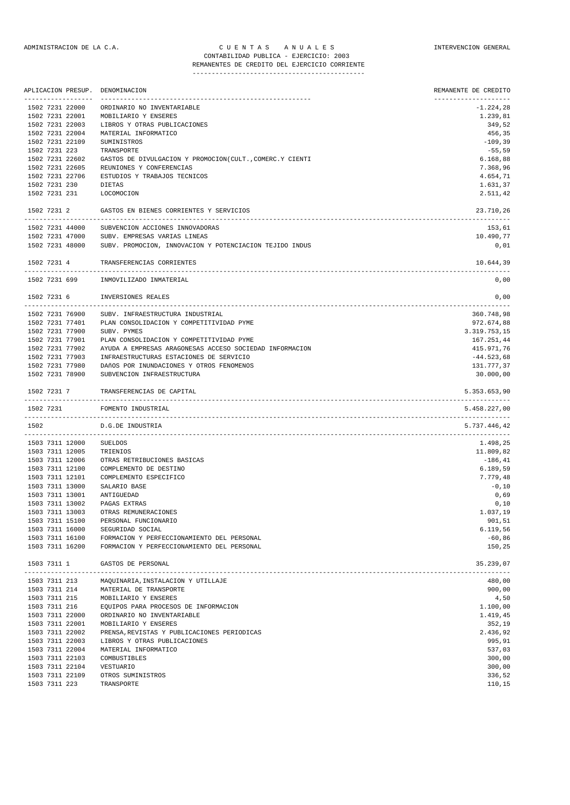### ADMINISTRACION DE LA C.A. CUENTAS ANUALES CONSTANTERVENCION GENERAL CONTABILIDAD PUBLICA - EJERCICIO: 2003 REMANENTES DE CREDITO DEL EJERCICIO CORRIENTE

| APLICACION PRESUP. DENOMINACION                                             | REMANENTE DE CREDITO<br>--------------------                                                                                                                                                                                                                                                                                                                                                                                                                                                                                                                                                                                                                                                                  |
|-----------------------------------------------------------------------------|---------------------------------------------------------------------------------------------------------------------------------------------------------------------------------------------------------------------------------------------------------------------------------------------------------------------------------------------------------------------------------------------------------------------------------------------------------------------------------------------------------------------------------------------------------------------------------------------------------------------------------------------------------------------------------------------------------------|
| 1502 7231 22000                                                             | $-1.224,28$                                                                                                                                                                                                                                                                                                                                                                                                                                                                                                                                                                                                                                                                                                   |
| 1502 7231 22001<br>MOBILIARIO Y ENSERES                                     | 1.239,81                                                                                                                                                                                                                                                                                                                                                                                                                                                                                                                                                                                                                                                                                                      |
| 1502 7231 22003<br>LIBROS Y OTRAS PUBLICACIONES                             | 349,52                                                                                                                                                                                                                                                                                                                                                                                                                                                                                                                                                                                                                                                                                                        |
| MATERIAL INFORMATICO                                                        | 456,35                                                                                                                                                                                                                                                                                                                                                                                                                                                                                                                                                                                                                                                                                                        |
| SUMINISTROS                                                                 | $-109,39$                                                                                                                                                                                                                                                                                                                                                                                                                                                                                                                                                                                                                                                                                                     |
| TRANSPORTE                                                                  | $-55,59$                                                                                                                                                                                                                                                                                                                                                                                                                                                                                                                                                                                                                                                                                                      |
| 1502 7231 22602<br>GASTOS DE DIVULGACION Y PROMOCION(CULT., COMERC.Y CIENTI | 6.168,88                                                                                                                                                                                                                                                                                                                                                                                                                                                                                                                                                                                                                                                                                                      |
| REUNIONES Y CONFERENCIAS                                                    | 7.368,96                                                                                                                                                                                                                                                                                                                                                                                                                                                                                                                                                                                                                                                                                                      |
| 1502 7231 22706<br>ESTUDIOS Y TRABAJOS TECNICOS                             | 4.654,71                                                                                                                                                                                                                                                                                                                                                                                                                                                                                                                                                                                                                                                                                                      |
| DIETAS                                                                      | 1.631,37                                                                                                                                                                                                                                                                                                                                                                                                                                                                                                                                                                                                                                                                                                      |
| LOCOMOCION                                                                  | 2.511,42                                                                                                                                                                                                                                                                                                                                                                                                                                                                                                                                                                                                                                                                                                      |
| 1502 7231 2 GASTOS EN BIENES CORRIENTES Y SERVICIOS                         | 23.710,26                                                                                                                                                                                                                                                                                                                                                                                                                                                                                                                                                                                                                                                                                                     |
| 1502 7231 44000<br>SUBVENCION ACCIONES INNOVADORAS                          | 153,61                                                                                                                                                                                                                                                                                                                                                                                                                                                                                                                                                                                                                                                                                                        |
|                                                                             | 10.490,77                                                                                                                                                                                                                                                                                                                                                                                                                                                                                                                                                                                                                                                                                                     |
|                                                                             | 0,01                                                                                                                                                                                                                                                                                                                                                                                                                                                                                                                                                                                                                                                                                                          |
| 1502 7231 4<br>TRANSFERENCIAS CORRIENTES                                    | 10.644,39                                                                                                                                                                                                                                                                                                                                                                                                                                                                                                                                                                                                                                                                                                     |
| 1502 7231 699 INMOVILIZADO INMATERIAL                                       | 0,00                                                                                                                                                                                                                                                                                                                                                                                                                                                                                                                                                                                                                                                                                                          |
| 1502 7231 6<br>INVERSIONES REALES                                           | 0,00                                                                                                                                                                                                                                                                                                                                                                                                                                                                                                                                                                                                                                                                                                          |
| 1502 7231 76900 SUBV. INFRAESTRUCTURA INDUSTRIAL                            | 360.748,98                                                                                                                                                                                                                                                                                                                                                                                                                                                                                                                                                                                                                                                                                                    |
| 1502 7231 77401 PLAN CONSOLIDACION Y COMPETITIVIDAD PYME                    | 972.674,88                                                                                                                                                                                                                                                                                                                                                                                                                                                                                                                                                                                                                                                                                                    |
| 1502 7231 77900<br>SUBV. PYMES                                              | 3.319.753,15                                                                                                                                                                                                                                                                                                                                                                                                                                                                                                                                                                                                                                                                                                  |
|                                                                             | 167.251,44                                                                                                                                                                                                                                                                                                                                                                                                                                                                                                                                                                                                                                                                                                    |
| 1502 7231 77902                                                             | 415.971,76                                                                                                                                                                                                                                                                                                                                                                                                                                                                                                                                                                                                                                                                                                    |
| 1502 7231 77903                                                             | $-44.523,68$                                                                                                                                                                                                                                                                                                                                                                                                                                                                                                                                                                                                                                                                                                  |
|                                                                             | 131.777,37                                                                                                                                                                                                                                                                                                                                                                                                                                                                                                                                                                                                                                                                                                    |
|                                                                             | 30.000,00                                                                                                                                                                                                                                                                                                                                                                                                                                                                                                                                                                                                                                                                                                     |
| TRANSFERENCIAS DE CAPITAL                                                   | 5.353.653,90                                                                                                                                                                                                                                                                                                                                                                                                                                                                                                                                                                                                                                                                                                  |
| FOMENTO INDUSTRIAL                                                          | 5.458.227,00                                                                                                                                                                                                                                                                                                                                                                                                                                                                                                                                                                                                                                                                                                  |
| D.G.DE INDUSTRIA                                                            | 5.737.446,42                                                                                                                                                                                                                                                                                                                                                                                                                                                                                                                                                                                                                                                                                                  |
| 1503 7311 12000<br>SUELDOS                                                  | 1.498,25                                                                                                                                                                                                                                                                                                                                                                                                                                                                                                                                                                                                                                                                                                      |
| 1503 7311 12005<br>TRIENIOS                                                 | 11.809,82                                                                                                                                                                                                                                                                                                                                                                                                                                                                                                                                                                                                                                                                                                     |
| OTRAS RETRIBUCIONES BASICAS                                                 | -186,41                                                                                                                                                                                                                                                                                                                                                                                                                                                                                                                                                                                                                                                                                                       |
| COMPLEMENTO DE DESTINO                                                      | 6.189,59                                                                                                                                                                                                                                                                                                                                                                                                                                                                                                                                                                                                                                                                                                      |
|                                                                             | 7.779,48                                                                                                                                                                                                                                                                                                                                                                                                                                                                                                                                                                                                                                                                                                      |
|                                                                             | $-0,10$                                                                                                                                                                                                                                                                                                                                                                                                                                                                                                                                                                                                                                                                                                       |
|                                                                             | 0,69                                                                                                                                                                                                                                                                                                                                                                                                                                                                                                                                                                                                                                                                                                          |
|                                                                             | 0,10                                                                                                                                                                                                                                                                                                                                                                                                                                                                                                                                                                                                                                                                                                          |
|                                                                             | 1.037,19<br>901,51                                                                                                                                                                                                                                                                                                                                                                                                                                                                                                                                                                                                                                                                                            |
|                                                                             |                                                                                                                                                                                                                                                                                                                                                                                                                                                                                                                                                                                                                                                                                                               |
|                                                                             | 6.119,56<br>$-60,86$                                                                                                                                                                                                                                                                                                                                                                                                                                                                                                                                                                                                                                                                                          |
| FORMACION Y PERFECCIONAMIENTO DEL PERSONAL                                  | 150,25                                                                                                                                                                                                                                                                                                                                                                                                                                                                                                                                                                                                                                                                                                        |
| GASTOS DE PERSONAL                                                          | 35.239,07                                                                                                                                                                                                                                                                                                                                                                                                                                                                                                                                                                                                                                                                                                     |
| ------------                                                                | 480,00                                                                                                                                                                                                                                                                                                                                                                                                                                                                                                                                                                                                                                                                                                        |
|                                                                             | 900,00                                                                                                                                                                                                                                                                                                                                                                                                                                                                                                                                                                                                                                                                                                        |
| MOBILIARIO Y ENSERES                                                        | 4,50                                                                                                                                                                                                                                                                                                                                                                                                                                                                                                                                                                                                                                                                                                          |
|                                                                             | ------------------<br>ORDINARIO NO INVENTARIABLE<br>1502 7231 47000<br>SUBV. EMPRESAS VARIAS LINEAS<br>1502 7231 48000<br>SUBV. PROMOCION, INNOVACION Y POTENCIACION TEJIDO INDUS<br>PLAN CONSOLIDACION Y COMPETITIVIDAD PYME<br>AYUDA A EMPRESAS ARAGONESAS ACCESO SOCIEDAD INFORMACION<br>INFRAESTRUCTURAS ESTACIONES DE SERVICIO<br>1502 7231 77980<br>DAñOS POR INUNDACIONES Y OTROS FENOMENOS<br>1502 7231 78900<br>SUBVENCION INFRAESTRUCTURA<br>COMPLEMENTO ESPECIFICO<br>SALARIO BASE<br>ANTIGUEDAD<br>PAGAS EXTRAS<br>OTRAS REMUNERACIONES<br>PERSONAL FUNCIONARIO<br>SEGURIDAD SOCIAL<br>FORMACION Y PERFECCIONAMIENTO DEL PERSONAL<br>MAQUINARIA, INSTALACION Y UTILLAJE<br>MATERIAL DE TRANSPORTE |

| ----------      | runyo intentity, into financiera i o financio a | 100,00   |
|-----------------|-------------------------------------------------|----------|
| 1503 7311 214   | MATERIAL DE TRANSPORTE                          | 900,00   |
| 1503 7311 215   | MOBILIARIO Y ENSERES                            | 4,50     |
| 1503 7311 216   | EQUIPOS PARA PROCESOS DE INFORMACION            | 1.100,00 |
| 1503 7311 22000 | ORDINARIO NO INVENTARIABLE                      | 1.419,45 |
| 1503 7311 22001 | MOBILIARIO Y ENSERES                            | 352,19   |
| 1503 7311 22002 | PRENSA.REVISTAS Y PUBLICACIONES PERIODICAS      | 2.436,92 |
| 1503 7311 22003 | LIBROS Y OTRAS PUBLICACIONES                    | 995,91   |
| 1503 7311 22004 | MATERIAL INFORMATICO                            | 537,03   |
| 1503 7311 22103 | COMBUSTIBLES                                    | 300,00   |
| 1503 7311 22104 | VESTUARIO                                       | 300,00   |
| 1503 7311 22109 | OTROS SUMINISTROS                               | 336,52   |
| 1503 7311 223   | TRANSPORTE                                      | 110,15   |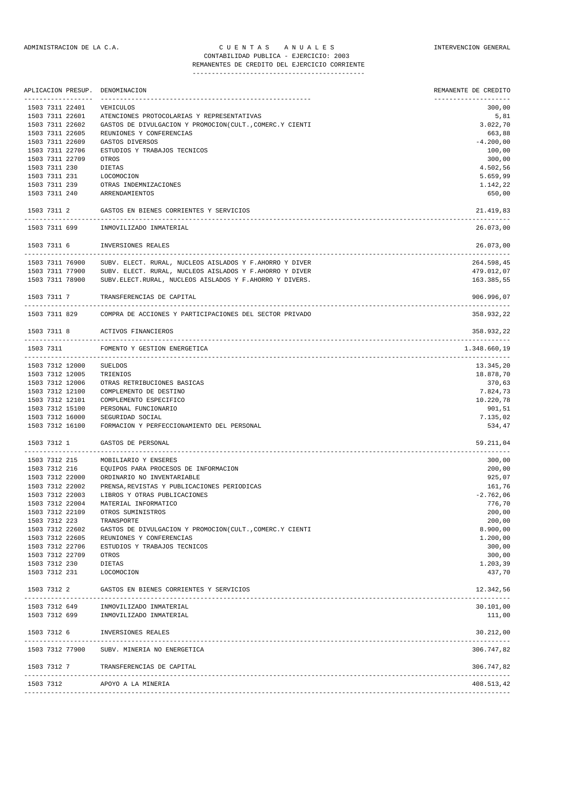#### ADMINISTRACION DE LA C.A. C U E N T A S A N U A L E S INTERVENCION GENERAL CONTABILIDAD PUBLICA - EJERCICIO: 2003 REMANENTES DE CREDITO DEL EJERCICIO CORRIENTE

| APLICACION PRESUP. | DENOMINACION                                                                   | REMANENTE DE CREDITO<br>-------------------- |
|--------------------|--------------------------------------------------------------------------------|----------------------------------------------|
| 1503 7311 22401    | VEHICULOS                                                                      | 300,00                                       |
| 1503 7311 22601    | ATENCIONES PROTOCOLARIAS Y REPRESENTATIVAS                                     | 5,81                                         |
| 1503 7311 22602    | GASTOS DE DIVULGACION Y PROMOCION(CULT., COMERC.Y CIENTI                       | 3.022,70                                     |
| 1503 7311 22605    | REUNIONES Y CONFERENCIAS                                                       | 663,88                                       |
| 1503 7311 22609    |                                                                                | $-4.200,00$                                  |
|                    | GASTOS DIVERSOS                                                                |                                              |
| 1503 7311 22706    | ESTUDIOS Y TRABAJOS TECNICOS                                                   | 100,00                                       |
| 1503 7311 22709    | OTROS                                                                          | 300,00                                       |
| 1503 7311 230      | DIETAS                                                                         | 4.502,56                                     |
| 1503 7311 231      | LOCOMOCION                                                                     | 5.659,99                                     |
| 1503 7311 239      | OTRAS INDEMNIZACIONES                                                          | 1.142,22                                     |
| 1503 7311 240      | ARRENDAMIENTOS                                                                 | 650,00                                       |
| 1503 7311 2        | GASTOS EN BIENES CORRIENTES Y SERVICIOS                                        | 21.419,83<br>------------------              |
| 1503 7311 699      | INMOVILIZADO INMATERIAL                                                        | 26.073,00                                    |
| 1503 7311 6        | INVERSIONES REALES                                                             | 26.073,00                                    |
| 1503 7311 76900    | SUBV. ELECT. RURAL, NUCLEOS AISLADOS Y F.AHORRO Y DIVER                        | 264.598,45                                   |
| 1503 7311 77900    | SUBV. ELECT. RURAL, NUCLEOS AISLADOS Y F.AHORRO Y DIVER                        | 479.012,07                                   |
| 1503 7311 78900    | SUBV.ELECT.RURAL, NUCLEOS AISLADOS Y F.AHORRO Y DIVERS.                        | 163.385,55                                   |
| 1503 7311 7        | TRANSFERENCIAS DE CAPITAL                                                      | 906.996,07                                   |
|                    | 1503 7311 829 COMPRA DE ACCIONES Y PARTICIPACIONES DEL SECTOR PRIVADO          | 358.932,22                                   |
| 1503 7311 8        | ACTIVOS FINANCIEROS                                                            | 358.932,22                                   |
| 1503 7311          | FOMENTO Y GESTION ENERGETICA                                                   | 1.348.660,19                                 |
| 1503 7312 12000    | <b>SUELDOS</b>                                                                 | --------------------<br>13.345,20            |
| 1503 7312 12005    | TRIENIOS                                                                       | 18.878,70                                    |
| 1503 7312 12006    | OTRAS RETRIBUCIONES BASICAS                                                    | 370,63                                       |
| 1503 7312 12100    | COMPLEMENTO DE DESTINO                                                         | 7.824,73                                     |
| 1503 7312 12101    |                                                                                |                                              |
|                    | COMPLEMENTO ESPECIFICO                                                         | 10.220,78                                    |
| 1503 7312 15100    | PERSONAL FUNCIONARIO                                                           | 901,51                                       |
| 1503 7312 16000    | SEGURIDAD SOCIAL                                                               | 7.135,02                                     |
| 1503 7312 16100    | FORMACION Y PERFECCIONAMIENTO DEL PERSONAL                                     | 534,47                                       |
| 1503 7312 1        | GASTOS DE PERSONAL                                                             | 59.211,04                                    |
| 1503 7312 215      | MOBILIARIO Y ENSERES                                                           | 300,00                                       |
| 1503 7312 216      | EQUIPOS PARA PROCESOS DE INFORMACION                                           | 200,00                                       |
| 1503 7312 22000    | ORDINARIO NO INVENTARIABLE                                                     | 925,07                                       |
| 1503 7312 22002    | PRENSA, REVISTAS Y PUBLICACIONES PERIODICAS                                    | 161,76                                       |
| 1503 7312 22003    |                                                                                | $-2.762,06$                                  |
|                    | LIBROS Y OTRAS PUBLICACIONES                                                   |                                              |
| 1503 7312 22004    | MATERIAL INFORMATICO                                                           | 776,70                                       |
| 1503 7312 22109    | OTROS SUMINISTROS                                                              | 200,00                                       |
| 1503 7312 223      | TRANSPORTE                                                                     | 200,00                                       |
| 1503 7312 22602    | GASTOS DE DIVULGACION Y PROMOCION (CULT., COMERC.Y CIENTI                      | 8.900,00                                     |
| 1503 7312 22605    | REUNIONES Y CONFERENCIAS                                                       | 1.200,00                                     |
| 1503 7312 22706    | ESTUDIOS Y TRABAJOS TECNICOS                                                   | 300,00                                       |
| 1503 7312 22709    | OTROS                                                                          | 300,00                                       |
| 1503 7312 230      | DIETAS                                                                         | 1.203,39                                     |
| 1503 7312 231      | LOCOMOCION                                                                     | 437,70                                       |
|                    | 1503 7312 2 GASTOS EN BIENES CORRIENTES Y SERVICIOS                            | 12.342,56                                    |
|                    |                                                                                | 30.101,00                                    |
|                    | 1503 7312 649 INMOVILIZADO INMATERIAL<br>1503 7312 699 INMOVILIZADO INMATERIAL | 111,00                                       |
|                    |                                                                                |                                              |
|                    | 1503 7312 6 INVERSIONES REALES                                                 | 30.212,00                                    |
|                    | 1503 7312 77900 SUBV. MINERIA NO ENERGETICA                                    | 306.747,82                                   |
|                    | 1503 7312 7 TRANSFERENCIAS DE CAPITAL                                          | 306.747,82                                   |
| 1503 7312          | APOYO A LA MINERIA                                                             | 408.513,42                                   |
|                    |                                                                                |                                              |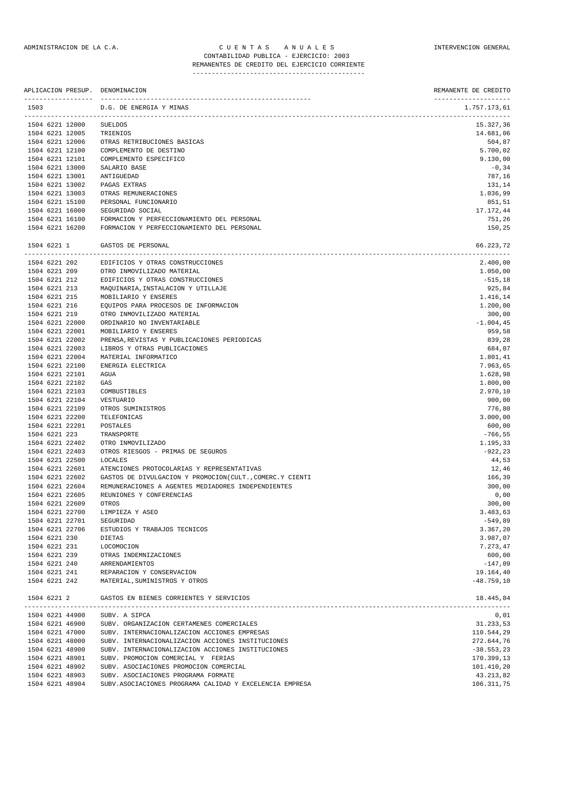### ADMINISTRACION DE LA C.A. CUENTAS ANUALES CONSTANTERVENCION GENERAL CONTABILIDAD PUBLICA - EJERCICIO: 2003 REMANENTES DE CREDITO DEL EJERCICIO CORRIENTE

| APLICACION PRESUP. DENOMINACION |                                                          | REMANENTE DE CREDITO                                          |
|---------------------------------|----------------------------------------------------------|---------------------------------------------------------------|
| 1503                            | D.G. DE ENERGIA Y MINAS                                  | --------------------<br>1.757.173,61<br>--------------------- |
| 1504 6221 12000                 | SUELDOS                                                  | 15.327,36                                                     |
| 1504 6221 12005                 | TRIENIOS                                                 | 14.681,06                                                     |
| 1504 6221 12006                 | OTRAS RETRIBUCIONES BASICAS                              | 504,87                                                        |
| 1504 6221 12100                 | COMPLEMENTO DE DESTINO                                   | 5.700,02                                                      |
| 1504 6221 12101                 | COMPLEMENTO ESPECIFICO                                   | 9.130,00                                                      |
| 1504 6221 13000                 | SALARIO BASE                                             | $-0, 34$                                                      |
| 1504 6221 13001                 | ANTIGUEDAD                                               | 787,16                                                        |
| 1504 6221 13002                 | PAGAS EXTRAS                                             | 131,14                                                        |
| 1504 6221 13003                 | OTRAS REMUNERACIONES                                     | 1.036,99                                                      |
| 1504 6221 15100                 | PERSONAL FUNCIONARIO                                     | 851,51                                                        |
| 1504 6221 16000                 | SEGURIDAD SOCIAL                                         | 17.172,44                                                     |
| 1504 6221 16100                 | FORMACION Y PERFECCIONAMIENTO DEL PERSONAL               | 751,26                                                        |
| 1504 6221 16200                 | FORMACION Y PERFECCIONAMIENTO DEL PERSONAL               | 150,25                                                        |
| 1504 6221 1                     | GASTOS DE PERSONAL                                       | 66.223,72                                                     |
| 1504 6221 202                   | EDIFICIOS Y OTRAS CONSTRUCCIONES                         | 2.400,00                                                      |
| 1504 6221 209                   | OTRO INMOVILIZADO MATERIAL                               | 1.050,00                                                      |
| 1504 6221 212                   | EDIFICIOS Y OTRAS CONSTRUCCIONES                         | $-515,18$                                                     |
| 1504 6221 213                   | MAQUINARIA, INSTALACION Y UTILLAJE                       | 925,84                                                        |
| 1504 6221 215                   | MOBILIARIO Y ENSERES                                     | 1.416,14                                                      |
| 1504 6221 216                   | EQUIPOS PARA PROCESOS DE INFORMACION                     | 1.200,00                                                      |
| 1504 6221 219                   | OTRO INMOVILIZADO MATERIAL                               | 300,00                                                        |
| 1504 6221 22000                 | ORDINARIO NO INVENTARIABLE                               | $-1.004,45$                                                   |
| 1504 6221 22001                 | MOBILIARIO Y ENSERES                                     | 959,58                                                        |
| 1504 6221 22002                 | PRENSA, REVISTAS Y PUBLICACIONES PERIODICAS              | 839,28                                                        |
| 1504 6221 22003                 | LIBROS Y OTRAS PUBLICACIONES                             | 684,07                                                        |
| 1504 6221 22004                 | MATERIAL INFORMATICO                                     | 1.801,41                                                      |
| 1504 6221 22100                 | ENERGIA ELECTRICA                                        | 7.963,65                                                      |
| 1504 6221 22101                 | AGUA                                                     | 1.628,98                                                      |
| 1504 6221 22102                 | GAS                                                      | 1.800,00                                                      |
| 1504 6221 22103                 | COMBUSTIBLES                                             | 2.970,10                                                      |
| 1504 6221 22104                 | VESTUARIO                                                | 900,00                                                        |
| 1504 6221 22109                 | OTROS SUMINISTROS                                        | 776,80                                                        |
| 1504 6221 22200                 | TELEFONICAS                                              | 3.000,00                                                      |
| 1504 6221 22201                 | POSTALES                                                 | 600,00                                                        |
| 1504 6221 223                   | TRANSPORTE                                               | $-766,55$                                                     |
| 1504 6221 22402                 | OTRO INMOVILIZADO                                        | 1.195,33                                                      |
| 1504 6221 22403                 | OTROS RIESGOS - PRIMAS DE SEGUROS                        | $-922, 23$                                                    |
| 1504 6221 22500                 | LOCALES                                                  | 44,53                                                         |
| 1504 6221 22601                 | ATENCIONES PROTOCOLARIAS Y REPRESENTATIVAS               | 12,46                                                         |
| 1504 6221 22602                 | GASTOS DE DIVULGACION Y PROMOCION(CULT., COMERC.Y CIENTI | 166,39                                                        |
| 1504 6221 22604                 | REMUNERACIONES A AGENTES MEDIADORES INDEPENDIENTES       | 300,00                                                        |
| 1504 6221 22605                 | REUNIONES Y CONFERENCIAS                                 | 0,00                                                          |
| 1504 6221 22609                 | OTROS                                                    | 300,00                                                        |
| 1504 6221 22700                 | LIMPIEZA Y ASEO                                          | 3.483,63                                                      |
| 1504 6221 22701                 | SEGURIDAD                                                | $-549,89$                                                     |
| 1504 6221 22706                 | ESTUDIOS Y TRABAJOS TECNICOS                             | 3.367,20                                                      |
| 1504 6221 230                   | DIETAS                                                   | 3.987,07                                                      |
| 1504 6221 231                   | LOCOMOCION                                               | 7.273,47                                                      |
| 1504 6221 239<br>1504 6221 240  | OTRAS INDEMNIZACIONES                                    | 600,00                                                        |
|                                 | ARRENDAMIENTOS<br>REPARACION Y CONSERVACION              | $-147,09$                                                     |
| 1504 6221 241<br>1504 6221 242  | MATERIAL, SUMINISTROS Y OTROS                            | 19.164,40<br>$-48.759,10$                                     |
| 1504 6221 2                     | GASTOS EN BIENES CORRIENTES Y SERVICIOS                  | 18.445,84                                                     |
|                                 |                                                          |                                                               |
| 1504 6221 44900                 | SUBV. A SIPCA                                            | 0,01                                                          |
| 1504 6221 46900                 | SUBV. ORGANIZACION CERTAMENES COMERCIALES                | 31.233,53                                                     |
| 1504 6221 47000                 | SUBV. INTERNACIONALIZACION ACCIONES EMPRESAS             | 110.544,29                                                    |
| 1504 6221 48000                 | SUBV. INTERNACIONALIZACION ACCIONES INSTITUCIONES        | 272.644,76                                                    |
| 1504 6221 48900                 | SUBV. INTERNACIONALIZACION ACCIONES INSTITUCIONES        | $-38.553, 23$                                                 |

1504 6221 48901 SUBV. PROMOCION COMERCIAL Y FERIAS 170.399,13 1504 6221 48902 SUBV. ASOCIACIONES PROMOCION COMERCIAL 100 101.410, 20 101.410, 20 1504 6221 48903 SUBV. ASOCIACIONES PROGRAMA FORMATE 43.213,82 1504 6221 48904 SUBV.ASOCIACIONES PROGRAMA CALIDAD Y EXCELENCIA EMPRESA 106.311,75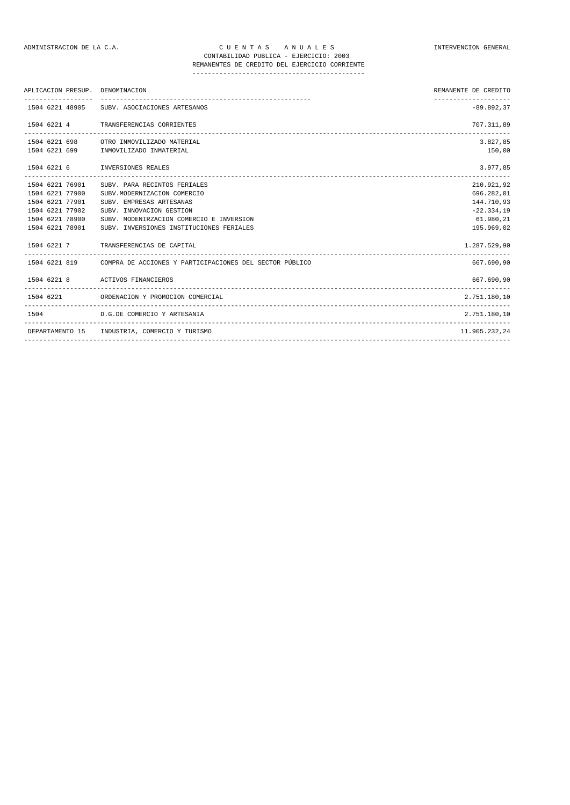| ---------------------<br>$-89.892.37$<br>1504 6221 48905 SUBV, ASOCIACIONES ARTESANOS<br>707.311,89<br>1504 6221 4 TRANSFERENCIAS CORRIENTES<br>3.827.85<br>1504 6221 698 OTRO INMOVILIZADO MATERIAL<br>1504 6221 699 INMOVILIZADO INMATERIAL<br>3.977,85<br>1504 6221 6 INVERSIONES REALES<br>210.921,92<br>1504 6221 76901<br>SUBV. PARA RECINTOS FERIALES<br>1504 6221 77900<br>696.282,01<br>SUBV.MODERNIZACION COMERCIO<br>1504 6221 77901<br>144.710,93<br>SUBV. EMPRESAS ARTESANAS<br>$-22.334.19$<br>1504 6221 77902<br>SUBV. INNOVACION GESTION<br>61.980,21<br>1504 6221 78900<br>SUBV. MODENIRZACION COMERCIO E INVERSION<br>1504 6221 78901<br>195.969,02<br>SUBV. INVERSIONES INSTITUCIONES FERIALES | REMANENTE DE CREDITO |
|-------------------------------------------------------------------------------------------------------------------------------------------------------------------------------------------------------------------------------------------------------------------------------------------------------------------------------------------------------------------------------------------------------------------------------------------------------------------------------------------------------------------------------------------------------------------------------------------------------------------------------------------------------------------------------------------------------------------|----------------------|
|                                                                                                                                                                                                                                                                                                                                                                                                                                                                                                                                                                                                                                                                                                                   |                      |
|                                                                                                                                                                                                                                                                                                                                                                                                                                                                                                                                                                                                                                                                                                                   |                      |
|                                                                                                                                                                                                                                                                                                                                                                                                                                                                                                                                                                                                                                                                                                                   |                      |
|                                                                                                                                                                                                                                                                                                                                                                                                                                                                                                                                                                                                                                                                                                                   | 150,00               |
|                                                                                                                                                                                                                                                                                                                                                                                                                                                                                                                                                                                                                                                                                                                   |                      |
|                                                                                                                                                                                                                                                                                                                                                                                                                                                                                                                                                                                                                                                                                                                   |                      |
|                                                                                                                                                                                                                                                                                                                                                                                                                                                                                                                                                                                                                                                                                                                   |                      |
|                                                                                                                                                                                                                                                                                                                                                                                                                                                                                                                                                                                                                                                                                                                   |                      |
|                                                                                                                                                                                                                                                                                                                                                                                                                                                                                                                                                                                                                                                                                                                   |                      |
|                                                                                                                                                                                                                                                                                                                                                                                                                                                                                                                                                                                                                                                                                                                   |                      |
|                                                                                                                                                                                                                                                                                                                                                                                                                                                                                                                                                                                                                                                                                                                   |                      |
| 1504 6221 7 TRANSFERENCIAS DE CAPITAL<br>1.287.529.90                                                                                                                                                                                                                                                                                                                                                                                                                                                                                                                                                                                                                                                             |                      |
| 1504 6221 819 COMPRA DE ACCIONES Y PARTICIPACIONES DEL SECTOR PÚBLICO<br>667.690.90                                                                                                                                                                                                                                                                                                                                                                                                                                                                                                                                                                                                                               |                      |
| 1504 6221 8 ACTIVOS FINANCIEROS<br>667.690,90                                                                                                                                                                                                                                                                                                                                                                                                                                                                                                                                                                                                                                                                     |                      |
| 1504 6221 ORDENACION Y PROMOCION COMERCIAL<br>2.751.180,10                                                                                                                                                                                                                                                                                                                                                                                                                                                                                                                                                                                                                                                        |                      |
| 2.751.180,10<br>1504 D.G.DE COMERCIO Y ARTESANIA                                                                                                                                                                                                                                                                                                                                                                                                                                                                                                                                                                                                                                                                  |                      |
| DEPARTAMENTO 15 INDUSTRIA, COMERCIO Y TURISMO<br>11.905.232.24                                                                                                                                                                                                                                                                                                                                                                                                                                                                                                                                                                                                                                                    |                      |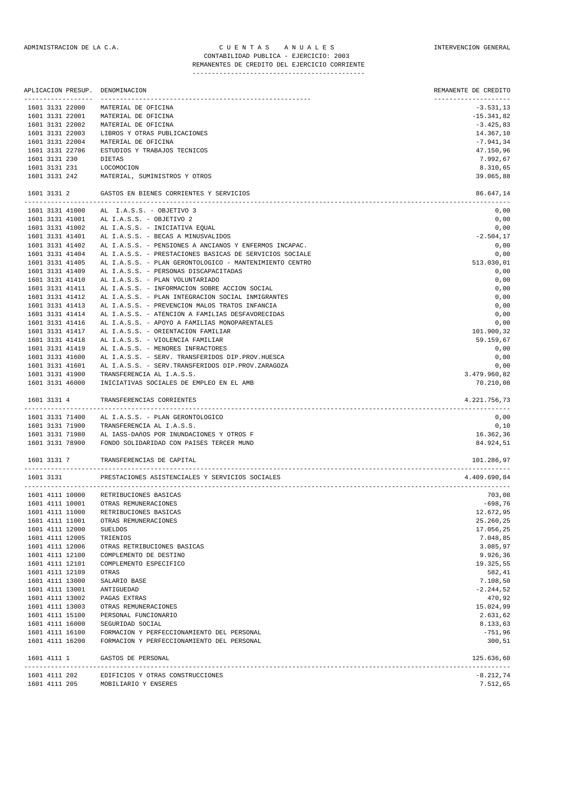|                                    | APLICACION PRESUP. DENOMINACION                                                                                   | REMANENTE DE CREDITO |
|------------------------------------|-------------------------------------------------------------------------------------------------------------------|----------------------|
| 1601 3131 22000                    | MATERIAL DE OFICINA                                                                                               | $-3.531, 13$         |
| 1601 3131 22001                    | MATERIAL DE OFICINA                                                                                               | $-15.341,82$         |
| 1601 3131 22002                    | MATERIAL DE OFICINA                                                                                               | $-3.425,83$          |
| 1601 3131 22003                    | LIBROS Y OTRAS PUBLICACIONES                                                                                      | 14.367,10            |
| 1601 3131 22004                    | MATERIAL DE OFICINA                                                                                               | $-7.941,34$          |
| 1601 3131 22706                    | ESTUDIOS Y TRABAJOS TECNICOS                                                                                      | 47.150,96            |
| 1601 3131 230                      | DIETAS                                                                                                            | 7.992,67             |
| 1601 3131 231                      | LOCOMOCION                                                                                                        | 8.310,65             |
| 1601 3131 242                      | MATERIAL, SUMINISTROS Y OTROS                                                                                     | 39.065,88            |
| 1601 3131 2                        | GASTOS EN BIENES CORRIENTES Y SERVICIOS<br>---------------------                                                  | 86.647,14            |
| 1601 3131 41000                    | AL I.A.S.S. - OBJETIVO 3                                                                                          | 0,00                 |
| 1601 3131 41001                    | AL I.A.S.S. - OBJETIVO 2                                                                                          | 0,00                 |
| 1601 3131 41002                    | AL I.A.S.S. - INICIATIVA EQUAL                                                                                    | 0,00                 |
| 1601 3131 41401<br>1601 3131 41402 | AL I.A.S.S. - BECAS A MINUSVALIDOS                                                                                | $-2.504, 17$         |
| 1601 3131 41404                    | AL I.A.S.S. - PENSIONES A ANCIANOS Y ENFERMOS INCAPAC.<br>AL I.A.S.S. - PRESTACIONES BASICAS DE SERVICIOS SOCIALE | 0,00<br>0,00         |
| 1601 3131 41405                    | AL I.A.S.S. - PLAN GERONTOLOGICO - MANTENIMIENTO CENTRO                                                           | 513.030,01           |
| 1601 3131 41409                    | AL I.A.S.S. - PERSONAS DISCAPACITADAS                                                                             | 0,00                 |
| 1601 3131 41410                    | AL I.A.S.S. - PLAN VOLUNTARIADO                                                                                   | 0,00                 |
| 1601 3131 41411                    | AL I.A.S.S. - INFORMACION SOBRE ACCION SOCIAL                                                                     | 0,00                 |
| 1601 3131 41412                    | AL I.A.S.S. - PLAN INTEGRACION SOCIAL INMIGRANTES                                                                 | 0,00                 |
| 1601 3131 41413                    | AL I.A.S.S. - PREVENCION MALOS TRATOS INFANCIA                                                                    | 0,00                 |
| 1601 3131 41414                    | AL I.A.S.S. - ATENCION A FAMILIAS DESFAVORECIDAS                                                                  | 0,00                 |
| 1601 3131 41416                    | AL I.A.S.S. - APOYO A FAMILIAS MONOPARENTALES                                                                     | 0,00                 |
| 1601 3131 41417                    | AL I.A.S.S. - ORIENTACION FAMILIAR                                                                                | 101.900,32           |
| 1601 3131 41418                    | AL I.A.S.S. - VIOLENCIA FAMILIAR                                                                                  | 59.159,67            |
| 1601 3131 41419                    | AL I.A.S.S. - MENORES INFRACTORES                                                                                 | 0,00                 |
| 1601 3131 41600                    | AL I.A.S.S. - SERV. TRANSFERIDOS DIP.PROV.HUESCA                                                                  | 0,00                 |
| 1601 3131 41601                    | AL I.A.S.S. - SERV. TRANSFERIDOS DIP. PROV. ZARAGOZA                                                              | 0,00                 |
| 1601 3131 41900                    | TRANSFERENCIA AL I.A.S.S.                                                                                         | 3.479.960,82         |
| 1601 3131 46000                    | INICIATIVAS SOCIALES DE EMPLEO EN EL AMB                                                                          | 70.210,08            |
| 1601 3131 4                        | TRANSFERENCIAS CORRIENTES                                                                                         | 4.221.756,73         |
| 1601 3131 71400                    | AL I.A.S.S. - PLAN GERONTOLOGICO                                                                                  | 0,00                 |
| 1601 3131 71900                    | TRANSFERENCIA AL I.A.S.S.                                                                                         | 0,10                 |
| 1601 3131 71980                    | AL IASS-DAñOS POR INUNDACIONES Y OTROS F                                                                          | 16.362,36            |
| 1601 3131 78900                    | FONDO SOLIDARIDAD CON PAISES TERCER MUND                                                                          | 84.924,51            |
| 1601 3131 7                        | TRANSFERENCIAS DE CAPITAL                                                                                         | 101.286,97           |
| 1601 3131                          | PRESTACIONES ASISTENCIALES Y SERVICIOS SOCIALES                                                                   | 4.409.690,84         |
|                                    | 1601 4111 10000 RETRIBUCIONES BASICAS                                                                             | 703,08               |
| 1601 4111 10001                    | OTRAS REMUNERACIONES                                                                                              | $-698,76$            |
|                                    | 1601 4111 11000 RETRIBUCIONES BASICAS                                                                             | 12.672,95            |
| 1601 4111 11001                    | OTRAS REMUNERACIONES                                                                                              | 25.260,25            |
| 1601 4111 12000                    | SUELDOS                                                                                                           | 17.056,25            |
| 1601 4111 12005                    | TRIENIOS                                                                                                          | 7.048,85             |
| 1601 4111 12006                    | OTRAS RETRIBUCIONES BASICAS                                                                                       | 3.085,97             |
| 1601 4111 12100                    | COMPLEMENTO DE DESTINO                                                                                            | 9.926,36             |
| 1601 4111 12101                    | COMPLEMENTO ESPECIFICO                                                                                            | 19.325,55            |
| 1601 4111 12109<br>1601 4111 13000 | OTRAS<br>SALARIO BASE                                                                                             | 582,41<br>7.108,50   |
| 1601 4111 13001                    | ANTIGUEDAD                                                                                                        | $-2.244,52$          |
| 1601 4111 13002                    | PAGAS EXTRAS                                                                                                      | 470,92               |
| 1601 4111 13003                    | OTRAS REMUNERACIONES                                                                                              | 15.024,99            |
| 1601 4111 15100                    | PERSONAL FUNCIONARIO                                                                                              | 2.631,62             |
| 1601 4111 16000                    | SEGURIDAD SOCIAL                                                                                                  | 8.133,63             |
| 1601 4111 16100                    | FORMACION Y PERFECCIONAMIENTO DEL PERSONAL                                                                        | $-751,96$            |
| 1601 4111 16200                    | FORMACION Y PERFECCIONAMIENTO DEL PERSONAL                                                                        | 300,51               |
|                                    |                                                                                                                   |                      |

| 1601 4111 1   | GASTOS DE PERSONAL               |  |
|---------------|----------------------------------|--|
| 1601 4111 202 | EDIFICIOS Y OTRAS CONSTRUCCIONES |  |

1601 4111 205 MOBILIARIO Y ENSERES 7.512,65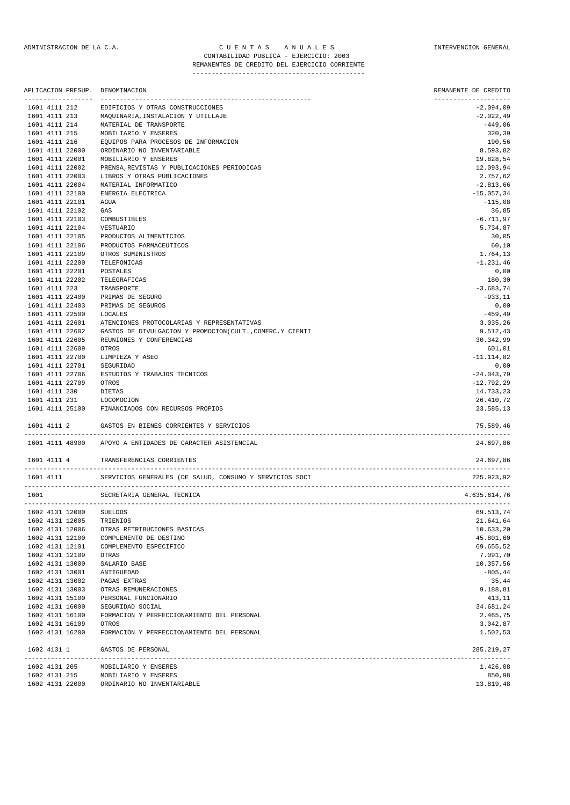|               |                                    | APLICACION PRESUP. DENOMINACION                           | REMANENTE DE CREDITO                |
|---------------|------------------------------------|-----------------------------------------------------------|-------------------------------------|
|               | -----------------<br>1601 4111 212 | EDIFICIOS Y OTRAS CONSTRUCCIONES                          | --------------------<br>$-2.094,09$ |
|               | 1601 4111 213                      | MAQUINARIA, INSTALACION Y UTILLAJE                        | $-2.022, 49$                        |
|               | 1601 4111 214                      | MATERIAL DE TRANSPORTE                                    | $-449,06$                           |
| 1601 4111 215 |                                    | MOBILIARIO Y ENSERES                                      | 320,39                              |
| 1601 4111 216 |                                    | EQUIPOS PARA PROCESOS DE INFORMACION                      | 190,56                              |
|               | 1601 4111 22000                    | ORDINARIO NO INVENTARIABLE                                | 8.593,82                            |
|               | 1601 4111 22001                    | MOBILIARIO Y ENSERES                                      | 19.828,54                           |
|               | 1601 4111 22002                    | PRENSA, REVISTAS Y PUBLICACIONES PERIODICAS               | 12.093,94                           |
|               | 1601 4111 22003                    | LIBROS Y OTRAS PUBLICACIONES                              | 2.757,62                            |
|               | 1601 4111 22004                    | MATERIAL INFORMATICO                                      | $-2.813,66$                         |
|               | 1601 4111 22100                    | ENERGIA ELECTRICA                                         | $-15.057, 34$                       |
|               | 1601 4111 22101                    | AGUA                                                      | $-115,08$                           |
|               | 1601 4111 22102                    | GAS                                                       | 36,85                               |
|               | 1601 4111 22103                    | COMBUSTIBLES                                              | $-6.711,97$                         |
|               | 1601 4111 22104                    | VESTUARIO                                                 | 5.734,87                            |
|               | 1601 4111 22105                    | PRODUCTOS ALIMENTICIOS                                    | 30,05                               |
|               | 1601 4111 22106                    | PRODUCTOS FARMACEUTICOS                                   | 60,10                               |
|               | 1601 4111 22109                    | OTROS SUMINISTROS                                         | 1.764,13                            |
|               | 1601 4111 22200                    | TELEFONICAS                                               | $-1.231,46$                         |
|               | 1601 4111 22201                    | POSTALES                                                  | 0,00                                |
|               | 1601 4111 22202                    | TELEGRAFICAS                                              | 180,30                              |
| 1601 4111 223 |                                    | TRANSPORTE                                                | $-3.683,74$                         |
|               | 1601 4111 22400                    | PRIMAS DE SEGURO                                          | $-933,11$                           |
|               | 1601 4111 22403                    | PRIMAS DE SEGUROS                                         | 0,00                                |
|               | 1601 4111 22500                    | LOCALES                                                   | $-459, 49$                          |
|               | 1601 4111 22601                    | ATENCIONES PROTOCOLARIAS Y REPRESENTATIVAS                | 3.035,26                            |
|               | 1601 4111 22602                    | GASTOS DE DIVULGACION Y PROMOCION(CULT., COMERC.Y CIENTI  | 9.512,43                            |
|               | 1601 4111 22605                    | REUNIONES Y CONFERENCIAS                                  | 30.342,99                           |
|               | 1601 4111 22609                    | OTROS                                                     | 601,01                              |
|               | 1601 4111 22700                    | LIMPIEZA Y ASEO                                           | $-11.114,82$                        |
|               | 1601 4111 22701                    | SEGURIDAD                                                 | 0,00                                |
|               | 1601 4111 22706                    | ESTUDIOS Y TRABAJOS TECNICOS                              | $-24.043,79$                        |
|               | 1601 4111 22709                    | OTROS                                                     | $-12.792, 29$                       |
| 1601 4111 230 |                                    | DIETAS                                                    | 14.733,23                           |
| 1601 4111 231 |                                    | LOCOMOCION                                                | 26.410,72                           |
|               | 1601 4111 25100                    | FINANCIADOS CON RECURSOS PROPIOS                          | 23.585,13                           |
| 1601 4111 2   |                                    | GASTOS EN BIENES CORRIENTES Y SERVICIOS                   | 75.589,46                           |
|               |                                    | 1601 4111 48900 APOYO A ENTIDADES DE CARACTER ASISTENCIAL | 24.697,86                           |
| 1601 4111 4   |                                    | TRANSFERENCIAS CORRIENTES                                 | 24.697,86                           |
| 1601 4111     |                                    | SERVICIOS GENERALES (DE SALUD, CONSUMO Y SERVICIOS SOCI   | 225.923,92                          |
| 1601          |                                    | SECRETARIA GENERAL TECNICA                                | 4.635.614,76                        |
|               |                                    | <b>SUELDOS</b>                                            |                                     |
|               | 1602 4131 12000<br>1602 4131 12005 | TRIENIOS                                                  | 69.513,74<br>21.641,64              |
|               | 1602 4131 12006                    | OTRAS RETRIBUCIONES BASICAS                               | 10.633,20                           |
|               | 1602 4131 12100                    | COMPLEMENTO DE DESTINO                                    | 45.801,60                           |
|               | 1602 4131 12101                    | COMPLEMENTO ESPECIFICO                                    | 69.655,52                           |
|               | 1602 4131 12109                    | OTRAS                                                     | 7.091,70                            |
|               | 1602 4131 13000                    | SALARIO BASE                                              | 10.357,56                           |
|               | 1602 4131 13001                    | ANTIGUEDAD                                                | $-805, 44$                          |
|               | 1602 4131 13002                    | PAGAS EXTRAS                                              | 35,44                               |
|               | 1602 4131 13003                    | OTRAS REMUNERACIONES                                      | 9.188,81                            |
|               | 1602 4131 15100                    | PERSONAL FUNCIONARIO                                      | 413,11                              |
|               | 1602 4131 16000                    | SEGURIDAD SOCIAL                                          | 34.681,24                           |
|               | 1602 4131 16100                    | FORMACION Y PERFECCIONAMIENTO DEL PERSONAL                | 2.465,75                            |
|               | 1602 4131 16109                    | OTROS                                                     | 3.042,87                            |
|               | 1602 4131 16200                    | FORMACION Y PERFECCIONAMIENTO DEL PERSONAL                | 1.502,53                            |
| 1602 4131 1   |                                    | GASTOS DE PERSONAL                                        | 285.219,27                          |
|               | 1602 4131 205                      | MOBILIARIO Y ENSERES                                      | 1.426,08                            |
|               |                                    | 1602 4131 215 MOBILIARIO Y ENSERES                        | 850,98                              |

1602 4131 22000 ORDINARIO NO INVENTARIABLE 13.819,48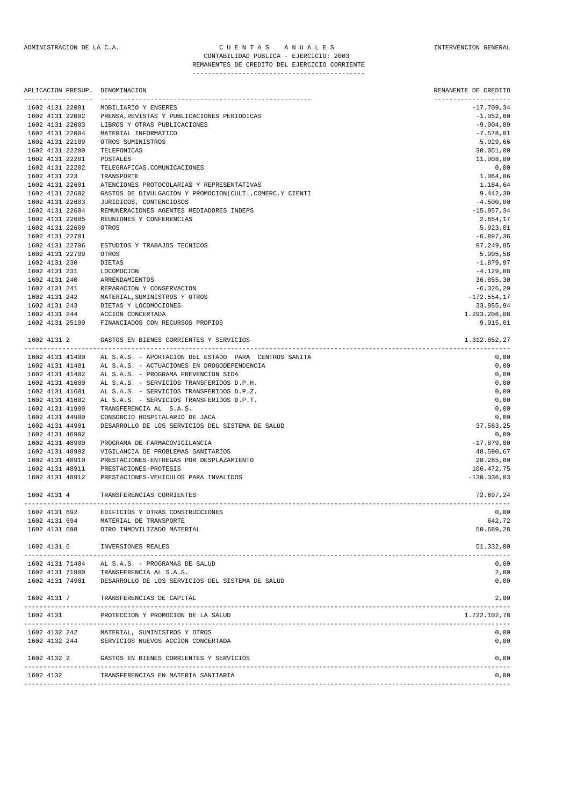#### ADMINISTRACION DE LA C.A. CUENTAS ANUALES CONSTANTERVENCION GENERAL CONTABILIDAD PUBLICA - EJERCICIO: 2003 REMANENTES DE CREDITO DEL EJERCICIO CORRIENTE

|                                    | APLICACION PRESUP. DENOMINACION                                                           | REMANENTE DE CREDITO    |
|------------------------------------|-------------------------------------------------------------------------------------------|-------------------------|
| 1602 4131 22001                    | MOBILIARIO Y ENSERES                                                                      | $-17.709,34$            |
| 1602 4131 22002                    | PRENSA, REVISTAS Y PUBLICACIONES PERIODICAS                                               | $-1.052,60$             |
| 1602 4131 22003                    | LIBROS Y OTRAS PUBLICACIONES                                                              | $-9.004,89$             |
| 1602 4131 22004                    | MATERIAL INFORMATICO                                                                      | $-7.578,01$             |
| 1602 4131 22109                    | OTROS SUMINISTROS                                                                         | 5.929,66                |
| 1602 4131 22200                    | TELEFONICAS                                                                               | 30.051,00               |
| 1602 4131 22201<br>1602 4131 22202 | POSTALES<br>TELEGRAFICAS.COMUNICACIONES                                                   | 11.908,00<br>0,00       |
| 1602 4131 223                      | TRANSPORTE                                                                                | 1.064,86                |
| 1602 4131 22601                    | ATENCIONES PROTOCOLARIAS Y REPRESENTATIVAS                                                | 1.184,64                |
| 1602 4131 22602                    | GASTOS DE DIVULGACION Y PROMOCION(CULT., COMERC.Y CIENTI                                  | 9.442,39                |
| 1602 4131 22603                    | JURIDICOS, CONTENCIOSOS                                                                   | $-4.500,00$             |
| 1602 4131 22604                    | REMUNERACIONES AGENTES MEDIADORES INDEPS                                                  | $-15.957,34$            |
| 1602 4131 22605                    | REUNIONES Y CONFERENCIAS                                                                  | 2.654,17                |
| 1602 4131 22609                    | OTROS                                                                                     | 5.923,01                |
| 1602 4131 22701                    |                                                                                           | $-6.897, 36$            |
| 1602 4131 22706<br>1602 4131 22709 | ESTUDIOS Y TRABAJOS TECNICOS                                                              | 97.249,85               |
| 1602 4131 230                      | OTROS<br>DIETAS                                                                           | 5.905,58<br>$-1.879,97$ |
| 1602 4131 231                      | LOCOMOCION                                                                                | $-4.129,88$             |
| 1602 4131 240                      | ARRENDAMIENTOS                                                                            | 36.855,30               |
| 1602 4131 241                      | REPARACION Y CONSERVACION                                                                 | $-6.326, 20$            |
| 1602 4131 242                      | MATERIAL, SUMINISTROS Y OTROS                                                             | $-172.554, 17$          |
| 1602 4131 243                      | DIETAS Y LOCOMOCIONES                                                                     | 33.955,94               |
| 1602 4131 244                      | ACCION CONCERTADA                                                                         | 1.293.206,08            |
|                                    | 1602 4131 25100 FINANCIADOS CON RECURSOS PROPIOS                                          | 9.015,01                |
|                                    | 1602 4131 2 GASTOS EN BIENES CORRIENTES Y SERVICIOS                                       | 1.312.852,27            |
| 1602 4131 41400                    | AL S.A.S. - APORTACION DEL ESTADO PARA CENTROS SANITA                                     | 0,00                    |
| 1602 4131 41401                    | AL S.A.S. - ACTUACIONES EN DROGODEPENDENCIA                                               | 0,00                    |
| 1602 4131 41402                    | AL S.A.S. - PROGRAMA PREVENCION SIDA                                                      | 0,00                    |
| 1602 4131 41600                    | AL S.A.S. - SERVICIOS TRANSFERIDOS D.P.H.                                                 | 0,00                    |
| 1602 4131 41601                    | AL S.A.S. - SERVICIOS TRANSFERIDOS D.P.Z.                                                 | 0,00                    |
| 1602 4131 41602                    | AL S.A.S. - SERVICIOS TRANSFERIDOS D.P.T.                                                 | 0,00                    |
| 1602 4131 41900                    | TRANSFERENCIA AL S.A.S.                                                                   | 0,00                    |
| 1602 4131 44900                    | CONSORCIO HOSPITALARIO DE JACA                                                            | 0,00                    |
| 1602 4131 44901                    | DESARROLLO DE LOS SERVICIOS DEL SISTEMA DE SALUD                                          | 37.563,25               |
| 1602 4131 46902<br>1602 4131 48900 | PROGRAMA DE FARMACOVIGILANCIA                                                             | 0,00<br>$-17.879,00$    |
| 1602 4131 48902                    | VIGILANCIA DE PROBLEMAS SANITARIOS                                                        | 48.590,67               |
| 1602 4131 48910                    | PRESTACIONES-ENTREGAS POR DESPLAZAMIENTO                                                  | 28.285,60               |
| 1602 4131 48911                    | PRESTACIONES-PROTESIS                                                                     | 106.472,75              |
| 1602 4131 48912                    | PRESTACIONES-VEHICULOS PARA INVALIDOS                                                     | $-130.336,03$           |
| 1602 4131 4                        | TRANSFERENCIAS CORRIENTES                                                                 | 72.697,24               |
| 1602 4131 692                      | EDIFICIOS Y OTRAS CONSTRUCCIONES                                                          | 0,00                    |
| 1602 4131 694                      | MATERIAL DE TRANSPORTE                                                                    | 642,72                  |
| 1602 4131 698                      | OTRO INMOVILIZADO MATERIAL                                                                | 50.689,28               |
| 1602 4131 6                        | INVERSIONES REALES                                                                        | 51.332,00               |
|                                    |                                                                                           |                         |
|                                    | 1602 4131 71404 AL S.A.S. - PROGRAMAS DE SALUD<br>1602 4131 71900 TRANSFERENCIA AL S.A.S. | 0,00<br>2,00            |
|                                    | 1602 4131 74901 DESARROLLO DE LOS SERVICIOS DEL SISTEMA DE SALUD                          | 0,00                    |
| 1602 4131 7                        | TRANSFERENCIAS DE CAPITAL                                                                 | 2,00                    |
| 1602 4131                          | PROTECCION Y PROMOCION DE LA SALUD                                                        | 1.722.102,78            |
|                                    |                                                                                           |                         |
| 1602 4132 242                      | MATERIAL, SUMINISTROS Y OTROS<br>1602 4132 244 SERVICIOS NUEVOS ACCION CONCERTADA         | 0,00<br>0,00            |
|                                    | 1602 4132 2 GASTOS EN BIENES CORRIENTES Y SERVICIOS                                       | 0,00                    |
| 1602 4132                          | TRANSFERENCIAS EN MATERIA SANITARIA                                                       | 0,00                    |
|                                    |                                                                                           |                         |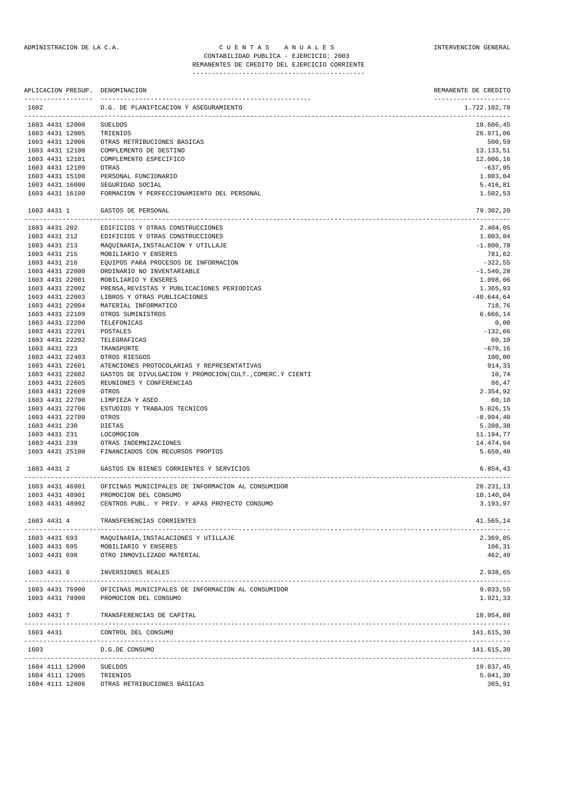#### ADMINISTRACION DE LA C.A. CUENTAS ANUALES CONSTANTERVENCION GENERAL CONTABILIDAD PUBLICA - EJERCICIO: 2003 REMANENTES DE CREDITO DEL EJERCICIO CORRIENTE

|                                | APLICACION PRESUP. DENOMINACION                              | REMANENTE DE CREDITO<br>-------------------- |
|--------------------------------|--------------------------------------------------------------|----------------------------------------------|
| 1602                           | D.G. DE PLANIFICACION Y ASEGURAMIENTO                        | 1.722.102,78                                 |
| 1603 4431 12000                | SUELDOS                                                      | 18.606,45                                    |
| 1603 4431 12005                | TRIENIOS                                                     | 26.971,06                                    |
| 1603 4431 12006                | OTRAS RETRIBUCIONES BASICAS                                  | 500,59                                       |
| 1603 4431 12100                | COMPLEMENTO DE DESTINO                                       | 13.133,51                                    |
| 1603 4431 12101                | COMPLEMENTO ESPECIFICO                                       | 12.006,16                                    |
| 1603 4431 12109                | OTRAS                                                        | $-637,95$                                    |
| 1603 4431 15100                | PERSONAL FUNCIONARIO                                         | 1.803,04                                     |
| 1603 4431 16000                | SEGURIDAD SOCIAL                                             | 5.416,81                                     |
| 1603 4431 16100<br>1603 4431 1 | FORMACION Y PERFECCIONAMIENTO DEL PERSONAL                   | 1.502,53                                     |
|                                | GASTOS DE PERSONAL                                           | 79.302,20                                    |
| 1603 4431 202                  | EDIFICIOS Y OTRAS CONSTRUCCIONES                             | 2.404,05                                     |
| 1603 4431 212                  | EDIFICIOS Y OTRAS CONSTRUCCIONES                             | 1.803,04                                     |
| 1603 4431 213                  | MAQUINARIA, INSTALACION Y UTILLAJE                           | $-1.800, 78$                                 |
| 1603 4431 215<br>1603 4431 216 | MOBILIARIO Y ENSERES<br>EQUIPOS PARA PROCESOS DE INFORMACION | 781,62<br>$-322,55$                          |
| 1603 4431 22000                | ORDINARIO NO INVENTARIABLE                                   | $-1.540, 28$                                 |
| 1603 4431 22001                | MOBILIARIO Y ENSERES                                         | 1.098,06                                     |
| 1603 4431 22002                | PRENSA, REVISTAS Y PUBLICACIONES PERIODICAS                  | 1.365,93                                     |
| 1603 4431 22003                | LIBROS Y OTRAS PUBLICACIONES                                 | $-40.644,64$                                 |
| 1603 4431 22004                | MATERIAL INFORMATICO                                         | 718,76                                       |
| 1603 4431 22109                | OTROS SUMINISTROS                                            | 6.666,14                                     |
| 1603 4431 22200                | TELEFONICAS                                                  | 0,00                                         |
| 1603 4431 22201                | POSTALES                                                     | $-132,66$                                    |
| 1603 4431 22202                | TELEGRAFICAS                                                 | 60,10                                        |
| 1603 4431 223                  | TRANSPORTE                                                   | $-679,16$                                    |
| 1603 4431 22403                | OTROS RIESGOS                                                | 100,00                                       |
| 1603 4431 22601                | ATENCIONES PROTOCOLARIAS Y REPRESENTATIVAS                   | 914,33                                       |
| 1603 4431 22602                | GASTOS DE DIVULGACION Y PROMOCION(CULT., COMERC.Y CIENTI     | 10,74                                        |
| 1603 4431 22605                | REUNIONES Y CONFERENCIAS                                     | 86,47                                        |
| 1603 4431 22609                | OTROS                                                        | 2.354,92                                     |
| 1603 4431 22700                | LIMPIEZA Y ASEO                                              | 60,10                                        |
| 1603 4431 22706                | ESTUDIOS Y TRABAJOS TECNICOS                                 | 5.826,15                                     |
| 1603 4431 22709                | OTROS                                                        | $-8.994, 40$                                 |
| 1603 4431 230                  | DIETAS                                                       | 5.398,38                                     |
| 1603 4431 231                  | LOCOMOCION                                                   | 11.194,77                                    |
| 1603 4431 239                  | OTRAS INDEMNIZACIONES                                        | 14.474,94                                    |
| 1603 4431 25100                | FINANCIADOS CON RECURSOS PROPIOS                             | 5.650,40                                     |
| 1603 4431 2                    | GASTOS EN BIENES CORRIENTES Y SERVICIOS                      | 6.854,43<br>---------------                  |
| 1603 4431 46901                | OFICINAS MUNICIPALES DE INFORMACION AL CONSUMIDOR            | 28.231,13                                    |
| 1603 4431 48901                | PROMOCION DEL CONSUMO                                        | 10.140,04                                    |
| 1603 4431 48902                | CENTROS PUBL. Y PRIV. Y APAS PROYECTO CONSUMO                | 3.193,97                                     |
| 1603 4431 4                    | TRANSFERENCIAS CORRIENTES                                    | 41.565,14                                    |
| 1603 4431 693                  | MAQUINARIA, INSTALACIONES Y UTILLAJE                         | 2.369,85                                     |
| 1603 4431 695                  | MOBILIARIO Y ENSERES                                         | 106,31                                       |
| 1603 4431 698                  | OTRO INMOVILIZADO MATERIAL                                   | 462,49                                       |
| 1603 4431 6<br>-----------     | INVERSIONES REALES<br>------------------------               | 2.938,65                                     |
| 1603 4431 76900                | OFICINAS MUNICIPALES DE INFORMACION AL CONSUMIDOR            | 9.033,55                                     |
| 1603 4431 78900                | PROMOCION DEL CONSUMO                                        | 1.921,33                                     |
| 1603 4431 7                    | TRANSFERENCIAS DE CAPITAL                                    | 10.954,88                                    |
|                                |                                                              |                                              |
| 1603 4431                      | CONTROL DEL CONSUMO                                          | 141.615,30                                   |
| 1603                           | D.G.DE CONSUMO<br>------------------------------             | 141.615,30                                   |
| 1604 4111 12000                | <b>SUELDOS</b>                                               | 19.837,45                                    |
| 1604 4111 12005                | TRIENIOS                                                     | 5.041,30                                     |
| 1604 4111 12006                | OTRAS RETRIBUCIONES BÁSICAS                                  | 365,91                                       |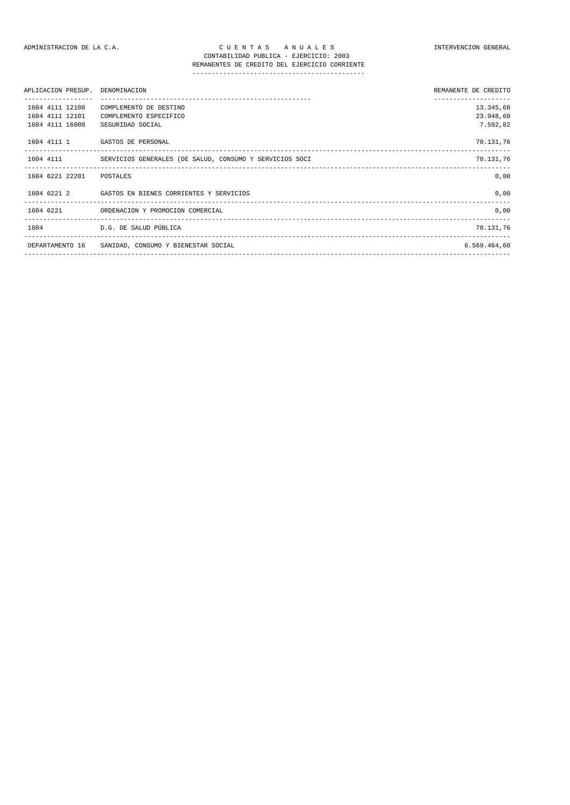| APLICACION PRESUP. DENOMINACION |                                                                   | REMANENTE DE CREDITO |
|---------------------------------|-------------------------------------------------------------------|----------------------|
| 1604 4111 12100                 | COMPLEMENTO DE DESTINO                                            | 13.345,68            |
| 1604 4111 12101                 | COMPLEMENTO ESPECIFICO                                            | 23.948,60            |
| 1604 4111 16000                 | SEGURIDAD SOCIAL                                                  | 7.592,82             |
|                                 | 1604 4111 1 GASTOS DE PERSONAL                                    | 70.131,76            |
|                                 | 1604 4111 SERVICIOS GENERALES (DE SALUD, CONSUMO Y SERVICIOS SOCI | 70.131,76            |
| 1604 6221 22201 POSTALES        |                                                                   | 0,00                 |
|                                 | 1604 6221 2 GASTOS EN BIENES CORRIENTES Y SERVICIOS               | 0.00                 |
|                                 | 1604 6221 ORDENACION Y PROMOCION COMERCIAL                        | 0,00                 |
|                                 | 1604 D.G. DE SALUD PÚBLICA                                        | 70.131,76            |
|                                 | DEPARTAMENTO 16 SANIDAD, CONSUMO Y BIENESTAR SOCIAL               | 6.569.464,60         |
|                                 |                                                                   |                      |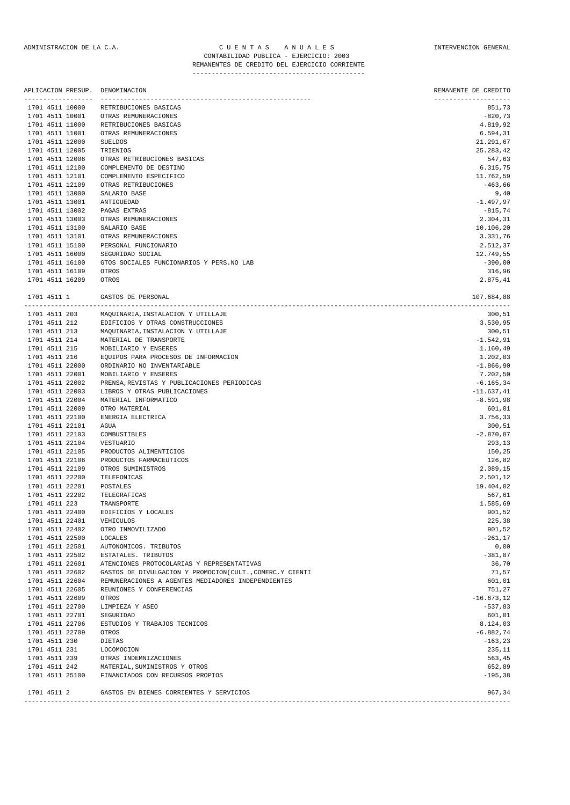### ADMINISTRACION DE LA C.A. CUENTAS ANUALES A CONSTRUENCION GENERAL CONTABILIDAD PUBLICA - EJERCICIO: 2003 REMANENTES DE CREDITO DEL EJERCICIO CORRIENTE

| APLICACION PRESUP. DENOMINACION<br>__________________ |                                             | REMANENTE DE CREDITO<br>--------------------- |
|-------------------------------------------------------|---------------------------------------------|-----------------------------------------------|
| 1701 4511 10000                                       | RETRIBUCIONES BASICAS                       | 851,73                                        |
| 1701 4511 10001                                       | OTRAS REMUNERACIONES                        | $-820,73$                                     |
| 1701 4511 11000                                       | RETRIBUCIONES BASICAS                       | 4.819,92                                      |
| 1701 4511 11001                                       | OTRAS REMUNERACIONES                        | 6.594,31                                      |
| 1701 4511 12000                                       | <b>SUELDOS</b>                              | 21.291,67                                     |
| 1701 4511 12005                                       | TRIENIOS                                    | 25.283,42                                     |
| 1701 4511 12006                                       | OTRAS RETRIBUCIONES BASICAS                 | 547,63                                        |
| 1701 4511 12100                                       | COMPLEMENTO DE DESTINO                      | 6.315,75                                      |
| 1701 4511 12101                                       | COMPLEMENTO ESPECIFICO                      | 11.762,59                                     |
| 1701 4511 12109                                       | OTRAS RETRIBUCIONES                         | $-463,66$                                     |
| 1701 4511 13000                                       | SALARIO BASE                                | 9,40                                          |
| 1701 4511 13001                                       | ANTIGUEDAD                                  | $-1.497,97$                                   |
| 1701 4511 13002                                       | PAGAS EXTRAS                                | $-815,74$                                     |
| 1701 4511 13003                                       | OTRAS REMUNERACIONES                        | 2.304,31                                      |
| 1701 4511 13100                                       | SALARIO BASE                                | 10.106,20                                     |
| 1701 4511 13101                                       | OTRAS REMUNERACIONES                        | 3.331,76                                      |
| 1701 4511 15100                                       | PERSONAL FUNCIONARIO                        | 2.512,37                                      |
| 1701 4511 16000                                       | SEGURIDAD SOCIAL                            | 12.749,55                                     |
| 1701 4511 16100                                       | GTOS SOCIALES FUNCIONARIOS Y PERS.NO LAB    | $-390,00$                                     |
| 1701 4511 16109                                       | OTROS                                       | 316,96                                        |
| 1701 4511 16209                                       | OTROS                                       | 2.875,41                                      |
| 1701 4511 1                                           | GASTOS DE PERSONAL                          | 107.684,88                                    |
| 1701 4511 203                                         | MAQUINARIA, INSTALACION Y UTILLAJE          | 300, 51                                       |
| 1701 4511 212                                         | EDIFICIOS Y OTRAS CONSTRUCCIONES            | 3.530,95                                      |
| 1701 4511 213                                         | MAQUINARIA, INSTALACION Y UTILLAJE          | 300,51                                        |
| 1701 4511 214                                         | MATERIAL DE TRANSPORTE                      | $-1.542,91$                                   |
| 1701 4511 215                                         | MOBILIARIO Y ENSERES                        | 1.160,49                                      |
| 1701 4511 216                                         | EQUIPOS PARA PROCESOS DE INFORMACION        | 1.202,03                                      |
| 1701 4511 22000                                       | ORDINARIO NO INVENTARIABLE                  | $-1.866,90$                                   |
| 1701 4511 22001                                       | MOBILIARIO Y ENSERES                        | 7.202,50                                      |
| 1701 4511 22002                                       | PRENSA, REVISTAS Y PUBLICACIONES PERIODICAS | $-6.165, 34$                                  |
| 1701 4511 22003                                       | LIBROS Y OTRAS PUBLICACIONES                | $-11.637, 41$                                 |
| 1701 4511 22004                                       | MATERIAL INFORMATICO                        | $-8.591,98$                                   |
| 1701 4511 22009                                       | OTRO MATERIAL                               | 601,01                                        |
| 1701 4511 22100                                       | ENERGIA ELECTRICA                           | 3.756,33                                      |
| 1701 4511 22101                                       | AGUA                                        | 300,51                                        |
| 1701 4511 22103                                       | COMBUSTIBLES                                | $-2.870, 87$                                  |
| 1701 4511 22104                                       | VESTUARIO                                   | 293,13                                        |
| 1701 4511 22105                                       | PRODUCTOS ALIMENTICIOS                      | 150,25                                        |
| 1701 4511 22106                                       | PRODUCTOS FARMACEUTICOS                     | 126,82                                        |
| 1701 4511 22109                                       | OTROS SUMINISTROS                           | 2.089,15                                      |
|                                                       |                                             |                                               |
| 1701 4511 22200<br>1701 4511 22201                    | TELEFONICAS                                 | 2.501,12<br>19.404,02                         |
|                                                       | POSTALES                                    |                                               |
| 1701 4511 22202                                       | TELEGRAFICAS                                | 567,61                                        |
| 1701 4511 223                                         | TRANSPORTE                                  | 1.585,69                                      |
| 1701 4511 22400                                       | EDIFICIOS Y LOCALES                         | 901,52                                        |
| 1701 4511 22401                                       | VEHICULOS                                   | 225,38                                        |
| 1701 4511 22402                                       | OTRO INMOVILIZADO                           | 901,52                                        |
| 1701 4511 22500                                       | LOCALES                                     | $-261, 17$                                    |
| 1701 4511 22501                                       | AUTONOMICOS. TRIBUTOS                       | 0,00                                          |

|             | 1701 4511 25100 FINANCIADOS CON RECURSOS PROPIOS | $-195,38$ |
|-------------|--------------------------------------------------|-----------|
| 1701 4511 2 | GASTOS EN BIENES CORRIENTES Y SERVICIOS          | 967.34    |
|             |                                                  |           |

MATERIAL, SUMINISTROS Y OTROS

 $1701$  4511 22502 estatales. Tributos  $-381.87$ 1701 4511 22601 ATENCIONES PROTOCOLARIAS Y REPRESENTATIVAS 36,70 1701 4511 22602 GASTOS DE DIVULGACION Y PROMOCION(CULT., COMERC.Y CIENTI 71,57 1701 4511 22604 REMUNERACIONES A AGENTES MEDIADORES INDEPENDIENTES 601,01 1701 4511 22605 REUNIONES Y CONFERENCIAS 751,27 1701 4511 22609 OTROS -16.673,12

1701 4511 22701 SEGURIDAD 601,01 601,01 601,01 601,01 601,01 601,01 601,01 601,01 601,01 601,01 601,01 601,01 601,01 601,01 601,01 601,01 601,01 601,01 601,01 601,01 601,01 601,01 601,01 601,01 601,01 601,01 601,01 601,01 1701 4511 22706 ESTUDIOS Y TRABAJOS TECNICOS 8.124,03 1701 4511 22709 OTROS -6.882,74 1701 4511 230 DIETAS -163,23<br>1701 4511 231 LOCOMOCION 235,11 1701 4511 231 LOCOMOCION 235,11 1701 1911 1239 - CHENNET CHANNET CHANNET CHANNET CHANNET CHANNET CHANNET CHANNET CHANNET CHANNET CHANNET CHANNET<br>1701 1911 212 - MATERIAL SUMINISTROS Y OTROS

1701 4511 22700 LIMPIEZA Y ASEO -537,83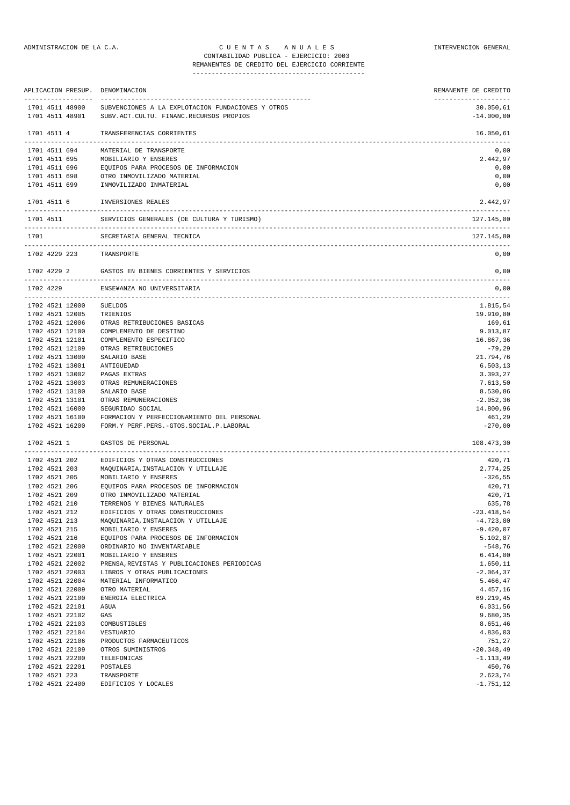## ADMINISTRACION DE LA C.A. C U E N T A S A N U A L E S INTERVENCION GENERAL CONTABILIDAD PUBLICA - EJERCICIO: 2003

## REMANENTES DE CREDITO DEL EJERCICIO CORRIENTE ---------------------------------------------

|                                | APLICACION PRESUP.                 | DENOMINACION                                                                                 | REMANENTE DE CREDITO       |
|--------------------------------|------------------------------------|----------------------------------------------------------------------------------------------|----------------------------|
|                                | 1701 4511 48900<br>1701 4511 48901 | SUBVENCIONES A LA EXPLOTACION FUNDACIONES Y OTROS<br>SUBV.ACT.CULTU. FINANC.RECURSOS PROPIOS | 30.050,61<br>$-14.000,00$  |
| 1701 4511 4                    |                                    | TRANSFERENCIAS CORRIENTES                                                                    | 16.050,61                  |
|                                | 1701 4511 694                      | MATERIAL DE TRANSPORTE                                                                       | 0,00                       |
|                                | 1701 4511 695                      | MOBILIARIO Y ENSERES                                                                         | 2.442,97                   |
| 1701 4511 696                  |                                    | EQUIPOS PARA PROCESOS DE INFORMACION                                                         | 0,00                       |
| 1701 4511 698                  |                                    | OTRO INMOVILIZADO MATERIAL                                                                   | 0,00                       |
| 1701 4511 699                  |                                    | INMOVILIZADO INMATERIAL                                                                      | 0,00                       |
| 1701 4511 6                    |                                    | INVERSIONES REALES                                                                           | 2.442,97<br>-------------- |
| 1701 4511                      |                                    | SERVICIOS GENERALES (DE CULTURA Y TURISMO)                                                   | 127.145,80                 |
| 1701                           |                                    | SECRETARIA GENERAL TECNICA                                                                   | 127.145,80                 |
|                                | 1702 4229 223                      | TRANSPORTE                                                                                   | 0,00                       |
| 1702 4229 2                    |                                    | GASTOS EN BIENES CORRIENTES Y SERVICIOS                                                      | 0,00                       |
| 1702 4229                      |                                    | ENSE¥ANZA NO UNIVERSITARIA                                                                   | 0,00                       |
|                                | 1702 4521 12000                    | <b>SUELDOS</b>                                                                               | --------------<br>1.815,54 |
|                                | 1702 4521 12005                    | TRIENIOS                                                                                     | 19.910,80                  |
|                                | 1702 4521 12006                    | OTRAS RETRIBUCIONES BASICAS                                                                  | 169,61                     |
|                                | 1702 4521 12100                    | COMPLEMENTO DE DESTINO                                                                       | 9.013,87                   |
|                                | 1702 4521 12101                    | COMPLEMENTO ESPECIFICO                                                                       | 16.867,36                  |
|                                | 1702 4521 12109                    | OTRAS RETRIBUCIONES                                                                          | $-79,29$                   |
|                                | 1702 4521 13000<br>1702 4521 13001 | SALARIO BASE<br>ANTIGUEDAD                                                                   | 21.794,76<br>6.503, 13     |
|                                | 1702 4521 13002                    | PAGAS EXTRAS                                                                                 | 3.393,27                   |
|                                | 1702 4521 13003                    | OTRAS REMUNERACIONES                                                                         | 7.613,50                   |
|                                | 1702 4521 13100                    | SALARIO BASE                                                                                 | 8.530,86                   |
|                                | 1702 4521 13101                    | OTRAS REMUNERACIONES                                                                         | $-2.052, 36$               |
|                                | 1702 4521 16000                    | SEGURIDAD SOCIAL                                                                             | 14.800,96                  |
|                                | 1702 4521 16100                    | FORMACION Y PERFECCIONAMIENTO DEL PERSONAL                                                   | 461,29                     |
|                                | 1702 4521 16200                    | FORM.Y PERF.PERS.-GTOS.SOCIAL.P.LABORAL                                                      | $-270,00$                  |
| 1702 4521 1                    |                                    | GASTOS DE PERSONAL                                                                           | 108.473,30                 |
|                                | 1702 4521 202                      | EDIFICIOS Y OTRAS CONSTRUCCIONES                                                             | 420,71                     |
|                                | 1702 4521 203                      | MAQUINARIA, INSTALACION Y UTILLAJE                                                           | 2.774,25                   |
| 1702 4521 205                  |                                    | MOBILIARIO Y ENSERES                                                                         | $-326,55$                  |
| 1702 4521 206                  |                                    | EQUIPOS PARA PROCESOS DE INFORMACION                                                         | 420,71                     |
| 1702 4521 209<br>1702 4521 210 |                                    | OTRO INMOVILIZADO MATERIAL<br>TERRENOS Y BIENES NATURALES                                    | 420,71<br>635,78           |
| 1702 4521 212                  |                                    | EDIFICIOS Y OTRAS CONSTRUCCIONES                                                             | $-23.418,54$               |
| 1702 4521 213                  |                                    | MAQUINARIA, INSTALACION Y UTILLAJE                                                           | $-4.723, 80$               |
| 1702 4521 215                  |                                    | MOBILIARIO Y ENSERES                                                                         | $-9.420,07$                |
| 1702 4521 216                  |                                    | EQUIPOS PARA PROCESOS DE INFORMACION                                                         | 5.102,87                   |
|                                | 1702 4521 22000                    | ORDINARIO NO INVENTARIABLE                                                                   | $-548,76$                  |
|                                | 1702 4521 22001                    | MOBILIARIO Y ENSERES                                                                         | 6.414,80                   |
|                                | 1702 4521 22002                    | PRENSA, REVISTAS Y PUBLICACIONES PERIODICAS                                                  | 1.650,11                   |
|                                | 1702 4521 22003                    | LIBROS Y OTRAS PUBLICACIONES                                                                 | $-2.064, 37$               |
|                                | 1702 4521 22004<br>1702 4521 22009 | MATERIAL INFORMATICO                                                                         | 5.466,47                   |
|                                | 1702 4521 22100                    | OTRO MATERIAL<br>ENERGIA ELECTRICA                                                           | 4.457,16<br>69.219,45      |
|                                | 1702 4521 22101                    | AGUA                                                                                         | 6.031,56                   |
|                                | 1702 4521 22102                    | GAS                                                                                          | 9.680,35                   |
|                                | 1702 4521 22103                    | COMBUSTIBLES                                                                                 | 8.651,46                   |
|                                | 1702 4521 22104                    | VESTUARIO                                                                                    | 4.836,03                   |
|                                | 1702 4521 22106                    | PRODUCTOS FARMACEUTICOS                                                                      | 751,27                     |
|                                | 1702 4521 22109                    | OTROS SUMINISTROS                                                                            | $-20.348,49$               |
|                                | 1702 4521 22200                    | TELEFONICAS                                                                                  | $-1.113,49$                |
|                                | 1702 4521 22201                    | POSTALES                                                                                     | 450,76                     |
| 1702 4521 223                  | 1702 4521 22400                    | TRANSPORTE<br>EDIFICIOS Y LOCALES                                                            | 2.623,74<br>$-1.751, 12$   |
|                                |                                    |                                                                                              |                            |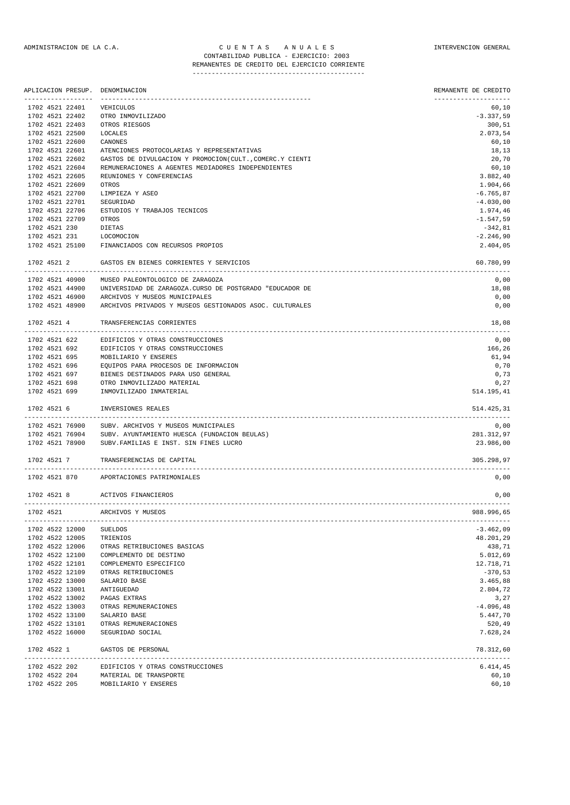#### ADMINISTRACION DE LA C.A. CUENTAS ANUALES CONSTANTERVENCION GENERAL CONTABILIDAD PUBLICA - EJERCICIO: 2003 REMANENTES DE CREDITO DEL EJERCICIO CORRIENTE

|                 | APLICACION PRESUP. | DENOMINACION                                                 | REMANENTE DE CREDITO |
|-----------------|--------------------|--------------------------------------------------------------|----------------------|
| 1702 4521 22401 |                    | VEHICULOS                                                    | 60,10                |
| 1702 4521 22402 |                    | OTRO INMOVILIZADO                                            | $-3.337,59$          |
| 1702 4521 22403 |                    | OTROS RIESGOS                                                | 300,51               |
| 1702 4521 22500 |                    | LOCALES                                                      | 2.073,54             |
| 1702 4521 22600 |                    | CANONES                                                      | 60,10                |
| 1702 4521 22601 |                    | ATENCIONES PROTOCOLARIAS Y REPRESENTATIVAS                   | 18,13                |
| 1702 4521 22602 |                    | GASTOS DE DIVULGACION Y PROMOCION(CULT., COMERC.Y CIENTI     | 20,70                |
| 1702 4521 22604 |                    | REMUNERACIONES A AGENTES MEDIADORES INDEPENDIENTES           | 60,10                |
| 1702 4521 22605 |                    | REUNIONES Y CONFERENCIAS                                     | 3.882,40             |
| 1702 4521 22609 |                    | OTROS                                                        | 1.904,66             |
| 1702 4521 22700 |                    | LIMPIEZA Y ASEO                                              | $-6.765, 87$         |
| 1702 4521 22701 |                    | SEGURIDAD                                                    | $-4.030,00$          |
| 1702 4521 22706 |                    | ESTUDIOS Y TRABAJOS TECNICOS                                 | 1.974,46             |
| 1702 4521 22709 |                    | OTROS                                                        | $-1.547,59$          |
| 1702 4521 230   |                    | DIETAS                                                       | $-342,81$            |
| 1702 4521 231   |                    | LOCOMOCION                                                   | $-2.246,90$          |
|                 |                    | 1702 4521 25100 FINANCIADOS CON RECURSOS PROPIOS             | 2.404,05             |
| 1702 4521 2     |                    | GASTOS EN BIENES CORRIENTES Y SERVICIOS                      | 60.780,99            |
|                 | 1702 4521 40900    | MUSEO PALEONTOLOGICO DE ZARAGOZA                             | 0,00                 |
|                 | 1702 4521 44900    | UNIVERSIDAD DE ZARAGOZA.CURSO DE POSTGRADO "EDUCADOR DE      | 18,08                |
|                 | 1702 4521 46900    | ARCHIVOS Y MUSEOS MUNICIPALES                                | 0,00                 |
|                 | 1702 4521 48900    | ARCHIVOS PRIVADOS Y MUSEOS GESTIONADOS ASOC. CULTURALES      | 0,00                 |
| 1702 4521 4     |                    | TRANSFERENCIAS CORRIENTES                                    | 18,08                |
|                 | 1702 4521 622      | EDIFICIOS Y OTRAS CONSTRUCCIONES                             | 0,00                 |
|                 | 1702 4521 692      | EDIFICIOS Y OTRAS CONSTRUCCIONES                             | 166,26               |
|                 | 1702 4521 695      | MOBILIARIO Y ENSERES                                         | 61,94                |
| 1702 4521 696   |                    | EQUIPOS PARA PROCESOS DE INFORMACION                         | 0,70                 |
| 1702 4521 697   |                    | BIENES DESTINADOS PARA USO GENERAL                           | 0,73                 |
| 1702 4521 698   |                    | OTRO INMOVILIZADO MATERIAL                                   | 0,27                 |
| 1702 4521 699   |                    | INMOVILIZADO INMATERIAL                                      | 514.195,41           |
| 1702 4521 6     |                    | INVERSIONES REALES                                           | 514.425,31           |
|                 | 1702 4521 76900    | SUBV. ARCHIVOS Y MUSEOS MUNICIPALES                          | 0,00                 |
|                 | 1702 4521 76904    | SUBV. AYUNTAMIENTO HUESCA (FUNDACION BEULAS)                 | 281.312,97           |
|                 | 1702 4521 78900    | SUBV. FAMILIAS E INST. SIN FINES LUCRO                       | 23.986,00            |
|                 |                    |                                                              | 305.298,97           |
| 1702 4521 7     |                    | TRANSFERENCIAS DE CAPITAL                                    |                      |
|                 | 1702 4521 870      | APORTACIONES PATRIMONIALES                                   | 0,00                 |
| 1702 4521 8     |                    | ACTIVOS FINANCIEROS<br>_____________________________________ | 0,00                 |
| 1702 4521       |                    | ARCHIVOS Y MUSEOS                                            | 988.996,65           |
| 1702 4522 12000 |                    | SUELDOS                                                      | $-3.462,09$          |
| 1702 4522 12005 |                    | TRIENIOS                                                     | 48.201,29            |
| 1702 4522 12006 |                    | OTRAS RETRIBUCIONES BASICAS                                  | 438,71               |
| 1702 4522 12100 |                    | COMPLEMENTO DE DESTINO                                       | 5.012,69             |
| 1702 4522 12101 |                    | COMPLEMENTO ESPECIFICO                                       | 12.718,71            |
| 1702 4522 12109 |                    | OTRAS RETRIBUCIONES                                          | $-370,53$            |
| 1702 4522 13000 |                    | SALARIO BASE                                                 | 3.465,88             |
| 1702 4522 13001 |                    | ANTIGUEDAD                                                   | 2.804,72             |
| 1702 4522 13002 |                    | PAGAS EXTRAS                                                 | 3,27                 |
| 1702 4522 13003 |                    | OTRAS REMUNERACIONES                                         | $-4.096, 48$         |
| 1702 4522 13100 |                    | SALARIO BASE                                                 | 5.447,70             |
| 1702 4522 13101 |                    | OTRAS REMUNERACIONES                                         | 520,49               |
| 1702 4522 16000 |                    | SEGURIDAD SOCIAL                                             | 7.628,24             |
| 1702 4522 1     |                    | GASTOS DE PERSONAL                                           | 78.312,60            |
|                 | 1702 4522 202      | EDIFICIOS Y OTRAS CONSTRUCCIONES                             | 6.414,45             |
| 1702 4522 204   |                    | MATERIAL DE TRANSPORTE                                       | 60,10                |
| 1702 4522 205   |                    | MOBILIARIO Y ENSERES                                         | 60,10                |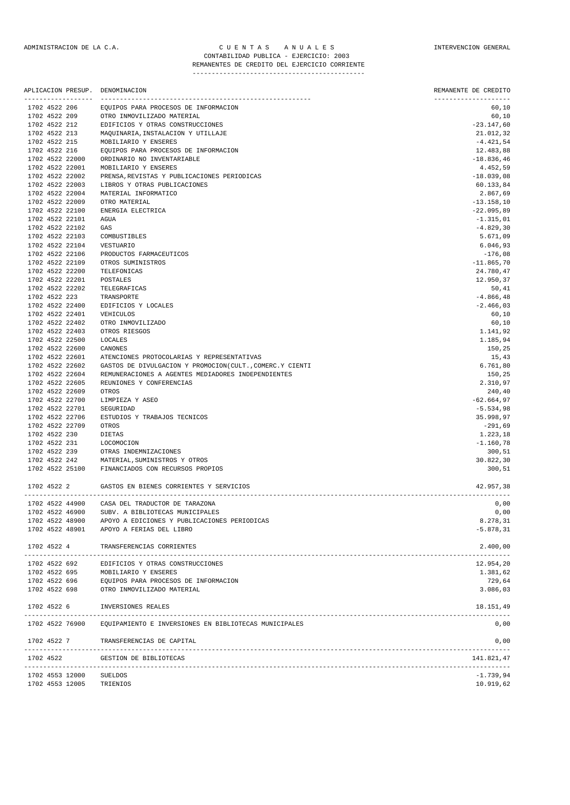#### ADMINISTRACION DE LA C.A. CUENTAS ANUALES CONSTANTERVENCION GENERAL CONTABILIDAD PUBLICA - EJERCICIO: 2003 REMANENTES DE CREDITO DEL EJERCICIO CORRIENTE

---------------------------------------------

|                                    |                 | APLICACION PRESUP. DENOMINACION                                                          | REMANENTE DE CREDITO          |
|------------------------------------|-----------------|------------------------------------------------------------------------------------------|-------------------------------|
| 1702 4522 206                      |                 | EQUIPOS PARA PROCESOS DE INFORMACION                                                     | --------------------<br>60,10 |
| 1702 4522 209                      |                 | OTRO INMOVILIZADO MATERIAL                                                               | 60,10                         |
| 1702 4522 212                      |                 | EDIFICIOS Y OTRAS CONSTRUCCIONES                                                         | $-23.147,60$                  |
| 1702 4522 213                      |                 | MAQUINARIA, INSTALACION Y UTILLAJE                                                       | 21.012,32                     |
| 1702 4522 215                      |                 | MOBILIARIO Y ENSERES                                                                     | $-4.421,54$                   |
| 1702 4522 216                      |                 | EQUIPOS PARA PROCESOS DE INFORMACION                                                     | 12.483,88                     |
| 1702 4522 22000                    |                 | ORDINARIO NO INVENTARIABLE                                                               | $-18.836,46$                  |
| 1702 4522 22001                    |                 | MOBILIARIO Y ENSERES                                                                     | 4.452,59                      |
| 1702 4522 22002                    |                 | PRENSA, REVISTAS Y PUBLICACIONES PERIODICAS                                              | $-18.039,08$                  |
| 1702 4522 22003                    |                 | LIBROS Y OTRAS PUBLICACIONES                                                             | 60.133,84                     |
| 1702 4522 22004                    |                 | MATERIAL INFORMATICO                                                                     | 2.867,69                      |
| 1702 4522 22009                    |                 | OTRO MATERIAL                                                                            | $-13.158,10$                  |
| 1702 4522 22100                    |                 | ENERGIA ELECTRICA                                                                        | $-22.095,89$                  |
| 1702 4522 22101                    |                 | AGUA                                                                                     | $-1.315,01$                   |
| 1702 4522 22102                    |                 | GAS                                                                                      | $-4.829, 30$                  |
| 1702 4522 22103                    |                 | COMBUSTIBLES                                                                             | 5.671,09                      |
| 1702 4522 22104                    |                 | VESTUARIO                                                                                | 6.046,93                      |
| 1702 4522 22106<br>1702 4522 22109 |                 | PRODUCTOS FARMACEUTICOS<br>OTROS SUMINISTROS                                             | $-176,08$<br>$-11.865,70$     |
| 1702 4522 22200                    |                 | TELEFONICAS                                                                              | 24.780,47                     |
| 1702 4522 22201                    |                 | POSTALES                                                                                 | 12.950,37                     |
| 1702 4522 22202                    |                 | TELEGRAFICAS                                                                             | 50, 41                        |
| 1702 4522 223                      |                 | TRANSPORTE                                                                               | $-4.866, 48$                  |
| 1702 4522 22400                    |                 | EDIFICIOS Y LOCALES                                                                      | $-2.466,03$                   |
| 1702 4522 22401                    |                 | VEHICULOS                                                                                | 60,10                         |
| 1702 4522 22402                    |                 | OTRO INMOVILIZADO                                                                        | 60,10                         |
| 1702 4522 22403                    |                 | OTROS RIESGOS                                                                            | 1.141,92                      |
| 1702 4522 22500                    |                 | LOCALES                                                                                  | 1.185,94                      |
| 1702 4522 22600                    |                 | CANONES                                                                                  | 150,25                        |
| 1702 4522 22601                    |                 | ATENCIONES PROTOCOLARIAS Y REPRESENTATIVAS                                               | 15,43                         |
| 1702 4522 22602                    |                 | GASTOS DE DIVULGACION Y PROMOCION(CULT., COMERC.Y CIENTI                                 | 6.761,80                      |
| 1702 4522 22604                    |                 | REMUNERACIONES A AGENTES MEDIADORES INDEPENDIENTES                                       | 150,25                        |
| 1702 4522 22605                    |                 | REUNIONES Y CONFERENCIAS                                                                 | 2.310,97                      |
| 1702 4522 22609                    |                 | OTROS                                                                                    | 240, 40                       |
| 1702 4522 22700                    |                 | LIMPIEZA Y ASEO                                                                          | $-62.664,97$                  |
| 1702 4522 22701                    |                 | SEGURIDAD                                                                                | $-5.534,98$                   |
| 1702 4522 22706                    |                 | ESTUDIOS Y TRABAJOS TECNICOS                                                             | 35.998,97                     |
|                                    | 1702 4522 22709 | OTROS                                                                                    | $-291,69$                     |
| 1702 4522 230                      |                 | DIETAS                                                                                   | 1.223,18                      |
| 1702 4522 231                      |                 | LOCOMOCION                                                                               | $-1.160,78$                   |
| 1702 4522 239                      |                 | OTRAS INDEMNIZACIONES                                                                    | 300,51                        |
| 1702 4522 242                      |                 | MATERIAL, SUMINISTROS Y OTROS                                                            | 30.822,30                     |
|                                    | 1702 4522 25100 | FINANCIADOS CON RECURSOS PROPIOS                                                         | 300,51                        |
| 1702 4522 2                        |                 | GASTOS EN BIENES CORRIENTES Y SERVICIOS                                                  | 42.957,38                     |
|                                    | 1702 4522 44900 | ----------------------------<br>CASA DEL TRADUCTOR DE TARAZONA                           | 0,00                          |
|                                    | 1702 4522 46900 | SUBV. A BIBLIOTECAS MUNICIPALES                                                          | 0,00                          |
|                                    | 1702 4522 48900 | APOYO A EDICIONES Y PUBLICACIONES PERIODICAS                                             | 8.278,31                      |
|                                    |                 | 1702 4522 48901 APOYO A FERIAS DEL LIBRO                                                 | $-5.878, 31$                  |
| 1702 4522 4                        |                 | TRANSFERENCIAS CORRIENTES                                                                | 2.400,00                      |
|                                    |                 | 1702 4522 692 EDIFICIOS Y OTRAS CONSTRUCCIONES                                           | 12.954,20                     |
|                                    |                 | 1702 4522 695 MOBILIARIO Y ENSERES<br>1702 4522 696 EQUIPOS PARA PROCESOS DE INFORMACION | 1.381,62                      |
|                                    |                 |                                                                                          | 729,64                        |
|                                    |                 | 1702 4522 698 OTRO INMOVILIZADO MATERIAL                                                 | 3.086,03                      |
| 1702 4522 6                        |                 | INVERSIONES REALES                                                                       | 18.151,49                     |
|                                    | 1702 4522 76900 | EQUIPAMIENTO E INVERSIONES EN BIBLIOTECAS MUNICIPALES                                    | 0,00                          |
| 1702 4522 7                        |                 | TRANSFERENCIAS DE CAPITAL                                                                | 0,00                          |

------------------------------------------------------------------------------------------------------------------------------- 1702 4522 GESTION DE BIBLIOTECAS 141.821,47

------------------------------------------------------------------------------------------------------------------------------- 1702 4553 12000 SUELDOS -1.739,94 1702 4553 12005 TRIENIOS 10.919,62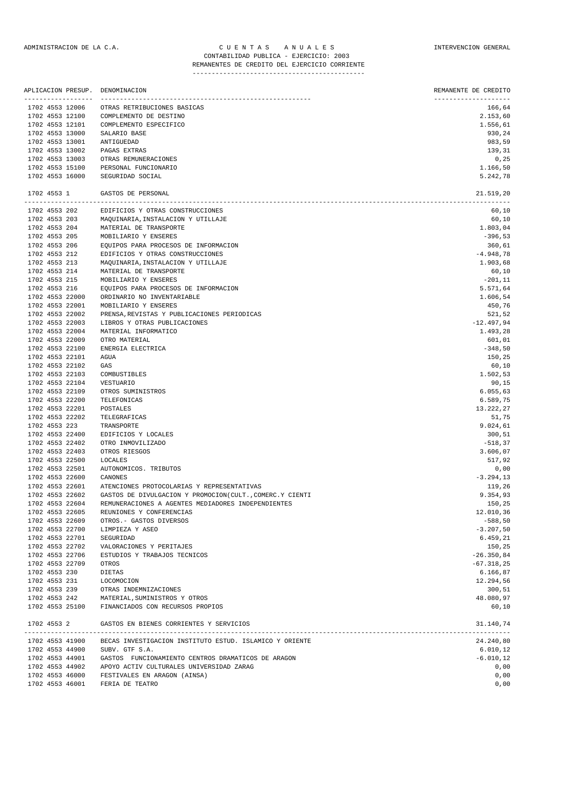|                                  | APLICACION PRESUP.<br>----------------- | DENOMINACION<br>---------------------------------            | REMANENTE DE CREDITO<br>-------------------- |
|----------------------------------|-----------------------------------------|--------------------------------------------------------------|----------------------------------------------|
| 1702 4553 12006                  |                                         | OTRAS RETRIBUCIONES BASICAS                                  | 166,64                                       |
| 1702 4553 12100                  |                                         | COMPLEMENTO DE DESTINO                                       | 2.153,60                                     |
| 1702 4553 12101                  |                                         | COMPLEMENTO ESPECIFICO                                       | 1.556,61                                     |
| 1702 4553 13000                  |                                         | SALARIO BASE                                                 | 930,24                                       |
| 1702 4553 13001                  |                                         | ANTIGUEDAD                                                   | 983,59                                       |
| 1702 4553 13002                  |                                         | PAGAS EXTRAS                                                 | 139,31                                       |
| 1702 4553 13003                  |                                         | OTRAS REMUNERACIONES                                         | 0,25                                         |
| 1702 4553 15100                  |                                         | PERSONAL FUNCIONARIO                                         | 1.166,50                                     |
| 1702 4553 16000                  |                                         | SEGURIDAD SOCIAL                                             | 5.242,78                                     |
| 1702 4553 1                      |                                         | GASTOS DE PERSONAL                                           | 21.519,20                                    |
| 1702 4553 202                    |                                         | EDIFICIOS Y OTRAS CONSTRUCCIONES                             | 60,10                                        |
| 1702 4553 203                    |                                         | MAQUINARIA, INSTALACION Y UTILLAJE                           | 60,10                                        |
| 1702 4553 204                    |                                         | MATERIAL DE TRANSPORTE                                       | 1.803,04                                     |
| 1702 4553 205                    |                                         | MOBILIARIO Y ENSERES                                         | $-396,53$                                    |
| 1702 4553 206                    |                                         | EQUIPOS PARA PROCESOS DE INFORMACION                         | 360,61                                       |
| 1702 4553 212                    |                                         | EDIFICIOS Y OTRAS CONSTRUCCIONES                             | $-4.948,78$                                  |
| 1702 4553 213                    |                                         | MAQUINARIA, INSTALACION Y UTILLAJE                           | 1.903,68                                     |
| 1702 4553 214                    |                                         | MATERIAL DE TRANSPORTE                                       | 60,10                                        |
| 1702 4553 215<br>1702 4553 216   |                                         | MOBILIARIO Y ENSERES<br>EQUIPOS PARA PROCESOS DE INFORMACION | $-201, 11$<br>5.571,64                       |
| 1702 4553 22000                  |                                         | ORDINARIO NO INVENTARIABLE                                   | 1.606,54                                     |
| 1702 4553 22001                  |                                         | MOBILIARIO Y ENSERES                                         | 450,76                                       |
| 1702 4553 22002                  |                                         | PRENSA, REVISTAS Y PUBLICACIONES PERIODICAS                  | 521,52                                       |
| 1702 4553 22003                  |                                         | LIBROS Y OTRAS PUBLICACIONES                                 | $-12.497,94$                                 |
| 1702 4553 22004                  |                                         | MATERIAL INFORMATICO                                         | 1.493,28                                     |
| 1702 4553 22009                  |                                         | OTRO MATERIAL                                                | 601,01                                       |
| 1702 4553 22100                  |                                         | ENERGIA ELECTRICA                                            | $-348,50$                                    |
| 1702 4553 22101                  |                                         | AGUA                                                         | 150,25                                       |
| 1702 4553 22102                  |                                         | GAS                                                          | 60,10                                        |
| 1702 4553 22103                  |                                         | COMBUSTIBLES                                                 | 1.502,53                                     |
| 1702 4553 22104                  |                                         | VESTUARIO                                                    | 90,15                                        |
| 1702 4553 22109                  |                                         | OTROS SUMINISTROS                                            | 6.055, 63                                    |
| 1702 4553 22200                  |                                         | TELEFONICAS                                                  | 6.589,75                                     |
| 1702 4553 22201                  |                                         | POSTALES                                                     | 13.222,27                                    |
| 1702 4553 22202                  |                                         | TELEGRAFICAS                                                 | 51,75                                        |
| 1702 4553 223<br>1702 4553 22400 |                                         | TRANSPORTE<br>EDIFICIOS Y LOCALES                            | 9.024,61<br>300,51                           |
| 1702 4553 22402                  |                                         | OTRO INMOVILIZADO                                            | $-518, 37$                                   |
| 1702 4553 22403                  |                                         | OTROS RIESGOS                                                | 3.606,07                                     |
| 1702 4553 22500                  |                                         | <b>LOCALES</b>                                               | 517,92                                       |
| 1702 4553 22501                  |                                         | AUTONOMICOS. TRIBUTOS                                        | 0,00                                         |
| 1702 4553 22600                  |                                         | CANONES                                                      | $-3.294, 13$                                 |
| 1702 4553 22601                  |                                         | ATENCIONES PROTOCOLARIAS Y REPRESENTATIVAS                   | 119,26                                       |
| 1702 4553 22602                  |                                         | GASTOS DE DIVULGACION Y PROMOCION(CULT., COMERC.Y CIENTI     | 9.354,93                                     |
| 1702 4553 22604                  |                                         | REMUNERACIONES A AGENTES MEDIADORES INDEPENDIENTES           | 150,25                                       |
| 1702 4553 22605                  |                                         | REUNIONES Y CONFERENCIAS                                     | 12.010,36                                    |
| 1702 4553 22609                  |                                         | OTROS. - GASTOS DIVERSOS                                     | $-588,50$                                    |
| 1702 4553 22700                  |                                         | LIMPIEZA Y ASEO                                              | $-3.207,50$                                  |
| 1702 4553 22701                  |                                         | SEGURIDAD                                                    | 6.459,21                                     |
| 1702 4553 22702                  |                                         | VALORACIONES Y PERITAJES                                     | 150,25                                       |
| 1702 4553 22706                  |                                         | ESTUDIOS Y TRABAJOS TECNICOS<br>OTROS                        | $-26.350,84$                                 |
| 1702 4553 22709<br>1702 4553 230 |                                         | DIETAS                                                       | $-67.318,25$                                 |
| 1702 4553 231                    |                                         | LOCOMOCION                                                   | 6.166,87<br>12.294,56                        |
| 1702 4553 239                    |                                         | OTRAS INDEMNIZACIONES                                        | 300,51                                       |
| 1702 4553 242                    |                                         | MATERIAL, SUMINISTROS Y OTROS                                | 48.080,97                                    |
|                                  | 1702 4553 25100                         | FINANCIADOS CON RECURSOS PROPIOS                             | 60,10                                        |
| 1702 4553 2                      |                                         | GASTOS EN BIENES CORRIENTES Y SERVICIOS                      | 31.140,74                                    |
|                                  | 1702 4553 41900                         | BECAS INVESTIGACION INSTITUTO ESTUD. ISLAMICO Y ORIENTE      | 24.240,80                                    |
|                                  | 1702 4553 44900                         | SUBV. GTF S.A.                                               | 6.010, 12                                    |
| 1702 4553 44901                  |                                         | GASTOS FUNCIONAMIENTO CENTROS DRAMATICOS DE ARAGON           | $-6.010, 12$                                 |
|                                  |                                         | CUIT DUIDAT DO INITIUDOTDAD, GADAC                           |                                              |

1702 4553 44902 APOYO ACTIV CULTURALES UNIVERSIDAD ZARAG 0,00 1702 4553 46000 FESTIVALES EN ARAGON (AINSA) 0,00 1702 4553 46001 FERIA DE TEATRO 0,00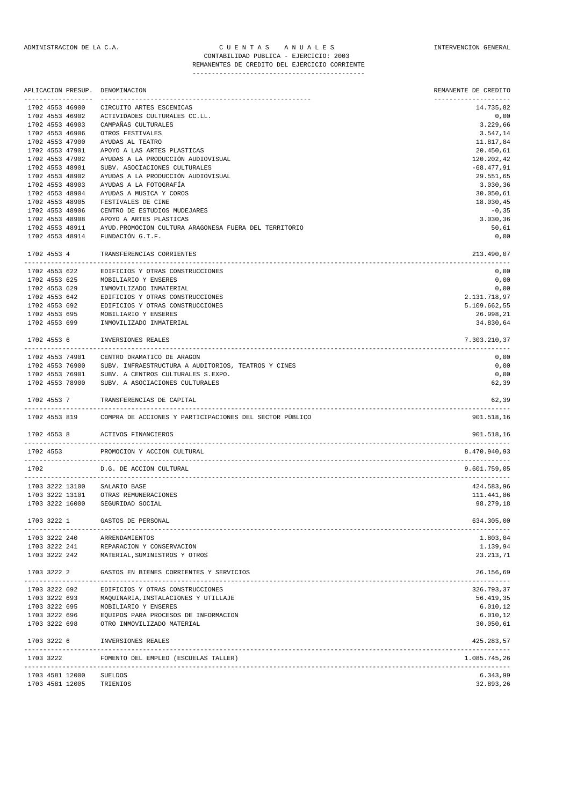|                 |                 | APLICACION PRESUP. DENOMINACION                                       | REMANENTE DE CREDITO       |
|-----------------|-----------------|-----------------------------------------------------------------------|----------------------------|
| 1702 4553 46900 |                 | CIRCUITO ARTES ESCENICAS                                              | -------------<br>14.735,82 |
| 1702 4553 46902 |                 | ACTIVIDADES CULTURALES CC.LL.                                         | 0,00                       |
| 1702 4553 46903 |                 | CAMPAÑAS CULTURALES                                                   | 3.229,66                   |
| 1702 4553 46906 |                 | OTROS FESTIVALES                                                      | 3.547,14                   |
| 1702 4553 47900 |                 | AYUDAS AL TEATRO                                                      | 11.817,84                  |
| 1702 4553 47901 |                 | APOYO A LAS ARTES PLASTICAS                                           | 20.450,61                  |
| 1702 4553 47902 |                 | AYUDAS A LA PRODUCCIÓN AUDIOVISUAL                                    | 120.202,42                 |
| 1702 4553 48901 |                 | SUBV. ASOCIACIONES CULTURALES                                         | $-68.477,91$               |
| 1702 4553 48902 |                 | AYUDAS A LA PRODUCCIÓN AUDIOVISUAL                                    | 29.551,65                  |
| 1702 4553 48903 |                 | AYUDAS A LA FOTOGRAFÍA                                                | 3.030, 36                  |
| 1702 4553 48904 |                 | AYUDAS A MUSICA Y COROS                                               | 30.050,61                  |
| 1702 4553 48905 |                 | FESTIVALES DE CINE                                                    | 18.030,45                  |
| 1702 4553 48906 |                 | CENTRO DE ESTUDIOS MUDEJARES                                          | $-0, 35$                   |
| 1702 4553 48908 |                 | APOYO A ARTES PLASTICAS                                               | 3.030,36                   |
| 1702 4553 48911 |                 | AYUD. PROMOCION CULTURA ARAGONESA FUERA DEL TERRITORIO                | 50,61                      |
| 1702 4553 48914 |                 | FUNDACIÓN G.T.F.                                                      | 0,00                       |
| 1702 4553 4     |                 | TRANSFERENCIAS CORRIENTES                                             | 213.490,07                 |
| 1702 4553 622   |                 | EDIFICIOS Y OTRAS CONSTRUCCIONES                                      | 0,00                       |
| 1702 4553 625   |                 | MOBILIARIO Y ENSERES                                                  | 0,00                       |
| 1702 4553 629   |                 | INMOVILIZADO INMATERIAL                                               | 0,00                       |
| 1702 4553 642   |                 | EDIFICIOS Y OTRAS CONSTRUCCIONES                                      | 2.131.718,97               |
| 1702 4553 692   |                 | EDIFICIOS Y OTRAS CONSTRUCCIONES                                      | 5.109.662,55               |
| 1702 4553 695   |                 | MOBILIARIO Y ENSERES                                                  | 26.998,21                  |
| 1702 4553 699   |                 | INMOVILIZADO INMATERIAL                                               | 34.830,64                  |
| 1702 4553 6     |                 | INVERSIONES REALES                                                    | 7.303.210,37               |
|                 | 1702 4553 74901 | CENTRO DRAMATICO DE ARAGON                                            | 0,00                       |
| 1702 4553 76900 |                 | SUBV. INFRAESTRUCTURA A AUDITORIOS, TEATROS Y CINES                   | 0,00                       |
| 1702 4553 76901 |                 | SUBV. A CENTROS CULTURALES S.EXPO.                                    | 0,00                       |
| 1702 4553 78900 |                 | SUBV. A ASOCIACIONES CULTURALES                                       | 62,39                      |
| 1702 4553 7     |                 | TRANSFERENCIAS DE CAPITAL                                             | 62,39                      |
|                 |                 | 1702 4553 819 COMPRA DE ACCIONES Y PARTICIPACIONES DEL SECTOR PÚBLICO | 901.518,16                 |
| 1702 4553 8     |                 | ACTIVOS FINANCIEROS                                                   | 901.518,16                 |
| 1702 4553       |                 | PROMOCION Y ACCION CULTURAL                                           | 8.470.940,93               |
| 1702            |                 | D.G. DE ACCION CULTURAL                                               | 9.601.759,05               |
|                 |                 | 1703 3222 13100 SALARIO BASE                                          | 424.583,96                 |
|                 |                 | 1703 3222 13101 OTRAS REMUNERACIONES                                  | 111.441,86                 |
|                 |                 | 1703 3222 16000 SEGURIDAD SOCIAL                                      | 98.279,18                  |
| 1703 3222 1     |                 | GASTOS DE PERSONAL                                                    | 634.305,00                 |
| 1703 3222 240   |                 | ARRENDAMIENTOS                                                        | 1.803,04                   |
| 1703 3222 241   |                 | REPARACION Y CONSERVACION                                             | 1.139,94                   |
|                 |                 | 1703 3222 242 MATERIAL, SUMINISTROS Y OTROS                           | 23.213,71                  |
| 1703 3222 2     |                 | GASTOS EN BIENES CORRIENTES Y SERVICIOS                               | 26.156,69                  |
|                 |                 |                                                                       |                            |
| 1703 3222 692   |                 | EDIFICIOS Y OTRAS CONSTRUCCIONES                                      | 326.793,37                 |
| 1703 3222 693   |                 | MAQUINARIA, INSTALACIONES Y UTILLAJE                                  | 56.419,35                  |
| 1703 3222 695   |                 | MOBILIARIO Y ENSERES                                                  | 6.010, 12                  |
| 1703 3222 696   |                 | EQUIPOS PARA PROCESOS DE INFORMACION                                  | 6.010, 12                  |
| 1703 3222 698   |                 | OTRO INMOVILIZADO MATERIAL                                            | 30.050,61                  |
| 1703 3222 6     |                 | INVERSIONES REALES                                                    | 425.283,57                 |

------------------------------------------------------------------------------------------------------------------------------- 1703 3222 FOMENTO DEL EMPLEO (ESCUELAS TALLER) 1.085.745,26 -------------------------------------------------------------------------------------------------------------------------------

1703 4581 12000 SUELDOS 6.343,99

<sup>1703 4581 12005</sup> TRIENIOS 32.893,26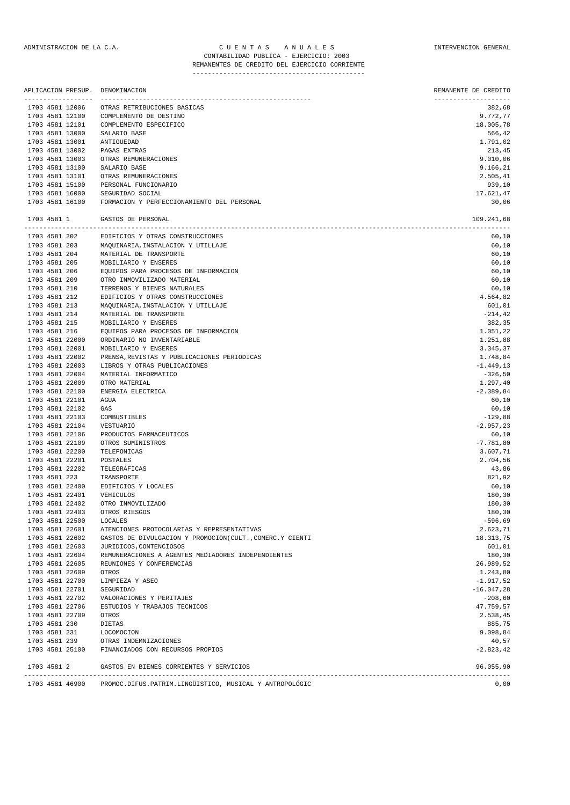| APLICACION PRESUP.<br>------------------- | DENOMINACION<br>--------------------------                | REMANENTE DE CREDITO<br>-------------------- |
|-------------------------------------------|-----------------------------------------------------------|----------------------------------------------|
| 1703 4581 12006                           | OTRAS RETRIBUCIONES BASICAS                               | 382,68                                       |
| 1703 4581 12100                           | COMPLEMENTO DE DESTINO                                    | 9.772,77                                     |
| 1703 4581 12101                           | COMPLEMENTO ESPECIFICO                                    | 18.005,78                                    |
| 1703 4581 13000                           | SALARIO BASE                                              | 566,42                                       |
| 1703 4581 13001                           | ANTIGUEDAD                                                | 1.791,02                                     |
| 1703 4581 13002                           | PAGAS EXTRAS                                              | 213,45                                       |
| 1703 4581 13003                           | OTRAS REMUNERACIONES                                      | 9.010,06                                     |
| 1703 4581 13100                           | SALARIO BASE                                              | 9.166,21                                     |
| 1703 4581 13101                           | OTRAS REMUNERACIONES                                      | 2.505,41                                     |
| 1703 4581 15100                           | PERSONAL FUNCIONARIO                                      | 939,10                                       |
| 1703 4581 16000                           | SEGURIDAD SOCIAL                                          | 17.621,47                                    |
| 1703 4581 16100                           | FORMACION Y PERFECCIONAMIENTO DEL PERSONAL                | 30,06                                        |
| 1703 4581 1                               | GASTOS DE PERSONAL                                        | 109.241,68                                   |
| 1703 4581 202                             | EDIFICIOS Y OTRAS CONSTRUCCIONES                          | 60,10                                        |
| 1703 4581 203                             | MAQUINARIA, INSTALACION Y UTILLAJE                        | 60,10                                        |
| 1703 4581 204                             | MATERIAL DE TRANSPORTE                                    | 60,10                                        |
| 1703 4581 205                             | MOBILIARIO Y ENSERES                                      | 60,10                                        |
| 1703 4581 206                             | EQUIPOS PARA PROCESOS DE INFORMACION                      | 60,10                                        |
| 1703 4581 209                             | OTRO INMOVILIZADO MATERIAL                                | 60,10                                        |
| 1703 4581 210                             | TERRENOS Y BIENES NATURALES                               | 60,10                                        |
| 1703 4581 212                             | EDIFICIOS Y OTRAS CONSTRUCCIONES                          | 4.564,82                                     |
| 1703 4581 213                             | MAQUINARIA, INSTALACION Y UTILLAJE                        | 601,01                                       |
| 1703 4581 214                             | MATERIAL DE TRANSPORTE                                    | $-214, 42$                                   |
| 1703 4581 215                             | MOBILIARIO Y ENSERES                                      | 382,35                                       |
| 1703 4581 216<br>1703 4581 22000          | EQUIPOS PARA PROCESOS DE INFORMACION                      | 1.051,22                                     |
| 1703 4581 22001                           | ORDINARIO NO INVENTARIABLE<br>MOBILIARIO Y ENSERES        | 1.251,88<br>3.345,37                         |
| 1703 4581 22002                           | PRENSA, REVISTAS Y PUBLICACIONES PERIODICAS               | 1.748,84                                     |
| 1703 4581 22003                           | LIBROS Y OTRAS PUBLICACIONES                              | $-1.449, 13$                                 |
| 1703 4581 22004                           | MATERIAL INFORMATICO                                      | $-326,50$                                    |
| 1703 4581 22009                           | OTRO MATERIAL                                             | 1.297,40                                     |
| 1703 4581 22100                           | ENERGIA ELECTRICA                                         | $-2.389,84$                                  |
| 1703 4581 22101                           | AGUA                                                      | 60,10                                        |
| 1703 4581 22102                           | GAS                                                       | 60,10                                        |
| 1703 4581 22103                           | COMBUSTIBLES                                              | $-129,88$                                    |
| 1703 4581 22104                           | VESTUARIO                                                 | $-2.957, 23$                                 |
| 1703 4581 22106                           | PRODUCTOS FARMACEUTICOS                                   | 60,10                                        |
| 1703 4581 22109                           | OTROS SUMINISTROS                                         | $-7.781,80$                                  |
| 1703 4581 22200                           | TELEFONICAS                                               | 3.607,71                                     |
| 1703 4581 22201                           | POSTALES                                                  | 2.704,56                                     |
| 1703 4581 22202                           | TELEGRAFICAS                                              | 43,86                                        |
| 1703 4581 223                             | TRANSPORTE                                                | 821,92                                       |
| 1703 4581 22400                           | EDIFICIOS Y LOCALES                                       | 60,10                                        |
| 1703 4581 22401                           | VEHICULOS                                                 | 180,30                                       |
| 1703 4581 22402                           | OTRO INMOVILIZADO                                         | 180,30                                       |
| 1703 4581 22403                           | OTROS RIESGOS                                             | 180,30                                       |
| 1703 4581 22500                           | LOCALES                                                   | $-596,69$                                    |
| 1703 4581 22601                           | ATENCIONES PROTOCOLARIAS Y REPRESENTATIVAS                | 2.623,71                                     |
| 1703 4581 22602                           | GASTOS DE DIVULGACION Y PROMOCION (CULT., COMERC.Y CIENTI | 18.313,75                                    |
| 1703 4581 22603                           | JURIDICOS, CONTENCIOSOS                                   | 601,01                                       |
| 1703 4581 22604                           | REMUNERACIONES A AGENTES MEDIADORES INDEPENDIENTES        | 180,30                                       |
| 1703 4581 22605                           | REUNIONES Y CONFERENCIAS                                  | 26.989,52                                    |
| 1703 4581 22609                           | OTROS                                                     | 1.243,80                                     |
| 1703 4581 22700                           | LIMPIEZA Y ASEO                                           | $-1.917,52$                                  |
| 1703 4581 22701                           | SEGURIDAD                                                 | $-16.047,28$                                 |
| 1703 4581 22702                           | VALORACIONES Y PERITAJES                                  | $-208,60$                                    |
| 1703 4581 22706                           | ESTUDIOS Y TRABAJOS TECNICOS                              | 47.759,57                                    |
| 1703 4581 22709                           | OTROS                                                     | 2.538,45                                     |
| 1703 4581 230                             | DIETAS                                                    | 885,75                                       |
| 1703 4581 231                             | LOCOMOCION                                                | 9.098,84                                     |
| 1703 4581 239<br>1703 4581 25100          | OTRAS INDEMNIZACIONES<br>FINANCIADOS CON RECURSOS PROPIOS | 40,57<br>$-2.823, 42$                        |
| 1703 4581 2                               | GASTOS EN BIENES CORRIENTES Y SERVICIOS                   | 96.055,90                                    |
|                                           |                                                           |                                              |

| 1703 4581 46900 | PROMOC.DIFUS.PATRIM.LINGÜISTICO, MUSICAL Y ANTROPOLÓGIC | 0,00 |
|-----------------|---------------------------------------------------------|------|
|                 |                                                         |      |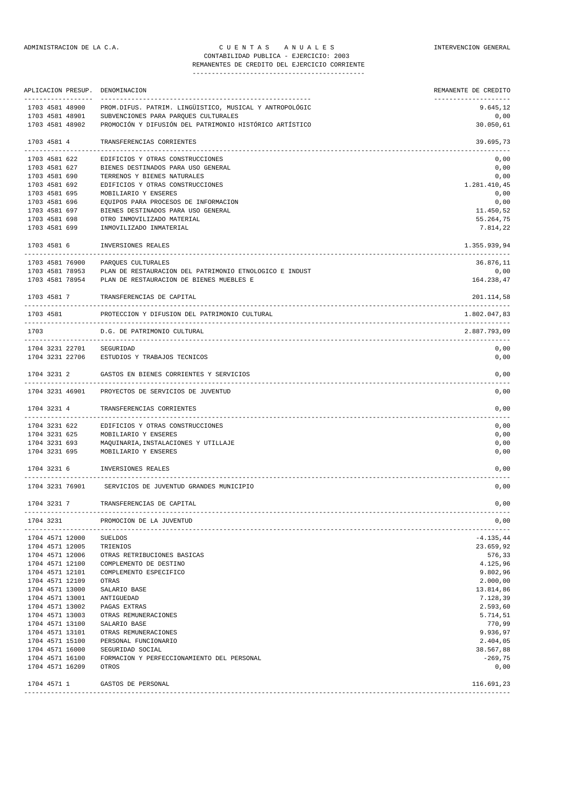#### ADMINISTRACION DE LA C.A. C U E N T A S A N U A L E S INTERVENCION GENERAL CONTABILIDAD PUBLICA - EJERCICIO: 2003 REMANENTES DE CREDITO DEL EJERCICIO CORRIENTE

|           |               | APLICACION PRESUP.                 | DENOMINACION                                             | REMANENTE DE CREDITO |
|-----------|---------------|------------------------------------|----------------------------------------------------------|----------------------|
|           |               | 1703 4581 48900                    | PROM. DIFUS. PATRIM. LINGÜISTICO, MUSICAL Y ANTROPOLÓGIC | --------<br>9.645,12 |
|           |               | 1703 4581 48901                    | SUBVENCIONES PARA PARQUES CULTURALES                     | 0,00                 |
|           |               | 1703 4581 48902                    | PROMOCIÓN Y DIFUSIÓN DEL PATRIMONIO HISTÓRICO ARTÍSTICO  | 30.050,61            |
|           | 1703 4581 4   |                                    | TRANSFERENCIAS CORRIENTES                                | 39.695,73            |
|           | 1703 4581 622 |                                    | EDIFICIOS Y OTRAS CONSTRUCCIONES                         | 0,00                 |
|           | 1703 4581 627 |                                    | BIENES DESTINADOS PARA USO GENERAL                       | 0,00                 |
|           | 1703 4581 690 |                                    | TERRENOS Y BIENES NATURALES                              | 0,00                 |
|           | 1703 4581 692 |                                    | EDIFICIOS Y OTRAS CONSTRUCCIONES                         | 1.281.410,45         |
|           | 1703 4581 695 |                                    | MOBILIARIO Y ENSERES                                     | 0,00                 |
|           | 1703 4581 696 |                                    | EQUIPOS PARA PROCESOS DE INFORMACION                     | 0,00                 |
|           | 1703 4581 697 |                                    | BIENES DESTINADOS PARA USO GENERAL                       | 11.450,52            |
|           | 1703 4581 698 |                                    | OTRO INMOVILIZADO MATERIAL                               | 55.264,75            |
|           | 1703 4581 699 |                                    | INMOVILIZADO INMATERIAL                                  | 7.814,22             |
|           | 1703 4581 6   |                                    | INVERSIONES REALES                                       | 1.355.939,94         |
|           |               | 1703 4581 76900                    | PAROUES CULTURALES                                       | 36.876,11            |
|           |               | 1703 4581 78953                    | PLAN DE RESTAURACION DEL PATRIMONIO ETNOLOGICO E INDUST  | 0,00                 |
|           |               |                                    | 1703 4581 78954 PLAN DE RESTAURACION DE BIENES MUEBLES E | 164.238,47           |
|           | 1703 4581 7   |                                    | TRANSFERENCIAS DE CAPITAL                                | 201.114,58           |
|           | 1703 4581     |                                    | PROTECCION Y DIFUSION DEL PATRIMONIO CULTURAL            | 1.802.047,83         |
| 1703      |               |                                    | D.G. DE PATRIMONIO CULTURAL                              | 2.887.793,09         |
|           |               |                                    | 1704 3231 22701 SEGURIDAD                                | 0,00                 |
|           |               |                                    | 1704 3231 22706 ESTUDIOS Y TRABAJOS TECNICOS             | 0,00                 |
|           | 1704 3231 2   |                                    | GASTOS EN BIENES CORRIENTES Y SERVICIOS                  | 0,00                 |
|           |               | 1704 3231 46901                    | PROYECTOS DE SERVICIOS DE JUVENTUD                       | 0,00                 |
|           | 1704 3231 4   |                                    | TRANSFERENCIAS CORRIENTES                                | 0,00                 |
|           |               | 1704 3231 622                      | EDIFICIOS Y OTRAS CONSTRUCCIONES                         | 0,00                 |
|           |               |                                    | 1704 3231 625 MOBILIARIO Y ENSERES                       | 0,00                 |
|           |               | 1704 3231 693                      | MAQUINARIA, INSTALACIONES Y UTILLAJE                     | 0,00                 |
|           |               | 1704 3231 695                      | MOBILIARIO Y ENSERES                                     | 0,00                 |
|           |               | 1704 3231 6                        | INVERSIONES REALES                                       | 0,00                 |
|           |               |                                    | 1704 3231 76901 SERVICIOS DE JUVENTUD GRANDES MUNICIPIO  | 0,00                 |
|           | 1704 3231 7   |                                    | TRANSFERENCIAS DE CAPITAL                                | 0,00                 |
|           |               |                                    |                                                          |                      |
| 1704 3231 |               | ---------------                    | PROMOCION DE LA JUVENTUD                                 | 0,00                 |
|           |               | 1704 4571 12000                    | <b>SUELDOS</b>                                           | $-4.135, 44$         |
|           |               | 1704 4571 12005                    | TRIENIOS                                                 | 23.659,92            |
|           |               | 1704 4571 12006                    | OTRAS RETRIBUCIONES BASICAS                              | 576,33               |
|           |               | 1704 4571 12100                    | COMPLEMENTO DE DESTINO                                   | 4.125,96             |
|           |               | 1704 4571 12101                    | COMPLEMENTO ESPECIFICO                                   | 9.802,96             |
|           |               | 1704 4571 12109                    | OTRAS                                                    | 2.000,00             |
|           |               | 1704 4571 13000                    | SALARIO BASE                                             | 13.814,86            |
|           |               | 1704 4571 13001                    | ANTIGUEDAD                                               | 7.128,39             |
|           |               | 1704 4571 13002                    | PAGAS EXTRAS<br>OTRAS REMUNERACIONES                     | 2.593,60             |
|           |               | 1704 4571 13003<br>1704 4571 13100 | SALARIO BASE                                             | 5.714,51<br>770,99   |
|           |               | 1704 4571 13101                    | OTRAS REMUNERACIONES                                     | 9.936,97             |
|           |               | 1704 4571 15100                    | PERSONAL FUNCIONARIO                                     | 2.404,05             |
|           |               | 1704 4571 16000                    | SEGURIDAD SOCIAL                                         | 38.567,88            |
|           |               | 1704 4571 16100                    | FORMACION Y PERFECCIONAMIENTO DEL PERSONAL               | $-269,75$            |
|           |               | 1704 4571 16209                    | OTROS                                                    | 0,00                 |
|           | 1704 4571 1   |                                    | GASTOS DE PERSONAL                                       | 116.691,23           |
|           |               |                                    |                                                          |                      |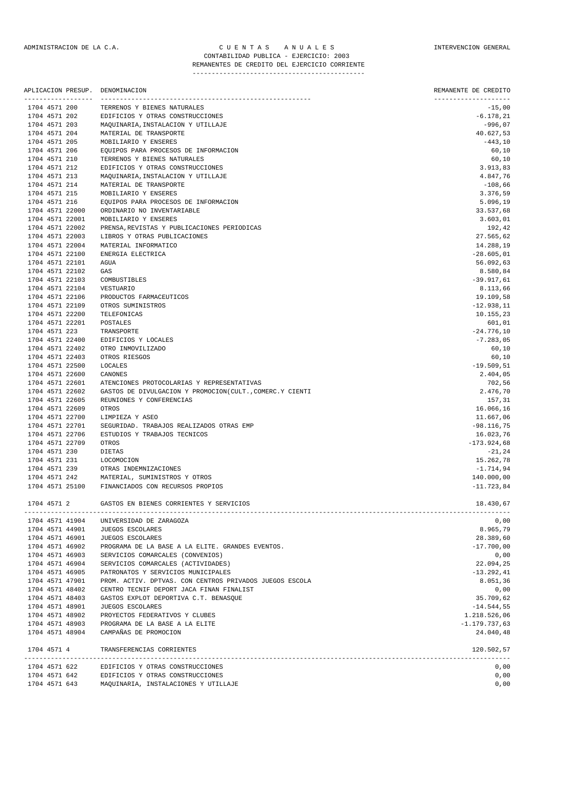|               |             | -------------------                | APLICACION PRESUP. DENOMINACION<br>----------------------- | REMANENTE DE CREDITO<br>--------------------- |
|---------------|-------------|------------------------------------|------------------------------------------------------------|-----------------------------------------------|
|               |             | 1704 4571 200                      | TERRENOS Y BIENES NATURALES                                | $-15,00$                                      |
|               |             | 1704 4571 202                      | EDIFICIOS Y OTRAS CONSTRUCCIONES                           | $-6.178, 21$                                  |
| 1704 4571 203 |             |                                    | MAQUINARIA, INSTALACION Y UTILLAJE                         | $-996,07$                                     |
| 1704 4571 204 |             |                                    | MATERIAL DE TRANSPORTE                                     | 40.627,53                                     |
| 1704 4571 205 |             |                                    | MOBILIARIO Y ENSERES                                       | $-443,10$                                     |
| 1704 4571 206 |             |                                    | EQUIPOS PARA PROCESOS DE INFORMACION                       | 60,10                                         |
| 1704 4571 210 |             |                                    | TERRENOS Y BIENES NATURALES                                | 60,10                                         |
| 1704 4571 212 |             |                                    | EDIFICIOS Y OTRAS CONSTRUCCIONES                           | 3.913,83                                      |
| 1704 4571 213 |             |                                    | MAQUINARIA, INSTALACION Y UTILLAJE                         | 4.847,76                                      |
| 1704 4571 214 |             |                                    | MATERIAL DE TRANSPORTE                                     | $-108,66$                                     |
| 1704 4571 215 |             |                                    | MOBILIARIO Y ENSERES                                       | 3.376,59                                      |
| 1704 4571 216 |             |                                    | EQUIPOS PARA PROCESOS DE INFORMACION                       | 5.096,19                                      |
|               |             | 1704 4571 22000                    | ORDINARIO NO INVENTARIABLE                                 | 33.537,68                                     |
|               |             | 1704 4571 22001                    | MOBILIARIO Y ENSERES                                       | 3.603,01                                      |
|               |             | 1704 4571 22002                    | PRENSA, REVISTAS Y PUBLICACIONES PERIODICAS                | 192,42                                        |
|               |             | 1704 4571 22003<br>1704 4571 22004 | LIBROS Y OTRAS PUBLICACIONES<br>MATERIAL INFORMATICO       | 27.565,62                                     |
|               |             | 1704 4571 22100                    | ENERGIA ELECTRICA                                          | 14.288,19<br>$-28.605,01$                     |
|               |             | 1704 4571 22101                    | AGUA                                                       | 56.092,63                                     |
|               |             | 1704 4571 22102                    | GAS                                                        | 8.580,84                                      |
|               |             | 1704 4571 22103                    | COMBUSTIBLES                                               | $-39.917,61$                                  |
|               |             | 1704 4571 22104                    | <b>VESTUARIO</b>                                           | 8.113,66                                      |
|               |             | 1704 4571 22106                    | PRODUCTOS FARMACEUTICOS                                    | 19.109,58                                     |
|               |             | 1704 4571 22109                    | OTROS SUMINISTROS                                          | $-12.938,11$                                  |
|               |             | 1704 4571 22200                    | TELEFONICAS                                                | 10.155,23                                     |
|               |             | 1704 4571 22201                    | POSTALES                                                   | 601,01                                        |
| 1704 4571 223 |             |                                    | TRANSPORTE                                                 | $-24.776,10$                                  |
|               |             | 1704 4571 22400                    | EDIFICIOS Y LOCALES                                        | $-7.283,05$                                   |
|               |             | 1704 4571 22402                    | OTRO INMOVILIZADO                                          | 60,10                                         |
|               |             | 1704 4571 22403                    | OTROS RIESGOS                                              | 60,10                                         |
|               |             | 1704 4571 22500                    | LOCALES                                                    | $-19.509, 51$                                 |
|               |             | 1704 4571 22600                    | CANONES                                                    | 2.404,05                                      |
|               |             | 1704 4571 22601                    | ATENCIONES PROTOCOLARIAS Y REPRESENTATIVAS                 | 702,56                                        |
|               |             | 1704 4571 22602                    | GASTOS DE DIVULGACION Y PROMOCION (CULT., COMERC.Y CIENTI  | 2.476,70                                      |
|               |             | 1704 4571 22605                    | REUNIONES Y CONFERENCIAS                                   | 157,31                                        |
|               |             | 1704 4571 22609                    | OTROS                                                      | 16.066,16                                     |
|               |             | 1704 4571 22700                    | LIMPIEZA Y ASEO                                            | 11.667,06                                     |
|               |             | 1704 4571 22701                    | SEGURIDAD. TRABAJOS REALIZADOS OTRAS EMP                   | $-98.116,75$                                  |
|               |             | 1704 4571 22706                    | ESTUDIOS Y TRABAJOS TECNICOS                               | 16.023,76                                     |
|               |             | 1704 4571 22709                    | OTROS                                                      | $-173.924,68$                                 |
| 1704 4571 230 |             |                                    | DIETAS                                                     | $-21,24$                                      |
| 1704 4571 231 |             |                                    | LOCOMOCION                                                 | 15.262,78                                     |
| 1704 4571 239 |             |                                    | OTRAS INDEMNIZACIONES                                      | $-1.714,94$                                   |
| 1704 4571 242 |             |                                    | MATERIAL, SUMINISTROS Y OTROS                              | 140.000,00                                    |
|               |             | 1704 4571 25100                    | FINANCIADOS CON RECURSOS PROPIOS                           | $-11.723.84$                                  |
|               | 1704 4571 2 |                                    | GASTOS EN BIENES CORRIENTES Y SERVICIOS                    | 18.430,67                                     |
|               |             | 1704 4571 41904                    | UNIVERSIDAD DE ZARAGOZA                                    | 0,00                                          |
|               |             | 1704 4571 44901                    | JUEGOS ESCOLARES                                           | 8.965,79                                      |
|               |             | 1704 4571 46901                    | JUEGOS ESCOLARES                                           | 28.389,60                                     |
|               |             | 1704 4571 46902                    | PROGRAMA DE LA BASE A LA ELITE. GRANDES EVENTOS.           | $-17.700,00$                                  |
|               |             | 1704 4571 46903                    | SERVICIOS COMARCALES (CONVENIOS)                           | 0,00                                          |
|               |             | 1704 4571 46904                    | SERVICIOS COMARCALES (ACTIVIDADES)                         | 22.094,25                                     |
|               |             | 1704 4571 46905                    | PATRONATOS Y SERVICIOS MUNICIPALES                         | $-13.292, 41$                                 |
|               |             | 1704 4571 47901                    | PROM. ACTIV. DPTVAS. CON CENTROS PRIVADOS JUEGOS ESCOLA    | 8.051,36                                      |
|               |             | 1704 4571 48402                    | CENTRO TECNIF DEPORT JACA FINAN FINALIST                   | 0,00                                          |
|               |             | 1704 4571 48403                    | GASTOS EXPLOT DEPORTIVA C.T. BENASQUE                      | 35.709,62                                     |
|               |             | 1704 4571 48901                    | JUEGOS ESCOLARES                                           | $-14.544,55$                                  |
|               |             | 1704 4571 48902                    | PROYECTOS FEDERATIVOS Y CLUBES                             | 1.218.526,06                                  |
|               |             | 1704 4571 48903                    | PROGRAMA DE LA BASE A LA ELITE                             | $-1.179.737,63$                               |
|               |             | 1704 4571 48904                    | CAMPAÑAS DE PROMOCION                                      | 24.040,48                                     |
|               |             | 1704 4571 4                        | TRANSFERENCIAS CORRIENTES                                  | 120.502,57                                    |
|               |             | 1704 4571 622                      | EDIFICIOS Y OTRAS CONSTRUCCIONES                           | 0,00                                          |
|               |             | 1704 4571 642                      | EDIFICIOS Y OTRAS CONSTRUCCIONES                           | 0,00                                          |
|               |             | 1704 4571 643                      | MAQUINARIA, INSTALACIONES Y UTILLAJE                       | 0,00                                          |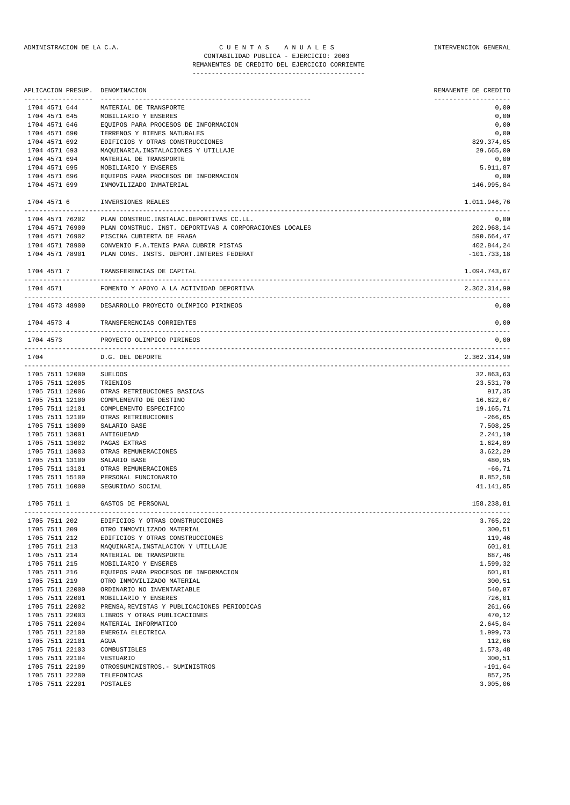## ADMINISTRACION DE LA C.A. CUENTAS ANUALES CONSTANTERVENCION GENERAL CONTABILIDAD PUBLICA - EJERCICIO: 2003

REMANENTES DE CREDITO DEL EJERCICIO CORRIENTE ---------------------------------------------

|               |                 | APLICACION PRESUP. DENOMINACION                                             | REMANENTE DE CREDITO |
|---------------|-----------------|-----------------------------------------------------------------------------|----------------------|
| 1704 4571 644 |                 | MATERIAL DE TRANSPORTE                                                      | 0,00                 |
|               | 1704 4571 645   | MOBILIARIO Y ENSERES                                                        | 0,00                 |
| 1704 4571 646 |                 | EQUIPOS PARA PROCESOS DE INFORMACION                                        | 0,00                 |
| 1704 4571 690 |                 | TERRENOS Y BIENES NATURALES                                                 | 0,00                 |
| 1704 4571 692 |                 | EDIFICIOS Y OTRAS CONSTRUCCIONES                                            | 829.374,05           |
| 1704 4571 693 |                 | MAQUINARIA, INSTALACIONES Y UTILLAJE                                        | 29.665,00            |
| 1704 4571 694 |                 | MATERIAL DE TRANSPORTE                                                      | 0,00                 |
| 1704 4571 695 |                 | MOBILIARIO Y ENSERES                                                        | 5.911,87             |
| 1704 4571 696 |                 | EQUIPOS PARA PROCESOS DE INFORMACION                                        | 0,00                 |
| 1704 4571 699 |                 | INMOVILIZADO INMATERIAL                                                     | 146.995,84           |
|               |                 |                                                                             |                      |
| 1704 4571 6   |                 | INVERSIONES REALES                                                          | 1.011.946,76         |
|               | 1704 4571 76202 | PLAN CONSTRUC. INSTALAC. DEPORTIVAS CC.LL.                                  | 0,00                 |
|               | 1704 4571 76900 | PLAN CONSTRUC. INST. DEPORTIVAS A CORPORACIONES LOCALES                     | 202.968,14           |
|               | 1704 4571 76902 | PISCINA CUBIERTA DE FRAGA                                                   | 590.664,47           |
|               | 1704 4571 78900 | CONVENIO F.A.TENIS PARA CUBRIR PISTAS                                       | 402.844,24           |
|               | 1704 4571 78901 | PLAN CONS. INSTS. DEPORT. INTERES FEDERAT                                   | $-101.733,18$        |
|               | 1704 4571 7     | TRANSFERENCIAS DE CAPITAL                                                   | 1.094.743,67         |
| 1704 4571     |                 | FOMENTO Y APOYO A LA ACTIVIDAD DEPORTIVA                                    | 2.362.314,90         |
|               |                 | 1704 4573 48900 DESARROLLO PROYECTO OLÍMPICO PIRINEOS                       | 0,00                 |
|               |                 | 1704 4573 4 TRANSFERENCIAS CORRIENTES                                       | 0,00                 |
| 1704 4573     |                 | PROYECTO OLIMPICO PIRINEOS                                                  | 0,00                 |
|               |                 |                                                                             |                      |
| 1704          |                 | D.G. DEL DEPORTE                                                            | 2.362.314,90         |
|               | 1705 7511 12000 | SUELDOS                                                                     | 32.863,63            |
|               | 1705 7511 12005 | TRIENIOS                                                                    | 23.531,70            |
|               | 1705 7511 12006 | OTRAS RETRIBUCIONES BASICAS                                                 | 917,35               |
|               | 1705 7511 12100 | COMPLEMENTO DE DESTINO                                                      | 16.622,67            |
|               | 1705 7511 12101 | COMPLEMENTO ESPECIFICO                                                      | 19.165,71            |
|               | 1705 7511 12109 | OTRAS RETRIBUCIONES                                                         | $-266, 65$           |
|               | 1705 7511 13000 | SALARIO BASE                                                                | 7.508,25             |
|               | 1705 7511 13001 | ANTIGUEDAD                                                                  | 2.241,10             |
|               | 1705 7511 13002 | PAGAS EXTRAS                                                                | 1.624,89             |
|               | 1705 7511 13003 | OTRAS REMUNERACIONES                                                        | 3.622,29             |
|               | 1705 7511 13100 | SALARIO BASE                                                                | 480,95               |
|               | 1705 7511 13101 | OTRAS REMUNERACIONES                                                        | $-66,71$             |
|               | 1705 7511 15100 | PERSONAL FUNCIONARIO                                                        | 8.852,58             |
|               | 1705 7511 16000 | SEGURIDAD SOCIAL                                                            | 41.141,05            |
|               |                 |                                                                             |                      |
|               |                 | 1705 7511 1 GASTOS DE PERSONAL                                              | 158.238,81           |
| 1705 7511 202 |                 | EDIFICIOS Y OTRAS CONSTRUCCIONES                                            | 3.765,22             |
| 1705 7511 209 |                 | OTRO INMOVILIZADO MATERIAL                                                  | 300,51               |
| 1705 7511 212 |                 | EDIFICIOS Y OTRAS CONSTRUCCIONES                                            | 119,46               |
| 1705 7511 213 |                 | MAQUINARIA, INSTALACION Y UTILLAJE                                          | 601,01               |
| 1705 7511 214 |                 | MATERIAL DE TRANSPORTE                                                      | 687,46               |
| 1705 7511 215 |                 | MOBILIARIO Y ENSERES                                                        | 1.599,32             |
| 1705 7511 216 |                 | EQUIPOS PARA PROCESOS DE INFORMACION                                        | 601,01               |
| 1705 7511 219 |                 | OTRO INMOVILIZADO MATERIAL                                                  | 300,51               |
|               | 1705 7511 22000 | ORDINARIO NO INVENTARIABLE                                                  | 540,87               |
|               | 1705 7511 22001 | MOBILIARIO Y ENSERES                                                        | 726,01               |
|               | 1705 7511 22002 |                                                                             | 261,66               |
|               |                 | PRENSA, REVISTAS Y PUBLICACIONES PERIODICAS<br>LIBROS Y OTRAS PUBLICACIONES |                      |
|               | 1705 7511 22003 |                                                                             | 470,12               |
|               | 1705 7511 22004 | MATERIAL INFORMATICO                                                        | 2.645,84             |
|               | 1705 7511 22100 | ENERGIA ELECTRICA                                                           | 1.999,73             |
|               | 1705 7511 22101 | AGUA                                                                        | 112,66               |
|               | 1705 7511 22103 | COMBUSTIBLES                                                                | 1.573,48             |
|               | 1705 7511 22104 | VESTUARIO                                                                   | 300,51               |
|               | 1705 7511 22109 | OTROSSUMINISTROS. - SUMINISTROS                                             | $-191,64$            |
|               | 1705 7511 22200 | TELEFONICAS                                                                 | 857,25               |
|               | 1705 7511 22201 | POSTALES                                                                    | 3.005,06             |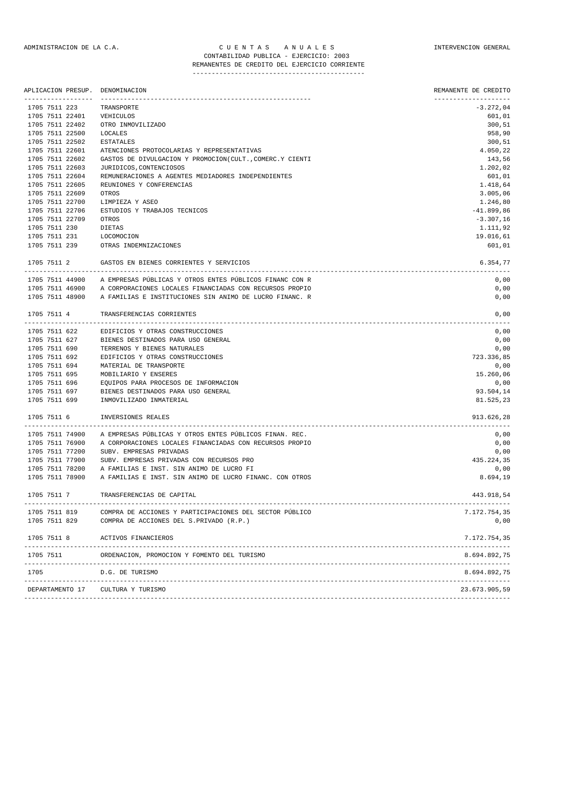## ADMINISTRACION DE LA C.A. C U E N T A S A N U A L E S INTERVENCION GENERAL CONTABILIDAD PUBLICA - EJERCICIO: 2003 REMANENTES DE CREDITO DEL EJERCICIO CORRIENTE

---------------------------------------------

| APLICACION PRESUP. | DENOMINACION                                                                                    | REMANENTE DE CREDITO |
|--------------------|-------------------------------------------------------------------------------------------------|----------------------|
| 1705 7511 223      | TRANSPORTE                                                                                      | $-3.272,04$          |
| 1705 7511 22401    | VEHICULOS                                                                                       | 601,01               |
| 1705 7511 22402    | OTRO INMOVILIZADO                                                                               | 300, 51              |
| 1705 7511 22500    | LOCALES                                                                                         | 958,90               |
| 1705 7511 22502    | <b>ESTATALES</b>                                                                                | 300, 51              |
| 1705 7511 22601    | ATENCIONES PROTOCOLARIAS Y REPRESENTATIVAS                                                      | 4.050,22             |
| 1705 7511 22602    | GASTOS DE DIVULGACION Y PROMOCION(CULT., COMERC.Y CIENTI                                        | 143,56               |
| 1705 7511 22603    | JURIDICOS, CONTENCIOSOS                                                                         | 1.202,02             |
| 1705 7511 22604    | REMUNERACIONES A AGENTES MEDIADORES INDEPENDIENTES                                              | 601,01               |
| 1705 7511 22605    | REUNIONES Y CONFERENCIAS                                                                        | 1.418,64             |
| 1705 7511 22609    | OTROS                                                                                           | 3.005,06             |
| 1705 7511 22700    | LIMPIEZA Y ASEO                                                                                 | 1.246,80             |
| 1705 7511 22706    | ESTUDIOS Y TRABAJOS TECNICOS                                                                    | $-41.899,86$         |
| 1705 7511 22709    |                                                                                                 |                      |
|                    | OTROS                                                                                           | $-3.307, 16$         |
| 1705 7511 230      | DIETAS                                                                                          | 1.111,92             |
| 1705 7511 231      | LOCOMOCION                                                                                      | 19.016,61            |
| 1705 7511 239      | OTRAS INDEMNIZACIONES                                                                           | 601,01               |
| 1705 7511 2        | GASTOS EN BIENES CORRIENTES Y SERVICIOS                                                         | 6.354,77             |
| 1705 7511 44900    | A EMPRESAS PÚBLICAS Y OTROS ENTES PÚBLICOS FINANC CON R                                         | 0,00                 |
|                    | 1705 7511 46900 A CORPORACIONES LOCALES FINANCIADAS CON RECURSOS PROPIO                         | 0,00                 |
| 1705 7511 48900    | A FAMILIAS E INSTITUCIONES SIN ANIMO DE LUCRO FINANC. R                                         | 0,00                 |
| 1705 7511 4        | TRANSFERENCIAS CORRIENTES                                                                       | 0,00                 |
| 1705 7511 622      | EDIFICIOS Y OTRAS CONSTRUCCIONES                                                                | 0,00                 |
| 1705 7511 627      | BIENES DESTINADOS PARA USO GENERAL                                                              | 0,00                 |
| 1705 7511 690      | TERRENOS Y BIENES NATURALES                                                                     | 0,00                 |
| 1705 7511 692      | EDIFICIOS Y OTRAS CONSTRUCCIONES                                                                | 723.336,85           |
| 1705 7511 694      | MATERIAL DE TRANSPORTE                                                                          | 0,00                 |
| 1705 7511 695      | MOBILIARIO Y ENSERES                                                                            | 15.260,06            |
| 1705 7511 696      | EQUIPOS PARA PROCESOS DE INFORMACION                                                            | 0,00                 |
| 1705 7511 697      | BIENES DESTINADOS PARA USO GENERAL                                                              | 93.504,14            |
| 1705 7511 699      | INMOVILIZADO INMATERIAL                                                                         | 81.525,23            |
| 1705 7511 6        | INVERSIONES REALES                                                                              | 913.626,28           |
| 1705 7511 74900    | -------------------------------------<br>A EMPRESAS PÚBLICAS Y OTROS ENTES PÚBLICOS FINAN. REC. | 0,00                 |
| 1705 7511 76900    | A CORPORACIONES LOCALES FINANCIADAS CON RECURSOS PROPIO                                         | 0,00                 |
| 1705 7511 77200    | SUBV. EMPRESAS PRIVADAS                                                                         | 0,00                 |
| 1705 7511 77900    | SUBV. EMPRESAS PRIVADAS CON RECURSOS PRO                                                        | 435.224,35           |
| 1705 7511 78200    | A FAMILIAS E INST. SIN ANIMO DE LUCRO FI                                                        | 0,00                 |
| 1705 7511 78900    | A FAMILIAS E INST. SIN ANIMO DE LUCRO FINANC. CON OTROS                                         | 8.694,19             |
| 1705 7511 7        | TRANSFERENCIAS DE CAPITAL                                                                       | 443.918,54           |
| 1705 7511 819      | COMPRA DE ACCIONES Y PARTICIPACIONES DEL SECTOR PÚBLICO                                         | 7.172.754,35         |
| 1705 7511 829      | COMPRA DE ACCIONES DEL S.PRIVADO (R.P.)                                                         | 0,00                 |
| 1705 7511 8        | ACTIVOS FINANCIEROS                                                                             | 7.172.754,35         |
| 1705 7511          | ORDENACION, PROMOCION Y FOMENTO DEL TURISMO                                                     | 8.694.892,75         |
| 1705               | D.G. DE TURISMO                                                                                 | 8.694.892.75         |
| DEPARTAMENTO 17    | CULTURA Y TURISMO                                                                               | 23.673.905,59        |
|                    |                                                                                                 |                      |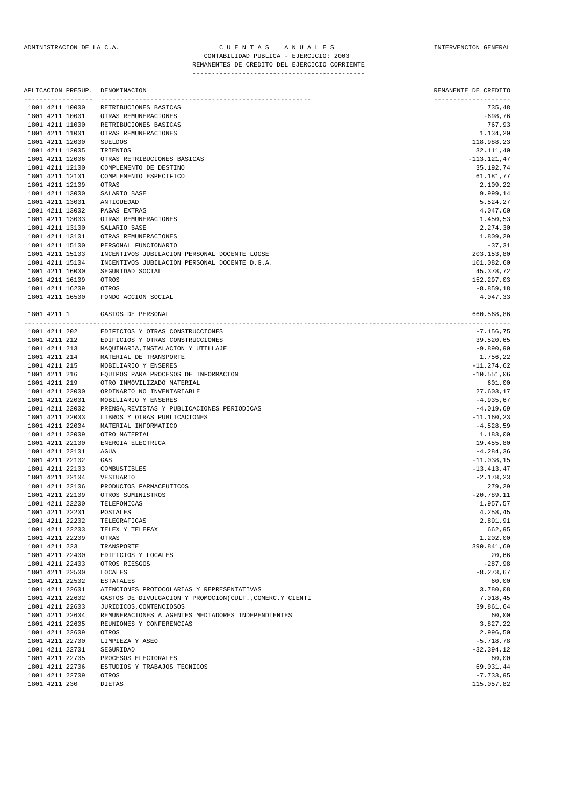|               | APLICACION PRESUP.                 | DENOMINACION                                                                   | REMANENTE DE CREDITO           |
|---------------|------------------------------------|--------------------------------------------------------------------------------|--------------------------------|
|               | 1801 4211 10000                    | -------------------------------<br>RETRIBUCIONES BASICAS                       | --------------------<br>735,48 |
|               | 1801 4211 10001                    | OTRAS REMUNERACIONES                                                           | $-698,76$                      |
|               | 1801 4211 11000                    | RETRIBUCIONES BASICAS                                                          | 767,93                         |
|               | 1801 4211 11001                    | OTRAS REMUNERACIONES                                                           | 1.134,20                       |
|               | 1801 4211 12000                    | <b>SUELDOS</b>                                                                 | 118.988,23                     |
|               | 1801 4211 12005                    | TRIENIOS                                                                       | 32.111,40                      |
|               | 1801 4211 12006                    | OTRAS RETRIBUCIONES BÁSICAS                                                    | $-113.121,47$                  |
|               | 1801 4211 12100                    | COMPLEMENTO DE DESTINO                                                         | 35.192,74                      |
|               | 1801 4211 12101                    | COMPLEMENTO ESPECIFICO                                                         | 61.181,77                      |
|               | 1801 4211 12109                    | OTRAS                                                                          | 2.109,22                       |
|               | 1801 4211 13000                    | SALARIO BASE                                                                   | 9.999,14                       |
|               | 1801 4211 13001                    | ANTIGUEDAD                                                                     | 5.524,27                       |
|               | 1801 4211 13002                    | PAGAS EXTRAS                                                                   | 4.047,60                       |
|               | 1801 4211 13003                    | OTRAS REMUNERACIONES                                                           | 1.450,53                       |
|               | 1801 4211 13100                    | SALARIO BASE                                                                   | 2.274,30                       |
|               | 1801 4211 13101                    | OTRAS REMUNERACIONES                                                           | 1.809,29                       |
|               | 1801 4211 15100                    | PERSONAL FUNCIONARIO                                                           | $-37,31$                       |
|               | 1801 4211 15103                    | INCENTIVOS JUBILACION PERSONAL DOCENTE LOGSE                                   | 203.153,80                     |
|               | 1801 4211 15104                    | INCENTIVOS JUBILACION PERSONAL DOCENTE D.G.A.                                  | 101.082,60                     |
|               | 1801 4211 16000                    | SEGURIDAD SOCIAL                                                               | 45.378,72                      |
|               | 1801 4211 16109                    | OTROS                                                                          | 152.297,03                     |
|               | 1801 4211 16209                    | OTROS                                                                          | $-8.859, 18$                   |
|               | 1801 4211 16500                    | FONDO ACCION SOCIAL                                                            | 4.047,33                       |
| 1801 4211 1   | --------------------               | GASTOS DE PERSONAL                                                             | 660.568,86                     |
| 1801 4211 202 |                                    | EDIFICIOS Y OTRAS CONSTRUCCIONES                                               | $-7.156,75$                    |
| 1801 4211 212 |                                    | EDIFICIOS Y OTRAS CONSTRUCCIONES                                               | 39.520,65                      |
| 1801 4211 213 |                                    | MAQUINARIA, INSTALACION Y UTILLAJE                                             | $-9.890,90$                    |
| 1801 4211 214 |                                    | MATERIAL DE TRANSPORTE                                                         | 1.756,22                       |
| 1801 4211 215 |                                    | MOBILIARIO Y ENSERES                                                           | $-11.274,62$                   |
| 1801 4211 216 |                                    | EQUIPOS PARA PROCESOS DE INFORMACION                                           | $-10.551,06$                   |
| 1801 4211 219 |                                    | OTRO INMOVILIZADO MATERIAL                                                     | 601,00                         |
|               | 1801 4211 22000                    | ORDINARIO NO INVENTARIABLE                                                     | 27.603,17                      |
|               | 1801 4211 22001                    | MOBILIARIO Y ENSERES                                                           | $-4.935,67$                    |
|               | 1801 4211 22002                    | PRENSA, REVISTAS Y PUBLICACIONES PERIODICAS                                    | $-4.019,69$                    |
|               | 1801 4211 22003                    | LIBROS Y OTRAS PUBLICACIONES                                                   | $-11.160, 23$                  |
|               | 1801 4211 22004                    | MATERIAL INFORMATICO                                                           | $-4.528,59$                    |
|               | 1801 4211 22009                    | OTRO MATERIAL                                                                  | 1.183,00                       |
|               | 1801 4211 22100                    | ENERGIA ELECTRICA                                                              | 19.455,80                      |
|               | 1801 4211 22101                    | AGUA                                                                           | $-4.284, 36$                   |
|               | 1801 4211 22102                    | GAS                                                                            | $-11.038,15$                   |
|               | 1801 4211 22103                    | COMBUSTIBLES                                                                   | $-13.413,47$                   |
|               | 1801 4211 22104                    | VESTUARIO                                                                      | $-2.178, 23$                   |
|               | 1801 4211 22106                    | PRODUCTOS FARMACEUTICOS                                                        | 279,29                         |
|               | 1801 4211 22109                    | OTROS SUMINISTROS                                                              | $-20.789, 11$                  |
|               | 1801 4211 22200                    | TELEFONICAS                                                                    | 1.957,57                       |
|               | 1801 4211 22201                    | POSTALES                                                                       | 4.258,45                       |
|               | 1801 4211 22202                    | TELEGRAFICAS                                                                   | 2.891,91                       |
|               | 1801 4211 22203                    | TELEX Y TELEFAX                                                                | 662,95                         |
|               | 1801 4211 22209                    | OTRAS                                                                          | 1.202,00                       |
| 1801 4211 223 |                                    | TRANSPORTE                                                                     | 390.841,69                     |
|               | 1801 4211 22400                    | EDIFICIOS Y LOCALES                                                            | 20,66                          |
|               | 1801 4211 22403                    | OTROS RIESGOS                                                                  | $-287,98$                      |
|               | 1801 4211 22500                    | LOCALES                                                                        | $-8.273, 67$                   |
|               | 1801 4211 22502                    | <b>ESTATALES</b>                                                               | 60,00                          |
|               | 1801 4211 22601                    | ATENCIONES PROTOCOLARIAS Y REPRESENTATIVAS                                     | 3.780,08                       |
|               | 1801 4211 22602                    | GASTOS DE DIVULGACION Y PROMOCION(CULT., COMERC.Y CIENTI                       | 7.018,45                       |
|               | 1801 4211 22603<br>1801 4211 22604 | JURIDICOS, CONTENCIOSOS                                                        | 39.861,64                      |
|               | 1801 4211 22605                    | REMUNERACIONES A AGENTES MEDIADORES INDEPENDIENTES<br>REUNIONES Y CONFERENCIAS | 60,00                          |
|               | 1801 4211 22609                    | OTROS                                                                          | 3.827,22                       |
|               |                                    |                                                                                | 2.996,50                       |
|               | 1801 4211 22700<br>1801 4211 22701 | LIMPIEZA Y ASEO                                                                | $-5.718,78$<br>$-32.394, 12$   |
|               | 1801 4211 22705                    | SEGURIDAD                                                                      | 60,00                          |
|               | 1801 4211 22706                    | PROCESOS ELECTORALES<br>ESTUDIOS Y TRABAJOS TECNICOS                           |                                |
|               | 1801 4211 22709                    | OTROS                                                                          | 69.031,44<br>$-7.733,95$       |
|               |                                    |                                                                                |                                |

1801 4211 230 DIETAS 115.057,82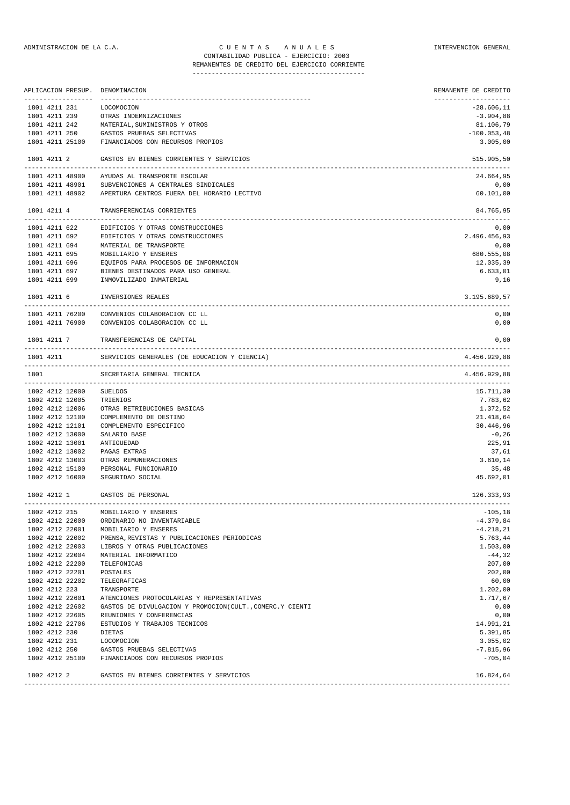|                 |                 | APLICACION PRESUP. DENOMINACION                            | REMANENTE DE CREDITO<br>-------------------- |
|-----------------|-----------------|------------------------------------------------------------|----------------------------------------------|
| 1801 4211 231   |                 | LOCOMOCION                                                 | $-28.606, 11$                                |
|                 |                 | 1801 4211 239 OTRAS INDEMNIZACIONES                        | $-3.904,88$                                  |
|                 |                 | 1801 4211 242 MATERIAL, SUMINISTROS Y OTROS                | 81.106,79                                    |
| 1801 4211 250   |                 | GASTOS PRUEBAS SELECTIVAS                                  | $-100.053,48$                                |
|                 |                 | 1801 4211 25100 FINANCIADOS CON RECURSOS PROPIOS           | 3.005,00                                     |
| 1801 4211 2     |                 | GASTOS EN BIENES CORRIENTES Y SERVICIOS                    | 515.905,50                                   |
|                 | 1801 4211 48900 | AYUDAS AL TRANSPORTE ESCOLAR                               | 24.664,95                                    |
|                 | 1801 4211 48901 | SUBVENCIONES A CENTRALES SINDICALES                        | 0,00                                         |
|                 |                 | 1801 4211 48902 APERTURA CENTROS FUERA DEL HORARIO LECTIVO | 60.101,00                                    |
|                 | 1801 4211 4     | TRANSFERENCIAS CORRIENTES                                  | 84.765,95                                    |
|                 |                 | 1801 4211 622 EDIFICIOS Y OTRAS CONSTRUCCIONES             | 0,00                                         |
|                 | 1801 4211 692   | EDIFICIOS Y OTRAS CONSTRUCCIONES                           | 2.496.456,93                                 |
|                 |                 | 1801 4211 694 MATERIAL DE TRANSPORTE                       | 0,00                                         |
| 1801 4211 695   |                 | MOBILIARIO Y ENSERES                                       | 680.555,08                                   |
|                 |                 | 1801 4211 696 EQUIPOS PARA PROCESOS DE INFORMACION         | 12.035,39                                    |
| 1801 4211 697   |                 | BIENES DESTINADOS PARA USO GENERAL                         | 6.633,01                                     |
|                 |                 | 1801 4211 699 INMOVILIZADO INMATERIAL                      | 9,16                                         |
| 1801 4211 6     |                 | INVERSIONES REALES                                         | 3.195.689,57                                 |
|                 | 1801 4211 76200 | CONVENIOS COLABORACION CC LL                               | 0,00                                         |
|                 |                 | 1801 4211 76900 CONVENIOS COLABORACION CC LL               | 0,00                                         |
| 1801 4211 7     |                 | TRANSFERENCIAS DE CAPITAL                                  | 0,00                                         |
| 1801 4211       |                 | SERVICIOS GENERALES (DE EDUCACION Y CIENCIA)               | 4.456.929,88                                 |
| 1801            |                 | SECRETARIA GENERAL TECNICA                                 | 4.456.929,88                                 |
|                 | 1802 4212 12000 | SUELDOS                                                    | 15.711,30                                    |
|                 | 1802 4212 12005 | TRIENIOS                                                   | 7.783,62                                     |
| 1802 4212 12006 |                 | OTRAS RETRIBUCIONES BASICAS                                | 1.372,52                                     |
| 1802 4212 12100 |                 | COMPLEMENTO DE DESTINO                                     | 21.418,64                                    |
| 1802 4212 12101 |                 | COMPLEMENTO ESPECIFICO                                     | 30.446,96                                    |
| 1802 4212 13000 |                 | SALARIO BASE                                               | $-0,26$                                      |
| 1802 4212 13001 |                 | ANTIGUEDAD                                                 | 225,91                                       |
| 1802 4212 13002 |                 | PAGAS EXTRAS                                               | 37,61                                        |
| 1802 4212 13003 |                 | OTRAS REMUNERACIONES                                       | 3.610,14                                     |
| 1802 4212 15100 |                 | PERSONAL FUNCIONARIO                                       | 35,48                                        |
| 1802 4212 16000 |                 | SEGURIDAD SOCIAL                                           | 45.692,01                                    |
| 1802 4212 1     |                 | GASTOS DE PERSONAL                                         | 126.333,93                                   |
| 1802 4212 215   |                 | MOBILIARIO Y ENSERES                                       | $-105, 18$                                   |
| 1802 4212 22000 |                 | ORDINARIO NO INVENTARIABLE                                 | $-4.379,84$                                  |
| 1802 4212 22001 |                 | MOBILIARIO Y ENSERES                                       | $-4.218,21$                                  |
| 1802 4212 22002 |                 | PRENSA, REVISTAS Y PUBLICACIONES PERIODICAS                | 5.763,44                                     |
| 1802 4212 22003 |                 | LIBROS Y OTRAS PUBLICACIONES                               | 1.503,00                                     |
| 1802 4212 22004 |                 | MATERIAL INFORMATICO                                       | $-44,32$                                     |
| 1802 4212 22200 |                 | TELEFONICAS                                                | 207,00                                       |
| 1802 4212 22201 |                 | POSTALES                                                   | 202,00                                       |
| 1802 4212 22202 |                 | TELEGRAFICAS                                               | 60,00                                        |
| 1802 4212 223   |                 | TRANSPORTE                                                 | 1.202,00                                     |
| 1802 4212 22601 |                 | ATENCIONES PROTOCOLARIAS Y REPRESENTATIVAS                 | 1.717,67                                     |
| 1802 4212 22602 |                 | GASTOS DE DIVULGACION Y PROMOCION(CULT., COMERC.Y CIENTI   | 0,00                                         |
| 1802 4212 22605 |                 | REUNIONES Y CONFERENCIAS                                   | 0,00                                         |
| 1802 4212 22706 |                 | ESTUDIOS Y TRABAJOS TECNICOS                               | 14.991,21                                    |
| 1802 4212 230   |                 | DIETAS                                                     | 5.391,85                                     |
| 1802 4212 231   |                 | LOCOMOCION                                                 | 3.055,02                                     |
| 1802 4212 250   |                 | GASTOS PRUEBAS SELECTIVAS                                  | $-7.815,96$                                  |
|                 | 1802 4212 25100 | FINANCIADOS CON RECURSOS PROPIOS                           | $-705,04$                                    |
|                 |                 |                                                            |                                              |

1802 4212 2 GASTOS EN BIENES CORRIENTES Y SERVICIOS 16.824,64 -------------------------------------------------------------------------------------------------------------------------------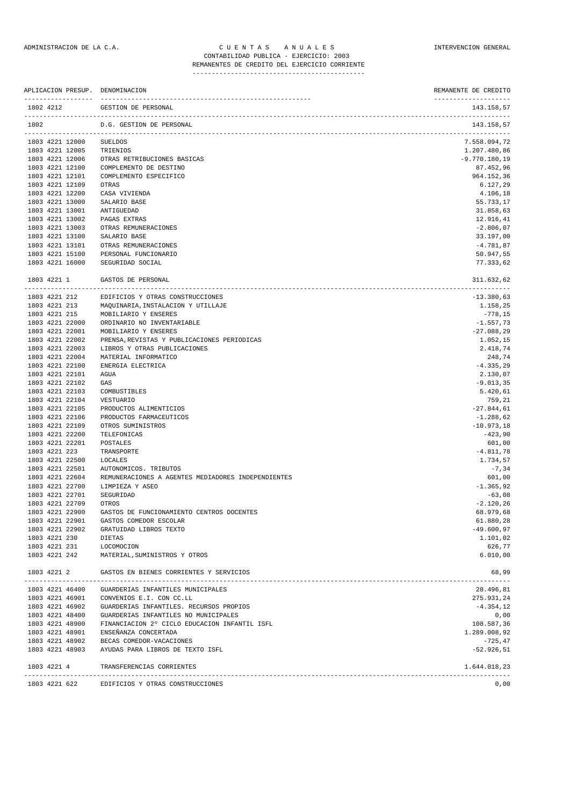| APLICACION PRESUP. DENOMINACION    |                                                    | REMANENTE DE CREDITO               |
|------------------------------------|----------------------------------------------------|------------------------------------|
| 1802 4212                          | GESTION DE PERSONAL                                | --------------------<br>143.158,57 |
| 1802                               | D.G. GESTION DE PERSONAL                           | 143.158,57                         |
| 1803 4221 12000                    | <b>SUELDOS</b>                                     | 7.558.094,72                       |
| 1803 4221 12005                    | TRIENIOS                                           | 1.207.480,86                       |
| 1803 4221 12006                    | OTRAS RETRIBUCIONES BASICAS                        | $-9.770.180,19$                    |
| 1803 4221 12100                    | COMPLEMENTO DE DESTINO                             | 87.452,96                          |
| 1803 4221 12101                    | COMPLEMENTO ESPECIFICO                             | 964.152,36                         |
| 1803 4221 12109<br>1803 4221 12200 | OTRAS<br>CASA VIVIENDA                             | 6.127,29<br>4.106,18               |
| 1803 4221 13000                    | SALARIO BASE                                       | 55.733,17                          |
| 1803 4221 13001                    | ANTIGUEDAD                                         | 31.858,63                          |
| 1803 4221 13002                    | PAGAS EXTRAS                                       | 12.916,41                          |
| 1803 4221 13003                    | OTRAS REMUNERACIONES                               | $-2.806,07$                        |
| 1803 4221 13100                    | SALARIO BASE                                       | 33.197,00                          |
| 1803 4221 13101                    | OTRAS REMUNERACIONES                               | $-4.781, 87$                       |
| 1803 4221 15100                    | PERSONAL FUNCIONARIO                               | 50.947,55                          |
| 1803 4221 16000                    | SEGURIDAD SOCIAL                                   | 77.333,62                          |
| 1803 4221 1                        | GASTOS DE PERSONAL                                 | 311.632,62                         |
| 1803 4221 212                      | EDIFICIOS Y OTRAS CONSTRUCCIONES                   | ---------------<br>$-13.380,63$    |
| 1803 4221 213                      | MAQUINARIA, INSTALACION Y UTILLAJE                 | 1.158,25                           |
| 1803 4221 215                      | MOBILIARIO Y ENSERES                               | -778,15                            |
| 1803 4221 22000                    | ORDINARIO NO INVENTARIABLE                         | $-1.557,73$                        |
| 1803 4221 22001                    | MOBILIARIO Y ENSERES                               | $-27.088, 29$                      |
| 1803 4221 22002                    | PRENSA, REVISTAS Y PUBLICACIONES PERIODICAS        | 1.052,15                           |
| 1803 4221 22003                    | LIBROS Y OTRAS PUBLICACIONES                       | 2.418,74                           |
| 1803 4221 22004                    | MATERIAL INFORMATICO                               | 248,74                             |
| 1803 4221 22100                    | ENERGIA ELECTRICA                                  | $-4.335, 29$                       |
| 1803 4221 22101                    | AGUA                                               | 2.130,07                           |
| 1803 4221 22102                    | GAS                                                | $-9.013, 35$                       |
| 1803 4221 22103                    | COMBUSTIBLES                                       | 5.420,61                           |
| 1803 4221 22104<br>1803 4221 22105 | VESTUARIO<br>PRODUCTOS ALIMENTICIOS                | 759,21<br>$-27.844,61$             |
| 1803 4221 22106                    | PRODUCTOS FARMACEUTICOS                            | $-1.288,62$                        |
| 1803 4221 22109                    | OTROS SUMINISTROS                                  | $-10.973, 18$                      |
| 1803 4221 22200                    | TELEFONICAS                                        | $-423,90$                          |
| 1803 4221 22201                    | POSTALES                                           | 601,00                             |
| 1803 4221 223                      | TRANSPORTE                                         | $-4.811,78$                        |
| 1803 4221 22500                    | LOCALES                                            | 1.734,57                           |
| 1803 4221 22501                    | AUTONOMICOS. TRIBUTOS                              | $-7, 34$                           |
| 1803 4221 22604                    | REMUNERACIONES A AGENTES MEDIADORES INDEPENDIENTES | 601,00                             |
| 1803 4221 22700                    | LIMPIEZA Y ASEO                                    | $-1.365,92$                        |
| 1803 4221 22701                    | SEGURIDAD                                          | $-63,08$                           |
| 1803 4221 22709                    | OTROS                                              | $-2.120, 26$                       |
| 1803 4221 22900<br>1803 4221 22901 | GASTOS DE FUNCIONAMIENTO CENTROS DOCENTES          | 68.979,68                          |
| 1803 4221 22902                    | GASTOS COMEDOR ESCOLAR<br>GRATUIDAD LIBROS TEXTO   | 61.880,28<br>$-49.600,97$          |
| 1803 4221 230                      | DIETAS                                             | 1.101,02                           |
| 1803 4221 231                      | LOCOMOCION                                         | 626,77                             |
| 1803 4221 242                      | MATERIAL, SUMINISTROS Y OTROS                      | 6.010,00                           |
| 1803 4221 2                        | GASTOS EN BIENES CORRIENTES Y SERVICIOS            | 68,99                              |
|                                    | 1803 4221 46400 GUARDERIAS INFANTILES MUNICIPALES  | 28.496,81                          |
| 1803 4221 46901                    | CONVENIOS E.I. CON CC.LL                           | 275.931,24                         |
| 1803 4221 46902                    | GUARDERIAS INFANTILES. RECURSOS PROPIOS            | $-4.354, 12$                       |
| 1803 4221 48400                    | GUARDERIAS INFANTILES NO MUNICIPALES               | 0,00                               |
| 1803 4221 48900                    | FINANCIACION 2° CICLO EDUCACION INFANTIL ISFL      | 108.587,36                         |
|                                    | 1803 4221 48901 ENSEÑANZA CONCERTADA               | 1.289.008,92                       |
|                                    | 1803 4221 48902 BECAS COMEDOR-VACACIONES           | $-725, 47$                         |
|                                    | 1803 4221 48903 AYUDAS PARA LIBROS DE TEXTO ISFL   | $-52.926, 51$                      |
| 1803 4221 4                        | TRANSFERENCIAS CORRIENTES                          | 1.644.018,23                       |
|                                    | 1803 4221 622 EDIFICIOS Y OTRAS CONSTRUCCIONES     | 0,00                               |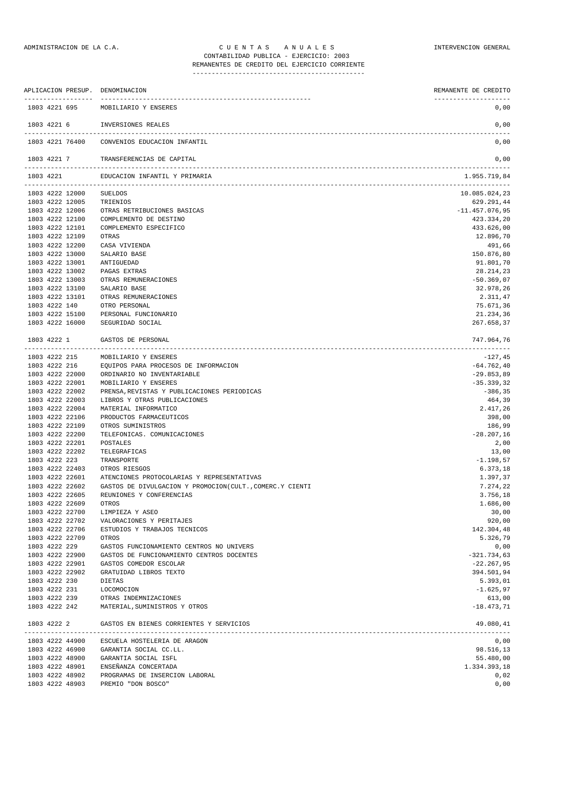|               |                                      | APLICACION PRESUP. DENOMINACION                          | REMANENTE DE CREDITO         |
|---------------|--------------------------------------|----------------------------------------------------------|------------------------------|
|               | -------------------<br>1803 4221 695 | MOBILIARIO Y ENSERES                                     | --------------------<br>0,00 |
|               |                                      | 1803 4221 6 INVERSIONES REALES                           | 0,00                         |
|               | 1803 4221 76400                      | CONVENIOS EDUCACION INFANTIL                             | 0,00                         |
|               |                                      | 1803 4221 7 TRANSFERENCIAS DE CAPITAL                    | 0,00                         |
| 1803 4221     |                                      | EDUCACION INFANTIL Y PRIMARIA                            | 1.955.719,84                 |
|               | 1803 4222 12000                      | SUELDOS                                                  | 10.085.024,23                |
|               | 1803 4222 12005                      | TRIENIOS                                                 | 629.291,44                   |
|               | 1803 4222 12006                      | OTRAS RETRIBUCIONES BASICAS                              | $-11.457.076,95$             |
|               | 1803 4222 12100                      | COMPLEMENTO DE DESTINO                                   | 423.334,20                   |
|               | 1803 4222 12101                      | COMPLEMENTO ESPECIFICO                                   | 433.626,00                   |
|               | 1803 4222 12109                      | OTRAS                                                    | 12.896,70                    |
|               | 1803 4222 12200                      | CASA VIVIENDA                                            | 491,66                       |
|               | 1803 4222 13000                      | SALARIO BASE                                             | 150.876,80                   |
|               | 1803 4222 13001                      | ANTIGUEDAD                                               | 91.801,70                    |
|               | 1803 4222 13002                      | PAGAS EXTRAS                                             | 28.214,23                    |
|               | 1803 4222 13003                      | OTRAS REMUNERACIONES                                     | $-50.369,07$                 |
|               | 1803 4222 13100                      | SALARIO BASE                                             | 32.978,26                    |
|               | 1803 4222 13101                      | OTRAS REMUNERACIONES                                     | 2.311,47                     |
| 1803 4222 140 |                                      | OTRO PERSONAL                                            | 75.671,36                    |
|               | 1803 4222 15100                      | PERSONAL FUNCIONARIO                                     | 21.234,36                    |
|               | 1803 4222 16000                      | SEGURIDAD SOCIAL                                         | 267.658,37                   |
| 1803 4222 1   |                                      | GASTOS DE PERSONAL                                       | 747.964,76                   |
|               | 1803 4222 215                        | MOBILIARIO Y ENSERES                                     | $-127,45$                    |
|               | 1803 4222 216                        | EQUIPOS PARA PROCESOS DE INFORMACION                     | $-64.762,40$                 |
|               | 1803 4222 22000                      | ORDINARIO NO INVENTARIABLE                               | $-29.853,89$                 |
|               | 1803 4222 22001                      | MOBILIARIO Y ENSERES                                     | $-35.339,32$                 |
|               | 1803 4222 22002                      | PRENSA, REVISTAS Y PUBLICACIONES PERIODICAS              | $-386, 35$                   |
|               | 1803 4222 22003                      | LIBROS Y OTRAS PUBLICACIONES                             | 464,39                       |
|               | 1803 4222 22004                      | MATERIAL INFORMATICO                                     | 2.417,26                     |
|               | 1803 4222 22106                      | PRODUCTOS FARMACEUTICOS                                  | 398,00                       |
|               | 1803 4222 22109                      | OTROS SUMINISTROS                                        | 186,99                       |
|               | 1803 4222 22200                      | TELEFONICAS. COMUNICACIONES                              | $-28.207,16$                 |
|               | 1803 4222 22201                      | POSTALES                                                 | 2,00                         |
|               | 1803 4222 22202                      | TELEGRAFICAS                                             | 13,00                        |
| 1803 4222 223 |                                      | TRANSPORTE                                               | $-1.198,57$                  |
|               | 1803 4222 22403                      | OTROS RIESGOS                                            | 6.373, 18                    |
|               | 1803 4222 22601                      | ATENCIONES PROTOCOLARIAS Y REPRESENTATIVAS               | 1.397,37                     |
|               | 1803 4222 22602                      | GASTOS DE DIVULGACION Y PROMOCION(CULT., COMERC.Y CIENTI | 7.274,22                     |
|               | 1803 4222 22605                      | REUNIONES Y CONFERENCIAS                                 | 3.756,18                     |
|               | 1803 4222 22609                      | OTROS                                                    | 1.686,00                     |
|               | 1803 4222 22700                      | LIMPIEZA Y ASEO                                          | 30,00                        |
|               | 1803 4222 22702                      | VALORACIONES Y PERITAJES                                 | 920,00                       |
|               | 1803 4222 22706                      | ESTUDIOS Y TRABAJOS TECNICOS                             | 142.304,48                   |
|               | 1803 4222 22709                      | OTROS                                                    | 5.326,79                     |
| 1803 4222 229 |                                      | GASTOS FUNCIONAMIENTO CENTROS NO UNIVERS                 | 0,00                         |
|               | 1803 4222 22900                      | GASTOS DE FUNCIONAMIENTO CENTROS DOCENTES                | $-321.734,63$                |
|               | 1803 4222 22901                      | GASTOS COMEDOR ESCOLAR                                   | $-22.267,95$                 |
|               | 1803 4222 22902                      | GRATUIDAD LIBROS TEXTO                                   | 394.501,94                   |
| 1803 4222 230 |                                      | DIETAS                                                   | 5.393,01                     |
|               | 1803 4222 231                        | LOCOMOCION                                               | $-1.625, 97$                 |
|               | 1803 4222 239<br>1803 4222 242       | OTRAS INDEMNIZACIONES<br>MATERIAL, SUMINISTROS Y OTROS   | 613,00<br>$-18.473,71$       |
|               |                                      |                                                          |                              |
| 1803 4222 2   |                                      | GASTOS EN BIENES CORRIENTES Y SERVICIOS                  | 49.080,41                    |

|  | 1803 4222 44900 | ESCUELA HOSTELERIA DE ARAGON   | 0.00         |
|--|-----------------|--------------------------------|--------------|
|  | 1803 4222 46900 | GARANTIA SOCIAL CC.LL.         | 98.516,13    |
|  | 1803 4222 48900 | GARANTIA SOCIAL ISFL           | 55.480,00    |
|  | 1803 4222 48901 | ENSEÑANZA CONCERTADA           | 1.334.393.18 |
|  | 1803 4222 48902 | PROGRAMAS DE INSERCION LABORAL | 0.02         |
|  | 1803 4222 48903 | PREMIO "DON BOSCO"             | 0.00         |
|  |                 |                                |              |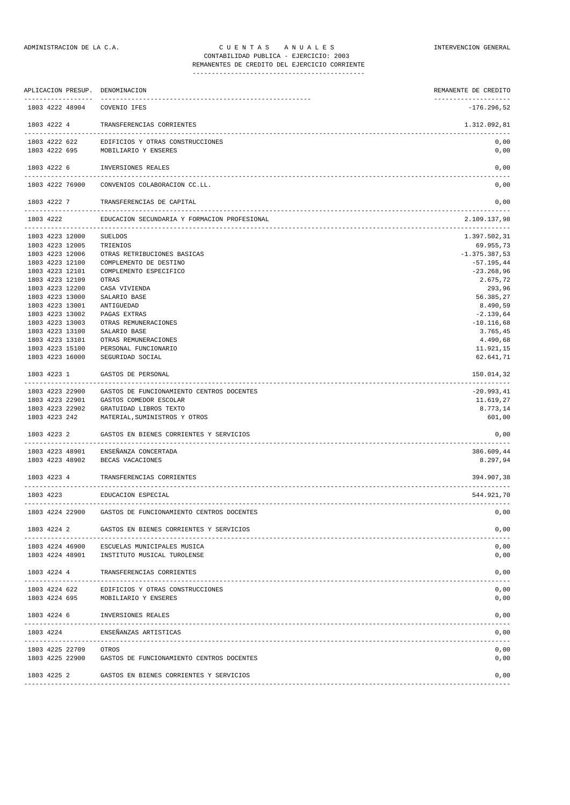|                                          | APLICACION PRESUP. DENOMINACION                            | REMANENTE DE CREDITO  |
|------------------------------------------|------------------------------------------------------------|-----------------------|
| 1803 4222 48904                          | COVENIO IFES                                               | $-176.296,52$         |
| 1803 4222 4                              | TRANSFERENCIAS CORRIENTES                                  | 1.312.092,81          |
| 1803 4222 622<br>1803 4222 695           | EDIFICIOS Y OTRAS CONSTRUCCIONES<br>MOBILIARIO Y ENSERES   | 0,00<br>0,00          |
| 1803 4222 6                              | INVERSIONES REALES                                         | 0,00                  |
| 1803 4222 76900                          | CONVENIOS COLABORACION CC.LL.                              | 0,00                  |
| 1803 4222 7                              | TRANSFERENCIAS DE CAPITAL                                  | 0,00<br>------------- |
| 1803 4222<br>--------------------------- | EDUCACION SECUNDARIA Y FORMACION PROFESIONAL               | 2.109.137,98          |
| 1803 4223 12000                          | <b>SUELDOS</b>                                             | 1.397.502,31          |
| 1803 4223 12005                          | TRIENIOS                                                   | 69.955,73             |
| 1803 4223 12006                          | OTRAS RETRIBUCIONES BASICAS                                | $-1.375.387,53$       |
| 1803 4223 12100                          | COMPLEMENTO DE DESTINO                                     | $-57.195,44$          |
| 1803 4223 12101                          | COMPLEMENTO ESPECIFICO                                     | $-23.268,96$          |
| 1803 4223 12109                          | OTRAS                                                      | 2.675,72              |
| 1803 4223 12200                          | CASA VIVIENDA                                              | 293,96                |
| 1803 4223 13000                          | SALARIO BASE                                               | 56.385,27             |
| 1803 4223 13001                          | ANTIGUEDAD                                                 | 8.490,59              |
| 1803 4223 13002                          | PAGAS EXTRAS                                               | $-2.139.64$           |
| 1803 4223 13003                          | OTRAS REMUNERACIONES                                       | $-10.116,68$          |
| 1803 4223 13100                          | SALARIO BASE                                               | 3.765,45              |
| 1803 4223 13101                          | OTRAS REMUNERACIONES                                       | 4.490,68              |
| 1803 4223 15100                          | PERSONAL FUNCIONARIO                                       | 11.921,15             |
| 1803 4223 16000                          | SEGURIDAD SOCIAL                                           | 62.641,71             |
| 1803 4223 1                              | GASTOS DE PERSONAL                                         | 150.014,32<br>.       |
| 1803 4223 22900                          | GASTOS DE FUNCIONAMIENTO CENTROS DOCENTES                  | $-20.993, 41$         |
| 1803 4223 22901                          | GASTOS COMEDOR ESCOLAR                                     | 11.619,27             |
| 1803 4223 22902                          | GRATUIDAD LIBROS TEXTO                                     | 8.773,14              |
| 1803 4223 242                            | MATERIAL, SUMINISTROS Y OTROS                              | 601,00                |
| 1803 4223 2                              | GASTOS EN BIENES CORRIENTES Y SERVICIOS                    | 0,00                  |
| 1803 4223 48901                          | ENSEÑANZA CONCERTADA                                       | 386.609,44            |
| 1803 4223 48902                          | BECAS VACACIONES                                           | 8.297,94              |
| 1803 4223 4                              | TRANSFERENCIAS CORRIENTES                                  | 394.907,38            |
|                                          |                                                            | --------------------- |
| 1803 4223                                | EDUCACION ESPECIAL                                         | 544.921,70            |
| 1803 4224 22900                          | GASTOS DE FUNCIONAMIENTO CENTROS DOCENTES                  | 0,00                  |
| 1803 4224 2                              | GASTOS EN BIENES CORRIENTES Y SERVICIOS                    | 0,00                  |
| 1803 4224 46900<br>1803 4224 48901       | ESCUELAS MUNICIPALES MUSICA<br>INSTITUTO MUSICAL TUROLENSE | 0,00<br>0,00          |
| 1803 4224 4                              | TRANSFERENCIAS CORRIENTES                                  | 0,00                  |
| 1803 4224 622                            | EDIFICIOS Y OTRAS CONSTRUCCIONES                           | 0,00                  |
| 1803 4224 695                            | MOBILIARIO Y ENSERES                                       | 0,00                  |
| 1803 4224 6                              | INVERSIONES REALES                                         | 0,00                  |
| 1803 4224                                | ENSEÑANZAS ARTISTICAS                                      | 0,00                  |
| 1803 4225 22709                          | OTROS                                                      | 0,00                  |
|                                          | 1803 4225 22900 GASTOS DE FUNCIONAMIENTO CENTROS DOCENTES  | 0,00                  |
| 1803 4225 2                              | GASTOS EN BIENES CORRIENTES Y SERVICIOS                    | 0,00                  |
|                                          |                                                            |                       |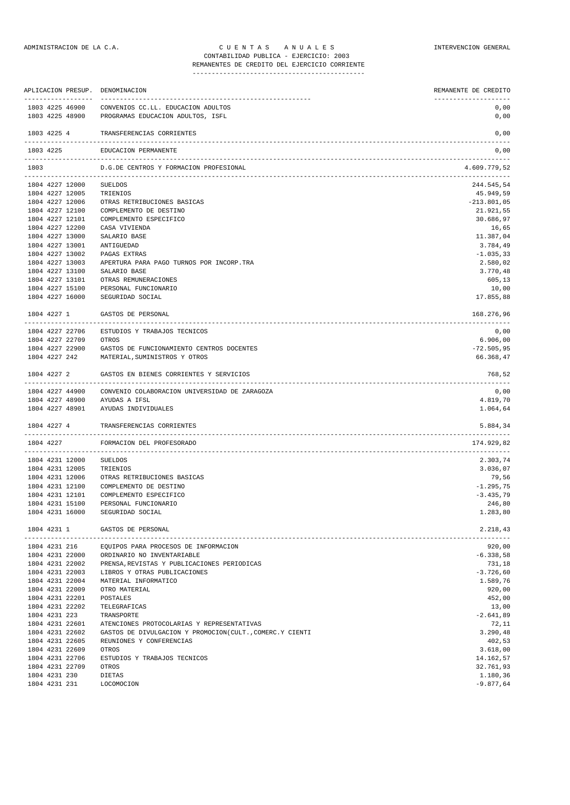## ADMINISTRACION DE LA C.A. CUENTAS ANUALES ANIDADES INTERVENCION GENERAL CONTABILIDAD PUBLICA - EJERCICIO: 2003 REMANENTES DE CREDITO DEL EJERCICIO CORRIENTE

|               |                 | APLICACION PRESUP. DENOMINACION                            | REMANENTE DE CREDITO |
|---------------|-----------------|------------------------------------------------------------|----------------------|
|               | 1803 4225 46900 | CONVENIOS CC.LL. EDUCACION ADULTOS                         | 0,00                 |
|               | 1803 4225 48900 | PROGRAMAS EDUCACION ADULTOS, ISFL                          | 0,00                 |
| 1803 4225 4   |                 | TRANSFERENCIAS CORRIENTES                                  | 0,00                 |
| 1803 4225     |                 | EDUCACION PERMANENTE                                       | 0,00                 |
| 1803          |                 | D.G.DE CENTROS Y FORMACION PROFESIONAL                     | 4.609.779,52         |
|               | 1804 4227 12000 | -----------------------------<br><b>SUELDOS</b>            | .<br>244.545,54      |
|               | 1804 4227 12005 | TRIENIOS                                                   | 45.949,59            |
|               | 1804 4227 12006 | OTRAS RETRIBUCIONES BASICAS                                | $-213.801,05$        |
|               | 1804 4227 12100 | COMPLEMENTO DE DESTINO                                     | 21.921,55            |
|               | 1804 4227 12101 | COMPLEMENTO ESPECIFICO                                     | 30.686,97            |
|               | 1804 4227 12200 | CASA VIVIENDA                                              | 16,65                |
|               | 1804 4227 13000 | SALARIO BASE                                               | 11.387,04            |
|               | 1804 4227 13001 | ANTIGUEDAD                                                 | 3.784,49             |
|               | 1804 4227 13002 | PAGAS EXTRAS                                               | $-1.035,33$          |
|               | 1804 4227 13003 | APERTURA PARA PAGO TURNOS POR INCORP.TRA                   | 2.580,02             |
|               | 1804 4227 13100 | SALARIO BASE                                               | 3.770,48             |
|               | 1804 4227 13101 | OTRAS REMUNERACIONES                                       | 605,13               |
|               | 1804 4227 15100 | PERSONAL FUNCIONARIO                                       | 10,00                |
|               | 1804 4227 16000 | SEGURIDAD SOCIAL                                           | 17.855,88            |
| 1804 4227 1   |                 | GASTOS DE PERSONAL                                         | 168.276,96           |
|               | 1804 4227 22706 | ESTUDIOS Y TRABAJOS TECNICOS                               | 0,00                 |
|               | 1804 4227 22709 | OTROS                                                      | 6.906,00             |
|               | 1804 4227 22900 | GASTOS DE FUNCIONAMIENTO CENTROS DOCENTES                  | $-72.505,95$         |
| 1804 4227 242 |                 | MATERIAL, SUMINISTROS Y OTROS                              | 66.368,47            |
| 1804 4227 2   |                 | GASTOS EN BIENES CORRIENTES Y SERVICIOS                    | 768,52               |
|               | 1804 4227 44900 | CONVENIO COLABORACION UNIVERSIDAD DE ZARAGOZA              | 0,00                 |
|               | 1804 4227 48900 | AYUDAS A IFSL                                              | 4.819,70             |
|               | 1804 4227 48901 | AYUDAS INDIVIDUALES                                        | 1.064,64             |
| 1804 4227 4   |                 | TRANSFERENCIAS CORRIENTES                                  | 5.884,34             |
| 1804 4227     |                 | FORMACION DEL PROFESORADO                                  | 174.929,82           |
|               | 1804 4231 12000 | <b>SUELDOS</b>                                             | 2.303,74             |
|               | 1804 4231 12005 | TRIENIOS                                                   | 3.036,07             |
|               | 1804 4231 12006 | OTRAS RETRIBUCIONES BASICAS                                | 79,56                |
|               | 1804 4231 12100 | COMPLEMENTO DE DESTINO                                     | $-1.295,75$          |
|               | 1804 4231 12101 | COMPLEMENTO ESPECIFICO                                     | $-3.435,79$          |
|               |                 | 1804 4231 15100 PERSONAL FUNCIONARIO                       | 246,80               |
|               | 1804 4231 16000 | SEGURIDAD SOCIAL                                           | 1.283,80             |
|               |                 | 1804 4231 1 GASTOS DE PERSONAL                             | 2.218,43             |
|               | 1804 4231 216   | EQUIPOS PARA PROCESOS DE INFORMACION                       | 920,00               |
|               | 1804 4231 22000 | ORDINARIO NO INVENTARIABLE                                 | $-6.338,58$          |
|               | 1804 4231 22002 | PRENSA, REVISTAS Y PUBLICACIONES PERIODICAS                | 731,18               |
|               | 1804 4231 22003 | LIBROS Y OTRAS PUBLICACIONES                               | $-3.726,60$          |
|               | 1804 4231 22004 | MATERIAL INFORMATICO                                       | 1.589,76             |
|               | 1804 4231 22009 | OTRO MATERIAL                                              | 920,00               |
|               | 1804 4231 22201 | POSTALES                                                   | 452,00               |
|               | 1804 4231 22202 | TELEGRAFICAS                                               | 13,00                |
| 1804 4231 223 |                 | TRANSPORTE                                                 | $-2.641,89$          |
|               |                 | 1804 4231 22601 ATENCIONES PROTOCOLARIAS Y REPRESENTATIVAS | 72,11                |

1804 4231 22602 GASTOS DE DIVULGACION Y PROMOCION(CULT.,COMERC.Y CIENTI 3.290,48 1804 4231 22605 REUNIONES Y CONFERENCIAS 402,53 1804 4231 22609 OTROS 3.618,00 1804 4231 22706 ESTUDIOS Y TRABAJOS TECNICOS 14.162,57 1804 4231 22709 OTROS 1 MILINOL 11111.1201<br>1804 4231 22709 OTROS 32.761,93<br>1804 4231 230 DIETAS 1.180,36 1804 4231 230 DIETAS 1.180,36 1804 4231 231 LOCOMOCION -9.877,64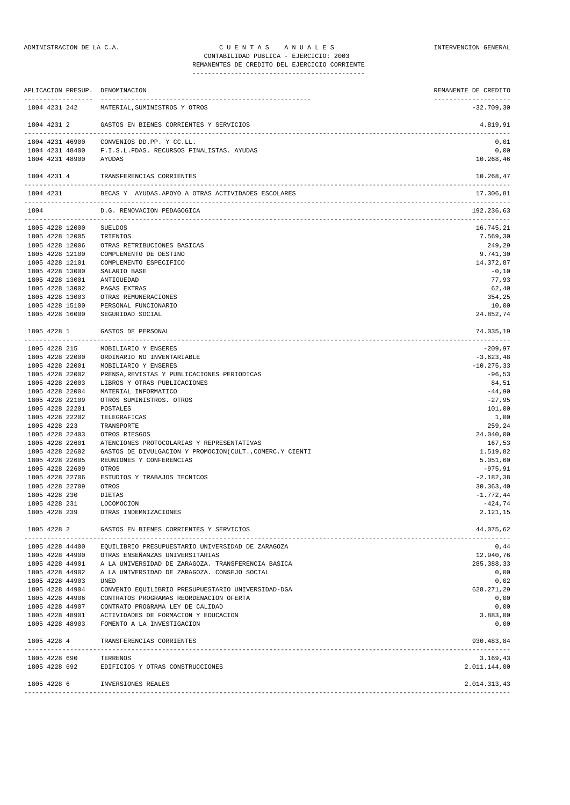## ADMINISTRACION DE LA C.A. CUENTAS ANUALES CONSTANTERVENCION GENERAL CONTABILIDAD PUBLICA - EJERCICIO: 2003 REMANENTES DE CREDITO DEL EJERCICIO CORRIENTE

---------------------------------------------

|               |                         | APLICACION PRESUP. DENOMINACION                          | REMANENTE DE CREDITO                  |
|---------------|-------------------------|----------------------------------------------------------|---------------------------------------|
|               | 1804 4231 242           | MATERIAL, SUMINISTROS Y OTROS                            | --------------------<br>$-32.709, 30$ |
| 1804 4231 2   |                         | GASTOS EN BIENES CORRIENTES Y SERVICIOS                  | 4.819,91                              |
|               | 1804 4231 46900         | CONVENIOS DD.PP. Y CC.LL.                                | 0,01                                  |
|               | 1804 4231 48400         | F.I.S.L.FDAS. RECURSOS FINALISTAS. AYUDAS                | 0,00                                  |
|               | 1804 4231 48900         | AYUDAS                                                   | 10.268,46                             |
| 1804 4231 4   |                         | TRANSFERENCIAS CORRIENTES                                | 10.268,47                             |
| 1804 4231     |                         | BECAS Y AYUDAS.APOYO A OTRAS ACTIVIDADES ESCOLARES       | 17.306,81                             |
| 1804          |                         | D.G. RENOVACION PEDAGOGICA                               | 192.236,63                            |
|               | 1805 4228 12000 SUELDOS |                                                          | 16.745,21                             |
|               | 1805 4228 12005         | TRIENIOS                                                 | 7.569,30                              |
|               | 1805 4228 12006         | OTRAS RETRIBUCIONES BASICAS                              | 249,29                                |
|               | 1805 4228 12100         | COMPLEMENTO DE DESTINO                                   | 9.741,30                              |
|               | 1805 4228 12101         | COMPLEMENTO ESPECIFICO                                   | 14.372,87                             |
|               | 1805 4228 13000         | SALARIO BASE                                             | $-0,10$                               |
|               | 1805 4228 13001         | ANTIGUEDAD                                               | 77,93                                 |
|               | 1805 4228 13002         | PAGAS EXTRAS                                             | 62,40                                 |
|               | 1805 4228 13003         | OTRAS REMUNERACIONES                                     | 354,25                                |
|               | 1805 4228 15100         | PERSONAL FUNCIONARIO                                     | 10,00                                 |
|               | 1805 4228 16000         | SEGURIDAD SOCIAL                                         | 24.852,74                             |
| 1805 4228 1   |                         | GASTOS DE PERSONAL                                       | 74.035,19                             |
|               | 1805 4228 215           | MOBILIARIO Y ENSERES                                     | $-209,97$                             |
|               | 1805 4228 22000         | ORDINARIO NO INVENTARIABLE                               | $-3.623, 48$                          |
|               | 1805 4228 22001         | MOBILIARIO Y ENSERES                                     | $-10.275,33$                          |
|               | 1805 4228 22002         | PRENSA, REVISTAS Y PUBLICACIONES PERIODICAS              | $-96,53$                              |
|               | 1805 4228 22003         | LIBROS Y OTRAS PUBLICACIONES                             | 84,51                                 |
|               | 1805 4228 22004         | MATERIAL INFORMATICO                                     | $-44,90$                              |
|               | 1805 4228 22109         | OTROS SUMINISTROS. OTROS                                 | $-27,95$                              |
|               | 1805 4228 22201         | POSTALES                                                 | 101,00                                |
|               | 1805 4228 22202         | TELEGRAFICAS                                             | 1,00                                  |
| 1805 4228 223 |                         | TRANSPORTE                                               | 259,24                                |
|               | 1805 4228 22403         | OTROS RIESGOS                                            | 24.040,00                             |
|               | 1805 4228 22601         | ATENCIONES PROTOCOLARIAS Y REPRESENTATIVAS               | 167,53                                |
|               | 1805 4228 22602         | GASTOS DE DIVULGACION Y PROMOCION(CULT., COMERC.Y CIENTI | 1.519,82                              |
|               | 1805 4228 22605         | REUNIONES Y CONFERENCIAS                                 | 5.051,60                              |
|               | 1805 4228 22609         | OTROS                                                    | $-975, 91$                            |
|               | 1805 4228 22706         | ESTUDIOS Y TRABAJOS TECNICOS                             | $-2.182, 38$                          |
|               | 1805 4228 22709         | OTROS                                                    | 30.363,40                             |
| 1805 4228 230 |                         | DIETAS                                                   | $-1.772,44$                           |
| 1805 4228 231 |                         | LOCOMOCION                                               | $-424,74$                             |
|               | 1805 4228 239           | OTRAS INDEMNIZACIONES                                    | 2.121,15                              |
| 1805 4228 2   |                         | GASTOS EN BIENES CORRIENTES Y SERVICIOS                  | 44.075,62                             |
|               | 1805 4228 44400         | EQUILIBRIO PRESUPUESTARIO UNIVERSIDAD DE ZARAGOZA        | 0,44                                  |
|               | 1805 4228 44900         | OTRAS ENSEÑANZAS UNIVERSITARIAS                          | 12.940,76                             |
|               | 1805 4228 44901         | A LA UNIVERSIDAD DE ZARAGOZA. TRANSFERENCIA BASICA       | 285.388,33                            |
|               | 1805 4228 44902         | A LA UNIVERSIDAD DE ZARAGOZA. CONSEJO SOCIAL             | 0,00                                  |
|               | 1805 4228 44903         | UNED                                                     | 0,02                                  |
|               | 1805 4228 44904         | CONVENIO EQUILIBRIO PRESUPUESTARIO UNIVERSIDAD-DGA       | 628.271,29                            |
|               | 1805 4228 44906         | CONTRATOS PROGRAMAS REORDENACION OFERTA                  | 0,00                                  |
|               | 1805 4228 44907         | CONTRATO PROGRAMA LEY DE CALIDAD                         | 0,00                                  |
|               |                         | 1805 4228 48901 ACTIVIDADES DE FORMACION Y EDUCACION     | 3.883,00                              |
|               |                         | 1805 4228 48903 FOMENTO A LA INVESTIGACION               | 0,00                                  |
| 1805 4228 4   |                         | TRANSFERENCIAS CORRIENTES                                | 930.483,84                            |
|               |                         | -----------------------------------<br>----------------- |                                       |

1805 4228 690 TERRENOS 3.169,43 1805 4228 692 EDIFICIOS Y OTRAS CONSTRUCCIONES 2.011.144,00 1805 4228 6 INVERSIONES REALES 2.014.313,43

-------------------------------------------------------------------------------------------------------------------------------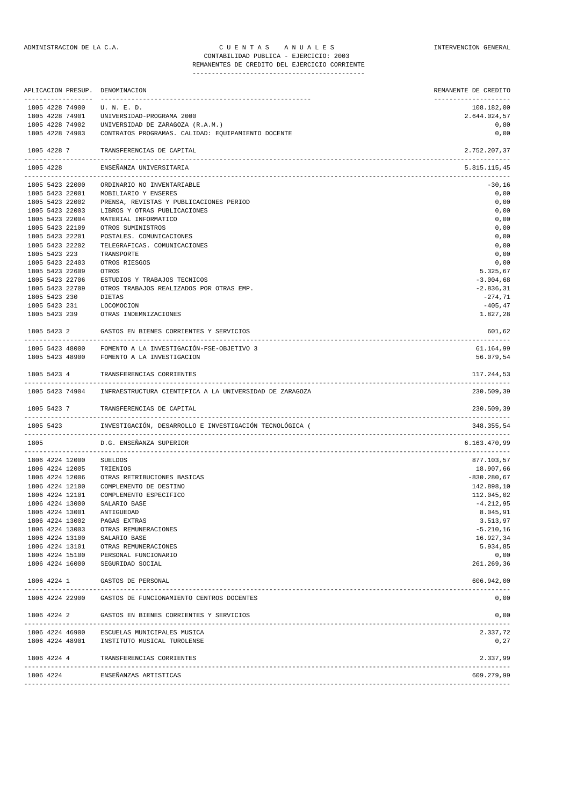## ADMINISTRACION DE LA C.A. C U E N T A S A N U A L E S INTERVENCION GENERAL CONTABILIDAD PUBLICA - EJERCICIO: 2003

# REMANENTES DE CREDITO DEL EJERCICIO CORRIENTE

---------------------------------------------

|      |               |                       | APLICACION PRESUP. DENOMINACION                            | REMANENTE DE CREDITO<br>-------------------- |
|------|---------------|-----------------------|------------------------------------------------------------|----------------------------------------------|
|      |               | 1805 4228 74900       | U. N. E. D.                                                | 108.182,00                                   |
|      |               | 1805 4228 74901       | UNIVERSIDAD-PROGRAMA 2000                                  | 2.644.024,57                                 |
|      |               | 1805 4228 74902       | UNIVERSIDAD DE ZARAGOZA (R.A.M.)                           | 0,80                                         |
|      |               | 1805 4228 74903       | CONTRATOS PROGRAMAS. CALIDAD: EQUIPAMIENTO DOCENTE         | 0,00                                         |
|      | 1805 4228 7   | --------------------- | TRANSFERENCIAS DE CAPITAL<br>_____________________________ | 2.752.207,37<br>-----------                  |
|      | 1805 4228     |                       | ENSENANZA UNIVERSITARIA                                    | 5.815.115,45                                 |
|      |               | 1805 5423 22000       | ORDINARIO NO INVENTARIABLE                                 | $-30,16$                                     |
|      |               | 1805 5423 22001       | MOBILIARIO Y ENSERES                                       | 0,00                                         |
|      |               | 1805 5423 22002       | PRENSA, REVISTAS Y PUBLICACIONES PERIOD                    | 0,00                                         |
|      |               | 1805 5423 22003       | LIBROS Y OTRAS PUBLICACIONES                               | 0,00                                         |
|      |               | 1805 5423 22004       | MATERIAL INFORMATICO                                       | 0,00                                         |
|      |               | 1805 5423 22109       | OTROS SUMINISTROS                                          | 0,00                                         |
|      |               | 1805 5423 22201       | POSTALES. COMUNICACIONES                                   | 0,00                                         |
|      |               | 1805 5423 22202       | TELEGRAFICAS. COMUNICACIONES                               | 0,00                                         |
|      | 1805 5423 223 |                       | TRANSPORTE                                                 | 0,00                                         |
|      |               | 1805 5423 22403       | OTROS RIESGOS                                              | 0,00                                         |
|      |               | 1805 5423 22609       | OTROS                                                      | 5.325,67                                     |
|      |               | 1805 5423 22706       | ESTUDIOS Y TRABAJOS TECNICOS                               | $-3.004,68$                                  |
|      |               | 1805 5423 22709       | OTROS TRABAJOS REALIZADOS POR OTRAS EMP.                   | $-2.836, 31$                                 |
|      | 1805 5423 230 |                       | DIETAS                                                     | $-274,71$                                    |
|      | 1805 5423 231 |                       | LOCOMOCION                                                 | $-405, 47$                                   |
|      |               | 1805 5423 239         | OTRAS INDEMNIZACIONES                                      | 1.827,28                                     |
|      | 1805 5423 2   |                       | GASTOS EN BIENES CORRIENTES Y SERVICIOS                    | 601,62                                       |
|      |               |                       | 1805 5423 48000 FOMENTO A LA INVESTIGACIÓN-FSE-OBJETIVO 3  | 61.164,99                                    |
|      |               | 1805 5423 48900       | FOMENTO A LA INVESTIGACION                                 | 56.079,54                                    |
|      | 1805 5423 4   |                       | TRANSFERENCIAS CORRIENTES                                  | 117.244,53                                   |
|      |               | 1805 5423 74904       | INFRAESTRUCTURA CIENTIFICA A LA UNIVERSIDAD DE ZARAGOZA    | 230.509,39                                   |
|      | 1805 5423 7   |                       | TRANSFERENCIAS DE CAPITAL                                  | 230.509,39                                   |
|      | 1805 5423     |                       | INVESTIGACIÓN, DESARROLLO E INVESTIGACIÓN TECNOLÓGICA (    | 348.355,54                                   |
| 1805 |               |                       | D.G. ENSEÑANZA SUPERIOR                                    | 6.163.470,99                                 |
|      |               | 1806 4224 12000       | <b>SUELDOS</b>                                             | 877.103,57                                   |
|      |               | 1806 4224 12005       | TRIENIOS                                                   | 18.907,66                                    |
|      |               | 1806 4224 12006       | OTRAS RETRIBUCIONES BASICAS                                | $-830.280,67$                                |
|      |               | 1806 4224 12100       | COMPLEMENTO DE DESTINO                                     | 142.898,10                                   |
|      |               | 1806 4224 12101       | COMPLEMENTO ESPECIFICO                                     | 112.045,02                                   |
|      |               | 1806 4224 13000       | SALARIO BASE                                               | $-4.212,95$                                  |
|      |               | 1806 4224 13001       | ANTIGUEDAD                                                 | 8.045,91                                     |
|      |               | 1806 4224 13002       | PAGAS EXTRAS                                               | 3.513,97                                     |
|      |               | 1806 4224 13003       | OTRAS REMUNERACIONES                                       | $-5.210, 16$                                 |
|      |               | 1806 4224 13100       | SALARIO BASE                                               | 16.927,34                                    |
|      |               | 1806 4224 13101       | OTRAS REMUNERACIONES                                       | 5.934,85                                     |
|      |               | 1806 4224 15100       | PERSONAL FUNCIONARIO                                       | 0,00                                         |
|      |               | 1806 4224 16000       | SEGURIDAD SOCIAL                                           | 261.269,36                                   |
|      | 1806 4224 1   |                       | GASTOS DE PERSONAL                                         | 606.942,00                                   |
|      |               | 1806 4224 22900       | GASTOS DE FUNCIONAMIENTO CENTROS DOCENTES                  | 0,00                                         |
|      | 1806 4224 2   |                       | GASTOS EN BIENES CORRIENTES Y SERVICIOS                    | 0,00                                         |
|      |               | 1806 4224 46900       | ESCUELAS MUNICIPALES MUSICA                                |                                              |
|      |               | 1806 4224 48901       | INSTITUTO MUSICAL TUROLENSE                                | 2.337,72<br>0,27                             |
|      |               |                       |                                                            |                                              |
|      |               | 1806 4224 4           | TRANSFERENCIAS CORRIENTES                                  | 2.337,99                                     |
|      | $1006$ $1221$ |                       | pucpūstarac approproso                                     | 600.270.00                                   |

1806 4224 ENSEÑANZAS ARTISTICAS 609.279,99 -------------------------------------------------------------------------------------------------------------------------------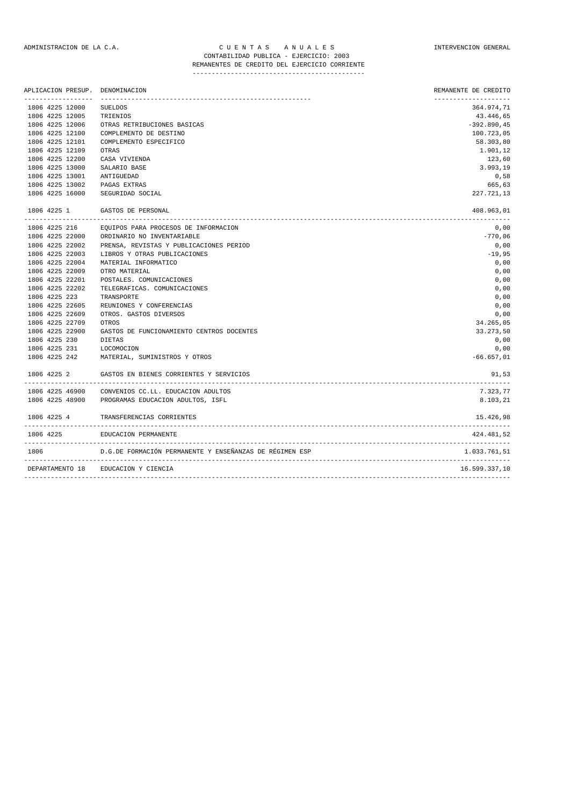## ADMINISTRACION DE LA C.A. C U E N T A S A N U A L E S INTERVENCION GENERAL CONTABILIDAD PUBLICA - EJERCICIO: 2003

# REMANENTES DE CREDITO DEL EJERCICIO CORRIENTE

| APLICACION PRESUP. |                | DENOMINACION                                            | REMANENTE DE CREDITO<br>-------------------- |
|--------------------|----------------|---------------------------------------------------------|----------------------------------------------|
| 1806 4225 12000    | <b>SUELDOS</b> |                                                         | 364.974,71                                   |
| 1806 4225 12005    | TRIENIOS       |                                                         | 43.446,65                                    |
| 1806 4225 12006    |                | OTRAS RETRIBUCIONES BASICAS                             | $-392.890, 45$                               |
| 1806 4225 12100    |                | COMPLEMENTO DE DESTINO                                  | 100.723,05                                   |
| 1806 4225 12101    |                | COMPLEMENTO ESPECIFICO                                  | 58.303,80                                    |
| 1806 4225 12109    | OTRAS          |                                                         | 1.901,12                                     |
| 1806 4225 12200    |                | CASA VIVIENDA                                           | 123,60                                       |
| 1806 4225 13000    |                | SALARIO BASE                                            | 3.993,19                                     |
| 1806 4225 13001    |                | ANTIGUEDAD                                              | 0,58                                         |
| 1806 4225 13002    |                | PAGAS EXTRAS                                            | 665,63                                       |
| 1806 4225 16000    |                | SEGURIDAD SOCIAL                                        | 227.721,13                                   |
|                    |                |                                                         |                                              |
| 1806 4225 1        |                | GASTOS DE PERSONAL                                      | 408.963,01                                   |
| 1806 4225 216      |                | EQUIPOS PARA PROCESOS DE INFORMACION                    | 0,00                                         |
| 1806 4225 22000    |                | ORDINARIO NO INVENTARIABLE                              | $-770,06$                                    |
| 1806 4225 22002    |                | PRENSA, REVISTAS Y PUBLICACIONES PERIOD                 | 0,00                                         |
| 1806 4225 22003    |                | LIBROS Y OTRAS PUBLICACIONES                            | $-19,95$                                     |
| 1806 4225 22004    |                | MATERIAL INFORMATICO                                    | 0,00                                         |
| 1806 4225 22009    |                | OTRO MATERIAL                                           | 0,00                                         |
| 1806 4225 22201    |                | POSTALES. COMUNICACIONES                                | 0,00                                         |
| 1806 4225 22202    |                | TELEGRAFICAS. COMUNICACIONES                            | 0,00                                         |
| 1806 4225 223      |                | TRANSPORTE                                              | 0,00                                         |
| 1806 4225 22605    |                | REUNIONES Y CONFERENCIAS                                | 0,00                                         |
| 1806 4225 22609    |                | OTROS. GASTOS DIVERSOS                                  | 0,00                                         |
| 1806 4225 22709    | OTROS          |                                                         | 34.265,05                                    |
| 1806 4225 22900    |                | GASTOS DE FUNCIONAMIENTO CENTROS DOCENTES               | 33.273,50                                    |
| 1806 4225 230      | DIETAS         |                                                         | 0,00                                         |
| 1806 4225 231      |                | LOCOMOCION                                              | 0,00                                         |
| 1806 4225 242      |                | MATERIAL, SUMINISTROS Y OTROS                           | $-66.657,01$                                 |
| 1806 4225 2        |                | GASTOS EN BIENES CORRIENTES Y SERVICIOS                 | 91,53                                        |
| 1806 4225 46900    |                | CONVENIOS CC.LL. EDUCACION ADULTOS                      | 7.323,77                                     |
|                    |                | 1806 4225 48900 PROGRAMAS EDUCACION ADULTOS, ISFL       | 8.103,21                                     |
| 1806 4225 4        |                | TRANSFERENCIAS CORRIENTES                               | 15.426,98                                    |
| 1806 4225          |                | EDUCACION PERMANENTE                                    | 424.481,52                                   |
| 1806               |                | D.G.DE FORMACIÓN PERMANENTE Y ENSEÑANZAS DE RÉGIMEN ESP | 1.033.761.51                                 |
| DEPARTAMENTO 18    |                | EDUCACION Y CIENCIA                                     | 16.599.337,10                                |
|                    |                |                                                         |                                              |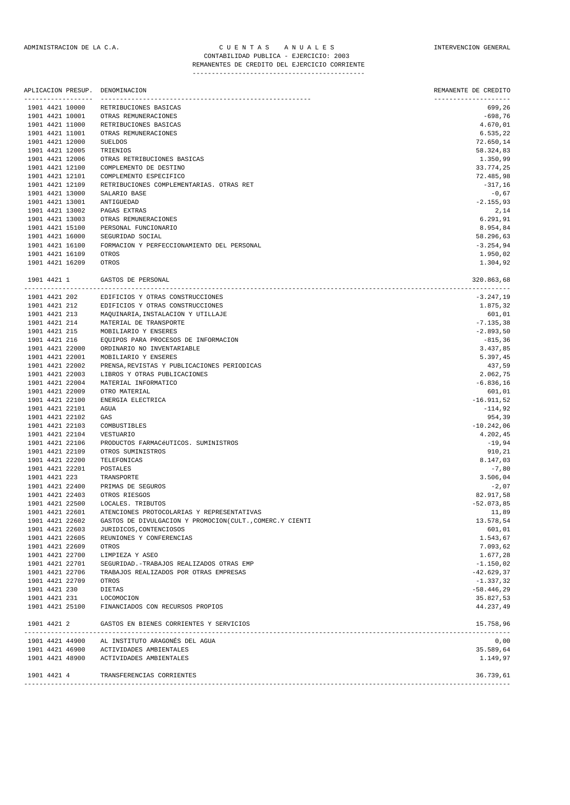## ADMINISTRACION DE LA C.A. C U E N T A S A N U A L E S INTERVENCION GENERAL CONTABILIDAD PUBLICA - EJERCICIO: 2003 REMANENTES DE CREDITO DEL EJERCICIO CORRIENTE

| APLICACION PRESUP. DENOMINACION |                                            | REMANENTE DE CREDITO |
|---------------------------------|--------------------------------------------|----------------------|
| 1901 4421 10000                 | RETRIBUCIONES BASICAS                      | 699,26               |
| 1901 4421 10001                 | OTRAS REMUNERACIONES                       | $-698,76$            |
| 1901 4421 11000                 | RETRIBUCIONES BASICAS                      | 4.670,01             |
| 1901 4421 11001                 | OTRAS REMUNERACIONES                       | 6.535,22             |
| 1901 4421 12000                 | <b>SUELDOS</b>                             | 72.650,14            |
| 1901 4421 12005                 | TRIENIOS                                   | 58.324,83            |
| 1901 4421 12006                 | OTRAS RETRIBUCIONES BASICAS                | 1.350,99             |
| 1901 4421 12100                 | COMPLEMENTO DE DESTINO                     | 33.774,25            |
| 1901 4421 12101                 | COMPLEMENTO ESPECIFICO                     | 72.485,98            |
| 1901 4421 12109                 | RETRIBUCIONES COMPLEMENTARIAS. OTRAS RET   | $-317,16$            |
| 1901 4421 13000                 | SALARIO BASE                               | $-0,67$              |
| 1901 4421 13001                 | ANTIGUEDAD                                 | $-2.155,93$          |
| 1901 4421 13002                 | PAGAS EXTRAS                               | 2,14                 |
| 1901 4421 13003                 | OTRAS REMUNERACIONES                       | 6.291, 91            |
| 1901 4421 15100                 | PERSONAL FUNCIONARIO                       | 8.954,84             |
| 1901 4421 16000                 | SEGURIDAD SOCIAL                           | 58.296,63            |
| 1901 4421 16100                 | FORMACION Y PERFECCIONAMIENTO DEL PERSONAL | $-3.254,94$          |
| 1901 4421 16109                 | OTROS                                      | 1.950,02             |
| 1901 4421 16209                 | OTROS                                      | 1.304,92             |

| 1901 4421 1   |                 | GASTOS DE PERSONAL                                       | 320.863,68    |
|---------------|-----------------|----------------------------------------------------------|---------------|
| 1901 4421 202 |                 | EDIFICIOS Y OTRAS CONSTRUCCIONES                         | $-3.247, 19$  |
| 1901 4421 212 |                 | EDIFICIOS Y OTRAS CONSTRUCCIONES                         | 1.875,32      |
| 1901 4421 213 |                 | MAQUINARIA, INSTALACION Y UTILLAJE                       | 601,01        |
| 1901 4421 214 |                 | MATERIAL DE TRANSPORTE                                   | $-7.135,38$   |
| 1901 4421 215 |                 | MOBILIARIO Y ENSERES                                     | $-2.893,50$   |
| 1901 4421 216 |                 | EQUIPOS PARA PROCESOS DE INFORMACION                     | $-815, 36$    |
|               | 1901 4421 22000 | ORDINARIO NO INVENTARIABLE                               | 3.437,85      |
|               | 1901 4421 22001 | MOBILIARIO Y ENSERES                                     | 5.397,45      |
|               | 1901 4421 22002 | PRENSA, REVISTAS Y PUBLICACIONES PERIODICAS              | 437,59        |
|               | 1901 4421 22003 | LIBROS Y OTRAS PUBLICACIONES                             | 2.062,75      |
|               | 1901 4421 22004 | MATERIAL INFORMATICO                                     | $-6.836, 16$  |
|               | 1901 4421 22009 | OTRO MATERIAL                                            | 601,01        |
|               | 1901 4421 22100 | ENERGIA ELECTRICA                                        | $-16.911,52$  |
|               | 1901 4421 22101 | AGUA                                                     | $-114,92$     |
|               | 1901 4421 22102 | GAS                                                      | 954,39        |
|               | 1901 4421 22103 | COMBUSTIBLES                                             | $-10.242,06$  |
|               | 1901 4421 22104 | VESTUARIO                                                | 4.202,45      |
|               | 1901 4421 22106 | PRODUCTOS FARMACéUTICOS. SUMINISTROS                     | $-19,94$      |
|               | 1901 4421 22109 | OTROS SUMINISTROS                                        | 910,21        |
|               | 1901 4421 22200 | TELEFONICAS                                              | 8.147,03      |
|               | 1901 4421 22201 | POSTALES                                                 | $-7,80$       |
| 1901 4421 223 |                 | TRANSPORTE                                               | 3.506,04      |
|               | 1901 4421 22400 | PRIMAS DE SEGUROS                                        | $-2,07$       |
|               | 1901 4421 22403 | OTROS RIESGOS                                            | 82.917,58     |
|               | 1901 4421 22500 | LOCALES. TRIBUTOS                                        | $-52.073,85$  |
|               | 1901 4421 22601 | ATENCIONES PROTOCOLARIAS Y REPRESENTATIVAS               | 11,89         |
|               | 1901 4421 22602 | GASTOS DE DIVULGACION Y PROMOCION(CULT., COMERC.Y CIENTI | 13.578,54     |
|               | 1901 4421 22603 | JURIDICOS, CONTENCIOSOS                                  | 601,01        |
|               | 1901 4421 22605 | REUNIONES Y CONFERENCIAS                                 | 1.543,67      |
|               | 1901 4421 22609 | OTROS                                                    | 7.093,62      |
|               | 1901 4421 22700 | LIMPIEZA Y ASEO                                          | 1.677,28      |
|               | 1901 4421 22701 | SEGURIDAD. - TRABAJOS REALIZADOS OTRAS EMP               | $-1.150,02$   |
|               | 1901 4421 22706 | TRABAJOS REALIZADOS POR OTRAS EMPRESAS                   | $-42.629, 37$ |
|               | 1901 4421 22709 | OTROS                                                    | $-1.337,32$   |
| 1901 4421 230 |                 | DIETAS                                                   | $-58.446, 29$ |
| 1901 4421 231 |                 | LOCOMOCION                                               | 35.827,53     |
|               | 1901 4421 25100 | FINANCIADOS CON RECURSOS PROPIOS                         | 44.237,49     |
| 1901 4421 2   |                 | GASTOS EN BIENES CORRIENTES Y SERVICIOS                  | 15.758,96     |
|               | 1901 4421 44900 | AL INSTITUTO ARAGONÉS DEL AGUA                           | 0,00          |
|               | 1901 4421 46900 | ACTIVIDADES AMBIENTALES                                  | 35.589,64     |
|               | 1901 4421 48900 | ACTIVIDADES AMBIENTALES                                  | 1.149,97      |
| 1901 4421 4   |                 | TRANSFERENCIAS CORRIENTES                                | 36.739,61     |
|               |                 |                                                          |               |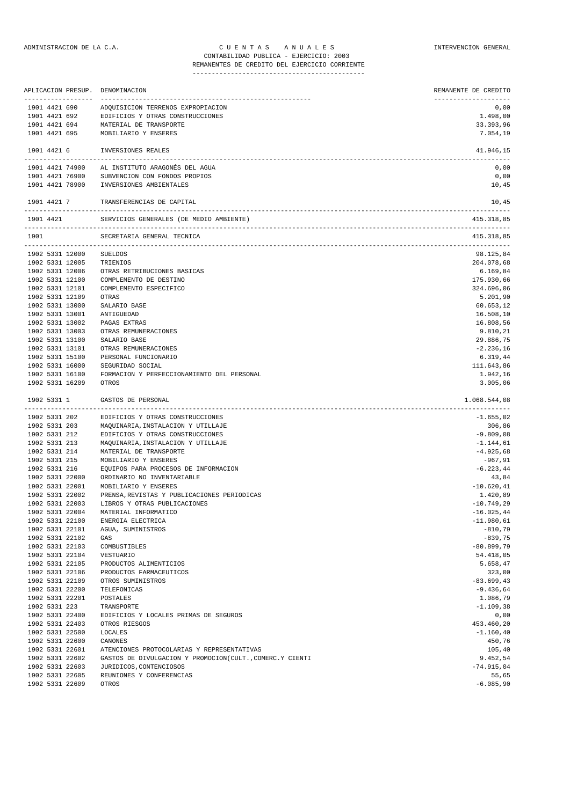## ADMINISTRACION DE LA C.A. CUENTAS ANUALES A CONSTRUENCION GENERAL CONTABILIDAD PUBLICA - EJERCICIO: 2003 REMANENTES DE CREDITO DEL EJERCICIO CORRIENTE

|                                    | ___________________ | APLICACION PRESUP. DENOMINACION                   | REMANENTE DE CREDITO<br>-------------------- |
|------------------------------------|---------------------|---------------------------------------------------|----------------------------------------------|
| 1901 4421 690                      |                     | ADQUISICION TERRENOS EXPROPIACION                 | 0,00                                         |
|                                    | 1901 4421 692       | EDIFICIOS Y OTRAS CONSTRUCCIONES                  | 1.498,00                                     |
| 1901 4421 694                      |                     | MATERIAL DE TRANSPORTE                            | 33.393,96                                    |
|                                    | 1901 4421 695       | MOBILIARIO Y ENSERES                              | 7.054,19                                     |
| 1901 4421 6                        |                     | INVERSIONES REALES                                | 41.946,15                                    |
|                                    |                     | 1901 4421 74900 AL INSTITUTO ARAGONÉS DEL AGUA    | 0,00                                         |
|                                    | 1901 4421 76900     | SUBVENCION CON FONDOS PROPIOS                     | 0,00                                         |
|                                    | 1901 4421 78900     | INVERSIONES AMBIENTALES                           | 10,45                                        |
|                                    | 1901 4421 7         | TRANSFERENCIAS DE CAPITAL                         | 10,45                                        |
|                                    | 1901 4421           | SERVICIOS GENERALES (DE MEDIO AMBIENTE)           | 415.318,85                                   |
| 1901                               |                     | SECRETARIA GENERAL TECNICA                        | 415.318,85                                   |
| 1902 5331 12000                    |                     | SUELDOS                                           | 98.125,84                                    |
| 1902 5331 12005                    |                     | TRIENIOS                                          | 204.078,68                                   |
| 1902 5331 12006                    |                     | OTRAS RETRIBUCIONES BASICAS                       | 6.169,84                                     |
| 1902 5331 12100                    |                     | COMPLEMENTO DE DESTINO                            | 175.930,66                                   |
| 1902 5331 12101                    |                     | COMPLEMENTO ESPECIFICO                            | 324.696,06                                   |
| 1902 5331 12109                    |                     | OTRAS                                             | 5.201,90                                     |
| 1902 5331 13000                    |                     | SALARIO BASE                                      | 60.653,12                                    |
| 1902 5331 13001                    |                     | ANTIGUEDAD                                        | 16.508,10                                    |
| 1902 5331 13002                    |                     | PAGAS EXTRAS                                      | 16.808,56                                    |
| 1902 5331 13003                    |                     | OTRAS REMUNERACIONES                              | 9.810,21                                     |
| 1902 5331 13100                    |                     | SALARIO BASE                                      | 29.886,75                                    |
| 1902 5331 13101                    |                     | OTRAS REMUNERACIONES                              | $-2.236,16$                                  |
| 1902 5331 15100                    |                     | PERSONAL FUNCIONARIO                              | 6.319,44                                     |
| 1902 5331 16000                    |                     | SEGURIDAD SOCIAL                                  | 111.643,86                                   |
| 1902 5331 16100                    |                     | FORMACION Y PERFECCIONAMIENTO DEL PERSONAL        | 1.942,16                                     |
| 1902 5331 16209                    |                     | OTROS                                             | 3.005,06                                     |
| 1902 5331 1                        |                     | GASTOS DE PERSONAL                                | 1.068.544,08<br>.                            |
| 1902 5331 202                      |                     | EDIFICIOS Y OTRAS CONSTRUCCIONES                  | $-1.655,02$                                  |
|                                    |                     | 1902 5331 203 MAQUINARIA, INSTALACION Y UTILLAJE  | 306,86                                       |
| 1902 5331 212                      |                     | EDIFICIOS Y OTRAS CONSTRUCCIONES                  | $-9.809,08$                                  |
| 1902 5331 213                      |                     | MAQUINARIA, INSTALACION Y UTILLAJE                | $-1.144,61$                                  |
| 1902 5331 214                      |                     | MATERIAL DE TRANSPORTE                            | $-4.925,68$                                  |
| 1902 5331 215                      |                     | MOBILIARIO Y ENSERES                              | $-967, 91$                                   |
| 1902 5331 216                      |                     | EQUIPOS PARA PROCESOS DE INFORMACION              | $-6.223, 44$                                 |
| 1902 5331 22000                    |                     | ORDINARIO NO INVENTARIABLE                        | 43,84                                        |
| 1902 5331 22001                    |                     | MOBILIARIO Y ENSERES                              | $-10.620, 41$                                |
| 1902 5331 22003                    | 1902 5331 22002     | PRENSA, REVISTAS Y PUBLICACIONES PERIODICAS       | 1.420,89                                     |
| 1902 5331 22004                    |                     | LIBROS Y OTRAS PUBLICACIONES                      | $-10.749,29$                                 |
| 1902 5331 22100                    |                     | MATERIAL INFORMATICO                              | $-16.025, 44$<br>$-11.980.61$                |
|                                    |                     | ENERGIA ELECTRICA                                 | $-810,79$                                    |
| 1902 5331 22101<br>1902 5331 22102 |                     | AGUA, SUMINISTROS<br>GAS                          | $-839,75$                                    |
| 1902 5331 22103                    |                     |                                                   | $-80.899,79$                                 |
| 1902 5331 22104                    |                     | COMBUSTIBLES                                      | 54.418,05                                    |
| 1902 5331 22105                    |                     | VESTUARIO                                         |                                              |
| 1902 5331 22106                    |                     | PRODUCTOS ALIMENTICIOS<br>PRODUCTOS FARMACEUTICOS | 5.658,47<br>323,00                           |
| 1902 5331 22109                    |                     | OTROS SUMINISTROS                                 | $-83.699, 43$                                |
| 1902 5331 22200                    |                     | TELEFONICAS                                       | $-9.436,64$                                  |
| 1902 5331 22201                    |                     | POSTALES                                          | 1.086,79                                     |
|                                    |                     |                                                   |                                              |

| 1902 5331 223   | TRANSPORTE                                             | $-1.109,38$  |
|-----------------|--------------------------------------------------------|--------------|
| 1902 5331 22400 | EDIFICIOS Y LOCALES PRIMAS DE SEGUROS                  | 0.00         |
| 1902 5331 22403 | OTROS RIESGOS                                          | 453.460,20   |
| 1902 5331 22500 | LOCALES                                                | $-1.160.40$  |
| 1902 5331 22600 | CANONES                                                | 450,76       |
| 1902 5331 22601 | ATENCIONES PROTOCOLARIAS Y REPRESENTATIVAS             | 105,40       |
| 1902 5331 22602 | GASTOS DE DIVULGACION Y PROMOCION (CULTCOMERC.Y CIENTI | 9.452.54     |
| 1902 5331 22603 | JURIDICOS, CONTENCIOSOS                                | $-74.915,04$ |
| 1902 5331 22605 | REUNIONES Y CONFERENCIAS                               | 55,65        |
| 1902 5331 22609 | OTROS                                                  | $-6.085.90$  |
|                 |                                                        |              |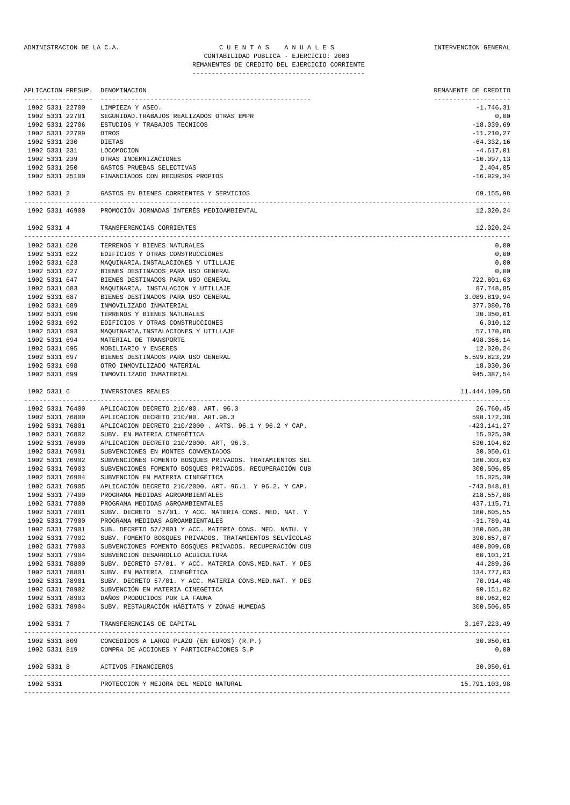## ADMINISTRACION DE LA C.A. CUENTAS ANUALES COMPUNISTRACION GENERAL CONTABILIDAD PUBLICA - EJERCICIO: 2003 REMANENTES DE CREDITO DEL EJERCICIO CORRIENTE

---------------------------------------------

|               | APLICACION PRESUP. | DENOMINACION                                             | REMANENTE DE CREDITO |
|---------------|--------------------|----------------------------------------------------------|----------------------|
|               | 1902 5331 22700    | LIMPIEZA Y ASEO.                                         | $-1.746, 31$         |
|               | 1902 5331 22701    | SEGURIDAD. TRABAJOS REALIZADOS OTRAS EMPR                | 0,00                 |
|               | 1902 5331 22706    | ESTUDIOS Y TRABAJOS TECNICOS                             | $-18.039,69$         |
|               | 1902 5331 22709    | OTROS                                                    | $-11.210,27$         |
| 1902 5331 230 |                    | <b>DIETAS</b>                                            | $-64.332,16$         |
| 1902 5331 231 |                    | LOCOMOCION                                               | $-4.617,01$          |
| 1902 5331 239 |                    | OTRAS INDEMNIZACIONES                                    | $-10.097, 13$        |
| 1902 5331 250 |                    | GASTOS PRUEBAS SELECTIVAS                                | 2.404,05             |
|               | 1902 5331 25100    | FINANCIADOS CON RECURSOS PROPIOS                         | $-16.929, 34$        |
| 1902 5331 2   |                    | GASTOS EN BIENES CORRIENTES Y SERVICIOS                  | 69.155,98            |
|               | 1902 5331 46900    | PROMOCIÓN JORNADAS INTERÉS MEDIOAMBIENTAL                | 12.020.24            |
| 1902 5331 4   |                    | TRANSFERENCIAS CORRIENTES                                | 12.020,24            |
|               | 1902 5331 620      | TERRENOS Y BIENES NATURALES                              | 0,00                 |
| 1902 5331 622 |                    | EDIFICIOS Y OTRAS CONSTRUCCIONES                         | 0,00                 |
| 1902 5331 623 |                    | MAQUINARIA, INSTALACIONES Y UTILLAJE                     | 0,00                 |
| 1902 5331 627 |                    | BIENES DESTINADOS PARA USO GENERAL                       | 0,00                 |
| 1902 5331 647 |                    | BIENES DESTINADOS PARA USO GENERAL                       | 722.801,63           |
| 1902 5331 683 |                    | MAQUINARIA, INSTALACION Y UTILLAJE                       | 87.748,85            |
| 1902 5331 687 |                    | BIENES DESTINADOS PARA USO GENERAL                       | 3.089.819,94         |
| 1902 5331 689 |                    | INMOVILIZADO INMATERIAL                                  | 377.080,78           |
| 1902 5331 690 |                    | TERRENOS Y BIENES NATURALES                              | 30.050,61            |
| 1902 5331 692 |                    | EDIFICIOS Y OTRAS CONSTRUCCIONES                         | 6.010, 12            |
| 1902 5331 693 |                    | MAQUINARIA, INSTALACIONES Y UTILLAJE                     | 57.170,08            |
| 1902 5331 694 |                    | MATERIAL DE TRANSPORTE                                   | 498.366,14           |
| 1902 5331 695 |                    | MOBILIARIO Y ENSERES                                     | 12.020,24            |
| 1902 5331 697 |                    | BIENES DESTINADOS PARA USO GENERAL                       | 5.599.623,29         |
| 1902 5331 698 |                    | OTRO INMOVILIZADO MATERIAL                               | 18.030,36            |
| 1902 5331 699 |                    | INMOVILIZADO INMATERIAL                                  | 945.387,54           |
| 1902 5331 6   |                    | INVERSIONES REALES                                       | 11.444.109,58        |
|               |                    |                                                          |                      |
|               | 1902 5331 76400    | APLICACION DECRETO 210/00. ART. 96.3                     | 26.760,45            |
|               | 1902 5331 76800    | APLICACION DECRETO 210/00. ART.96.3                      | 598.172,38           |
|               | 1902 5331 76801    | APLICACION DECRETO 210/2000 . ARTS. 96.1 Y 96.2 Y CAP.   | $-423.141, 27$       |
|               | 1902 5331 76802    | SUBV. EN MATERIA CINEGÉTICA                              | 15.025,30            |
|               | 1902 5331 76900    | APLICACION DECRETO 210/2000. ART, 96.3.                  | 530.104,62           |
|               | 1902 5331 76901    | SUBVENCIONES EN MONTES CONVENIADOS                       | 30.050,61            |
|               | 1902 5331 76902    | SUBVENCIONES FOMENTO BOSQUES PRIVADOS. TRATAMIENTOS SEL  | 180.303,63           |
|               | 1902 5331 76903    | SUBVENCIONES FOMENTO BOSQUES PRIVADOS. RECUPERACIÓN CUB  | 300.506,05           |
|               | 1902 5331 76904    | SUBVENCIÓN EN MATERIA CINEGÉTICA                         | 15.025,30            |
|               | 1902 5331 76905    | APLICACIÓN DECRETO 210/2000. ART. 96.1. Y 96.2. Y CAP.   | $-743.848,81$        |
|               | 1902 5331 77400    | PROGRAMA MEDIDAS AGROAMBIENTALES                         | 218.557,88           |
|               | 1902 5331 77800    | PROGRAMA MEDIDAS AGROAMBIENTALES                         | 437.115,71           |
|               | 1902 5331 77801    | SUBV. DECRETO 57/01. Y ACC. MATERIA CONS. MED. NAT. Y    | 180.605,55           |
|               | 1902 5331 77900    | PROGRAMA MEDIDAS AGROAMBIENTALES                         | $-31.789, 41$        |
|               | 1902 5331 77901    | SUB. DECRETO 57/2001 Y ACC. MATERIA CONS. MED. NATU. Y   | 180.605,38           |
|               | 1902 5331 77902    | SUBV. FOMENTO BOSQUES PRIVADOS. TRATAMIENTOS SELVÍCOLAS  | 390.657,87           |
|               | 1902 5331 77903    | SUBVENCIONES FOMENTO BOSQUES PRIVADOS. RECUPERACIÓN CUB  | 480.809,68           |
|               | 1902 5331 77904    | SUBVENCIÓN DESARROLLO ACUICULTURA                        | 60.101,21            |
|               | 1902 5331 78800    | SUBV. DECRETO 57/01. Y ACC. MATERIA CONS.MED.NAT. Y DES  | 44.289,36            |
|               | 1902 5331 78801    | SUBV. EN MATERIA CINEGÉTICA                              | 134.777,03           |
|               | 1902 5331 78901    | SUBV. DECRETO 57/01. Y ACC. MATERIA CONS.MED.NAT. Y DES  | 70.914,48            |
|               | 1902 5331 78902    | SUBVENCIÓN EN MATERIA CINEGÉTICA                         | 90.151,82            |
|               | 1902 5331 78903    | DAÑOS PRODUCIDOS POR LA FAUNA                            | 80.962,62            |
|               | 1902 5331 78904    | SUBV. RESTAURACIÓN HÁBITATS Y ZONAS HUMEDAS              | 300.506,05           |
|               | 1902 5331 7        | TRANSFERENCIAS DE CAPITAL                                | 3.167.223,49         |
|               |                    | 1902 5331 809 CONCEDIDOS A LARGO PLAZO (EN EUROS) (R.P.) | 30.050,61            |
|               |                    | 1902 5331 819 COMPRA DE ACCIONES Y PARTICIPACIONES S.P   | 0,00                 |
| 1902 5331 8   |                    | ACTIVOS FINANCIEROS                                      | 30.050,61            |
| 1902 5331     |                    | PROTECCION Y MEJORA DEL MEDIO NATURAL                    | 15.791.103,98        |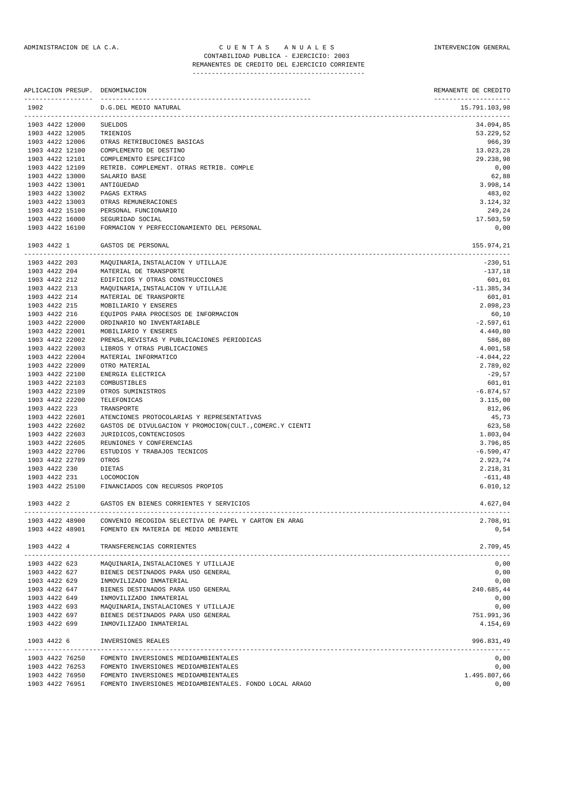## ADMINISTRACION DE LA C.A. CUENTAS ANUALES CONSTANTERVENCION GENERAL CONTABILIDAD PUBLICA - EJERCICIO: 2003

REMANENTES DE CREDITO DEL EJERCICIO CORRIENTE ---------------------------------------------

|      |               |                                    | APLICACION PRESUP. DENOMINACION                                | REMANENTE DE CREDITO                                          |
|------|---------------|------------------------------------|----------------------------------------------------------------|---------------------------------------------------------------|
| 1902 |               |                                    | D.G.DEL MEDIO NATURAL                                          | --------------------<br>15.791.103,98<br>-------------------- |
|      |               | 1903 4422 12000                    | <b>SUELDOS</b>                                                 | 34.094,85                                                     |
|      |               | 1903 4422 12005                    | TRIENIOS                                                       | 53.229,52                                                     |
|      |               | 1903 4422 12006                    | OTRAS RETRIBUCIONES BASICAS                                    | 966,39                                                        |
|      |               | 1903 4422 12100                    | COMPLEMENTO DE DESTINO                                         | 13.023,28                                                     |
|      |               | 1903 4422 12101                    | COMPLEMENTO ESPECIFICO                                         | 29.238,98                                                     |
|      |               | 1903 4422 12109                    | RETRIB. COMPLEMENT. OTRAS RETRIB. COMPLE                       | 0,00                                                          |
|      |               | 1903 4422 13000                    | SALARIO BASE                                                   | 62,88                                                         |
|      |               | 1903 4422 13001                    | ANTIGUEDAD                                                     | 3.998,14                                                      |
|      |               | 1903 4422 13002                    | PAGAS EXTRAS                                                   | 483,02                                                        |
|      |               | 1903 4422 13003                    | OTRAS REMUNERACIONES                                           | 3.124,32                                                      |
|      |               | 1903 4422 15100                    | PERSONAL FUNCIONARIO                                           | 249,24                                                        |
|      |               | 1903 4422 16000<br>1903 4422 16100 | SEGURIDAD SOCIAL<br>FORMACION Y PERFECCIONAMIENTO DEL PERSONAL | 17.503,59<br>0,00                                             |
|      | 1903 4422 1   |                                    | GASTOS DE PERSONAL                                             | 155.974,21                                                    |
|      |               | ----------------------             | -----------------------                                        | ---------                                                     |
|      | 1903 4422 203 |                                    | MAQUINARIA, INSTALACION Y UTILLAJE                             | $-230,51$                                                     |
|      | 1903 4422 204 |                                    | MATERIAL DE TRANSPORTE                                         | $-137,18$                                                     |
|      | 1903 4422 212 |                                    | EDIFICIOS Y OTRAS CONSTRUCCIONES                               | 601,01                                                        |
|      | 1903 4422 213 |                                    | MAQUINARIA, INSTALACION Y UTILLAJE                             | $-11.385,34$                                                  |
|      | 1903 4422 214 |                                    | MATERIAL DE TRANSPORTE                                         | 601,01                                                        |
|      | 1903 4422 215 |                                    | MOBILIARIO Y ENSERES                                           | 2.098,23                                                      |
|      | 1903 4422 216 |                                    | EQUIPOS PARA PROCESOS DE INFORMACION                           | 60,10                                                         |
|      |               | 1903 4422 22000                    | ORDINARIO NO INVENTARIABLE                                     | $-2.597,61$                                                   |
|      |               | 1903 4422 22001                    | MOBILIARIO Y ENSERES                                           | 4.440,80                                                      |
|      |               | 1903 4422 22002                    | PRENSA, REVISTAS Y PUBLICACIONES PERIODICAS                    | 586,80                                                        |
|      |               | 1903 4422 22003                    | LIBROS Y OTRAS PUBLICACIONES                                   | 4.001,58                                                      |
|      |               | 1903 4422 22004                    | MATERIAL INFORMATICO                                           | $-4.044, 22$                                                  |
|      |               | 1903 4422 22009                    | OTRO MATERIAL                                                  | 2.789,02                                                      |
|      |               | 1903 4422 22100                    | ENERGIA ELECTRICA                                              | $-29,57$                                                      |
|      |               | 1903 4422 22103                    | COMBUSTIBLES                                                   | 601,01                                                        |
|      |               | 1903 4422 22109                    | OTROS SUMINISTROS                                              | $-6.874,57$                                                   |
|      |               | 1903 4422 22200                    | TELEFONICAS                                                    | 3.115,00                                                      |
|      | 1903 4422 223 |                                    | TRANSPORTE                                                     | 812,06                                                        |
|      |               | 1903 4422 22601                    | ATENCIONES PROTOCOLARIAS Y REPRESENTATIVAS                     | 45,73                                                         |
|      |               | 1903 4422 22602                    | GASTOS DE DIVULGACION Y PROMOCION(CULT., COMERC.Y CIENTI       | 623,58                                                        |
|      |               | 1903 4422 22603                    | JURIDICOS, CONTENCIOSOS                                        | 1.803,04                                                      |
|      |               | 1903 4422 22605                    | REUNIONES Y CONFERENCIAS                                       | 3.796,85                                                      |
|      |               | 1903 4422 22706                    | ESTUDIOS Y TRABAJOS TECNICOS                                   | $-6.590, 47$                                                  |
|      |               | 1903 4422 22709                    | OTROS                                                          | 2.923,74                                                      |
|      | 1903 4422 230 |                                    | DIETAS                                                         | 2.218,31                                                      |
|      | 1903 4422 231 |                                    | LOCOMOCION                                                     | $-611,48$                                                     |
|      |               | 1903 4422 25100                    | FINANCIADOS CON RECURSOS PROPIOS                               | 6.010, 12                                                     |
|      | 1903 4422 2   |                                    | GASTOS EN BIENES CORRIENTES Y SERVICIOS                        | 4.627,04                                                      |
|      |               | 1903 4422 48900                    | CONVENIO RECOGIDA SELECTIVA DE PAPEL Y CARTON EN ARAG          | 2.708,91                                                      |
|      |               | 1903 4422 48901                    | FOMENTO EN MATERIA DE MEDIO AMBIENTE                           | 0,54                                                          |
|      | 1903 4422 4   |                                    | TRANSFERENCIAS CORRIENTES                                      | 2.709,45                                                      |
|      |               | 1903 4422 623                      | MAOUINARIA, INSTALACIONES Y UTILLAJE                           | 0,00                                                          |
|      |               | 1903 4422 627                      | BIENES DESTINADOS PARA USO GENERAL                             | 0,00                                                          |
|      | 1903 4422 629 |                                    | INMOVILIZADO INMATERIAL                                        | 0,00                                                          |
|      | 1903 4422 647 |                                    | BIENES DESTINADOS PARA USO GENERAL                             | 240.685,44                                                    |
|      | 1903 4422 649 |                                    | INMOVILIZADO INMATERIAL                                        | 0,00                                                          |
|      | 1903 4422 693 |                                    | MAQUINARIA, INSTALACIONES Y UTILLAJE                           | 0,00                                                          |
|      | 1903 4422 697 |                                    | BIENES DESTINADOS PARA USO GENERAL                             | 751.991,36                                                    |
|      | 1903 4422 699 |                                    | INMOVILIZADO INMATERIAL                                        | 4.154,69                                                      |
|      | 1903 4422 6   |                                    | INVERSIONES REALES                                             | 996.831,49                                                    |
|      |               | 1903 4422 76250                    | FOMENTO INVERSIONES MEDIOAMBIENTALES                           | 0,00                                                          |
|      |               | 1903 4422 76253                    | FOMENTO INVERSIONES MEDIOAMBIENTALES                           | 0,00                                                          |
|      |               | 1903 4422 76950                    | FOMENTO INVERSIONES MEDIOAMBIENTALES                           | 1.495.807,66                                                  |
|      |               | 1903 4422 76951                    | FOMENTO INVERSIONES MEDIOAMBIENTALES. FONDO LOCAL ARAGO        | 0,00                                                          |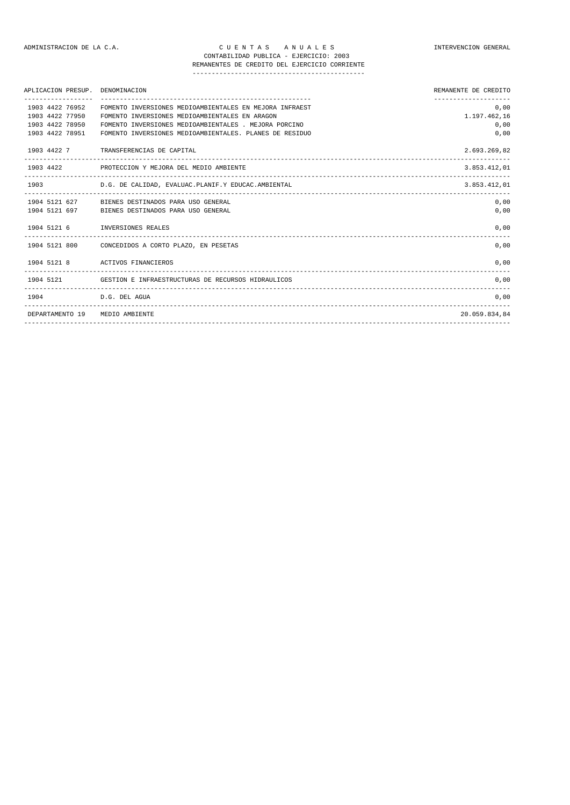## ADMINISTRACION DE LA C.A. C U E N T A S A N U A L E S INTERVENCION GENERAL CONTABILIDAD PUBLICA - EJERCICIO: 2003

# REMANENTES DE CREDITO DEL EJERCICIO CORRIENTE

---------------------------------------------

| APLICACION PRESUP. DENOMINACION                                          |                                                                                                                                                                                                                               | REMANENTE DE CREDITO                 |
|--------------------------------------------------------------------------|-------------------------------------------------------------------------------------------------------------------------------------------------------------------------------------------------------------------------------|--------------------------------------|
| 1903 4422 76952<br>1903 4422 77950<br>1903 4422 78950<br>1903 4422 78951 | FOMENTO INVERSIONES MEDIOAMBIENTALES EN MEJORA INFRAEST<br>FOMENTO INVERSIONES MEDIOAMBIENTALES EN ARAGON<br>FOMENTO INVERSIONES MEDIOAMBIENTALES . MEJORA PORCINO<br>FOMENTO INVERSIONES MEDIOAMBIENTALES. PLANES DE RESIDUO | 0,00<br>1.197.462,16<br>0,00<br>0,00 |
|                                                                          | 1903 4422 7 TRANSFERENCIAS DE CAPITAL                                                                                                                                                                                         | 2.693.269.82                         |
|                                                                          | 1903 4422 PROTECCION Y MEJORA DEL MEDIO AMBIENTE                                                                                                                                                                              | 3.853.412.01                         |
|                                                                          | 1903 D.G. DE CALIDAD, EVALUAC.PLANIF.Y EDUCAC.AMBIENTAL                                                                                                                                                                       | 3.853.412.01                         |
|                                                                          | 1904 5121 627 BIENES DESTINADOS PARA USO GENERAL<br>1904 5121 697 BIENES DESTINADOS PARA USO GENERAL                                                                                                                          | 0,00<br>0,00                         |
|                                                                          | 1904 5121 6 INVERSIONES REALES                                                                                                                                                                                                | 0,00                                 |
|                                                                          | 1904 5121 800 CONCEDIDOS A CORTO PLAZO, EN PESETAS                                                                                                                                                                            | 0,00                                 |
|                                                                          | 1904 5121 8 ACTIVOS FINANCIEROS                                                                                                                                                                                               | 0,00                                 |
|                                                                          | 1904 5121 GESTION E INFRAESTRUCTURAS DE RECURSOS HIDRAULICOS                                                                                                                                                                  | 0,00                                 |
|                                                                          | 1904 D.G. DEL AGUA                                                                                                                                                                                                            | 0,00                                 |
|                                                                          | DEPARTAMENTO 19 MEDIO AMBIENTE                                                                                                                                                                                                | 20.059.834.84                        |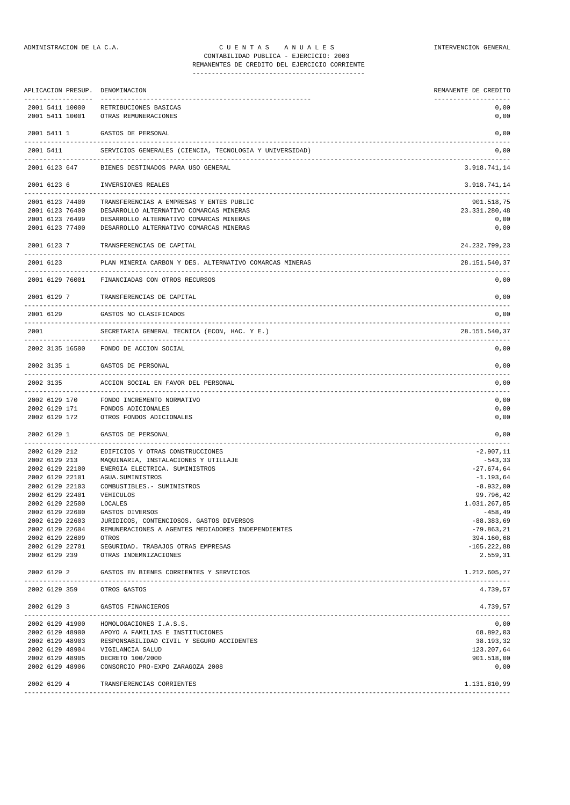|      |               | APLICACION PRESUP.                 | DENOMINACION<br>-------------------                         | REMANENTE DE CREDITO        |
|------|---------------|------------------------------------|-------------------------------------------------------------|-----------------------------|
|      |               | 2001 5411 10000<br>2001 5411 10001 | RETRIBUCIONES BASICAS<br>OTRAS REMUNERACIONES               | 0,00<br>0,00                |
|      | 2001 5411 1   |                                    | GASTOS DE PERSONAL                                          | 0,00                        |
|      | 2001 5411     |                                    | SERVICIOS GENERALES (CIENCIA, TECNOLOGIA Y UNIVERSIDAD)     | 0,00                        |
|      |               | 2001 6123 647                      | BIENES DESTINADOS PARA USO GENERAL                          | 3.918.741,14                |
|      | 2001 6123 6   |                                    | INVERSIONES REALES                                          | 3.918.741,14                |
|      |               | 2001 6123 74400                    | TRANSFERENCIAS A EMPRESAS Y ENTES PUBLIC                    | 901.518,75                  |
|      |               | 2001 6123 76400                    | DESARROLLO ALTERNATIVO COMARCAS MINERAS                     | 23.331.280,48               |
|      |               | 2001 6123 76499                    | DESARROLLO ALTERNATIVO COMARCAS MINERAS                     | 0,00                        |
|      |               | 2001 6123 77400                    | DESARROLLO ALTERNATIVO COMARCAS MINERAS                     | 0,00                        |
|      | 2001 6123 7   |                                    | TRANSFERENCIAS DE CAPITAL                                   | 24.232.799,23               |
|      | 2001 6123     |                                    | PLAN MINERIA CARBON Y DES. ALTERNATIVO COMARCAS MINERAS     | 28.151.540,37               |
|      |               | 2001 6129 76001                    | FINANCIADAS CON OTROS RECURSOS                              | 0,00                        |
|      | 2001 6129 7   |                                    | TRANSFERENCIAS DE CAPITAL                                   | 0,00                        |
|      | 2001 6129     |                                    | GASTOS NO CLASIFICADOS                                      | 0,00                        |
| 2001 |               |                                    | SECRETARIA GENERAL TECNICA (ECON, HAC. Y E.)                | 28.151.540.37               |
|      |               |                                    | 2002 3135 16500 FONDO DE ACCION SOCIAL                      | 0,00                        |
|      | 2002 3135 1   |                                    | GASTOS DE PERSONAL                                          | 0,00                        |
|      | 2002 3135     |                                    | ACCION SOCIAL EN FAVOR DEL PERSONAL                         | 0,00                        |
|      | 2002 6129 170 |                                    | FONDO INCREMENTO NORMATIVO                                  | 0,00                        |
|      | 2002 6129 171 |                                    | FONDOS ADICIONALES                                          | 0,00                        |
|      | 2002 6129 172 |                                    | OTROS FONDOS ADICIONALES                                    | 0,00                        |
|      | 2002 6129 1   |                                    | GASTOS DE PERSONAL                                          | 0,00                        |
|      | 2002 6129 212 |                                    | EDIFICIOS Y OTRAS CONSTRUCCIONES                            | $-2.907, 11$                |
|      | 2002 6129 213 |                                    | MAQUINARIA, INSTALACIONES Y UTILLAJE                        | -543,33                     |
|      |               | 2002 6129 22100                    | ENERGIA ELECTRICA. SUMINISTROS                              | $-27.674,64$                |
|      |               | 2002 6129 22101                    | AGUA. SUMINISTROS                                           | $-1.193,64$                 |
|      |               | 2002 6129 22103                    | COMBUSTIBLES. - SUMINISTROS                                 | $-8.932,00$                 |
|      |               | 2002 6129 22401                    | VEHICULOS                                                   | 99.796,42                   |
|      |               | 2002 6129 22500                    | LOCALES                                                     | 1.031.267,85                |
|      |               | 2002 6129 22600                    | GASTOS DIVERSOS                                             | -458,49                     |
|      |               | 2002 6129 22603                    | JURIDICOS, CONTENCIOSOS. GASTOS DIVERSOS                    | $-88.383,69$                |
|      |               | 2002 6129 22604<br>2002 6129 22609 | REMUNERACIONES A AGENTES MEDIADORES INDEPENDIENTES<br>OTROS | $-79.863, 21$<br>394.160,68 |
|      |               | 2002 6129 22701                    | SEGURIDAD. TRABAJOS OTRAS EMPRESAS                          | $-105.222,88$               |
|      |               | 2002 6129 239                      | OTRAS INDEMNIZACIONES                                       | 2.559,31                    |
|      | 2002 6129 2   |                                    | GASTOS EN BIENES CORRIENTES Y SERVICIOS                     | 1.212.605,27                |
|      | 2002 6129 359 |                                    | OTROS GASTOS                                                | 4.739,57                    |
|      | 2002 6129 3   |                                    | GASTOS FINANCIEROS                                          | 4.739,57                    |
|      |               | 2002 6129 41900                    | HOMOLOGACIONES I.A.S.S.                                     | 0,00                        |
|      |               |                                    | 2002 6129 48900 APOYO A FAMILIAS E INSTITUCIONES            | 68.892,03                   |
|      |               |                                    | 2002 6129 48903 RESPONSABILIDAD CIVIL Y SEGURO ACCIDENTES   | 38.193,32                   |
|      |               |                                    | 2002 6129 48904 VIGILANCIA SALUD                            | 123.207,64                  |
|      |               |                                    | 2002 6129 48905 DECRETO 100/2000                            | 901.518,00                  |
|      |               | 2002 6129 48906                    | CONSORCIO PRO-EXPO ZARAGOZA 2008                            | 0,00                        |
|      | 2002 6129 4   |                                    | TRANSFERENCIAS CORRIENTES                                   | 1.131.810,99                |
|      |               |                                    |                                                             |                             |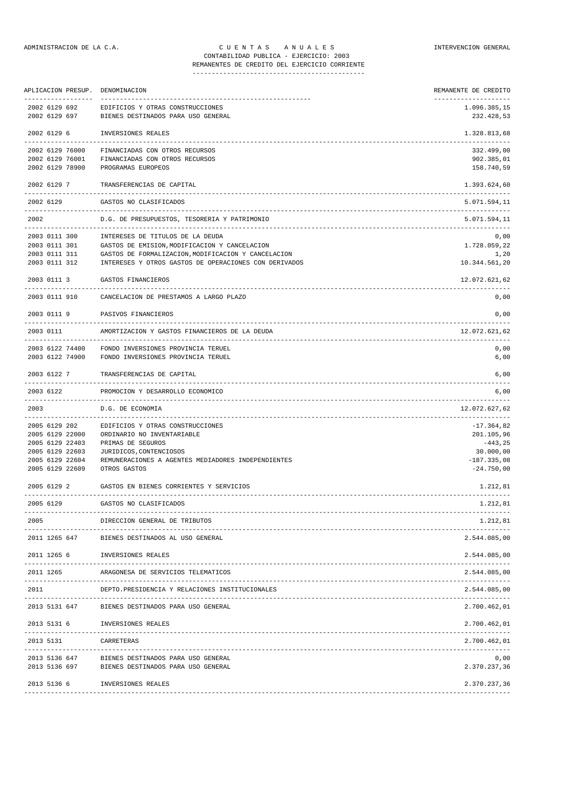| APLICACION PRESUP.                          | DENOMINACION                                                                                                       | REMANENTE DE CREDITO                       |
|---------------------------------------------|--------------------------------------------------------------------------------------------------------------------|--------------------------------------------|
| 2002 6129 692<br>2002 6129 697              | EDIFICIOS Y OTRAS CONSTRUCCIONES<br>BIENES DESTINADOS PARA USO GENERAL                                             | 1.096.385,15<br>232.428,53                 |
| 2002 6129 6                                 | INVERSIONES REALES                                                                                                 | 1.328.813,68                               |
| 2002 6129 76000                             | FINANCIADAS CON OTROS RECURSOS                                                                                     | 332.499,00                                 |
| 2002 6129 76001                             | FINANCIADAS CON OTROS RECURSOS                                                                                     | 902.385,01                                 |
| 2002 6129 78900                             | PROGRAMAS EUROPEOS                                                                                                 | 158.740,59                                 |
| 2002 6129 7                                 | TRANSFERENCIAS DE CAPITAL                                                                                          | 1.393.624,60                               |
| 2002 6129                                   | GASTOS NO CLASIFICADOS                                                                                             | 5.071.594,11                               |
| 2002                                        | D.G. DE PRESUPUESTOS, TESORERIA Y PATRIMONIO                                                                       | 5.071.594,11                               |
| 2003 0111 300                               | INTERESES DE TITULOS DE LA DEUDA                                                                                   | 0,00                                       |
| 2003 0111 311                               | 2003 0111 301 GASTOS DE EMISION, MODIFICACION Y CANCELACION<br>GASTOS DE FORMALIZACION, MODIFICACION Y CANCELACION | 1.728.059,22<br>1,20                       |
| 2003 0111 312                               | INTERESES Y OTROS GASTOS DE OPERACIONES CON DERIVADOS                                                              | 10.344.561,20                              |
|                                             | 2003 0111 3 GASTOS FINANCIEROS                                                                                     | 12.072.621,62                              |
|                                             | 2003 0111 910 CANCELACION DE PRESTAMOS A LARGO PLAZO                                                               | ________________________<br>0,00           |
|                                             | 2003 0111 9 PASIVOS FINANCIEROS                                                                                    | 0,00                                       |
| 2003 0111                                   | AMORTIZACION Y GASTOS FINANCIEROS DE LA DEUDA                                                                      | 12.072.621,62                              |
| 2003 6122 74400<br>2003 6122 74900          | FONDO INVERSIONES PROVINCIA TERUEL<br>FONDO INVERSIONES PROVINCIA TERUEL                                           | 0,00<br>6,00                               |
| 2003 6122 7                                 | TRANSFERENCIAS DE CAPITAL                                                                                          | 6,00                                       |
| 2003 6122                                   | PROMOCION Y DESARROLLO ECONOMICO                                                                                   | 6,00                                       |
| 2003                                        | D.G. DE ECONOMIA                                                                                                   | 12.072.627,62<br>. _ _ _ _ _ _ _ _ _ _ _ _ |
| 2005 6129 202                               | EDIFICIOS Y OTRAS CONSTRUCCIONES                                                                                   | $-17.364,82$                               |
| 2005 6129 22000                             | ORDINARIO NO INVENTARIABLE                                                                                         | 201.105,96                                 |
| 2005 6129 22403<br>2005 6129 22603          | PRIMAS DE SEGUROS<br>JURIDICOS, CONTENCIOSOS                                                                       | $-443, 25$<br>30.000,00                    |
| 2005 6129 22604                             | REMUNERACIONES A AGENTES MEDIADORES INDEPENDIENTES                                                                 | $-187.335,08$                              |
| 2005 6129 22609                             | OTROS GASTOS                                                                                                       | $-24.750,00$                               |
| 2005 6129 2                                 | GASTOS EN BIENES CORRIENTES Y SERVICIOS                                                                            | 1.212,81                                   |
| 2005 6129                                   | GASTOS NO CLASIFICADOS                                                                                             | 1.212,81                                   |
| 2005                                        | DIRECCION GENERAL DE TRIBUTOS                                                                                      | 1.212,81                                   |
| 2011 1265 647                               | BIENES DESTINADOS AL USO GENERAL                                                                                   | 2.544.085,00                               |
| 2011 1265 6                                 | INVERSIONES REALES                                                                                                 | 2.544.085,00                               |
| 2011 1265                                   | ARAGONESA DE SERVICIOS TELEMATICOS                                                                                 | 2.544.085,00                               |
| 2011                                        | DEPTO.PRESIDENCIA Y RELACIONES INSTITUCIONALES                                                                     | 2.544.085,00                               |
| 2013 5131 647                               | BIENES DESTINADOS PARA USO GENERAL                                                                                 | 2.700.462,01                               |
| 2013 5131 6                                 | INVERSIONES REALES<br>-------------------                                                                          | 2.700.462,01                               |
| 2013 5131<br>------------------------------ | CARRETERAS                                                                                                         | 2.700.462,01                               |
| 2013 5136 647<br>2013 5136 697              | BIENES DESTINADOS PARA USO GENERAL<br>BIENES DESTINADOS PARA USO GENERAL                                           | 0,00<br>2.370.237,36                       |

2013 5136 6 INVERSIONES REALES 2.370.237,36 -------------------------------------------------------------------------------------------------------------------------------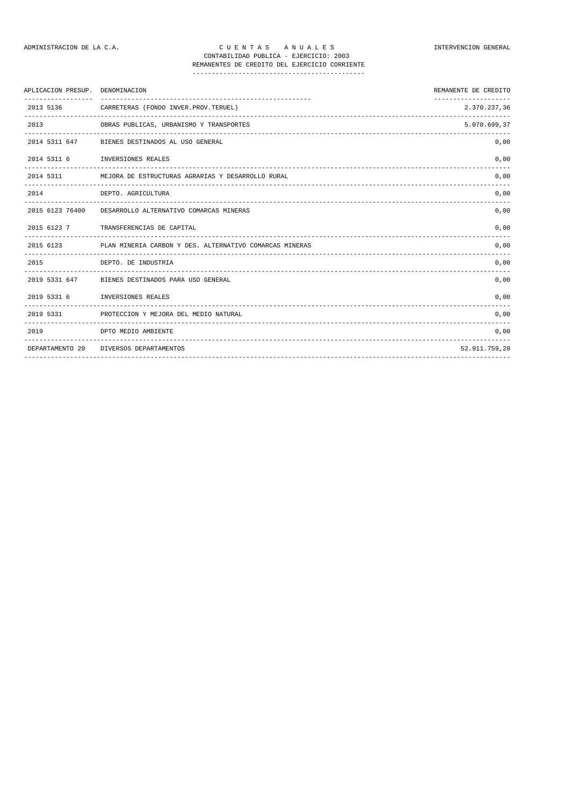| APLICACION PRESUP. DENOMINACION |                                                                                               | REMANENTE DE CREDITO |
|---------------------------------|-----------------------------------------------------------------------------------------------|----------------------|
| 2013 5136                       | CARRETERAS (FONDO INVER.PROV.TERUEL)                                                          | 2.370.237,36         |
| 2013                            | OBRAS PUBLICAS, URBANISMO Y TRANSPORTES                                                       | 5.070.699,37         |
|                                 | 2014 5311 647 BIENES DESTINADOS AL USO GENERAL                                                | 0,00                 |
|                                 | 2014 5311 6 INVERSIONES REALES                                                                | 0,00                 |
| . <u>.</u>                      | 2014 5311 MEJORA DE ESTRUCTURAS AGRARIAS Y DESARROLLO RURAL                                   | 0,00                 |
| 2014                            | DEPTO. AGRICULTURA                                                                            | 0.00                 |
|                                 | __________________________________<br>2015 6123 76400 DESARROLLO ALTERNATIVO COMARCAS MINERAS | 0,00                 |
|                                 | 2015 6123 7 TRANSFERENCIAS DE CAPITAL                                                         | 0,00                 |
|                                 | 2015 6123 PLAN MINERIA CARBON Y DES. ALTERNATIVO COMARCAS MINERAS                             | 0,00                 |
| 2015                            | DEPTO. DE INDUSTRIA                                                                           | 0,00                 |
|                                 | 2019 5331 647 BIENES DESTINADOS PARA USO GENERAL                                              | 0,00                 |
| 2019 5331 6                     | INVERSIONES REALES                                                                            | 0,00                 |
|                                 | 2019 5331 PROTECCION Y MEJORA DEL MEDIO NATURAL                                               | 0.00                 |
| 2019                            | DPTO MEDIO AMBIENTE                                                                           | 0,00                 |
|                                 | DEPARTAMENTO 20 DIVERSOS DEPARTAMENTOS                                                        | 52.911.759,28        |

-------------------------------------------------------------------------------------------------------------------------------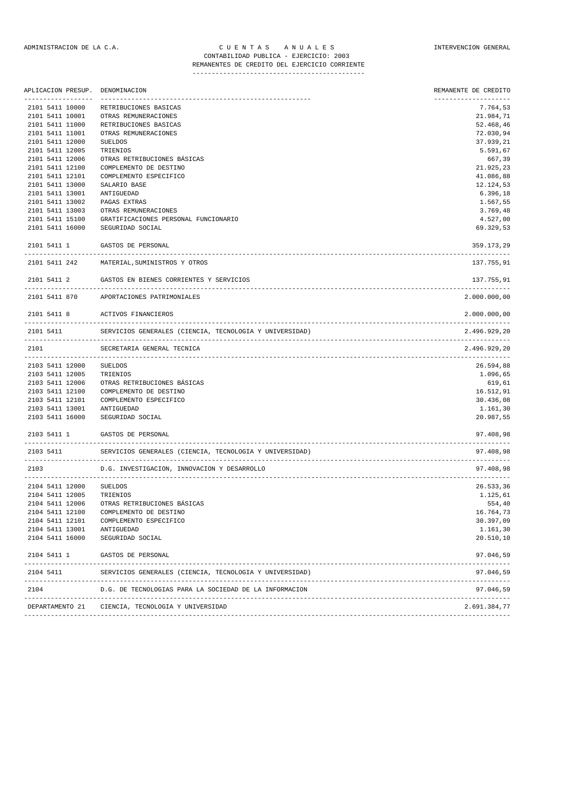| ------------------- | APLICACION PRESUP. DENOMINACION<br>--------------------------------- | REMANENTE DE CREDITO<br>------------------ |
|---------------------|----------------------------------------------------------------------|--------------------------------------------|
| 2101 5411 10000     | RETRIBUCIONES BASICAS                                                | 7.764,53                                   |
| 2101 5411 10001     | OTRAS REMUNERACIONES                                                 | 21.984,71                                  |
| 2101 5411 11000     | RETRIBUCIONES BASICAS                                                | 52.468,46                                  |
| 2101 5411 11001     | OTRAS REMUNERACIONES                                                 | 72.030,94                                  |
| 2101 5411 12000     | <b>SUELDOS</b>                                                       | 37.939,21                                  |
| 2101 5411 12005     | TRIENIOS                                                             | 5.591,67                                   |
| 2101 5411 12006     | OTRAS RETRIBUCIONES BÁSICAS                                          | 667,39                                     |
| 2101 5411 12100     | COMPLEMENTO DE DESTINO                                               | 21.925,23                                  |
| 2101 5411 12101     | COMPLEMENTO ESPECIFICO                                               | 41.086,88                                  |
| 2101 5411 13000     | SALARIO BASE                                                         | 12.124,53                                  |
| 2101 5411 13001     | ANTIGUEDAD                                                           | 6.396,18                                   |
| 2101 5411 13002     | PAGAS EXTRAS                                                         | 1.567,55                                   |
| 2101 5411 13003     | OTRAS REMUNERACIONES                                                 | 3.769,48                                   |
| 2101 5411 15100     | GRATIFICACIONES PERSONAL FUNCIONARIO                                 | 4.527,00                                   |
| 2101 5411 16000     | SEGURIDAD SOCIAL                                                     | 69.329,53                                  |
| 2101 5411 1         | GASTOS DE PERSONAL                                                   | 359.173,29                                 |
| 2101 5411 242       | MATERIAL, SUMINISTROS Y OTROS                                        | 137.755,91                                 |
| 2101 5411 2         | GASTOS EN BIENES CORRIENTES Y SERVICIOS                              | 137.755,91                                 |
| 2101 5411 870       | APORTACIONES PATRIMONIALES                                           | 2.000.000,00                               |
| 2101 5411 8         | ACTIVOS FINANCIEROS<br>________________________________              | 2.000.000,00                               |
| 2101 5411           | SERVICIOS GENERALES (CIENCIA, TECNOLOGIA Y UNIVERSIDAD)              | 2.496.929,20                               |
| 2101                | SECRETARIA GENERAL TECNICA                                           | 2.496.929,20<br>-------------------        |
| 2103 5411 12000     | SUELDOS                                                              | 26.594,88                                  |
| 2103 5411 12005     | TRIENIOS                                                             | 1.096,65                                   |
| 2103 5411 12006     | OTRAS RETRIBUCIONES BÁSICAS                                          | 619,61                                     |
| 2103 5411 12100     | COMPLEMENTO DE DESTINO                                               | 16.512,91                                  |
| 2103 5411 12101     | COMPLEMENTO ESPECIFICO                                               | 30.436,08                                  |
| 2103 5411 13001     | ANTIGUEDAD                                                           | 1.161,30                                   |
| 2103 5411 16000     | SEGURIDAD SOCIAL                                                     | 20.987,55                                  |
| 2103 5411 1         | GASTOS DE PERSONAL                                                   | 97.408,98                                  |
| 2103 5411           | SERVICIOS GENERALES (CIENCIA, TECNOLOGIA Y UNIVERSIDAD)              | 97.408.98                                  |
| 2103                | D.G. INVESTIGACION, INNOVACION Y DESARROLLO                          | 97.408.98                                  |
| 2104 5411 12000     | SUELDOS                                                              | 26.533,36                                  |
| 2104 5411 12005     | TRIENIOS                                                             | 1.125,61                                   |
|                     | 2104 5411 12006 OTRAS RETRIBUCIONES BÁSICAS                          | 554,40                                     |
| 2104 5411 12100     | COMPLEMENTO DE DESTINO                                               | 16.764,73                                  |
| 2104 5411 12101     | COMPLEMENTO ESPECIFICO                                               | 30.397,09                                  |
| 2104 5411 13001     | ANTIGUEDAD                                                           | 1.161,30                                   |
| 2104 5411 16000     | SEGURIDAD SOCIAL                                                     | 20.510,10                                  |
| 2104 5411 1         | GASTOS DE PERSONAL                                                   | 97.046,59                                  |
| 2104 5411           | SERVICIOS GENERALES (CIENCIA, TECNOLOGIA Y UNIVERSIDAD)              | 97.046,59                                  |
| 2104                | D.G. DE TECNOLOGIAS PARA LA SOCIEDAD DE LA INFORMACION               | 97.046,59                                  |

------------------------------------------------------------------------------------------------------------------------------- DEPARTAMENTO 21 CIENCIA, TECNOLOGIA Y UNIVERSIDAD 2.691.384,77 -------------------------------------------------------------------------------------------------------------------------------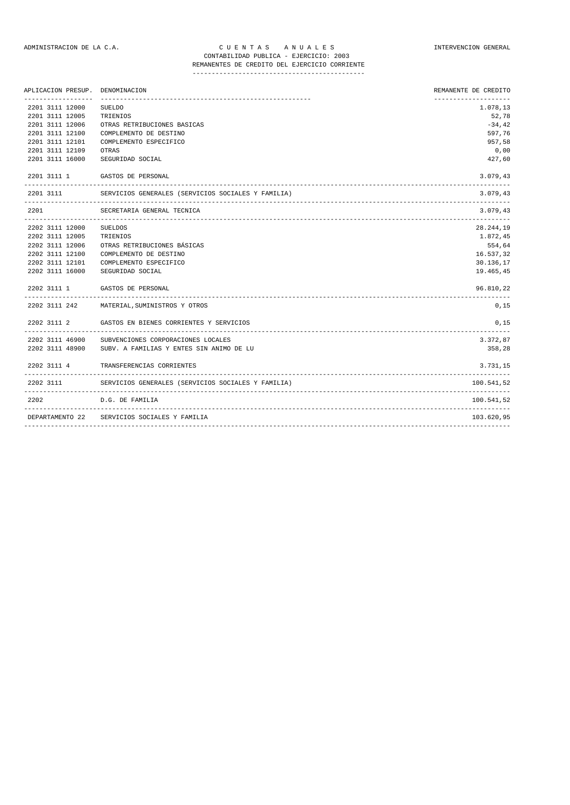## ADMINISTRACION DE LA C.A. CUENTAS ANUALES CONSTANTERVENCION GENERAL CONTABILIDAD PUBLICA - EJERCICIO: 2003

REMANENTES DE CREDITO DEL EJERCICIO CORRIENTE ---------------------------------------------

| APLICACION PRESUP.                           | DENOMINACION                                       | REMANENTE DE CREDITO |
|----------------------------------------------|----------------------------------------------------|----------------------|
| 2201 3111 12000                              | <b>SUELDO</b>                                      | 1.078,13             |
| 2201 3111 12005                              | TRIENIOS                                           | 52,78                |
| 2201 3111 12006                              | OTRAS RETRIBUCIONES BASICAS                        | $-34, 42$            |
| 2201 3111 12100                              | COMPLEMENTO DE DESTINO                             | 597,76               |
| 2201 3111 12101                              | COMPLEMENTO ESPECIFICO                             | 957,58               |
| 2201 3111 12109                              | OTRAS                                              | 0,00                 |
| 2201 3111 16000                              | SEGURIDAD SOCIAL                                   | 427,60               |
| 2201 3111 1                                  | GASTOS DE PERSONAL                                 | 3.079,43             |
| 2201 3111                                    | SERVICIOS GENERALES (SERVICIOS SOCIALES Y FAMILIA) | 3.079,43             |
| 2201                                         | SECRETARIA GENERAL TECNICA                         | 3.079,43             |
| 2202 3111 12000                              | <b>SUELDOS</b>                                     | 28.244,19            |
| 2202 3111 12005                              | TRIENIOS                                           | 1.872,45             |
| 2202 3111 12006                              | OTRAS RETRIBUCIONES BÁSICAS                        | 554,64               |
| 2202 3111 12100                              | COMPLEMENTO DE DESTINO                             | 16.537,32            |
| 2202 3111 12101                              | COMPLEMENTO ESPECIFICO                             | 30.136,17            |
| 2202 3111 16000                              | SEGURIDAD SOCIAL                                   | 19.465,45            |
| 2202 3111 1                                  | GASTOS DE PERSONAL                                 | 96.810,22            |
|                                              | 2202 3111 242 MATERIAL, SUMINISTROS Y OTROS        | 0,15                 |
| 2202 3111 2                                  | GASTOS EN BIENES CORRIENTES Y SERVICIOS            | 0,15<br>---------    |
| 2202 3111 46900                              | SUBVENCIONES CORPORACIONES LOCALES                 | 3.372,87             |
| 2202 3111 48900                              | SUBV. A FAMILIAS Y ENTES SIN ANIMO DE LU           | 358,28               |
| 2202 3111 4                                  | TRANSFERENCIAS CORRIENTES                          | 3.731.15             |
| 2202 3111<br>------------------------------- | SERVICIOS GENERALES (SERVICIOS SOCIALES Y FAMILIA) | 100.541.52           |
| 2202                                         | D.G. DE FAMILIA                                    | 100.541.52           |
| DEPARTAMENTO 22                              | SERVICIOS SOCIALES Y FAMILIA                       | 103.620,95           |
|                                              |                                                    |                      |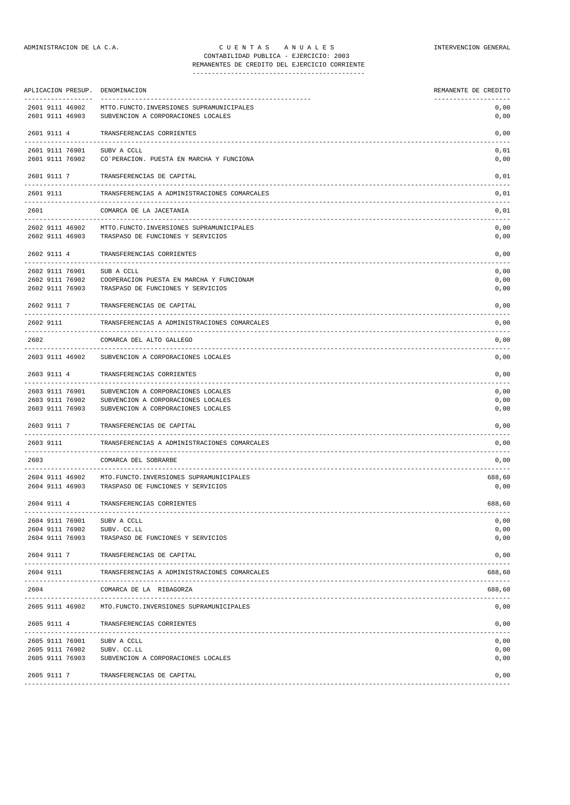| APLICACION PRESUP. DENOMINACION                         |                                                                                               | REMANENTE DE CREDITO                 |
|---------------------------------------------------------|-----------------------------------------------------------------------------------------------|--------------------------------------|
| -----------------<br>2601 9111 46902<br>2601 9111 46903 | MTTO.FUNCTO.INVERSIONES SUPRAMUNICIPALES<br>SUBVENCION A CORPORACIONES LOCALES                | --------------------<br>0,00<br>0,00 |
| 2601 9111 4                                             | TRANSFERENCIAS CORRIENTES                                                                     | 0,00                                 |
| 2601 9111 76901<br>2601 9111 76902                      | SUBV A CCLL<br>CO`PERACION. PUESTA EN MARCHA Y FUNCIONA                                       | 0,01<br>0,00                         |
| 2601 9111 7                                             | TRANSFERENCIAS DE CAPITAL                                                                     | 0,01                                 |
| 2601 9111                                               | TRANSFERENCIAS A ADMINISTRACIONES COMARCALES                                                  | 0,01                                 |
| 2601                                                    | COMARCA DE LA JACETANIA                                                                       | ------<br>0,01                       |
| 2602 9111 46903                                         | 2602 9111 46902 MTTO.FUNCTO.INVERSIONES SUPRAMUNICIPALES<br>TRASPASO DE FUNCIONES Y SERVICIOS | 0,00<br>0,00                         |
| 2602 9111 4                                             | TRANSFERENCIAS CORRIENTES                                                                     | 0,00                                 |
| 2602 9111 76901                                         | SUB A CCLL                                                                                    | 0,00                                 |
| 2602 9111 76902                                         | COOPERACION PUESTA EN MARCHA Y FUNCIONAM                                                      | 0,00                                 |
| 2602 9111 76903                                         | TRASPASO DE FUNCIONES Y SERVICIOS                                                             | 0,00                                 |
| 2602 9111 7                                             | TRANSFERENCIAS DE CAPITAL                                                                     | 0,00                                 |
| 2602 9111                                               | TRANSFERENCIAS A ADMINISTRACIONES COMARCALES                                                  | 0,00                                 |
| 2602                                                    | COMARCA DEL ALTO GALLEGO                                                                      | 0,00                                 |
| 2603 9111 46902                                         | SUBVENCION A CORPORACIONES LOCALES                                                            | 0,00                                 |
| 2603 9111 4<br>--------------                           | TRANSFERENCIAS CORRIENTES<br>---------------------------------                                | 0,00                                 |
| 2603 9111 76901                                         | SUBVENCION A CORPORACIONES LOCALES                                                            | 0,00                                 |
| 2603 9111 76902                                         | SUBVENCION A CORPORACIONES LOCALES                                                            | 0,00                                 |
| 2603 9111 76903                                         | SUBVENCION A CORPORACIONES LOCALES                                                            | 0,00                                 |
| 2603 9111 7                                             | TRANSFERENCIAS DE CAPITAL<br>----------------------------------                               | 0,00                                 |
| 2603 9111                                               | TRANSFERENCIAS A ADMINISTRACIONES COMARCALES                                                  | 0,00                                 |
| 2603                                                    | COMARCA DEL SOBRARBE                                                                          | 0,00                                 |
| 2604 9111 46902                                         | MTO. FUNCTO. INVERSIONES SUPRAMUNICIPALES                                                     | 688,60                               |
| 2604 9111 46903                                         | TRASPASO DE FUNCIONES Y SERVICIOS                                                             | 0,00                                 |
| 2604 9111 4                                             | TRANSFERENCIAS CORRIENTES                                                                     | 688,60                               |
| 2604 9111 76901 SUBV A CCLL                             |                                                                                               | 0,00                                 |
| 2604 9111 76902 SUBV. CC.LL                             |                                                                                               | 0,00                                 |
| 2604 9111 76903                                         | TRASPASO DE FUNCIONES Y SERVICIOS                                                             | 0,00                                 |
| 2604 9111 7                                             | TRANSFERENCIAS DE CAPITAL                                                                     | 0,00                                 |
| 2604 9111                                               | TRANSFERENCIAS A ADMINISTRACIONES COMARCALES                                                  | 688,60                               |
| 2604                                                    | COMARCA DE LA RIBAGORZA                                                                       | 688,60                               |
| 2605 9111 46902                                         | MTO. FUNCTO. INVERSIONES SUPRAMUNICIPALES                                                     | 0,00                                 |
| 2605 9111 4                                             | TRANSFERENCIAS CORRIENTES                                                                     | 0,00                                 |

------------------------------------------------------------------------------------------------------------------------------- 2605 9111 76901 SUBV A CCLL 0,00 2605 9111 76902 SUBV. CC.LL 0,00 2605 9111 76903 SUBVENCION A CORPORACIONES LOCALES 0,00 2605 9111 7 TRANSFERENCIAS DE CAPITAL 0,00 -------------------------------------------------------------------------------------------------------------------------------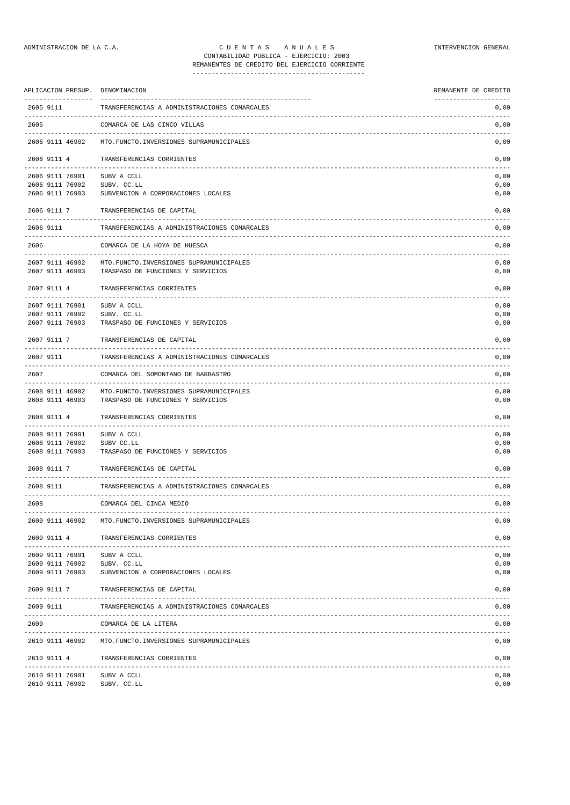## ADMINISTRACION DE LA C.A. C U E N T A S A N U A L E S INTERVENCION GENERAL CONTABILIDAD PUBLICA - EJERCICIO: 2003

## REMANENTES DE CREDITO DEL EJERCICIO CORRIENTE ---------------------------------------------

| APLICACION PRESUP. DENOMINACION    |                                                 | REMANENTE DE CREDITO |
|------------------------------------|-------------------------------------------------|----------------------|
| 2605 9111                          | TRANSFERENCIAS A ADMINISTRACIONES COMARCALES    | 0,00                 |
| 2605                               | COMARCA DE LAS CINCO VILLAS                     | 0,00                 |
| 2606 9111 46902                    | MTO. FUNCTO. INVERSIONES SUPRAMUNICIPALES       | 0,00                 |
| 2606 9111 4                        | TRANSFERENCIAS CORRIENTES                       | 0,00                 |
| 2606 9111 76901                    | SUBV A CCLL                                     | 0,00                 |
| 2606 9111 76902                    | SUBV. CC.LL                                     | 0,00                 |
| 2606 9111 76903                    | SUBVENCION A CORPORACIONES LOCALES              | 0,00                 |
| 2606 9111 7                        | TRANSFERENCIAS DE CAPITAL                       | 0,00                 |
| 2606 9111<br>-------               | TRANSFERENCIAS A ADMINISTRACIONES COMARCALES    | 0,00<br>-------      |
| 2606                               | COMARCA DE LA HOYA DE HUESCA                    | 0,00<br>-----        |
| 2607 9111 46902                    | MTO. FUNCTO. INVERSIONES SUPRAMUNICIPALES       | 0,00                 |
| 2607 9111 46903                    | TRASPASO DE FUNCIONES Y SERVICIOS               | 0,00                 |
|                                    |                                                 |                      |
| 2607 9111 4<br>----------          | TRANSFERENCIAS CORRIENTES                       | 0,00                 |
| 2607 9111 76901                    | SUBV A CCLL                                     | 0,00                 |
| 2607 9111 76902                    | SUBV. CC.LL                                     | 0,00                 |
| 2607 9111 76903                    | TRASPASO DE FUNCIONES Y SERVICIOS               | 0,00                 |
| 2607 9111 7                        | TRANSFERENCIAS DE CAPITAL                       | 0,00                 |
| 2607 9111                          | TRANSFERENCIAS A ADMINISTRACIONES COMARCALES    | 0,00                 |
| 2607                               | COMARCA DEL SOMONTANO DE BARBASTRO              | 0,00                 |
| 2608 9111 46902                    | MTO. FUNCTO. INVERSIONES SUPRAMUNICIPALES       | 0,00                 |
| 2608 9111 46903                    | TRASPASO DE FUNCIONES Y SERVICIOS               | 0,00                 |
| 2608 9111 4                        | TRANSFERENCIAS CORRIENTES                       | 0,00                 |
|                                    |                                                 |                      |
| 2608 9111 76901                    | SUBV A CCLL                                     | 0,00                 |
| 2608 9111 76902<br>2608 9111 76903 | SUBV CC.LL<br>TRASPASO DE FUNCIONES Y SERVICIOS | 0,00<br>0,00         |
|                                    |                                                 |                      |
| 2608 9111 7                        | TRANSFERENCIAS DE CAPITAL                       | 0,00                 |
| 2608 9111                          | TRANSFERENCIAS A ADMINISTRACIONES COMARCALES    | 0,00                 |
| 2608                               | COMARCA DEL CINCA MEDIO                         | 0,00                 |
| 2609 9111 46902                    | MTO. FUNCTO. INVERSIONES SUPRAMUNICIPALES       | 0,00                 |
| 2609 9111 4                        | TRANSFERENCIAS CORRIENTES                       | 0,00                 |
| 2609 9111 76901                    | SUBV A CCLL                                     | 0,00                 |
| 2609 9111 76902                    | SUBV. CC.LL                                     | 0,00                 |
| 2609 9111 76903                    | SUBVENCION A CORPORACIONES LOCALES              | 0,00                 |
| 2609 9111 7                        | TRANSFERENCIAS DE CAPITAL                       | 0,00                 |
| 2609 9111                          | TRANSFERENCIAS A ADMINISTRACIONES COMARCALES    | 0,00                 |
| 2609                               | COMARCA DE LA LITERA                            | 0,00                 |
| 2610 9111 46902                    | MTO. FUNCTO. INVERSIONES SUPRAMUNICIPALES       | 0,00                 |
| 2610 9111 4                        | TRANSFERENCIAS CORRIENTES                       | 0,00                 |
| 2610 9111 76901                    | SUBV A CCLL                                     | 0,00                 |
| 2610 9111 76902                    | SUBV. CC.LL                                     | 0,00                 |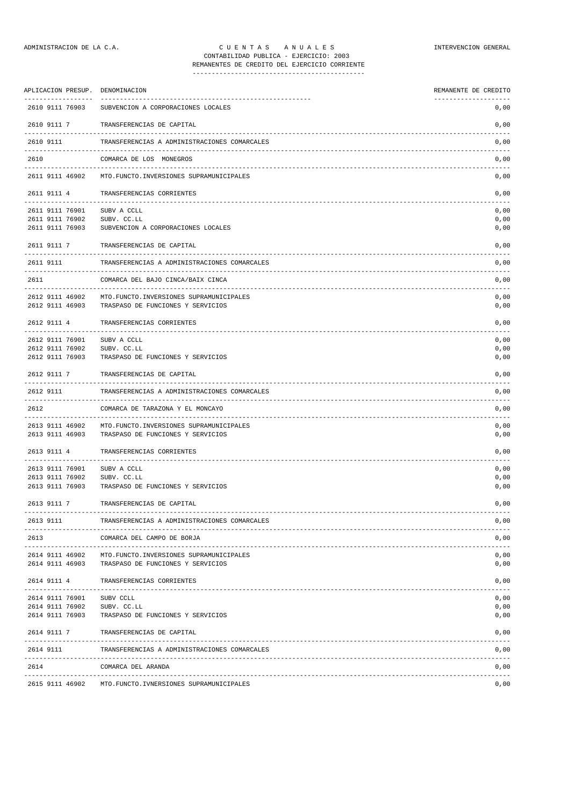## ADMINISTRACION DE LA C.A. CUENTAS ANUALES CONSTANTERVENCION GENERAL CONTABILIDAD PUBLICA - EJERCICIO: 2003 REMANENTES DE CREDITO DEL EJERCICIO CORRIENTE

| APLICACION PRESUP. DENOMINACION                       |                                                                                        | REMANENTE DE CREDITO<br>-------------------- |
|-------------------------------------------------------|----------------------------------------------------------------------------------------|----------------------------------------------|
| 2610 9111 76903                                       | SUBVENCION A CORPORACIONES LOCALES                                                     | 0,00                                         |
| 2610 9111 7                                           | TRANSFERENCIAS DE CAPITAL                                                              | 0,00                                         |
| 2610 9111                                             | TRANSFERENCIAS A ADMINISTRACIONES COMARCALES                                           | 0,00                                         |
| 2610                                                  | COMARCA DE LOS MONEGROS                                                                | 0,00                                         |
| 2611 9111 46902                                       | MTO. FUNCTO. INVERSIONES SUPRAMUNICIPALES                                              | 0,00                                         |
| 2611 9111 4<br>-------                                | TRANSFERENCIAS CORRIENTES                                                              | 0,00                                         |
| 2611 9111 76901<br>2611 9111 76902<br>2611 9111 76903 | SUBV A CCLL<br>SUBV. CC.LL<br>SUBVENCION A CORPORACIONES LOCALES                       | 0,00<br>0,00<br>0,00                         |
| 2611 9111 7                                           | TRANSFERENCIAS DE CAPITAL                                                              | 0,00                                         |
| 2611 9111                                             | TRANSFERENCIAS A ADMINISTRACIONES COMARCALES                                           | 0,00                                         |
| 2611                                                  | COMARCA DEL BAJO CINCA/BAIX CINCA                                                      | 0,00<br>---------                            |
| 2612 9111 46902<br>2612 9111 46903                    | MTO. FUNCTO. INVERSIONES SUPRAMUNICIPALES<br>TRASPASO DE FUNCIONES Y SERVICIOS         | 0,00<br>0,00                                 |
| 2612 9111 4                                           | TRANSFERENCIAS CORRIENTES                                                              | 0,00                                         |
| 2612 9111 76901<br>2612 9111 76902<br>2612 9111 76903 | SUBV A CCLL<br>SUBV. CC.LL<br>TRASPASO DE FUNCIONES Y SERVICIOS                        | 0,00<br>0,00<br>0,00                         |
| 2612 9111 7                                           | TRANSFERENCIAS DE CAPITAL                                                              | 0,00                                         |
| 2612 9111                                             | --------------------------------------<br>TRANSFERENCIAS A ADMINISTRACIONES COMARCALES | 0,00                                         |
| 2612                                                  | COMARCA DE TARAZONA Y EL MONCAYO                                                       | 0,00                                         |
| 2613 9111 46902<br>2613 9111 46903                    | MTO. FUNCTO. INVERSIONES SUPRAMUNICIPALES<br>TRASPASO DE FUNCIONES Y SERVICIOS         | 0,00<br>0,00                                 |
| 2613 9111 4<br>--------------------------------       | TRANSFERENCIAS CORRIENTES                                                              | 0,00<br>------                               |
| 2613 9111 76901                                       | SUBV A CCLL                                                                            | 0,00                                         |
| 2613 9111 76902<br>2613 9111 76903                    | SUBV. CC.LL<br>TRASPASO DE FUNCIONES Y SERVICIOS                                       | 0,00<br>0,00                                 |
| 2613 9111 7                                           | TRANSFERENCIAS DE CAPITAL                                                              | 0,00                                         |
| 2613 9111                                             | TRANSFERENCIAS A ADMINISTRACIONES COMARCALES                                           | 0,00                                         |
| 2613                                                  | COMARCA DEL CAMPO DE BORJA                                                             | 0,00                                         |
| 2614 9111 46902<br>2614 9111 46903                    | MTO. FUNCTO. INVERSIONES SUPRAMUNICIPALES<br>TRASPASO DE FUNCIONES Y SERVICIOS         | 0,00<br>0,00                                 |
| 2614 9111 4                                           | TRANSFERENCIAS CORRIENTES                                                              | 0,00                                         |
| 2614 9111 76901<br>2614 9111 76902<br>2614 9111 76903 | SUBV CCLL<br>SUBV. CC.LL<br>TRASPASO DE FUNCIONES Y SERVICIOS                          | 0,00<br>0,00<br>0,00                         |
| 2614 9111 7                                           | TRANSFERENCIAS DE CAPITAL                                                              | 0,00                                         |
|                                                       |                                                                                        |                                              |

2614 9111 TRANSFERENCIAS A ADMINISTRACIONES COMARCALES 0,00 ------------------------------------------------------------------------------------------------------------------------------- 2614 COMARCA DEL ARANDA 0,00

------------------------------------------------------------------------------------------------------------------------------- 2615 9111 46902 MTO.FUNCTO.IVNERSIONES SUPRAMUNICIPALES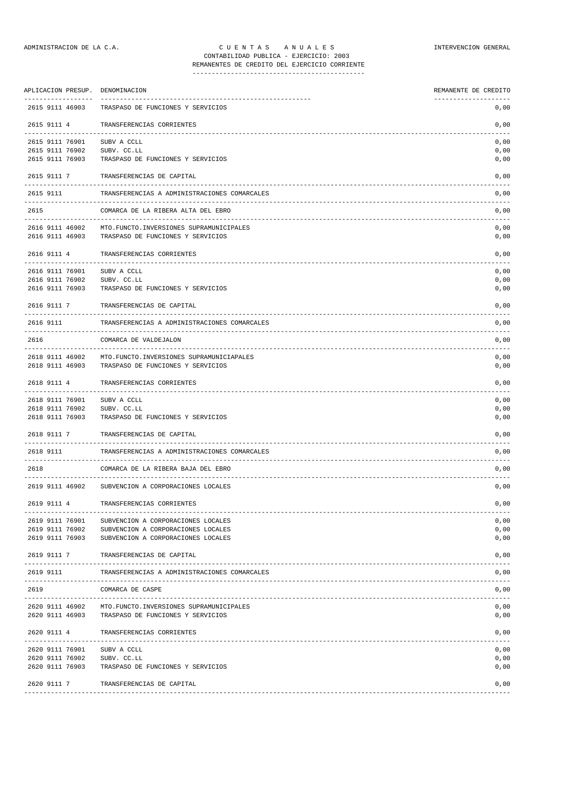## ADMINISTRACION DE LA C.A. C U E N T A S A N U A L E S INTERVENCION GENERAL CONTABILIDAD PUBLICA - EJERCICIO: 2003 REMANENTES DE CREDITO DEL EJERCICIO CORRIENTE

| APLICACION PRESUP. DENOMINACION    |                                                                                 | REMANENTE DE CREDITO |
|------------------------------------|---------------------------------------------------------------------------------|----------------------|
| 2615 9111 46903                    | TRASPASO DE FUNCIONES Y SERVICIOS                                               | 0,00                 |
| 2615 9111 4                        | TRANSFERENCIAS CORRIENTES                                                       | 0,00                 |
| 2615 9111 76901                    | SUBV A CCLL                                                                     | 0,00                 |
| 2615 9111 76902<br>2615 9111 76903 | SUBV. CC.LL<br>TRASPASO DE FUNCIONES Y SERVICIOS                                | 0,00<br>0,00         |
| 2615 9111 7                        | TRANSFERENCIAS DE CAPITAL                                                       | 0,00                 |
| 2615 9111                          | TRANSFERENCIAS A ADMINISTRACIONES COMARCALES                                    | 0,00                 |
| 2615                               | COMARCA DE LA RIBERA ALTA DEL EBRO                                              | 0,00                 |
| 2616 9111 46902                    | MTO. FUNCTO. INVERSIONES SUPRAMUNICIPALES                                       | -------<br>0,00      |
| 2616 9111 46903                    | TRASPASO DE FUNCIONES Y SERVICIOS                                               | 0,00                 |
| 2616 9111 4                        | TRANSFERENCIAS CORRIENTES                                                       | 0,00                 |
| 2616 9111 76901                    | SUBV A CCLL                                                                     | 0,00                 |
| 2616 9111 76902<br>2616 9111 76903 | SUBV. CC.LL<br>TRASPASO DE FUNCIONES Y SERVICIOS                                | 0,00<br>0,00         |
| 2616 9111 7                        | TRANSFERENCIAS DE CAPITAL                                                       | 0,00                 |
| 2616 9111                          | TRANSFERENCIAS A ADMINISTRACIONES COMARCALES                                    | 0,00                 |
| 2616                               | COMARCA DE VALDEJALON                                                           | 0,00                 |
| 2618 9111 46902<br>2618 9111 46903 | MTO. FUNCTO. INVERSIONES SUPRAMUNICIAPALES<br>TRASPASO DE FUNCIONES Y SERVICIOS | 0,00<br>0,00         |
| 2618 9111 4                        | TRANSFERENCIAS CORRIENTES                                                       | 0,00                 |
|                                    |                                                                                 |                      |
| 2618 9111 76901<br>2618 9111 76902 | SUBV A CCLL<br>SUBV. CC.LL                                                      | 0,00<br>0,00         |
| 2618 9111 76903                    | TRASPASO DE FUNCIONES Y SERVICIOS                                               | 0,00                 |
| 2618 9111 7<br>--------            | TRANSFERENCIAS DE CAPITAL                                                       | 0,00                 |
| 2618 9111                          | TRANSFERENCIAS A ADMINISTRACIONES COMARCALES                                    | 0,00                 |
| 2618                               | COMARCA DE LA RIBERA BAJA DEL EBRO                                              | 0,00                 |
|                                    | 2619 9111 46902 SUBVENCION A CORPORACIONES LOCALES                              | 0,00                 |
| 2619 9111 4                        | TRANSFERENCIAS CORRIENTES                                                       | 0,00                 |
| 2619 9111 76901                    | SUBVENCION A CORPORACIONES LOCALES                                              | 0,00                 |
| 2619 9111 76902                    | SUBVENCION A CORPORACIONES LOCALES                                              | 0,00                 |
| 2619 9111 76903                    | SUBVENCION A CORPORACIONES LOCALES                                              | 0,00                 |
| 2619 9111 7                        | TRANSFERENCIAS DE CAPITAL                                                       | 0,00                 |
| 2619 9111                          | TRANSFERENCIAS A ADMINISTRACIONES COMARCALES                                    | 0,00                 |
| 2619                               | COMARCA DE CASPE                                                                | 0,00                 |
|                                    | 2620 9111 46902 MTO. FUNCTO. INVERSIONES SUPRAMUNICIPALES                       | 0,00                 |
| 2620 9111 46903                    | TRASPASO DE FUNCIONES Y SERVICIOS                                               | 0,00                 |
|                                    |                                                                                 |                      |

|                                                       | 2619 9111 7 TRANSFERENCIAS DE CAPITAL                                        | 0,00                 |
|-------------------------------------------------------|------------------------------------------------------------------------------|----------------------|
|                                                       | 2619 9111 TRANSFERENCIAS A ADMINISTRACIONES COMARCALES                       | 0,00                 |
| 2619                                                  | COMARCA DE CASPE                                                             | 0,00                 |
| 2620 9111 46902<br>2620 9111 46903                    | MTO.FUNCTO.INVERSIONES SUPRAMUNICIPALES<br>TRASPASO DE FUNCIONES Y SERVICIOS | 0.00<br>0.00         |
|                                                       | 2620 9111 4 TRANSFERENCIAS CORRIENTES                                        | 0,00                 |
| 2620 9111 76901<br>2620 9111 76902<br>2620 9111 76903 | SUBV A CCLL<br>SUBV. CC.LL<br>TRASPASO DE FUNCIONES Y SERVICIOS              | 0.00<br>0,00<br>0,00 |
|                                                       | 2620 9111 7 TRANSFERENCIAS DE CAPITAL                                        | 0,00                 |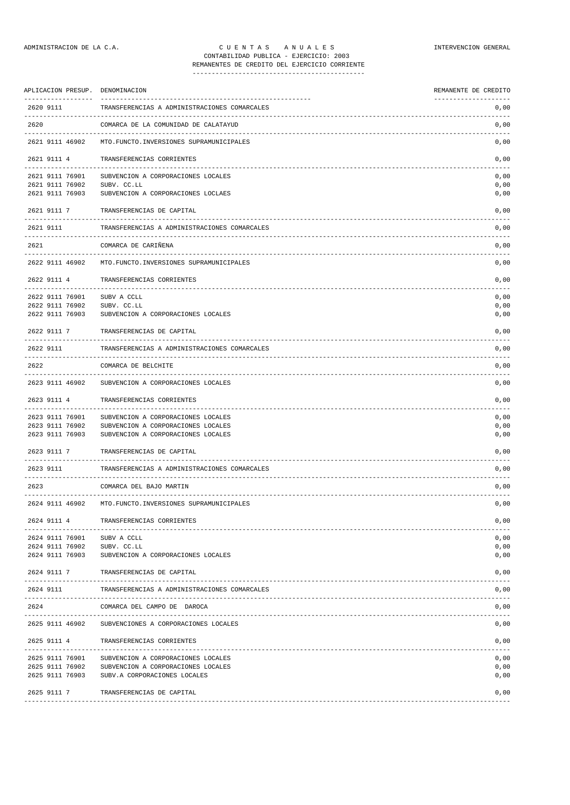| APLICACION PRESUP. DENOMINACION    |                                                                          | REMANENTE DE CREDITO |
|------------------------------------|--------------------------------------------------------------------------|----------------------|
| 2620 9111                          | TRANSFERENCIAS A ADMINISTRACIONES COMARCALES                             | 0,00                 |
| 2620                               | COMARCA DE LA COMUNIDAD DE CALATAYUD                                     | 0,00                 |
| 2621 9111 46902                    | MTO. FUNCTO. INVERSIONES SUPRAMUNICIPALES                                | 0,00                 |
| 2621 9111 4                        | TRANSFERENCIAS CORRIENTES                                                | 0,00                 |
| 2621 9111 76901                    | SUBVENCION A CORPORACIONES LOCALES                                       | 0,00                 |
| 2621 9111 76902<br>2621 9111 76903 | SUBV. CC.LL<br>SUBVENCION A CORPORACIONES LOCLAES                        | 0,00<br>0,00         |
| 2621 9111 7                        | TRANSFERENCIAS DE CAPITAL                                                | 0,00                 |
| 2621 9111                          | TRANSFERENCIAS A ADMINISTRACIONES COMARCALES                             | 0,00                 |
| 2621                               | COMARCA DE CARIÑENA                                                      | 0,00                 |
| 2622 9111 46902                    | MTO. FUNCTO. INVERSIONES SUPRAMUNICIPALES                                | 0,00                 |
| 2622 9111 4                        | TRANSFERENCIAS CORRIENTES                                                | 0,00                 |
| -----------<br>2622 9111 76901     | SUBV A CCLL                                                              | 0,00                 |
| 2622 9111 76902<br>2622 9111 76903 | SUBV. CC.LL<br>SUBVENCION A CORPORACIONES LOCALES                        | 0,00<br>0,00         |
| 2622 9111 7                        | TRANSFERENCIAS DE CAPITAL                                                | 0,00                 |
| 2622 9111                          | TRANSFERENCIAS A ADMINISTRACIONES COMARCALES                             | 0,00                 |
| 2622                               | COMARCA DE BELCHITE                                                      | 0,00                 |
| 2623 9111 46902                    | SUBVENCION A CORPORACIONES LOCALES                                       | 0,00                 |
| 2623 9111 4                        | TRANSFERENCIAS CORRIENTES                                                | 0,00                 |
|                                    |                                                                          |                      |
| 2623 9111 76901<br>2623 9111 76902 | SUBVENCION A CORPORACIONES LOCALES<br>SUBVENCION A CORPORACIONES LOCALES | 0,00<br>0,00         |
| 2623 9111 76903                    | SUBVENCION A CORPORACIONES LOCALES                                       | 0,00                 |
| 2623 9111 7                        | TRANSFERENCIAS DE CAPITAL<br>---------------------------                 | 0,00                 |
| 2623 9111                          | TRANSFERENCIAS A ADMINISTRACIONES COMARCALES                             | 0,00                 |
| 2623                               | COMARCA DEL BAJO MARTIN                                                  | 0,00                 |
|                                    | 2624 9111 46902 MTO. FUNCTO. INVERSIONES SUPRAMUNICIPALES                | 0,00                 |
| 2624 9111 4                        | TRANSFERENCIAS CORRIENTES                                                | 0,00                 |
| 2624 9111 76901                    | SUBV A CCLL                                                              | 0,00                 |
| 2624 9111 76902<br>2624 9111 76903 | SUBV. CC.LL<br>SUBVENCION A CORPORACIONES LOCALES                        | 0,00<br>0,00         |
| 2624 9111 7                        | TRANSFERENCIAS DE CAPITAL                                                | 0,00                 |
| 2624 9111                          | TRANSFERENCIAS A ADMINISTRACIONES COMARCALES                             | 0,00                 |
|                                    |                                                                          |                      |
| 2624                               | COMARCA DEL CAMPO DE DAROCA                                              | 0,00                 |
| 2625 9111 46902                    | SUBVENCIONES A CORPORACIONES LOCALES                                     | 0,00                 |
| 2625 9111 4                        | TRANSFERENCIAS CORRIENTES                                                | 0,00                 |
| 2625 9111 76901                    | SUBVENCION A CORPORACIONES LOCALES                                       | 0,00                 |
| 2625 9111 76902<br>2625 9111 76903 | SUBVENCION A CORPORACIONES LOCALES<br>SUBV.A CORPORACIONES LOCALES       | 0,00<br>0,00         |
| 2625 9111 7                        | TRANSFERENCIAS DE CAPITAL                                                | 0,00                 |
|                                    |                                                                          |                      |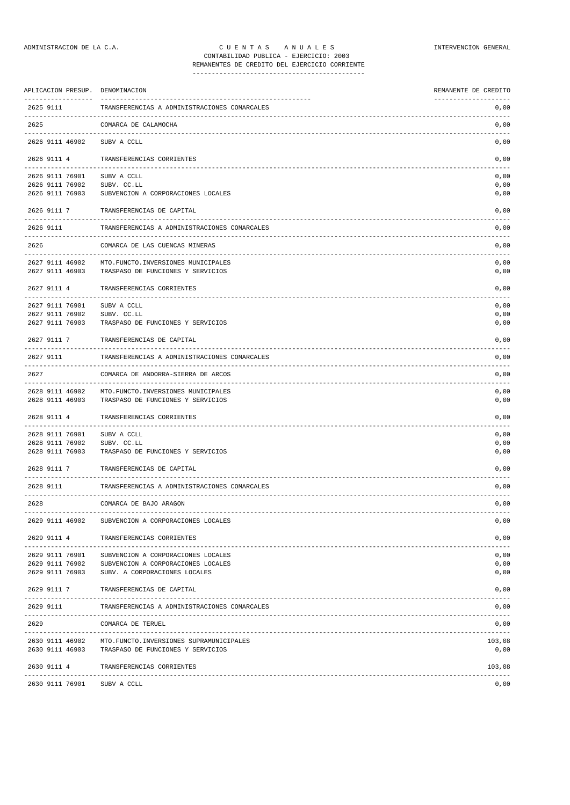| APLICACION PRESUP. DENOMINACION  |                                                           | REMANENTE DE CREDITO |
|----------------------------------|-----------------------------------------------------------|----------------------|
| 2625 9111                        | TRANSFERENCIAS A ADMINISTRACIONES COMARCALES              | 0,00                 |
| 2625                             | COMARCA DE CALAMOCHA                                      | 0,00                 |
| 2626 9111 46902                  | --------------------------------------<br>SUBV A CCLL     | 0,00                 |
| 2626 9111 4                      | TRANSFERENCIAS CORRIENTES                                 | 0,00                 |
| -------------<br>2626 9111 76901 | SUBV A CCLL                                               | 0,00                 |
| 2626 9111 76902                  | SUBV. CC.LL                                               | 0,00                 |
| 2626 9111 76903                  | SUBVENCION A CORPORACIONES LOCALES                        | 0,00                 |
| 2626 9111 7                      | TRANSFERENCIAS DE CAPITAL                                 | 0,00                 |
| 2626 9111                        | TRANSFERENCIAS A ADMINISTRACIONES COMARCALES              | 0,00                 |
| 2626                             | COMARCA DE LAS CUENCAS MINERAS                            | 0,00                 |
| 2627 9111 46902                  | MTO. FUNCTO. INVERSIONES MUNICIPALES                      | 0,00                 |
| 2627 9111 46903                  | TRASPASO DE FUNCIONES Y SERVICIOS                         | 0,00                 |
| 2627 9111 4                      | TRANSFERENCIAS CORRIENTES                                 | 0,00                 |
| 2627 9111 76901                  | SUBV A CCLL                                               | 0,00                 |
| 2627 9111 76902                  | SUBV. CC.LL                                               | 0,00                 |
| 2627 9111 76903                  | TRASPASO DE FUNCIONES Y SERVICIOS                         | 0,00                 |
| 2627 9111 7                      | TRANSFERENCIAS DE CAPITAL                                 | 0,00                 |
| 2627 9111                        | TRANSFERENCIAS A ADMINISTRACIONES COMARCALES              | 0,00                 |
| 2627                             | COMARCA DE ANDORRA-SIERRA DE ARCOS                        | 0,00                 |
| 2628 9111 46902                  | MTO. FUNCTO. INVERSIONES MUNICIPALES                      | 0,00                 |
| 2628 9111 46903                  | TRASPASO DE FUNCIONES Y SERVICIOS                         | 0,00                 |
| 2628 9111 4                      | TRANSFERENCIAS CORRIENTES                                 | 0,00                 |
| 2628 9111 76901                  | SUBV A CCLL                                               | 0,00                 |
| 2628 9111 76902                  | SUBV. CC.LL                                               | 0,00                 |
| 2628 9111 76903                  | TRASPASO DE FUNCIONES Y SERVICIOS                         | 0,00                 |
| 2628 9111 7                      | TRANSFERENCIAS DE CAPITAL<br>---------------------------  | 0,00                 |
| 2628 9111                        | TRANSFERENCIAS A ADMINISTRACIONES COMARCALES              | 0,00                 |
| 2628                             | COMARCA DE BAJO ARAGON                                    | 0,00                 |
| 2629 9111 46902                  | SUBVENCION A CORPORACIONES LOCALES                        | 0,00                 |
| 2629 9111 4                      | TRANSFERENCIAS CORRIENTES                                 | 0,00                 |
| 2629 9111 76901                  | SUBVENCION A CORPORACIONES LOCALES                        | 0,00                 |
| 2629 9111 76902                  | SUBVENCION A CORPORACIONES LOCALES                        | 0,00                 |
| 2629 9111 76903                  | SUBV. A CORPORACIONES LOCALES                             | 0,00                 |
| 2629 9111 7                      | TRANSFERENCIAS DE CAPITAL                                 | 0,00                 |
| 2629 9111                        | TRANSFERENCIAS A ADMINISTRACIONES COMARCALES              | 0,00                 |
| 2629                             | COMARCA DE TERUEL                                         | 0,00                 |
|                                  | 2630 9111 46902 MTO. FUNCTO. INVERSIONES SUPRAMUNICIPALES | 103,08               |
| 2630 9111 46903                  | TRASPASO DE FUNCIONES Y SERVICIOS                         | 0,00                 |
| 2630 9111 4                      | TRANSFERENCIAS CORRIENTES                                 | 103,08               |
| 2630 9111 76901                  | SUBV A CCLL                                               | 0,00                 |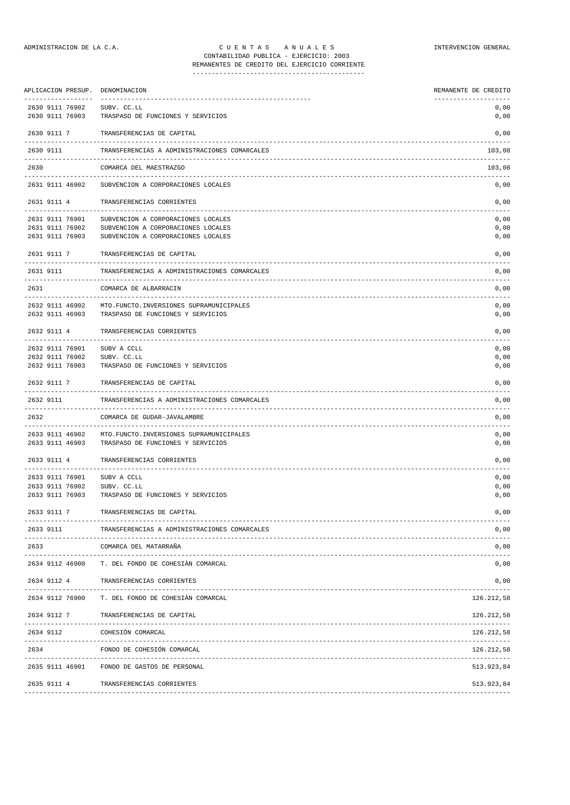## ADMINISTRACION DE LA C.A. CUENTAS ANUALES A CONSTRUENCION GENERAL CONTABILIDAD PUBLICA - EJERCICIO: 2003 REMANENTES DE CREDITO DEL EJERCICIO CORRIENTE

---------------------------------------------

| APLICACION PRESUP.                                        | DENOMINACION                                                                                                   | REMANENTE DE CREDITO |
|-----------------------------------------------------------|----------------------------------------------------------------------------------------------------------------|----------------------|
| -------------------<br>2630 9111 76902<br>2630 9111 76903 | -----------<br>SUBV. CC.LL<br>TRASPASO DE FUNCIONES Y SERVICIOS                                                | 0,00<br>0,00         |
| 2630 9111 7                                               | TRANSFERENCIAS DE CAPITAL                                                                                      | 0,00                 |
| 2630 9111                                                 | TRANSFERENCIAS A ADMINISTRACIONES COMARCALES                                                                   | 103,08               |
| 2630                                                      | COMARCA DEL MAESTRAZGO                                                                                         | 103,08               |
| 2631 9111 46902                                           | SUBVENCION A CORPORACIONES LOCALES                                                                             | 0,00                 |
| 2631 9111 4                                               | TRANSFERENCIAS CORRIENTES                                                                                      | 0,00                 |
| 2631 9111 76901<br>2631 9111 76902<br>2631 9111 76903     | SUBVENCION A CORPORACIONES LOCALES<br>SUBVENCION A CORPORACIONES LOCALES<br>SUBVENCION A CORPORACIONES LOCALES | 0,00<br>0,00<br>0,00 |
| 2631 9111 7                                               | TRANSFERENCIAS DE CAPITAL                                                                                      | 0,00                 |
| 2631 9111                                                 | TRANSFERENCIAS A ADMINISTRACIONES COMARCALES                                                                   | 0,00                 |
| 2631                                                      | COMARCA DE ALBARRACIN                                                                                          | 0,00                 |
| 2632 9111 46902<br>2632 9111 46903                        | MTO. FUNCTO. INVERSIONES SUPRAMUNICIPALES<br>TRASPASO DE FUNCIONES Y SERVICIOS                                 | 0,00<br>0,00         |
| 2632 9111 4                                               | TRANSFERENCIAS CORRIENTES                                                                                      | 0,00                 |
| 2632 9111 76901<br>2632 9111 76902<br>2632 9111 76903     | SUBV A CCLL<br>SUBV. CC.LL<br>TRASPASO DE FUNCIONES Y SERVICIOS                                                | 0,00<br>0,00<br>0,00 |
| 2632 9111 7                                               | TRANSFERENCIAS DE CAPITAL                                                                                      | 0,00                 |
| 2632 9111                                                 | TRANSFERENCIAS A ADMINISTRACIONES COMARCALES                                                                   | 0,00                 |
| 2632                                                      | COMARCA DE GUDAR-JAVALAMBRE                                                                                    | 0,00                 |
| 2633 9111 46902<br>2633 9111 46903                        | MTO. FUNCTO. INVERSIONES SUPRAMUNICIPALES<br>TRASPASO DE FUNCIONES Y SERVICIOS                                 | 0,00<br>0,00         |
| 2633 9111 4                                               | TRANSFERENCIAS CORRIENTES<br>----------------------------------                                                | 0,00                 |
| 2633 9111 76901<br>2633 9111 76902<br>2633 9111 76903     | SUBV A CCLL<br>SUBV. CC.LL<br>TRASPASO DE FUNCIONES Y SERVICIOS                                                | 0,00<br>0,00<br>0,00 |
| 2633 9111 7                                               | TRANSFERENCIAS DE CAPITAL                                                                                      | 0,00                 |
| 2633 9111                                                 | TRANSFERENCIAS A ADMINISTRACIONES COMARCALES                                                                   | 0,00                 |
| 2633                                                      | COMARCA DEL MATARRAÑA                                                                                          | 0,00                 |
| 2634 9112 46900                                           | T. DEL FONDO DE COHESIÀN COMARCAL                                                                              | 0,00                 |
|                                                           | 2634 9112 4 TRANSFERENCIAS CORRIENTES                                                                          | 0,00                 |
| 2634 9112 76900                                           | T. DEL FONDO DE COHESIÂN COMARCAL                                                                              | 126.212,58           |
|                                                           | 2634 9112 7 TRANSFERENCIAS DE CAPITAL                                                                          | 126.212,58           |
| 2634 9112                                                 | COHESIÓN COMARCAL                                                                                              | 126.212,58           |

2635 9111 46901 FONDO DE GASTOS DE PERSONAL 513.923,84 2635 9111 4 TRANSFERENCIAS CORRIENTES 513.923,84 -------------------------------------------------------------------------------------------------------------------------------

2634 FONDO DE COHESIÓN COMARCAL 126.212,58 -------------------------------------------------------------------------------------------------------------------------------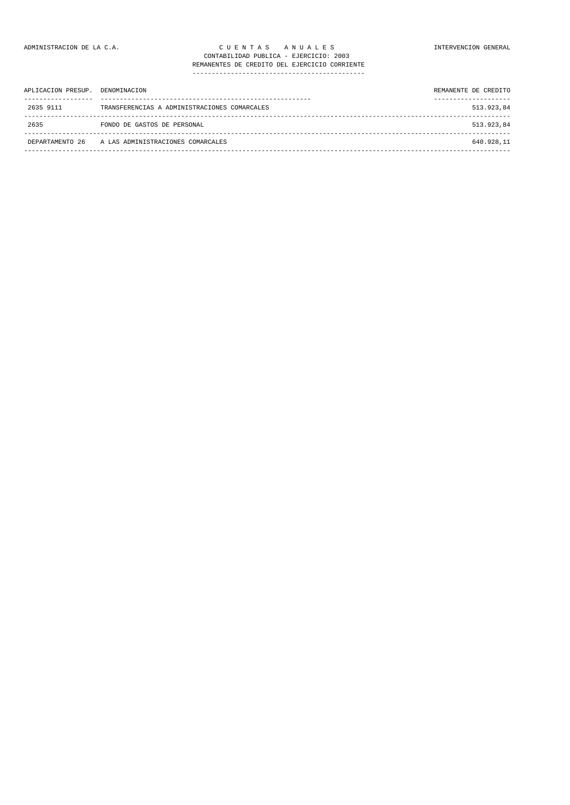| APLICACION PRESUP. | DENOMINACION                                 | REMANENTE DE CREDITO |
|--------------------|----------------------------------------------|----------------------|
| 2635 9111          | TRANSFERENCIAS A ADMINISTRACIONES COMARCALES | 513.923,84           |
| 2635               | FONDO DE GASTOS DE PERSONAL                  | 513.923,84           |
| DEPARTAMENTO 26    | A LAS ADMINISTRACIONES COMARCALES            | 640.928,11           |
|                    |                                              |                      |